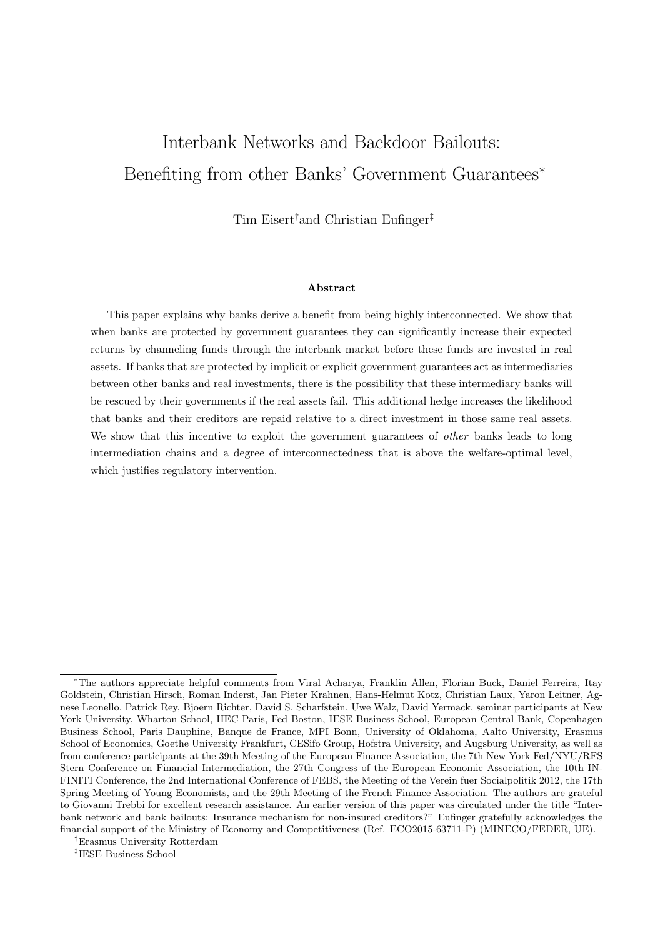# Interbank Networks and Backdoor Bailouts: Benefiting from other Banks' Government Guarantees<sup>\*</sup>

Tim Eisert†and Christian Eufinger‡

#### Abstract

This paper explains why banks derive a benefit from being highly interconnected. We show that when banks are protected by government guarantees they can significantly increase their expected returns by channeling funds through the interbank market before these funds are invested in real assets. If banks that are protected by implicit or explicit government guarantees act as intermediaries between other banks and real investments, there is the possibility that these intermediary banks will be rescued by their governments if the real assets fail. This additional hedge increases the likelihood that banks and their creditors are repaid relative to a direct investment in those same real assets. We show that this incentive to exploit the government guarantees of *other* banks leads to long intermediation chains and a degree of interconnectedness that is above the welfare-optimal level, which justifies regulatory intervention.

†Erasmus University Rotterdam

‡ IESE Business School

<sup>\*</sup>The authors appreciate helpful comments from Viral Acharya, Franklin Allen, Florian Buck, Daniel Ferreira, Itay Goldstein, Christian Hirsch, Roman Inderst, Jan Pieter Krahnen, Hans-Helmut Kotz, Christian Laux, Yaron Leitner, Agnese Leonello, Patrick Rey, Bjoern Richter, David S. Scharfstein, Uwe Walz, David Yermack, seminar participants at New York University, Wharton School, HEC Paris, Fed Boston, IESE Business School, European Central Bank, Copenhagen Business School, Paris Dauphine, Banque de France, MPI Bonn, University of Oklahoma, Aalto University, Erasmus School of Economics, Goethe University Frankfurt, CESifo Group, Hofstra University, and Augsburg University, as well as from conference participants at the 39th Meeting of the European Finance Association, the 7th New York Fed/NYU/RFS Stern Conference on Financial Intermediation, the 27th Congress of the European Economic Association, the 10th IN-FINITI Conference, the 2nd International Conference of FEBS, the Meeting of the Verein fuer Socialpolitik 2012, the 17th Spring Meeting of Young Economists, and the 29th Meeting of the French Finance Association. The authors are grateful to Giovanni Trebbi for excellent research assistance. An earlier version of this paper was circulated under the title "Interbank network and bank bailouts: Insurance mechanism for non-insured creditors?" Eufinger gratefully acknowledges the financial support of the Ministry of Economy and Competitiveness (Ref. ECO2015-63711-P) (MINECO/FEDER, UE).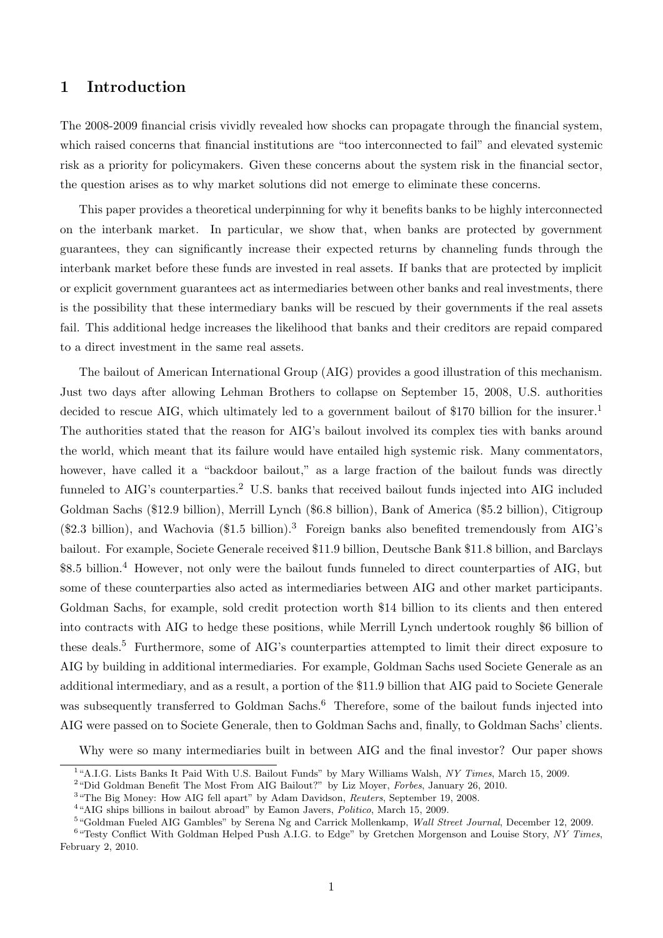## 1 Introduction

The 2008-2009 financial crisis vividly revealed how shocks can propagate through the financial system, which raised concerns that financial institutions are "too interconnected to fail" and elevated systemic risk as a priority for policymakers. Given these concerns about the system risk in the financial sector, the question arises as to why market solutions did not emerge to eliminate these concerns.

This paper provides a theoretical underpinning for why it benefits banks to be highly interconnected on the interbank market. In particular, we show that, when banks are protected by government guarantees, they can significantly increase their expected returns by channeling funds through the interbank market before these funds are invested in real assets. If banks that are protected by implicit or explicit government guarantees act as intermediaries between other banks and real investments, there is the possibility that these intermediary banks will be rescued by their governments if the real assets fail. This additional hedge increases the likelihood that banks and their creditors are repaid compared to a direct investment in the same real assets.

The bailout of American International Group (AIG) provides a good illustration of this mechanism. Just two days after allowing Lehman Brothers to collapse on September 15, 2008, U.S. authorities decided to rescue AIG, which ultimately led to a government bailout of \$170 billion for the insurer.<sup>1</sup> The authorities stated that the reason for AIG's bailout involved its complex ties with banks around the world, which meant that its failure would have entailed high systemic risk. Many commentators, however, have called it a "backdoor bailout," as a large fraction of the bailout funds was directly funneled to AIG's counterparties.<sup>2</sup> U.S. banks that received bailout funds injected into AIG included Goldman Sachs (\$12.9 billion), Merrill Lynch (\$6.8 billion), Bank of America (\$5.2 billion), Citigroup  $(\$2.3$  billion), and Wachovia  $(\$1.5$  billion).<sup>3</sup> Foreign banks also benefited tremendously from AIG's bailout. For example, Societe Generale received \$11.9 billion, Deutsche Bank \$11.8 billion, and Barclays \$8.5 billion.<sup>4</sup> However, not only were the bailout funds funneled to direct counterparties of AIG, but some of these counterparties also acted as intermediaries between AIG and other market participants. Goldman Sachs, for example, sold credit protection worth \$14 billion to its clients and then entered into contracts with AIG to hedge these positions, while Merrill Lynch undertook roughly \$6 billion of these deals.<sup>5</sup> Furthermore, some of AIG's counterparties attempted to limit their direct exposure to AIG by building in additional intermediaries. For example, Goldman Sachs used Societe Generale as an additional intermediary, and as a result, a portion of the \$11.9 billion that AIG paid to Societe Generale was subsequently transferred to Goldman Sachs.<sup>6</sup> Therefore, some of the bailout funds injected into AIG were passed on to Societe Generale, then to Goldman Sachs and, finally, to Goldman Sachs' clients.

Why were so many intermediaries built in between AIG and the final investor? Our paper shows

<sup>&</sup>lt;sup>1</sup>"A.I.G. Lists Banks It Paid With U.S. Bailout Funds" by Mary Williams Walsh, NY Times, March 15, 2009.

<sup>&</sup>lt;sup>2</sup> "Did Goldman Benefit The Most From AIG Bailout?" by Liz Moyer, *Forbes*, January 26, 2010.

<sup>&</sup>lt;sup>3</sup> "The Big Money: How AIG fell apart" by Adam Davidson, Reuters, September 19, 2008.

<sup>&</sup>lt;sup>4</sup>"AIG ships billions in bailout abroad" by Eamon Javers, Politico, March 15, 2009.

<sup>&</sup>lt;sup>5</sup> "Goldman Fueled AIG Gambles" by Serena Ng and Carrick Mollenkamp, *Wall Street Journal*, December 12, 2009.

<sup>&</sup>lt;sup>6</sup> "Testy Conflict With Goldman Helped Push A.I.G. to Edge" by Gretchen Morgenson and Louise Story, NY Times, February 2, 2010.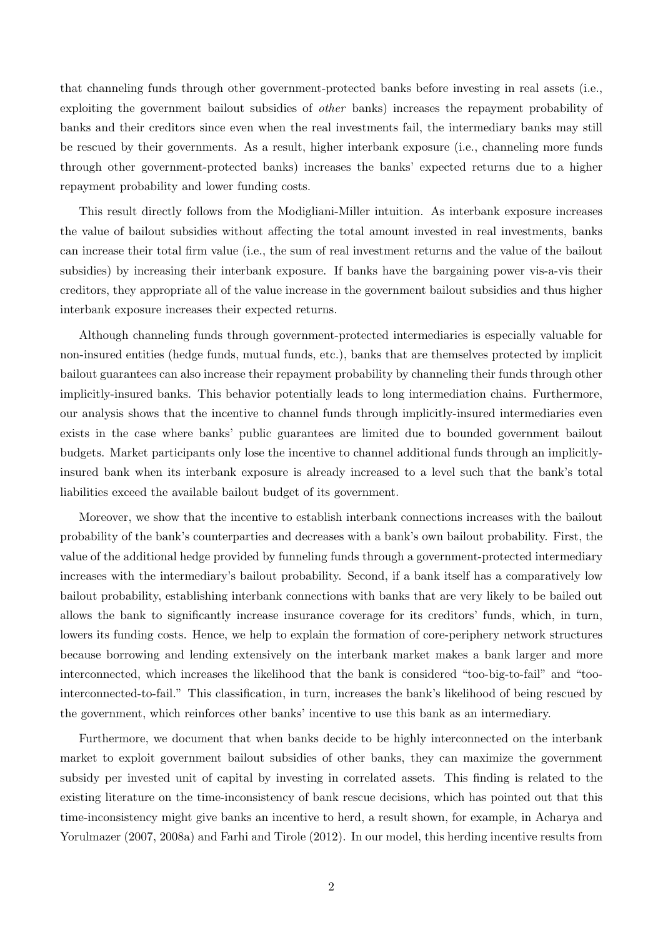that channeling funds through other government-protected banks before investing in real assets (i.e., exploiting the government bailout subsidies of other banks) increases the repayment probability of banks and their creditors since even when the real investments fail, the intermediary banks may still be rescued by their governments. As a result, higher interbank exposure (i.e., channeling more funds through other government-protected banks) increases the banks' expected returns due to a higher repayment probability and lower funding costs.

This result directly follows from the Modigliani-Miller intuition. As interbank exposure increases the value of bailout subsidies without affecting the total amount invested in real investments, banks can increase their total firm value (i.e., the sum of real investment returns and the value of the bailout subsidies) by increasing their interbank exposure. If banks have the bargaining power vis-a-vis their creditors, they appropriate all of the value increase in the government bailout subsidies and thus higher interbank exposure increases their expected returns.

Although channeling funds through government-protected intermediaries is especially valuable for non-insured entities (hedge funds, mutual funds, etc.), banks that are themselves protected by implicit bailout guarantees can also increase their repayment probability by channeling their funds through other implicitly-insured banks. This behavior potentially leads to long intermediation chains. Furthermore, our analysis shows that the incentive to channel funds through implicitly-insured intermediaries even exists in the case where banks' public guarantees are limited due to bounded government bailout budgets. Market participants only lose the incentive to channel additional funds through an implicitlyinsured bank when its interbank exposure is already increased to a level such that the bank's total liabilities exceed the available bailout budget of its government.

Moreover, we show that the incentive to establish interbank connections increases with the bailout probability of the bank's counterparties and decreases with a bank's own bailout probability. First, the value of the additional hedge provided by funneling funds through a government-protected intermediary increases with the intermediary's bailout probability. Second, if a bank itself has a comparatively low bailout probability, establishing interbank connections with banks that are very likely to be bailed out allows the bank to significantly increase insurance coverage for its creditors' funds, which, in turn, lowers its funding costs. Hence, we help to explain the formation of core-periphery network structures because borrowing and lending extensively on the interbank market makes a bank larger and more interconnected, which increases the likelihood that the bank is considered "too-big-to-fail" and "toointerconnected-to-fail." This classification, in turn, increases the bank's likelihood of being rescued by the government, which reinforces other banks' incentive to use this bank as an intermediary.

Furthermore, we document that when banks decide to be highly interconnected on the interbank market to exploit government bailout subsidies of other banks, they can maximize the government subsidy per invested unit of capital by investing in correlated assets. This finding is related to the existing literature on the time-inconsistency of bank rescue decisions, which has pointed out that this time-inconsistency might give banks an incentive to herd, a result shown, for example, in Acharya and Yorulmazer (2007, 2008a) and Farhi and Tirole (2012). In our model, this herding incentive results from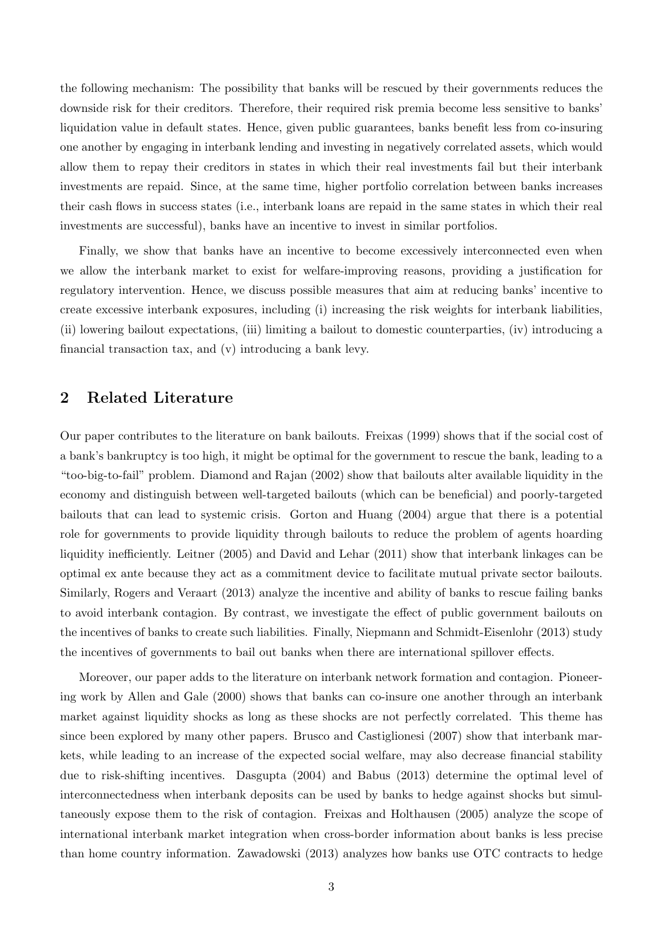the following mechanism: The possibility that banks will be rescued by their governments reduces the downside risk for their creditors. Therefore, their required risk premia become less sensitive to banks' liquidation value in default states. Hence, given public guarantees, banks benefit less from co-insuring one another by engaging in interbank lending and investing in negatively correlated assets, which would allow them to repay their creditors in states in which their real investments fail but their interbank investments are repaid. Since, at the same time, higher portfolio correlation between banks increases their cash flows in success states (i.e., interbank loans are repaid in the same states in which their real investments are successful), banks have an incentive to invest in similar portfolios.

Finally, we show that banks have an incentive to become excessively interconnected even when we allow the interbank market to exist for welfare-improving reasons, providing a justification for regulatory intervention. Hence, we discuss possible measures that aim at reducing banks' incentive to create excessive interbank exposures, including (i) increasing the risk weights for interbank liabilities, (ii) lowering bailout expectations, (iii) limiting a bailout to domestic counterparties, (iv) introducing a financial transaction tax, and (v) introducing a bank levy.

# 2 Related Literature

Our paper contributes to the literature on bank bailouts. Freixas (1999) shows that if the social cost of a bank's bankruptcy is too high, it might be optimal for the government to rescue the bank, leading to a "too-big-to-fail" problem. Diamond and Rajan (2002) show that bailouts alter available liquidity in the economy and distinguish between well-targeted bailouts (which can be beneficial) and poorly-targeted bailouts that can lead to systemic crisis. Gorton and Huang (2004) argue that there is a potential role for governments to provide liquidity through bailouts to reduce the problem of agents hoarding liquidity inefficiently. Leitner (2005) and David and Lehar (2011) show that interbank linkages can be optimal ex ante because they act as a commitment device to facilitate mutual private sector bailouts. Similarly, Rogers and Veraart (2013) analyze the incentive and ability of banks to rescue failing banks to avoid interbank contagion. By contrast, we investigate the effect of public government bailouts on the incentives of banks to create such liabilities. Finally, Niepmann and Schmidt-Eisenlohr (2013) study the incentives of governments to bail out banks when there are international spillover effects.

Moreover, our paper adds to the literature on interbank network formation and contagion. Pioneering work by Allen and Gale (2000) shows that banks can co-insure one another through an interbank market against liquidity shocks as long as these shocks are not perfectly correlated. This theme has since been explored by many other papers. Brusco and Castiglionesi (2007) show that interbank markets, while leading to an increase of the expected social welfare, may also decrease financial stability due to risk-shifting incentives. Dasgupta (2004) and Babus (2013) determine the optimal level of interconnectedness when interbank deposits can be used by banks to hedge against shocks but simultaneously expose them to the risk of contagion. Freixas and Holthausen (2005) analyze the scope of international interbank market integration when cross-border information about banks is less precise than home country information. Zawadowski (2013) analyzes how banks use OTC contracts to hedge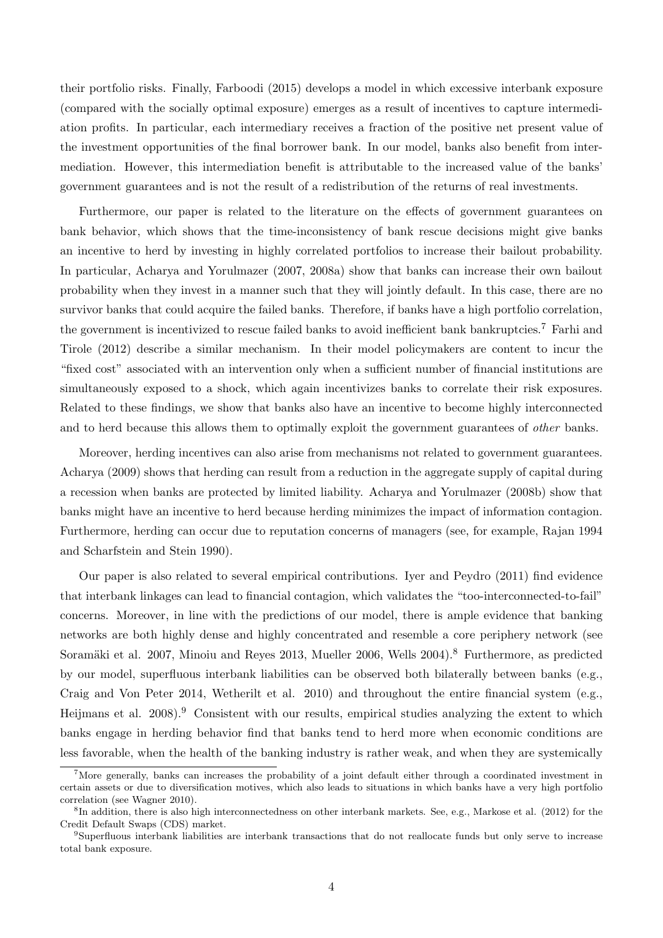their portfolio risks. Finally, Farboodi (2015) develops a model in which excessive interbank exposure (compared with the socially optimal exposure) emerges as a result of incentives to capture intermediation profits. In particular, each intermediary receives a fraction of the positive net present value of the investment opportunities of the final borrower bank. In our model, banks also benefit from intermediation. However, this intermediation benefit is attributable to the increased value of the banks' government guarantees and is not the result of a redistribution of the returns of real investments.

Furthermore, our paper is related to the literature on the effects of government guarantees on bank behavior, which shows that the time-inconsistency of bank rescue decisions might give banks an incentive to herd by investing in highly correlated portfolios to increase their bailout probability. In particular, Acharya and Yorulmazer (2007, 2008a) show that banks can increase their own bailout probability when they invest in a manner such that they will jointly default. In this case, there are no survivor banks that could acquire the failed banks. Therefore, if banks have a high portfolio correlation, the government is incentivized to rescue failed banks to avoid inefficient bank bankruptcies.<sup>7</sup> Farhi and Tirole (2012) describe a similar mechanism. In their model policymakers are content to incur the "fixed cost" associated with an intervention only when a sufficient number of financial institutions are simultaneously exposed to a shock, which again incentivizes banks to correlate their risk exposures. Related to these findings, we show that banks also have an incentive to become highly interconnected and to herd because this allows them to optimally exploit the government guarantees of *other* banks.

Moreover, herding incentives can also arise from mechanisms not related to government guarantees. Acharya (2009) shows that herding can result from a reduction in the aggregate supply of capital during a recession when banks are protected by limited liability. Acharya and Yorulmazer (2008b) show that banks might have an incentive to herd because herding minimizes the impact of information contagion. Furthermore, herding can occur due to reputation concerns of managers (see, for example, Rajan 1994 and Scharfstein and Stein 1990).

Our paper is also related to several empirical contributions. Iyer and Peydro (2011) find evidence that interbank linkages can lead to financial contagion, which validates the "too-interconnected-to-fail" concerns. Moreover, in line with the predictions of our model, there is ample evidence that banking networks are both highly dense and highly concentrated and resemble a core periphery network (see Soramäki et al. 2007, Minoiu and Reyes 2013, Mueller 2006, Wells 2004).<sup>8</sup> Furthermore, as predicted by our model, superfluous interbank liabilities can be observed both bilaterally between banks (e.g., Craig and Von Peter 2014, Wetherilt et al. 2010) and throughout the entire financial system (e.g., Heijmans et al. 2008).<sup>9</sup> Consistent with our results, empirical studies analyzing the extent to which banks engage in herding behavior find that banks tend to herd more when economic conditions are less favorable, when the health of the banking industry is rather weak, and when they are systemically

<sup>&</sup>lt;sup>7</sup>More generally, banks can increases the probability of a joint default either through a coordinated investment in certain assets or due to diversification motives, which also leads to situations in which banks have a very high portfolio correlation (see Wagner 2010).

<sup>&</sup>lt;sup>8</sup>In addition, there is also high interconnectedness on other interbank markets. See, e.g., Markose et al. (2012) for the Credit Default Swaps (CDS) market.

<sup>9</sup>Superfluous interbank liabilities are interbank transactions that do not reallocate funds but only serve to increase total bank exposure.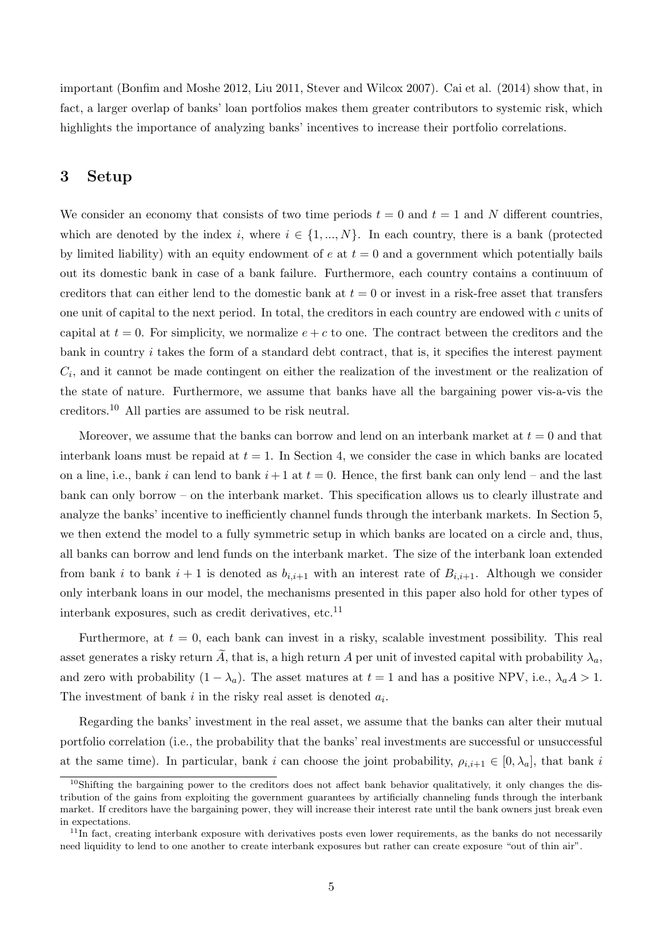important (Bonfim and Moshe 2012, Liu 2011, Stever and Wilcox 2007). Cai et al. (2014) show that, in fact, a larger overlap of banks' loan portfolios makes them greater contributors to systemic risk, which highlights the importance of analyzing banks' incentives to increase their portfolio correlations.

# 3 Setup

We consider an economy that consists of two time periods  $t = 0$  and  $t = 1$  and N different countries, which are denoted by the index i, where  $i \in \{1, ..., N\}$ . In each country, there is a bank (protected by limited liability) with an equity endowment of  $e$  at  $t = 0$  and a government which potentially bails out its domestic bank in case of a bank failure. Furthermore, each country contains a continuum of creditors that can either lend to the domestic bank at  $t = 0$  or invest in a risk-free asset that transfers one unit of capital to the next period. In total, the creditors in each country are endowed with  $c$  units of capital at  $t = 0$ . For simplicity, we normalize  $e + c$  to one. The contract between the creditors and the bank in country  $i$  takes the form of a standard debt contract, that is, it specifies the interest payment  $C_i$ , and it cannot be made contingent on either the realization of the investment or the realization of the state of nature. Furthermore, we assume that banks have all the bargaining power vis-a-vis the creditors.<sup>10</sup> All parties are assumed to be risk neutral.

Moreover, we assume that the banks can borrow and lend on an interbank market at  $t = 0$  and that interbank loans must be repaid at  $t = 1$ . In Section 4, we consider the case in which banks are located on a line, i.e., bank i can lend to bank  $i+1$  at  $t=0$ . Hence, the first bank can only lend – and the last bank can only borrow – on the interbank market. This specification allows us to clearly illustrate and analyze the banks' incentive to inefficiently channel funds through the interbank markets. In Section 5, we then extend the model to a fully symmetric setup in which banks are located on a circle and, thus, all banks can borrow and lend funds on the interbank market. The size of the interbank loan extended from bank *i* to bank  $i + 1$  is denoted as  $b_{i,i+1}$  with an interest rate of  $B_{i,i+1}$ . Although we consider only interbank loans in our model, the mechanisms presented in this paper also hold for other types of interbank exposures, such as credit derivatives, etc.<sup>11</sup>

Furthermore, at  $t = 0$ , each bank can invest in a risky, scalable investment possibility. This real asset generates a risky return  $\tilde{A}$ , that is, a high return A per unit of invested capital with probability  $\lambda_a$ , and zero with probability  $(1 - \lambda_a)$ . The asset matures at  $t = 1$  and has a positive NPV, i.e.,  $\lambda_a A > 1$ . The investment of bank  $i$  in the risky real asset is denoted  $a_i$ .

Regarding the banks' investment in the real asset, we assume that the banks can alter their mutual portfolio correlation (i.e., the probability that the banks' real investments are successful or unsuccessful at the same time). In particular, bank *i* can choose the joint probability,  $\rho_{i,i+1} \in [0, \lambda_a]$ , that bank *i* 

 $10$ Shifting the bargaining power to the creditors does not affect bank behavior qualitatively, it only changes the distribution of the gains from exploiting the government guarantees by artificially channeling funds through the interbank market. If creditors have the bargaining power, they will increase their interest rate until the bank owners just break even in expectations.

 $11\text{ n}$  fact, creating interbank exposure with derivatives posts even lower requirements, as the banks do not necessarily need liquidity to lend to one another to create interbank exposures but rather can create exposure "out of thin air".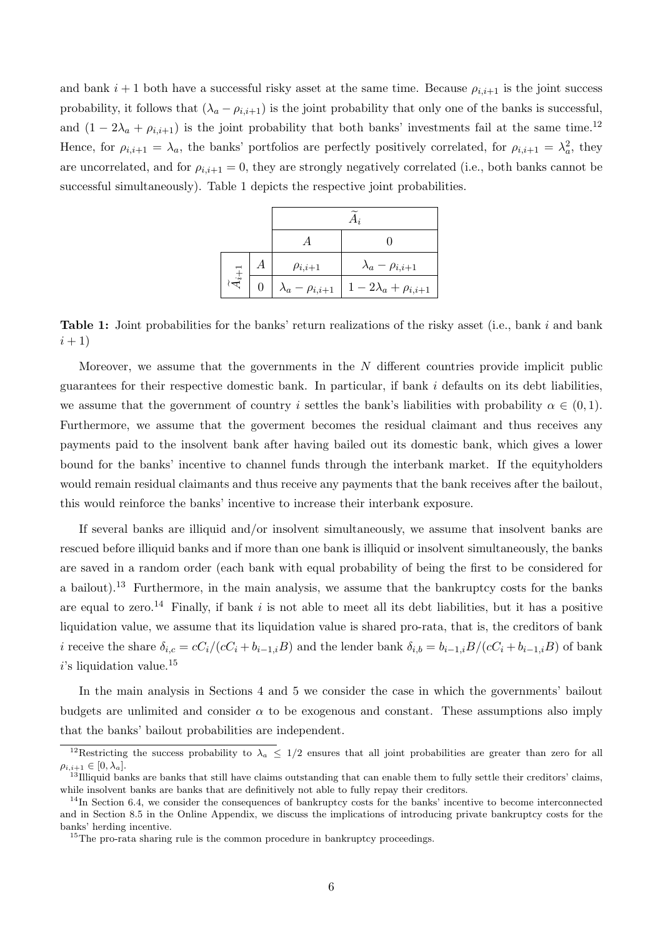and bank  $i + 1$  both have a successful risky asset at the same time. Because  $\rho_{i,i+1}$  is the joint success probability, it follows that  $(\lambda_a - \rho_{i,i+1})$  is the joint probability that only one of the banks is successful, and  $(1 - 2\lambda_a + \rho_{i,i+1})$  is the joint probability that both banks' investments fail at the same time.<sup>12</sup> Hence, for  $\rho_{i,i+1} = \lambda_a$ , the banks' portfolios are perfectly positively correlated, for  $\rho_{i,i+1} = \lambda_a^2$ , they are uncorrelated, and for  $\rho_{i,i+1} = 0$ , they are strongly negatively correlated (i.e., both banks cannot be successful simultaneously). Table 1 depicts the respective joint probabilities.

| $4_{i+1}$ |  | $\rho_{i,i+1}$             | $\lambda_a - \rho_{i,i+1}$  |  |  |  |  |
|-----------|--|----------------------------|-----------------------------|--|--|--|--|
|           |  | $\lambda_a - \rho_{i,i+1}$ | $1-2\lambda_a+\rho_{i,i+1}$ |  |  |  |  |

**Table 1:** Joint probabilities for the banks' return realizations of the risky asset (i.e., bank  $i$  and bank  $(i + 1)$ 

Moreover, we assume that the governments in the  $N$  different countries provide implicit public guarantees for their respective domestic bank. In particular, if bank  $i$  defaults on its debt liabilities, we assume that the government of country *i* settles the bank's liabilities with probability  $\alpha \in (0,1)$ . Furthermore, we assume that the goverment becomes the residual claimant and thus receives any payments paid to the insolvent bank after having bailed out its domestic bank, which gives a lower bound for the banks' incentive to channel funds through the interbank market. If the equityholders would remain residual claimants and thus receive any payments that the bank receives after the bailout, this would reinforce the banks' incentive to increase their interbank exposure.

If several banks are illiquid and/or insolvent simultaneously, we assume that insolvent banks are rescued before illiquid banks and if more than one bank is illiquid or insolvent simultaneously, the banks are saved in a random order (each bank with equal probability of being the first to be considered for a bailout).<sup>13</sup> Furthermore, in the main analysis, we assume that the bankruptcy costs for the banks are equal to zero.<sup>14</sup> Finally, if bank  $i$  is not able to meet all its debt liabilities, but it has a positive liquidation value, we assume that its liquidation value is shared pro-rata, that is, the creditors of bank *i* receive the share  $\delta_{i,c} = cC_i/(cC_i + b_{i-1,i}B)$  and the lender bank  $\delta_{i,b} = b_{i-1,i}B/(cC_i + b_{i-1,i}B)$  of bank  $i$ 's liquidation value.<sup>15</sup>

In the main analysis in Sections 4 and 5 we consider the case in which the governments' bailout budgets are unlimited and consider  $\alpha$  to be exogenous and constant. These assumptions also imply that the banks' bailout probabilities are independent.

<sup>&</sup>lt;sup>12</sup>Restricting the success probability to  $\lambda_a \leq 1/2$  ensures that all joint probabilities are greater than zero for all  $\rho_{i,i+1} \in [0, \lambda_a].$ 

 $13$ Illiquid banks are banks that still have claims outstanding that can enable them to fully settle their creditors' claims, while insolvent banks are banks that are definitively not able to fully repay their creditors.

 $14$ In Section 6.4, we consider the consequences of bankruptcy costs for the banks' incentive to become interconnected and in Section 8.5 in the Online Appendix, we discuss the implications of introducing private bankruptcy costs for the banks' herding incentive.

<sup>&</sup>lt;sup>15</sup>The pro-rata sharing rule is the common procedure in bankruptcy proceedings.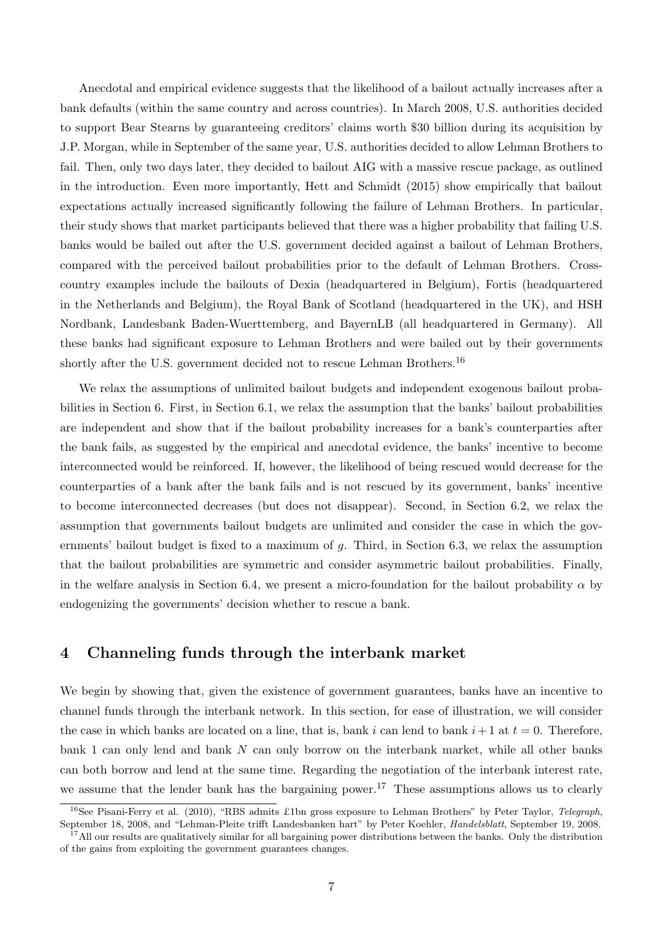Anecdotal and empirical evidence suggests that the likelihood of a bailout actually increases after a bank defaults (within the same country and across countries). In March 2008, U.S. authorities decided to support Bear Stearns by guaranteeing creditors' claims worth \$30 billion during its acquisition by J.P. Morgan, while in September of the same year, U.S. authorities decided to allow Lehman Brothers to fail. Then, only two days later, they decided to bailout AIG with a massive rescue package, as outlined in the introduction. Even more importantly, Hett and Schmidt (2015) show empirically that bailout expectations actually increased significantly following the failure of Lehman Brothers. In particular, their study shows that market participants believed that there was a higher probability that failing U.S. banks would be bailed out after the U.S. government decided against a bailout of Lehman Brothers, compared with the perceived bailout probabilities prior to the default of Lehman Brothers. Crosscountry examples include the bailouts of Dexia (headquartered in Belgium), Fortis (headquartered in the Netherlands and Belgium), the Royal Bank of Scotland (headquartered in the UK), and HSH Nordbank, Landesbank Baden-Wuerttemberg, and BayernLB (all headquartered in Germany). All these banks had significant exposure to Lehman Brothers and were bailed out by their governments shortly after the U.S. government decided not to rescue Lehman Brothers.  $^{16}$ 

We relax the assumptions of unlimited bailout budgets and independent exogenous bailout probabilities in Section 6. First, in Section 6.1, we relax the assumption that the banks' bailout probabilities are independent and show that if the bailout probability increases for a bank's counterparties after the bank fails, as suggested by the empirical and anecdotal evidence, the banks' incentive to become interconnected would be reinforced. If, however, the likelihood of being rescued would decrease for the counterparties of a bank after the bank fails and is not rescued by its government, banks' incentive to become interconnected decreases (but does not disappear). Second, in Section 6.2, we relax the assumption that governments bailout budgets are unlimited and consider the case in which the governments' bailout budget is fixed to a maximum of  $g$ . Third, in Section 6.3, we relax the assumption that the bailout probabilities are symmetric and consider asymmetric bailout probabilities. Finally, in the welfare analysis in Section 6.4, we present a micro-foundation for the bailout probability  $\alpha$  by endogenizing the governments' decision whether to rescue a bank.

## 4 Channeling funds through the interbank market

We begin by showing that, given the existence of government guarantees, banks have an incentive to channel funds through the interbank network. In this section, for ease of illustration, we will consider the case in which banks are located on a line, that is, bank i can lend to bank  $i + 1$  at  $t = 0$ . Therefore, bank 1 can only lend and bank  $N$  can only borrow on the interbank market, while all other banks can both borrow and lend at the same time. Regarding the negotiation of the interbank interest rate, we assume that the lender bank has the bargaining power.<sup>17</sup> These assumptions allows us to clearly

<sup>&</sup>lt;sup>16</sup>See Pisani-Ferry et al. (2010), "RBS admits £1bn gross exposure to Lehman Brothers" by Peter Taylor, Telegraph, September 18, 2008, and "Lehman-Pleite trifft Landesbanken hart" by Peter Koehler, Handelsblatt, September 19, 2008.

 $17$ All our results are qualitatively similar for all bargaining power distributions between the banks. Only the distribution of the gains from exploiting the government guarantees changes.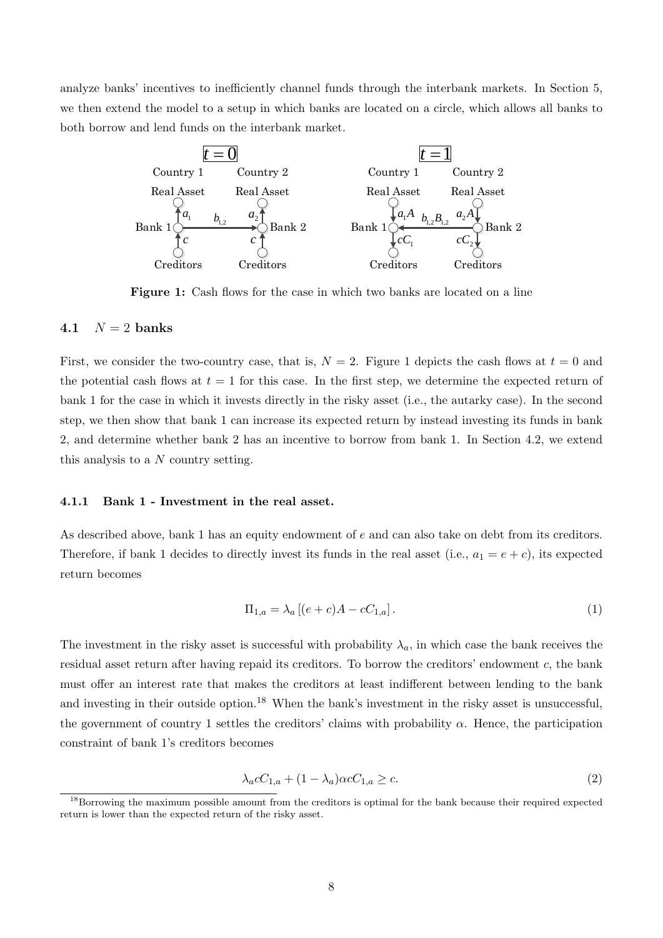analyze banks' incentives to inefficiently channel funds through the interbank markets. In Section 5, we then extend the model to a setup in which banks are located on a circle, which allows all banks to both borrow and lend funds on the interbank market.



Figure 1: Cash flows for the case in which two banks are located on a line

#### 4.1  $N = 2$  banks

First, we consider the two-country case, that is,  $N = 2$ . Figure 1 depicts the cash flows at  $t = 0$  and the potential cash flows at  $t = 1$  for this case. In the first step, we determine the expected return of bank 1 for the case in which it invests directly in the risky asset (i.e., the autarky case). In the second step, we then show that bank 1 can increase its expected return by instead investing its funds in bank 2, and determine whether bank 2 has an incentive to borrow from bank 1. In Section 4.2, we extend this analysis to a  $N$  country setting.

#### 4.1.1 Bank 1 - Investment in the real asset.

As described above, bank 1 has an equity endowment of  $e$  and can also take on debt from its creditors. Therefore, if bank 1 decides to directly invest its funds in the real asset (i.e.,  $a_1 = e + c$ ), its expected return becomes

$$
\Pi_{1,a} = \lambda_a \left[ (e+c)A - cC_{1,a} \right]. \tag{1}
$$

The investment in the risky asset is successful with probability  $\lambda_a$ , in which case the bank receives the residual asset return after having repaid its creditors. To borrow the creditors' endowment  $c$ , the bank must offer an interest rate that makes the creditors at least indifferent between lending to the bank and investing in their outside option.<sup>18</sup> When the bank's investment in the risky asset is unsuccessful, the government of country 1 settles the creditors' claims with probability  $\alpha$ . Hence, the participation constraint of bank 1's creditors becomes

$$
\lambda_a c C_{1,a} + (1 - \lambda_a) \alpha c C_{1,a} \ge c. \tag{2}
$$

<sup>&</sup>lt;sup>18</sup>Borrowing the maximum possible amount from the creditors is optimal for the bank because their required expected return is lower than the expected return of the risky asset.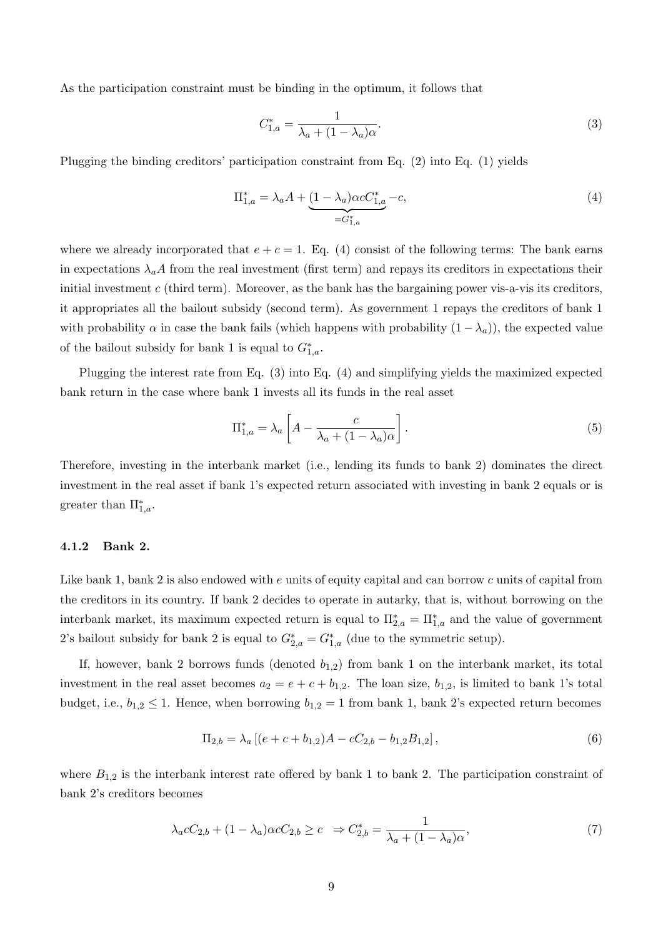As the participation constraint must be binding in the optimum, it follows that

$$
C_{1,a}^* = \frac{1}{\lambda_a + (1 - \lambda_a)\alpha}.\tag{3}
$$

Plugging the binding creditors' participation constraint from Eq. (2) into Eq. (1) yields

$$
\Pi_{1,a}^* = \lambda_a A + \underbrace{(1 - \lambda_a)\alpha c C_{1,a}^* - c}_{= G_{1,a}^*} - c,\tag{4}
$$

where we already incorporated that  $e + c = 1$ . Eq. (4) consist of the following terms: The bank earns in expectations  $\lambda_a A$  from the real investment (first term) and repays its creditors in expectations their initial investment  $c$  (third term). Moreover, as the bank has the bargaining power vis-a-vis its creditors, it appropriates all the bailout subsidy (second term). As government 1 repays the creditors of bank 1 with probability  $\alpha$  in case the bank fails (which happens with probability  $(1 - \lambda_a)$ ), the expected value of the bailout subsidy for bank 1 is equal to  $G_{1,a}^*$ .

Plugging the interest rate from Eq. (3) into Eq. (4) and simplifying yields the maximized expected bank return in the case where bank 1 invests all its funds in the real asset

$$
\Pi_{1,a}^* = \lambda_a \left[ A - \frac{c}{\lambda_a + (1 - \lambda_a)\alpha} \right].
$$
\n(5)

Therefore, investing in the interbank market (i.e., lending its funds to bank 2) dominates the direct investment in the real asset if bank 1's expected return associated with investing in bank 2 equals or is greater than  $\Pi_{1,a}^*$ .

#### 4.1.2 Bank 2.

Like bank 1, bank 2 is also endowed with  $e$  units of equity capital and can borrow  $c$  units of capital from the creditors in its country. If bank 2 decides to operate in autarky, that is, without borrowing on the interbank market, its maximum expected return is equal to  $\Pi_{2,a}^* = \Pi_{1,a}^*$  and the value of government 2's bailout subsidy for bank 2 is equal to  $G_{2,a}^* = G_{1,a}^*$  (due to the symmetric setup).

If, however, bank 2 borrows funds (denoted  $b_{1,2}$ ) from bank 1 on the interbank market, its total investment in the real asset becomes  $a_2 = e + c + b_{1,2}$ . The loan size,  $b_{1,2}$ , is limited to bank 1's total budget, i.e.,  $b_{1,2} \leq 1$ . Hence, when borrowing  $b_{1,2} = 1$  from bank 1, bank 2's expected return becomes

$$
\Pi_{2,b} = \lambda_a \left[ (e + c + b_{1,2})A - cC_{2,b} - b_{1,2}B_{1,2} \right],\tag{6}
$$

where  $B_{1,2}$  is the interbank interest rate offered by bank 1 to bank 2. The participation constraint of bank 2's creditors becomes

$$
\lambda_a c C_{2,b} + (1 - \lambda_a) \alpha c C_{2,b} \ge c \Rightarrow C_{2,b}^* = \frac{1}{\lambda_a + (1 - \lambda_a)\alpha},\tag{7}
$$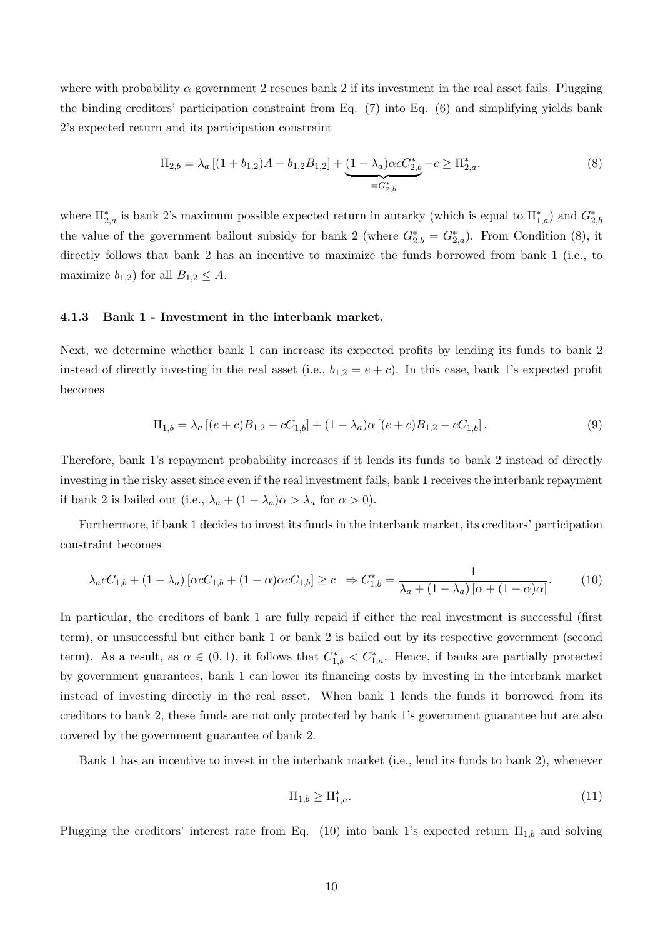where with probability  $\alpha$  government 2 rescues bank 2 if its investment in the real asset fails. Plugging the binding creditors' participation constraint from Eq. (7) into Eq. (6) and simplifying yields bank 2's expected return and its participation constraint

$$
\Pi_{2,b} = \lambda_a \left[ (1 + b_{1,2})A - b_{1,2}B_{1,2} \right] + \underbrace{(1 - \lambda_a)\alpha c C_{2,b}^*}_{= G_{2,b}^*} - c \ge \Pi_{2,a}^*,
$$
\n
$$
(8)
$$

where  $\Pi_{2,a}^*$  is bank 2's maximum possible expected return in autarky (which is equal to  $\Pi_{1,a}^*$ ) and  $G_{2,b}^*$ the value of the government bailout subsidy for bank 2 (where  $G_{2,b}^* = G_{2,a}^*$ ). From Condition (8), it directly follows that bank 2 has an incentive to maximize the funds borrowed from bank 1 (i.e., to maximize  $b_{1,2}$ ) for all  $B_{1,2} \leq A$ .

#### 4.1.3 Bank 1 - Investment in the interbank market.

Next, we determine whether bank 1 can increase its expected profits by lending its funds to bank 2 instead of directly investing in the real asset (i.e.,  $b_{1,2} = e + c$ ). In this case, bank 1's expected profit becomes

$$
\Pi_{1,b} = \lambda_a \left[ (e+c)B_{1,2} - cC_{1,b} \right] + (1-\lambda_a)\alpha \left[ (e+c)B_{1,2} - cC_{1,b} \right].
$$
\n(9)

Therefore, bank 1's repayment probability increases if it lends its funds to bank 2 instead of directly investing in the risky asset since even if the real investment fails, bank 1 receives the interbank repayment if bank 2 is bailed out (i.e.,  $\lambda_a + (1 - \lambda_a)\alpha > \lambda_a$  for  $\alpha > 0$ ).

Furthermore, if bank 1 decides to invest its funds in the interbank market, its creditors' participation constraint becomes

$$
\lambda_a c C_{1,b} + (1 - \lambda_a) \left[ \alpha c C_{1,b} + (1 - \alpha) \alpha c C_{1,b} \right] \ge c \Rightarrow C_{1,b}^* = \frac{1}{\lambda_a + (1 - \lambda_a) \left[ \alpha + (1 - \alpha) \alpha \right]}.
$$
 (10)

In particular, the creditors of bank 1 are fully repaid if either the real investment is successful (first term), or unsuccessful but either bank 1 or bank 2 is bailed out by its respective government (second term). As a result, as  $\alpha \in (0,1)$ , it follows that  $C_{1,b}^* < C_{1,a}^*$ . Hence, if banks are partially protected by government guarantees, bank 1 can lower its financing costs by investing in the interbank market instead of investing directly in the real asset. When bank 1 lends the funds it borrowed from its creditors to bank 2, these funds are not only protected by bank 1's government guarantee but are also covered by the government guarantee of bank 2.

Bank 1 has an incentive to invest in the interbank market (i.e., lend its funds to bank 2), whenever

$$
\Pi_{1,b} \ge \Pi_{1,a}^*.\tag{11}
$$

Plugging the creditors' interest rate from Eq. (10) into bank 1's expected return  $\Pi_{1,b}$  and solving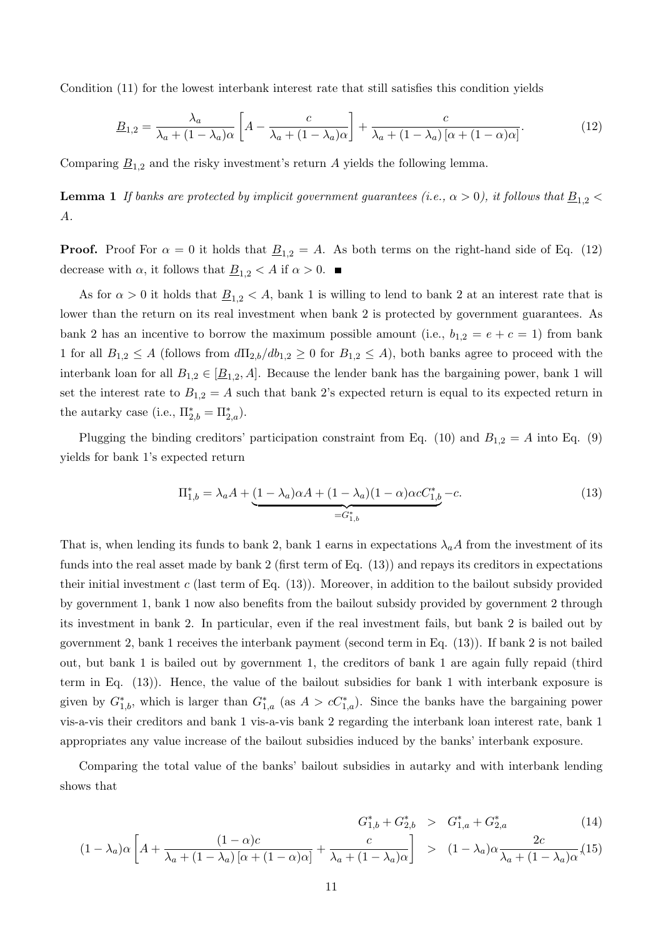Condition (11) for the lowest interbank interest rate that still satisfies this condition yields

$$
\underline{B}_{1,2} = \frac{\lambda_a}{\lambda_a + (1 - \lambda_a)\alpha} \left[ A - \frac{c}{\lambda_a + (1 - \lambda_a)\alpha} \right] + \frac{c}{\lambda_a + (1 - \lambda_a)\left[ \alpha + (1 - \alpha)\alpha \right]}.
$$
(12)

Comparing  $\underline{B}_{1,2}$  and the risky investment's return A yields the following lemma.

**Lemma 1** If banks are protected by implicit government guarantees (i.e.,  $\alpha > 0$ ), it follows that  $\underline{B}_{1,2} <$  $A$ .

**Proof.** Proof For  $\alpha = 0$  it holds that  $\underline{B}_{1,2} = A$ . As both terms on the right-hand side of Eq. (12) decrease with  $\alpha$ , it follows that  $\underline{B}_{1,2} < A$  if  $\alpha > 0$ .

As for  $\alpha > 0$  it holds that  $\underline{B}_{1,2} < A$ , bank 1 is willing to lend to bank 2 at an interest rate that is lower than the return on its real investment when bank 2 is protected by government guarantees. As bank 2 has an incentive to borrow the maximum possible amount (i.e.,  $b_{1,2} = e + c = 1$ ) from bank 1 for all  $B_{1,2} \leq A$  (follows from  $d\Pi_{2,b}/db_{1,2} \geq 0$  for  $B_{1,2} \leq A$ ), both banks agree to proceed with the interbank loan for all  $B_{1,2} \in [\underline{B}_{1,2}, A]$ . Because the lender bank has the bargaining power, bank 1 will set the interest rate to  $B_{1,2} = A$  such that bank 2's expected return is equal to its expected return in the autarky case (i.e.,  $\Pi_{2,b}^* = \Pi_{2,a}^*$ ).

Plugging the binding creditors' participation constraint from Eq. (10) and  $B_{1,2} = A$  into Eq. (9) yields for bank 1's expected return

$$
\Pi_{1,b}^* = \lambda_a A + \underbrace{(1 - \lambda_a)\alpha A + (1 - \lambda_a)(1 - \alpha)\alpha c C_{1,b}^* - c.}_{= G_{1,b}^*} \tag{13}
$$

That is, when lending its funds to bank 2, bank 1 earns in expectations  $\lambda_a A$  from the investment of its funds into the real asset made by bank 2 (first term of Eq. (13)) and repays its creditors in expectations their initial investment  $c$  (last term of Eq. (13)). Moreover, in addition to the bailout subsidy provided by government 1, bank 1 now also benefits from the bailout subsidy provided by government 2 through its investment in bank 2. In particular, even if the real investment fails, but bank 2 is bailed out by government 2, bank 1 receives the interbank payment (second term in Eq. (13)). If bank 2 is not bailed out, but bank 1 is bailed out by government 1, the creditors of bank 1 are again fully repaid (third term in Eq. (13)). Hence, the value of the bailout subsidies for bank 1 with interbank exposure is given by  $G_{1,b}^*$ , which is larger than  $G_{1,a}^*$  (as  $A > cC_{1,a}^*$ ). Since the banks have the bargaining power vis-a-vis their creditors and bank 1 vis-a-vis bank 2 regarding the interbank loan interest rate, bank 1 appropriates any value increase of the bailout subsidies induced by the banks' interbank exposure.

Comparing the total value of the banks' bailout subsidies in autarky and with interbank lending shows that

$$
G_{1,b}^* + G_{2,b}^* \geq G_{1,a}^* + G_{2,a}^* \tag{14}
$$

$$
(1 - \lambda_a)\alpha \left[ A + \frac{(1 - \alpha)c}{\lambda_a + (1 - \lambda_a)\left[ \alpha + (1 - \alpha)\alpha \right]} + \frac{c}{\lambda_a + (1 - \lambda_a)\alpha} \right] > (1 - \lambda_a)\alpha \frac{2c}{\lambda_a + (1 - \lambda_a)\alpha} (15)
$$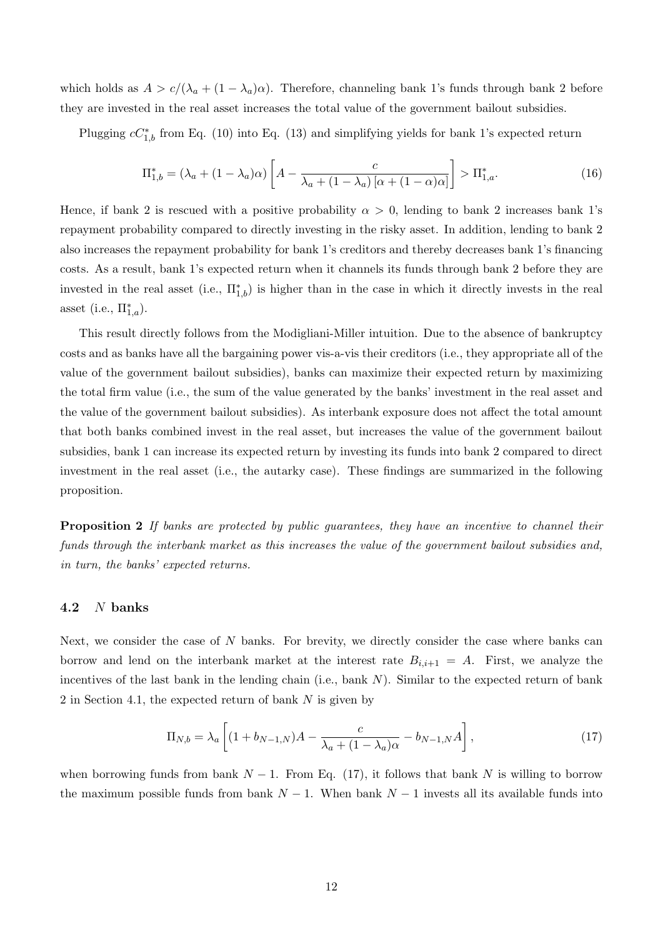which holds as  $A > c/(\lambda_a + (1 - \lambda_a)\alpha)$ . Therefore, channeling bank 1's funds through bank 2 before they are invested in the real asset increases the total value of the government bailout subsidies.

Plugging  $cC_{1,b}^*$  from Eq. (10) into Eq. (13) and simplifying yields for bank 1's expected return

$$
\Pi_{1,b}^* = (\lambda_a + (1 - \lambda_a)\alpha) \left[ A - \frac{c}{\lambda_a + (1 - \lambda_a) \left[ \alpha + (1 - \alpha)\alpha \right]} \right] > \Pi_{1,a}^*.
$$
\n(16)

Hence, if bank 2 is rescued with a positive probability  $\alpha > 0$ , lending to bank 2 increases bank 1's repayment probability compared to directly investing in the risky asset. In addition, lending to bank 2 also increases the repayment probability for bank 1's creditors and thereby decreases bank 1's financing costs. As a result, bank 1's expected return when it channels its funds through bank 2 before they are invested in the real asset (i.e.,  $\Pi_{1,b}^*$ ) is higher than in the case in which it directly invests in the real asset (i.e.,  $\Pi_{1,a}^*$ ).

This result directly follows from the Modigliani-Miller intuition. Due to the absence of bankruptcy costs and as banks have all the bargaining power vis-a-vis their creditors (i.e., they appropriate all of the value of the government bailout subsidies), banks can maximize their expected return by maximizing the total firm value (i.e., the sum of the value generated by the banks' investment in the real asset and the value of the government bailout subsidies). As interbank exposure does not affect the total amount that both banks combined invest in the real asset, but increases the value of the government bailout subsidies, bank 1 can increase its expected return by investing its funds into bank 2 compared to direct investment in the real asset (i.e., the autarky case). These findings are summarized in the following proposition.

**Proposition 2** If banks are protected by public quarantees, they have an incentive to channel their funds through the interbank market as this increases the value of the government bailout subsidies and, in turn, the banks' expected returns.

#### 4.2  $N$  banks

Next, we consider the case of  $N$  banks. For brevity, we directly consider the case where banks can borrow and lend on the interbank market at the interest rate  $B_{i,i+1} = A$ . First, we analyze the incentives of the last bank in the lending chain (i.e., bank  $N$ ). Similar to the expected return of bank 2 in Section 4.1, the expected return of bank  $N$  is given by

$$
\Pi_{N,b} = \lambda_a \left[ (1 + b_{N-1,N})A - \frac{c}{\lambda_a + (1 - \lambda_a)\alpha} - b_{N-1,N}A \right],
$$
\n(17)

when borrowing funds from bank  $N-1$ . From Eq. (17), it follows that bank N is willing to borrow the maximum possible funds from bank  $N-1$ . When bank  $N-1$  invests all its available funds into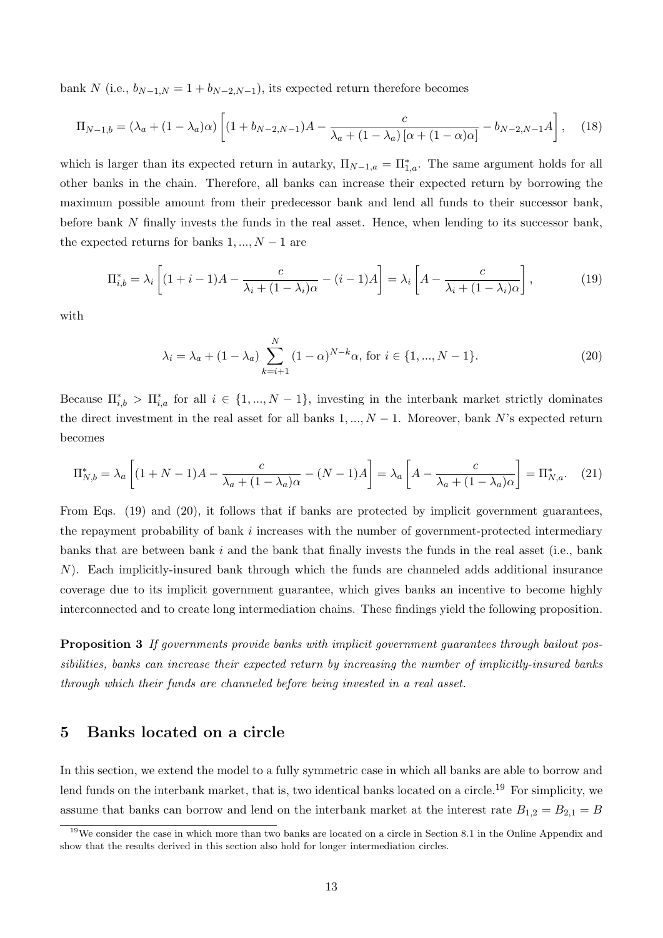bank N (i.e.,  $b_{N-1,N} = 1 + b_{N-2,N-1}$ ), its expected return therefore becomes

$$
\Pi_{N-1,b} = (\lambda_a + (1 - \lambda_a)\alpha) \left[ (1 + b_{N-2,N-1})A - \frac{c}{\lambda_a + (1 - \lambda_a) [\alpha + (1 - \alpha)\alpha]} - b_{N-2,N-1}A \right],
$$
 (18)

which is larger than its expected return in autarky,  $\Pi_{N-1,a} = \Pi_{1,a}^*$ . The same argument holds for all other banks in the chain. Therefore, all banks can increase their expected return by borrowing the maximum possible amount from their predecessor bank and lend all funds to their successor bank, before bank N finally invests the funds in the real asset. Hence, when lending to its successor bank, the expected returns for banks  $1, ..., N - 1$  are

$$
\Pi_{i,b}^* = \lambda_i \left[ (1+i-1)A - \frac{c}{\lambda_i + (1-\lambda_i)\alpha} - (i-1)A \right] = \lambda_i \left[ A - \frac{c}{\lambda_i + (1-\lambda_i)\alpha} \right],\tag{19}
$$

with

$$
\lambda_i = \lambda_a + (1 - \lambda_a) \sum_{k=i+1}^{N} (1 - \alpha)^{N-k} \alpha, \text{ for } i \in \{1, ..., N-1\}. \tag{20}
$$

Because  $\Pi_{i,b}^*$  >  $\Pi_{i,a}^*$  for all  $i \in \{1, ..., N-1\}$ , investing in the interbank market strictly dominates the direct investment in the real asset for all banks  $1, ..., N - 1$ . Moreover, bank N's expected return becomes

$$
\Pi_{N,b}^* = \lambda_a \left[ (1+N-1)A - \frac{c}{\lambda_a + (1-\lambda_a)\alpha} - (N-1)A \right] = \lambda_a \left[ A - \frac{c}{\lambda_a + (1-\lambda_a)\alpha} \right] = \Pi_{N,a}^*.
$$
 (21)

From Eqs. (19) and (20), it follows that if banks are protected by implicit government guarantees, the repayment probability of bank  $i$  increases with the number of government-protected intermediary banks that are between bank  $i$  and the bank that finally invests the funds in the real asset (i.e., bank ). Each implicitly-insured bank through which the funds are channeled adds additional insurance coverage due to its implicit government guarantee, which gives banks an incentive to become highly interconnected and to create long intermediation chains. These findings yield the following proposition.

Proposition 3 If governments provide banks with implicit government guarantees through bailout possibilities, banks can increase their expected return by increasing the number of implicitly-insured banks through which their funds are channeled before being invested in a real asset.

## 5 Banks located on a circle

In this section, we extend the model to a fully symmetric case in which all banks are able to borrow and lend funds on the interbank market, that is, two identical banks located on a circle.<sup>19</sup> For simplicity, we assume that banks can borrow and lend on the interbank market at the interest rate  $B_{1,2} = B_{2,1} = B$ 

 $19\text{We consider the case in which more than two banks are located on a circle in Section 8.1 in the Online Appendix and$ show that the results derived in this section also hold for longer intermediation circles.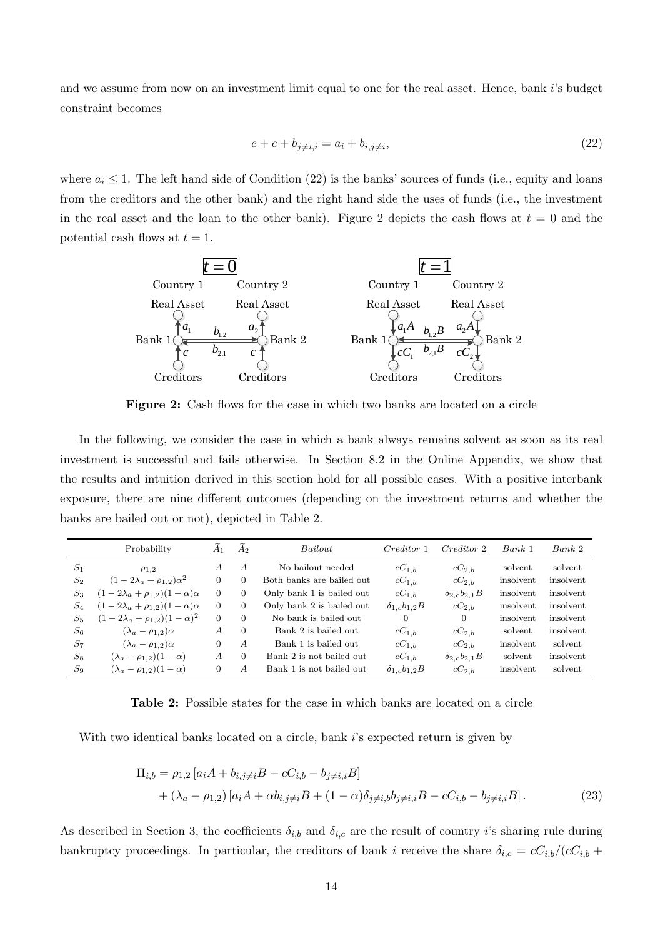and we assume from now on an investment limit equal to one for the real asset. Hence, bank  $i$ 's budget constraint becomes

$$
e + c + b_{j \neq i, i} = a_i + b_{i, j \neq i}, \tag{22}
$$

where  $a_i \leq 1$ . The left hand side of Condition (22) is the banks' sources of funds (i.e., equity and loans from the creditors and the other bank) and the right hand side the uses of funds (i.e., the investment in the real asset and the loan to the other bank). Figure 2 depicts the cash flows at  $t = 0$  and the potential cash flows at  $t = 1$ .



Figure 2: Cash flows for the case in which two banks are located on a circle

In the following, we consider the case in which a bank always remains solvent as soon as its real investment is successful and fails otherwise. In Section 8.2 in the Online Appendix, we show that the results and intuition derived in this section hold for all possible cases. With a positive interbank exposure, there are nine different outcomes (depending on the investment returns and whether the banks are bailed out or not), depicted in Table 2.

|       | Probability                                 | $A_1$          | A <sub>2</sub>   | <i>Bailout</i>            | Creditor 1             | Creditor 2             | Bank <sub>1</sub> | Bank <sub>2</sub> |
|-------|---------------------------------------------|----------------|------------------|---------------------------|------------------------|------------------------|-------------------|-------------------|
| $S_1$ | $\rho_{1,2}$                                | A              | $\overline{A}$   | No bailout needed         | $cC_{1,b}$             | $cC_{2,b}$             | solvent           | solvent           |
| $S_2$ | $(1 - 2\lambda_a + \rho_{1,2})\alpha^2$     | $\overline{0}$ | $\overline{0}$   | Both banks are bailed out | $cC_{1,b}$             | $cC_{2,b}$             | insolvent         | insolvent         |
| $S_3$ | $(1-2\lambda_a+\rho_{1,2})(1-\alpha)\alpha$ | $\Omega$       | $\overline{0}$   | Only bank 1 is bailed out | $cC_{1,b}$             | $\delta_{2,c}b_{2,1}B$ | insolvent         | insolvent         |
| $S_4$ | $(1-2\lambda_a+\rho_{1,2})(1-\alpha)\alpha$ | $\theta$       | $\overline{0}$   | Only bank 2 is bailed out | $\delta_{1,c}b_{1,2}B$ | $cC_{2,b}$             | insolvent         | insolvent         |
| $S_5$ | $(1-2\lambda_a+\rho_{1,2})(1-\alpha)^2$     | $\Omega$       | $\overline{0}$   | No bank is bailed out     | $\overline{0}$         | $\theta$               | insolvent         | insolvent         |
| $S_6$ | $(\lambda_a - \rho_{1,2})\alpha$            | А              | $\overline{0}$   | Bank 2 is bailed out      | $cC_{1,b}$             | $cC_{2,b}$             | solvent           | insolvent         |
| $S_7$ | $(\lambda_a - \rho_{1,2})\alpha$            | 0              | $\boldsymbol{A}$ | Bank 1 is bailed out      | $cC_{1,b}$             | $cC_{2,b}$             | insolvent         | solvent           |
| $S_8$ | $(\lambda_a - \rho_{1,2})(1-\alpha)$        | $\overline{A}$ | $\Omega$         | Bank 2 is not bailed out  | $cC_{1,b}$             | $\delta_{2,c}b_{2,1}B$ | solvent           | insolvent         |
| $S_9$ | $(\lambda_a - \rho_{1,2})(1-\alpha)$        | $\overline{0}$ | A                | Bank 1 is not bailed out  | $\delta_{1,c}b_{1,2}B$ | $cC_{2,b}$             | insolvent         | solvent           |

Table 2: Possible states for the case in which banks are located on a circle

With two identical banks located on a circle, bank  $i$ 's expected return is given by

$$
\Pi_{i,b} = \rho_{1,2} [a_i A + b_{i,j \neq i} B - cC_{i,b} - b_{j \neq i,i} B] + (\lambda_a - \rho_{1,2}) [a_i A + \alpha b_{i,j \neq i} B + (1 - \alpha) \delta_{j \neq i,b} b_{j \neq i,i} B - cC_{i,b} - b_{j \neq i,i} B].
$$
\n(23)

As described in Section 3, the coefficients  $\delta_{i,b}$  and  $\delta_{i,c}$  are the result of country *i*'s sharing rule during bankruptcy proceedings. In particular, the creditors of bank *i* receive the share  $\delta_{i,c} = cC_{i,b}/(cC_{i,b} + cC_{i,b})$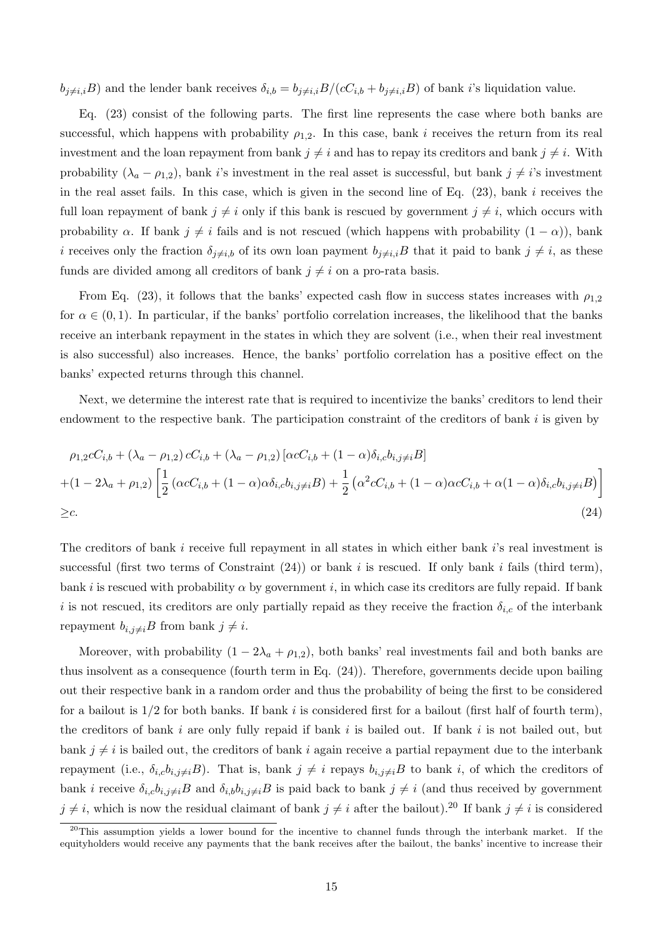$b_{j\neq i,i}B$ ) and the lender bank receives  $\delta_{i,b}=b_{j\neq i,i}B/(cC_{i,b}+b_{j\neq i,i}B)$  of bank i's liquidation value.

Eq. (23) consist of the following parts. The first line represents the case where both banks are successful, which happens with probability  $\rho_{1,2}$ . In this case, bank *i* receives the return from its real investment and the loan repayment from bank  $j \neq i$  and has to repay its creditors and bank  $j \neq i$ . With probability  $(\lambda_a - \rho_{1,2})$ , bank *i*'s investment in the real asset is successful, but bank  $j \neq i$ 's investment in the real asset fails. In this case, which is given in the second line of Eq.  $(23)$ , bank *i* receives the full loan repayment of bank  $j \neq i$  only if this bank is rescued by government  $j \neq i$ , which occurs with probability  $\alpha$ . If bank  $j \neq i$  fails and is not rescued (which happens with probability  $(1 - \alpha)$ ), bank i receives only the fraction  $\delta_{j\neq i,b}$  of its own loan payment  $b_{j\neq i,i}B$  that it paid to bank  $j\neq i$ , as these funds are divided among all creditors of bank  $j \neq i$  on a pro-rata basis.

From Eq. (23), it follows that the banks' expected cash flow in success states increases with  $\rho_{1,2}$ for  $\alpha \in (0,1)$ . In particular, if the banks' portfolio correlation increases, the likelihood that the banks receive an interbank repayment in the states in which they are solvent (i.e., when their real investment is also successful) also increases. Hence, the banks' portfolio correlation has a positive effect on the banks' expected returns through this channel.

Next, we determine the interest rate that is required to incentivize the banks' creditors to lend their endowment to the respective bank. The participation constraint of the creditors of bank  $i$  is given by

$$
\rho_{1,2}cC_{i,b} + (\lambda_a - \rho_{1,2}) cC_{i,b} + (\lambda_a - \rho_{1,2}) [\alpha cC_{i,b} + (1 - \alpha)\delta_{i,c}b_{i,j\neq i}B]
$$
  
+ 
$$
(1 - 2\lambda_a + \rho_{1,2}) \left[ \frac{1}{2} (\alpha cC_{i,b} + (1 - \alpha)\alpha \delta_{i,c}b_{i,j\neq i}B) + \frac{1}{2} (\alpha^2 cC_{i,b} + (1 - \alpha)\alpha cC_{i,b} + \alpha(1 - \alpha)\delta_{i,c}b_{i,j\neq i}B) \right]
$$
  
≥c. (24)

The creditors of bank  $i$  receive full repayment in all states in which either bank  $i$ 's real investment is successful (first two terms of Constraint  $(24)$ ) or bank *i* is rescued. If only bank *i* fails (third term), bank *i* is rescued with probability  $\alpha$  by government *i*, in which case its creditors are fully repaid. If bank is not rescued, its creditors are only partially repaid as they receive the fraction  $\delta_{i,c}$  of the interbank repayment  $b_{i,j\neq i}B$  from bank  $j\neq i$ .

Moreover, with probability  $(1 - 2\lambda_a + \rho_{1,2})$ , both banks' real investments fail and both banks are thus insolvent as a consequence (fourth term in Eq. (24)). Therefore, governments decide upon bailing out their respective bank in a random order and thus the probability of being the first to be considered for a bailout is  $1/2$  for both banks. If bank i is considered first for a bailout (first half of fourth term), the creditors of bank  $i$  are only fully repaid if bank  $i$  is bailed out. If bank  $i$  is not bailed out, but bank  $j \neq i$  is bailed out, the creditors of bank i again receive a partial repayment due to the interbank repayment (i.e.,  $\delta_{i,c}b_{i,j\neq i}B$ ). That is, bank  $j\neq i$  repays  $b_{i,j\neq i}B$  to bank i, of which the creditors of bank *i* receive  $\delta_{i,c}b_{i,j\neq i}B$  and  $\delta_{i,b}b_{i,j\neq i}B$  is paid back to bank  $j\neq i$  (and thus received by government  $j \neq i$ , which is now the residual claimant of bank  $j \neq i$  after the bailout).<sup>20</sup> If bank  $j \neq i$  is considered

<sup>&</sup>lt;sup>20</sup>This assumption yields a lower bound for the incentive to channel funds through the interbank market. If the equityholders would receive any payments that the bank receives after the bailout, the banks' incentive to increase their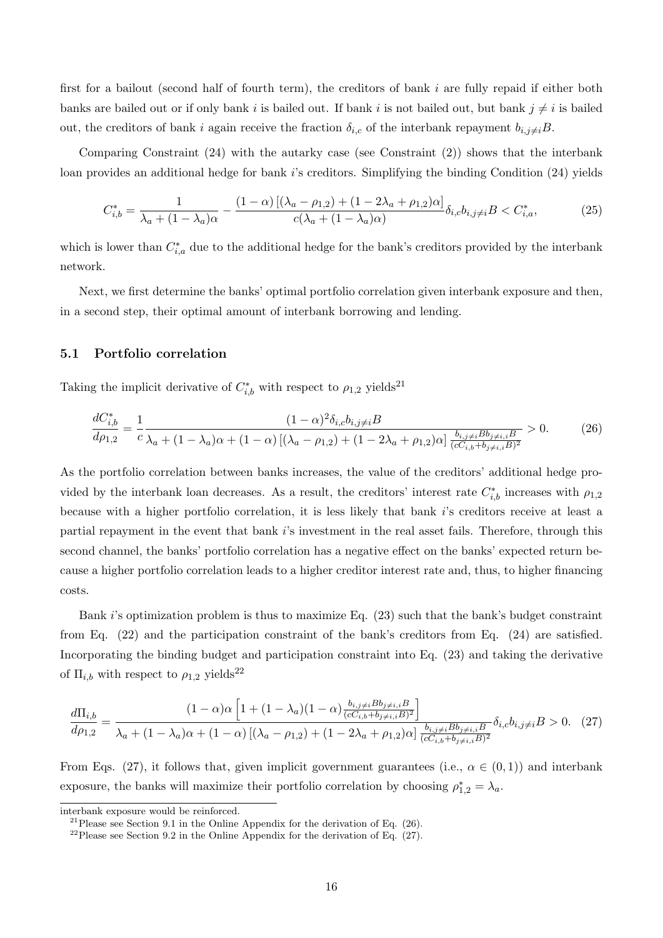first for a bailout (second half of fourth term), the creditors of bank  $i$  are fully repaid if either both banks are bailed out or if only bank *i* is bailed out. If bank *i* is not bailed out, but bank  $j \neq i$  is bailed out, the creditors of bank *i* again receive the fraction  $\delta_{i,c}$  of the interbank repayment  $b_{i,j\neq i}B$ .

Comparing Constraint (24) with the autarky case (see Constraint (2)) shows that the interbank loan provides an additional hedge for bank is creditors. Simplifying the binding Condition (24) yields

$$
C_{i,b}^{*} = \frac{1}{\lambda_a + (1 - \lambda_a)\alpha} - \frac{(1 - \alpha)\left[ (\lambda_a - \rho_{1,2}) + (1 - 2\lambda_a + \rho_{1,2})\alpha \right]}{c(\lambda_a + (1 - \lambda_a)\alpha)} \delta_{i,c} b_{i,j \neq i} B < C_{i,a}^{*},\tag{25}
$$

which is lower than  $C_{i,a}^*$  due to the additional hedge for the bank's creditors provided by the interbank network.

Next, we first determine the banks' optimal portfolio correlation given interbank exposure and then, in a second step, their optimal amount of interbank borrowing and lending.

#### 5.1 Portfolio correlation

Taking the implicit derivative of  $C_{i,b}^*$  with respect to  $\rho_{1,2}$  yields<sup>21</sup>

$$
\frac{dC_{i,b}^*}{d\rho_{1,2}} = \frac{1}{c} \frac{(1-\alpha)^2 \delta_{i,c} b_{i,j \neq i} B}{\lambda_a + (1-\lambda_a)\alpha + (1-\alpha)\left[ (\lambda_a - \rho_{1,2}) + (1-2\lambda_a + \rho_{1,2})\alpha \right] \frac{b_{i,j \neq i} B b_{j \neq i,i} B}{(cC_{i,b} + b_{j \neq i,i} B)^2}} > 0.
$$
(26)

As the portfolio correlation between banks increases, the value of the creditors' additional hedge provided by the interbank loan decreases. As a result, the creditors' interest rate  $C_{i,b}^*$  increases with  $\rho_{1,2}$ because with a higher portfolio correlation, it is less likely that bank i's creditors receive at least a partial repayment in the event that bank i's investment in the real asset fails. Therefore, through this second channel, the banks' portfolio correlation has a negative effect on the banks' expected return because a higher portfolio correlation leads to a higher creditor interest rate and, thus, to higher financing costs.

Bank *i*'s optimization problem is thus to maximize Eq. (23) such that the bank's budget constraint from Eq. (22) and the participation constraint of the bank's creditors from Eq. (24) are satisfied. Incorporating the binding budget and participation constraint into Eq. (23) and taking the derivative of  $\Pi_{i,b}$  with respect to  $\rho_{1,2}$  yields<sup>22</sup>

$$
\frac{d\Pi_{i,b}}{d\rho_{1,2}} = \frac{(1-\alpha)\alpha \left[1 + (1-\lambda_a)(1-\alpha)\frac{b_{i,j\neq i}B_{b_{j\neq i,i}B}}{(cC_{i,b} + b_{j\neq i,i}B)^2}\right]}{\lambda_a + (1-\lambda_a)\alpha + (1-\alpha)\left[(\lambda_a - \rho_{1,2}) + (1-2\lambda_a + \rho_{1,2})\alpha\right]\frac{b_{i,j\neq i}B_{b_{j\neq i,i}B}}{(cC_{i,b} + b_{j\neq i,i}B)^2}} \delta_{i,c}b_{i,j\neq i}B > 0. \tag{27}
$$

From Eqs. (27), it follows that, given implicit government guarantees (i.e.,  $\alpha \in (0,1)$ ) and interbank exposure, the banks will maximize their portfolio correlation by choosing  $\rho_{1,2}^* = \lambda_a$ .

interbank exposure would be reinforced.

<sup>&</sup>lt;sup>21</sup>Please see Section 9.1 in the Online Appendix for the derivation of Eq.  $(26)$ .

 $22$ Please see Section 9.2 in the Online Appendix for the derivation of Eq. (27).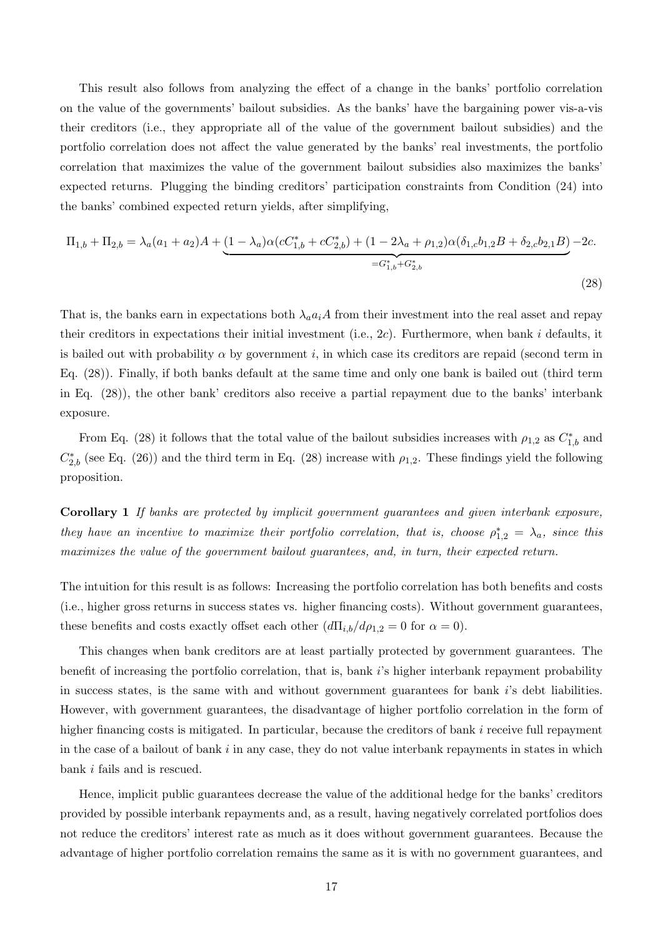This result also follows from analyzing the effect of a change in the banks' portfolio correlation on the value of the governments' bailout subsidies. As the banks' have the bargaining power vis-a-vis their creditors (i.e., they appropriate all of the value of the government bailout subsidies) and the portfolio correlation does not affect the value generated by the banks' real investments, the portfolio correlation that maximizes the value of the government bailout subsidies also maximizes the banks' expected returns. Plugging the binding creditors' participation constraints from Condition (24) into the banks' combined expected return yields, after simplifying,

$$
\Pi_{1,b} + \Pi_{2,b} = \lambda_a (a_1 + a_2)A + \underbrace{(1 - \lambda_a)\alpha (cC_{1,b}^* + cC_{2,b}^*) + (1 - 2\lambda_a + \rho_{1,2})\alpha (\delta_{1,c}b_{1,2}B + \delta_{2,c}b_{2,1}B)}_{=G_{1,b}^* + G_{2,b}^*} - 2c.
$$
\n(28)

That is, the banks earn in expectations both  $\lambda_a a_i A$  from their investment into the real asset and repay their creditors in expectations their initial investment (i.e.,  $2c$ ). Furthermore, when bank *i* defaults, it is bailed out with probability  $\alpha$  by government i, in which case its creditors are repaid (second term in Eq. (28)). Finally, if both banks default at the same time and only one bank is bailed out (third term in Eq. (28)), the other bank' creditors also receive a partial repayment due to the banks' interbank exposure.

From Eq. (28) it follows that the total value of the bailout subsidies increases with  $\rho_{1,2}$  as  $C_{1,b}^*$  and  $C_{2,b}^*$  (see Eq. (26)) and the third term in Eq. (28) increase with  $\rho_{1,2}$ . These findings yield the following proposition.

Corollary 1 If banks are protected by implicit government guarantees and given interbank exposure, they have an incentive to maximize their portfolio correlation, that is, choose  $\rho_{1,2}^* = \lambda_a$ , since this maximizes the value of the government bailout guarantees, and, in turn, their expected return.

The intuition for this result is as follows: Increasing the portfolio correlation has both benefits and costs (i.e., higher gross returns in success states vs. higher financing costs). Without government guarantees, these benefits and costs exactly offset each other  $(d\Pi_{i,b}/d\rho_{1,2}=0$  for  $\alpha=0)$ .

This changes when bank creditors are at least partially protected by government guarantees. The benefit of increasing the portfolio correlation, that is, bank  $i$ 's higher interbank repayment probability in success states, is the same with and without government guarantees for bank  $i$ 's debt liabilities. However, with government guarantees, the disadvantage of higher portfolio correlation in the form of higher financing costs is mitigated. In particular, because the creditors of bank  $i$  receive full repayment in the case of a bailout of bank  $i$  in any case, they do not value interbank repayments in states in which bank  $i$  fails and is rescued.

Hence, implicit public guarantees decrease the value of the additional hedge for the banks' creditors provided by possible interbank repayments and, as a result, having negatively correlated portfolios does not reduce the creditors' interest rate as much as it does without government guarantees. Because the advantage of higher portfolio correlation remains the same as it is with no government guarantees, and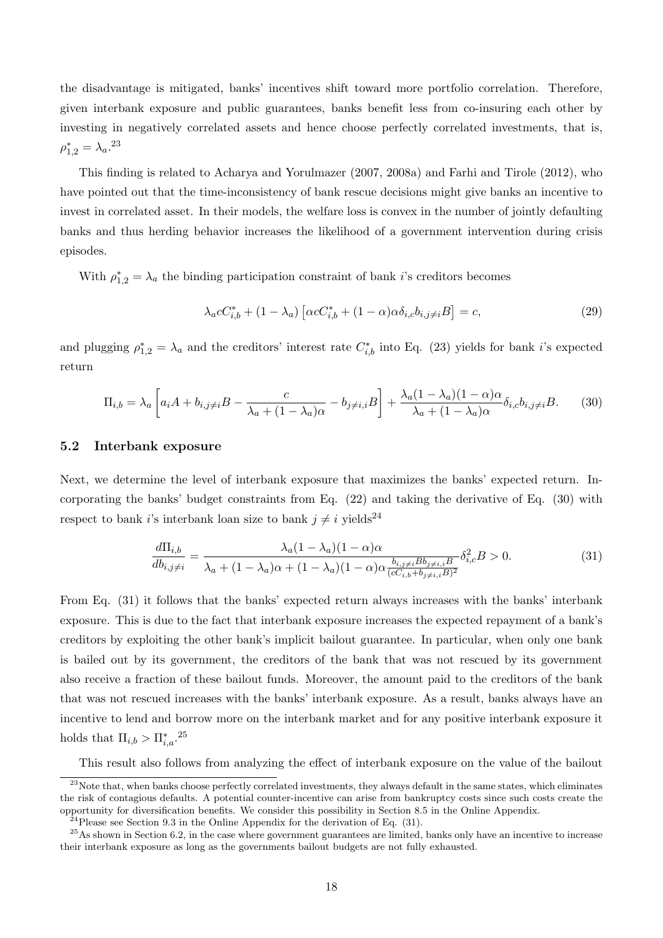the disadvantage is mitigated, banks' incentives shift toward more portfolio correlation. Therefore, given interbank exposure and public guarantees, banks benefit less from co-insuring each other by investing in negatively correlated assets and hence choose perfectly correlated investments, that is,  $\rho_{1,2}^* = \lambda_a^{23}$ 

This finding is related to Acharya and Yorulmazer (2007, 2008a) and Farhi and Tirole (2012), who have pointed out that the time-inconsistency of bank rescue decisions might give banks an incentive to invest in correlated asset. In their models, the welfare loss is convex in the number of jointly defaulting banks and thus herding behavior increases the likelihood of a government intervention during crisis episodes.

With  $\rho_{1,2}^* = \lambda_a$  the binding participation constraint of bank i's creditors becomes

$$
\lambda_a c C_{i,b}^* + (1 - \lambda_a) \left[ \alpha c C_{i,b}^* + (1 - \alpha) \alpha \delta_{i,c} b_{i,j \neq i} B \right] = c,\tag{29}
$$

and plugging  $\rho_{1,2}^* = \lambda_a$  and the creditors' interest rate  $C_{i,b}^*$  into Eq. (23) yields for bank i's expected return

$$
\Pi_{i,b} = \lambda_a \left[ a_i A + b_{i,j \neq i} B - \frac{c}{\lambda_a + (1 - \lambda_a)\alpha} - b_{j \neq i,i} B \right] + \frac{\lambda_a (1 - \lambda_a)(1 - \alpha)\alpha}{\lambda_a + (1 - \lambda_a)\alpha} \delta_{i,c} b_{i,j \neq i} B. \tag{30}
$$

#### 5.2 Interbank exposure

Next, we determine the level of interbank exposure that maximizes the banks' expected return. Incorporating the banks' budget constraints from Eq. (22) and taking the derivative of Eq. (30) with respect to bank *i*'s interbank loan size to bank  $i \neq i$  yields<sup>24</sup>

$$
\frac{d\Pi_{i,b}}{db_{i,j\neq i}} = \frac{\lambda_a (1 - \lambda_a)(1 - \alpha)\alpha}{\lambda_a + (1 - \lambda_a)\alpha + (1 - \lambda_a)(1 - \alpha)\alpha \frac{b_{i,j\neq i} B_{j\neq i,i} B}{(cC_{i,b} + b_{j\neq i,i} B)^2}} \delta_{i,c}^2 B > 0.
$$
\n(31)

From Eq. (31) it follows that the banks' expected return always increases with the banks' interbank exposure. This is due to the fact that interbank exposure increases the expected repayment of a bank's creditors by exploiting the other bank's implicit bailout guarantee. In particular, when only one bank is bailed out by its government, the creditors of the bank that was not rescued by its government also receive a fraction of these bailout funds. Moreover, the amount paid to the creditors of the bank that was not rescued increases with the banks' interbank exposure. As a result, banks always have an incentive to lend and borrow more on the interbank market and for any positive interbank exposure it holds that  $\Pi_{i,b} > \Pi_{i,a}^*$ .<sup>25</sup>

This result also follows from analyzing the effect of interbank exposure on the value of the bailout

<sup>&</sup>lt;sup>23</sup>Note that, when banks choose perfectly correlated investments, they always default in the same states, which eliminates the risk of contagious defaults. A potential counter-incentive can arise from bankruptcy costs since such costs create the opportunity for diversification benefits. We consider this possibility in Section 8.5 in the Online Appendix.

 $^{24}$ Please see Section 9.3 in the Online Appendix for the derivation of Eq. (31).

<sup>&</sup>lt;sup>25</sup>As shown in Section 6.2, in the case where government guarantees are limited, banks only have an incentive to increase their interbank exposure as long as the governments bailout budgets are not fully exhausted.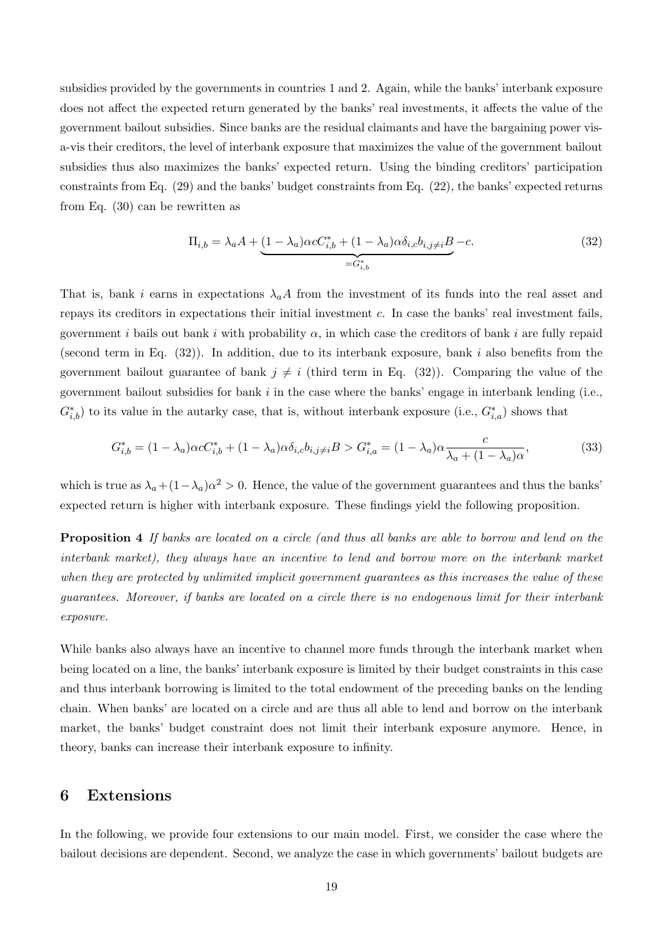subsidies provided by the governments in countries 1 and 2. Again, while the banks' interbank exposure does not affect the expected return generated by the banks' real investments, it affects the value of the government bailout subsidies. Since banks are the residual claimants and have the bargaining power visa-vis their creditors, the level of interbank exposure that maximizes the value of the government bailout subsidies thus also maximizes the banks' expected return. Using the binding creditors' participation constraints from Eq. (29) and the banks' budget constraints from Eq. (22), the banks' expected returns from Eq. (30) can be rewritten as

$$
\Pi_{i,b} = \lambda_a A + \underbrace{(1 - \lambda_a)\alpha c C_{i,b}^* + (1 - \lambda_a)\alpha \delta_{i,c} b_{i,j \neq i}B}_{=G_{i,b}^*} - c.
$$
\n
$$
(32)
$$

That is, bank *i* earns in expectations  $\lambda_a A$  from the investment of its funds into the real asset and repays its creditors in expectations their initial investment  $c$ . In case the banks' real investment fails, government *i* bails out bank *i* with probability  $\alpha$ , in which case the creditors of bank *i* are fully repaid (second term in Eq.  $(32)$ ). In addition, due to its interbank exposure, bank *i* also benefits from the government bailout guarantee of bank  $j \neq i$  (third term in Eq. (32)). Comparing the value of the government bailout subsidies for bank  $i$  in the case where the banks' engage in interbank lending (i.e.,  $G_{i,b}^*$ ) to its value in the autarky case, that is, without interbank exposure (i.e.,  $G_{i,a}^*$ ) shows that

$$
G_{i,b}^* = (1 - \lambda_a)\alpha c C_{i,b}^* + (1 - \lambda_a)\alpha \delta_{i,c} b_{i,j \neq i} B > G_{i,a}^* = (1 - \lambda_a)\alpha \frac{c}{\lambda_a + (1 - \lambda_a)\alpha},\tag{33}
$$

which is true as  $\lambda_a + (1 - \lambda_a)\alpha^2 > 0$ . Hence, the value of the government guarantees and thus the banks' expected return is higher with interbank exposure. These findings yield the following proposition.

**Proposition 4** If banks are located on a circle (and thus all banks are able to borrow and lend on the interbank market), they always have an incentive to lend and borrow more on the interbank market when they are protected by unlimited implicit government guarantees as this increases the value of these guarantees. Moreover, if banks are located on a circle there is no endogenous limit for their interbank exposure.

While banks also always have an incentive to channel more funds through the interbank market when being located on a line, the banks' interbank exposure is limited by their budget constraints in this case and thus interbank borrowing is limited to the total endowment of the preceding banks on the lending chain. When banks' are located on a circle and are thus all able to lend and borrow on the interbank market, the banks' budget constraint does not limit their interbank exposure anymore. Hence, in theory, banks can increase their interbank exposure to infinity.

### 6 Extensions

In the following, we provide four extensions to our main model. First, we consider the case where the bailout decisions are dependent. Second, we analyze the case in which governments' bailout budgets are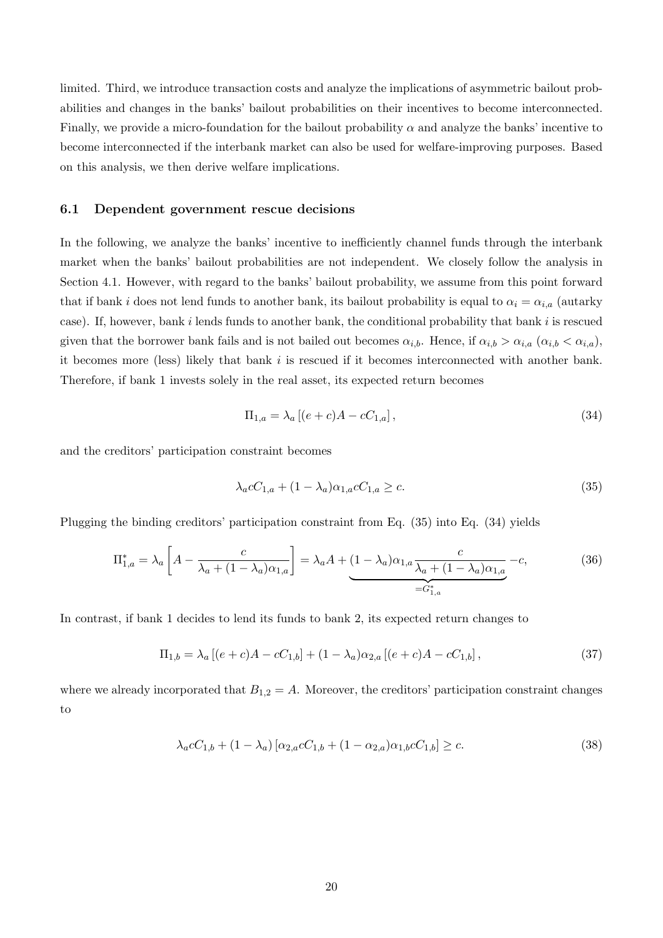limited. Third, we introduce transaction costs and analyze the implications of asymmetric bailout probabilities and changes in the banks' bailout probabilities on their incentives to become interconnected. Finally, we provide a micro-foundation for the bailout probability  $\alpha$  and analyze the banks' incentive to become interconnected if the interbank market can also be used for welfare-improving purposes. Based on this analysis, we then derive welfare implications.

#### 6.1 Dependent government rescue decisions

In the following, we analyze the banks' incentive to inefficiently channel funds through the interbank market when the banks' bailout probabilities are not independent. We closely follow the analysis in Section 4.1. However, with regard to the banks' bailout probability, we assume from this point forward that if bank *i* does not lend funds to another bank, its bailout probability is equal to  $\alpha_i = \alpha_{i,a}$  (autarky case). If, however, bank  $i$  lends funds to another bank, the conditional probability that bank  $i$  is rescued given that the borrower bank fails and is not bailed out becomes  $\alpha_{i,b}$ . Hence, if  $\alpha_{i,b} > \alpha_{i,a}$  ( $\alpha_{i,b} < \alpha_{i,a}$ ), it becomes more (less) likely that bank  $i$  is rescued if it becomes interconnected with another bank. Therefore, if bank 1 invests solely in the real asset, its expected return becomes

$$
\Pi_{1,a} = \lambda_a \left[ (e+c)A - cC_{1,a} \right],\tag{34}
$$

and the creditors' participation constraint becomes

$$
\lambda_a c C_{1,a} + (1 - \lambda_a) \alpha_{1,a} c C_{1,a} \ge c. \tag{35}
$$

Plugging the binding creditors' participation constraint from Eq. (35) into Eq. (34) yields

$$
\Pi_{1,a}^* = \lambda_a \left[ A - \frac{c}{\lambda_a + (1 - \lambda_a)\alpha_{1,a}} \right] = \lambda_a A + \underbrace{(1 - \lambda_a)\alpha_{1,a} \frac{c}{\lambda_a + (1 - \lambda_a)\alpha_{1,a}}}_{=G_{1,a}^*} - c,\tag{36}
$$

In contrast, if bank 1 decides to lend its funds to bank 2, its expected return changes to

$$
\Pi_{1,b} = \lambda_a \left[ (e+c)A - cC_{1,b} \right] + (1-\lambda_a)\alpha_{2,a} \left[ (e+c)A - cC_{1,b} \right],\tag{37}
$$

where we already incorporated that  $B_{1,2} = A$ . Moreover, the creditors' participation constraint changes to

$$
\lambda_a c C_{1,b} + (1 - \lambda_a) [\alpha_{2,a} c C_{1,b} + (1 - \alpha_{2,a}) \alpha_{1,b} c C_{1,b}] \ge c.
$$
\n(38)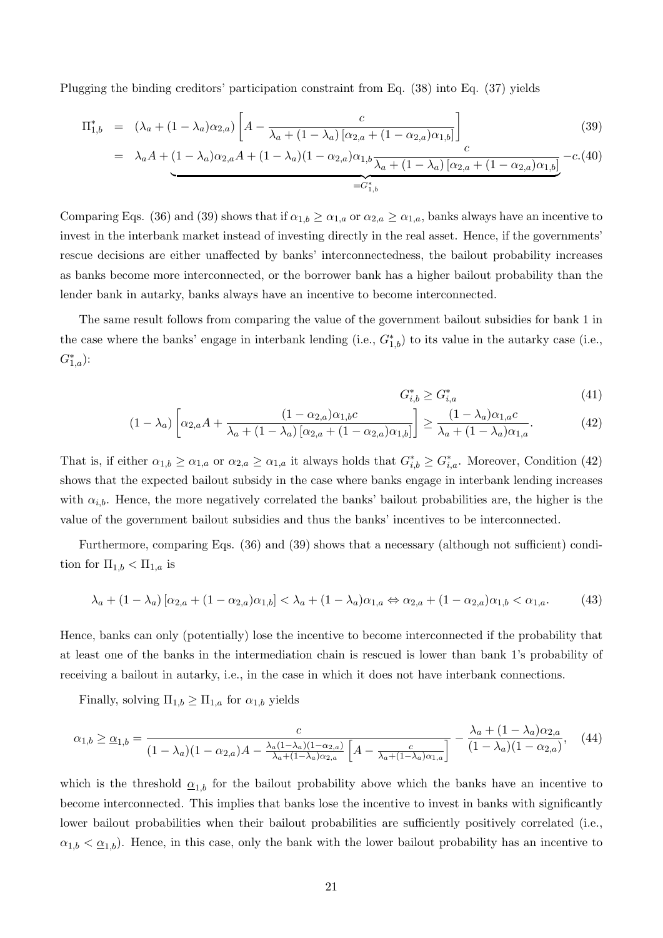Plugging the binding creditors' participation constraint from Eq. (38) into Eq. (37) yields

$$
\Pi_{1,b}^{*} = (\lambda_a + (1 - \lambda_a)\alpha_{2,a}) \left[ A - \frac{c}{\lambda_a + (1 - \lambda_a) [\alpha_{2,a} + (1 - \alpha_{2,a})\alpha_{1,b}]} \right]_c
$$
\n(39)

$$
= \lambda_a A + (1 - \lambda_a)\alpha_{2,a}A + (1 - \lambda_a)(1 - \alpha_{2,a})\alpha_{1,b} \frac{1}{\lambda_a + (1 - \lambda_a)\left[\alpha_{2,a} + (1 - \alpha_{2,a})\alpha_{1,b}\right]} - c.(40)
$$

Comparing Eqs. (36) and (39) shows that if  $\alpha_{1,b} \ge \alpha_{1,a}$  or  $\alpha_{2,a} \ge \alpha_{1,a}$ , banks always have an incentive to invest in the interbank market instead of investing directly in the real asset. Hence, if the governments' rescue decisions are either unaffected by banks' interconnectedness, the bailout probability increases as banks become more interconnected, or the borrower bank has a higher bailout probability than the lender bank in autarky, banks always have an incentive to become interconnected.

The same result follows from comparing the value of the government bailout subsidies for bank 1 in the case where the banks' engage in interbank lending (i.e.,  $G_{1,b}^*$ ) to its value in the autarky case (i.e.,  $G_{1,a}^*$ ):

$$
G_{i,b}^* \ge G_{i,a}^* \tag{41}
$$

$$
(1 - \lambda_a) \left[ \alpha_{2,a} A + \frac{(1 - \alpha_{2,a}) \alpha_{1,b} c}{\lambda_a + (1 - \lambda_a) \left[ \alpha_{2,a} + (1 - \alpha_{2,a}) \alpha_{1,b} \right]} \right] \ge \frac{(1 - \lambda_a) \alpha_{1,a} c}{\lambda_a + (1 - \lambda_a) \alpha_{1,a}}.
$$
(42)

That is, if either  $\alpha_{1,b} \ge \alpha_{1,a}$  or  $\alpha_{2,a} \ge \alpha_{1,a}$  it always holds that  $G_{i,b}^* \ge G_{i,a}^*$ . Moreover, Condition (42) shows that the expected bailout subsidy in the case where banks engage in interbank lending increases with  $\alpha_{i,b}$ . Hence, the more negatively correlated the banks' bailout probabilities are, the higher is the value of the government bailout subsidies and thus the banks' incentives to be interconnected.

Furthermore, comparing Eqs. (36) and (39) shows that a necessary (although not sufficient) condition for  $\Pi_{1,b} < \Pi_{1,a}$  is

$$
\lambda_a + (1 - \lambda_a) [\alpha_{2,a} + (1 - \alpha_{2,a})\alpha_{1,b}] < \lambda_a + (1 - \lambda_a)\alpha_{1,a} \Leftrightarrow \alpha_{2,a} + (1 - \alpha_{2,a})\alpha_{1,b} < \alpha_{1,a}.\tag{43}
$$

Hence, banks can only (potentially) lose the incentive to become interconnected if the probability that at least one of the banks in the intermediation chain is rescued is lower than bank 1's probability of receiving a bailout in autarky, i.e., in the case in which it does not have interbank connections.

Finally, solving  $\Pi_{1,b} \geq \Pi_{1,a}$  for  $\alpha_{1,b}$  yields

$$
\alpha_{1,b} \geq \underline{\alpha}_{1,b} = \frac{c}{(1-\lambda_a)(1-\alpha_{2,a})A - \frac{\lambda_a(1-\lambda_a)(1-\alpha_{2,a})}{\lambda_a+(1-\lambda_a)\alpha_{2,a}} \left[A - \frac{c}{\lambda_a+(1-\lambda_a)\alpha_{1,a}}\right]} - \frac{\lambda_a+(1-\lambda_a)\alpha_{2,a}}{(1-\lambda_a)(1-\alpha_{2,a})},\tag{44}
$$

which is the threshold  $\underline{\alpha}_{1,b}$  for the bailout probability above which the banks have an incentive to become interconnected. This implies that banks lose the incentive to invest in banks with significantly lower bailout probabilities when their bailout probabilities are sufficiently positively correlated (i.e.,  $\alpha_{1,b} < \underline{\alpha}_{1,b}$ . Hence, in this case, only the bank with the lower bailout probability has an incentive to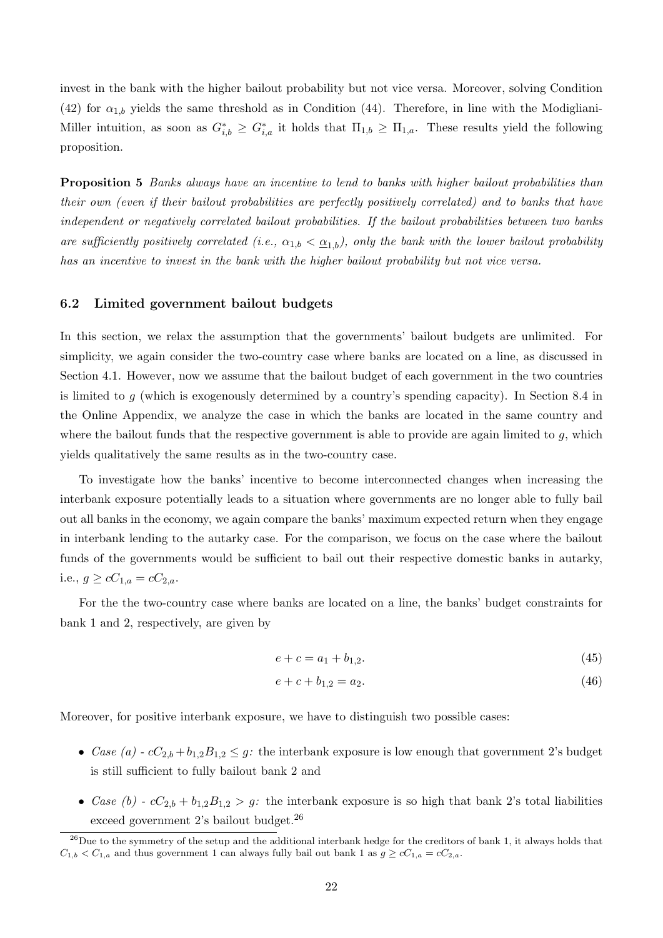invest in the bank with the higher bailout probability but not vice versa. Moreover, solving Condition (42) for  $\alpha_{1,b}$  yields the same threshold as in Condition (44). Therefore, in line with the Modigliani-Miller intuition, as soon as  $G_{i,b}^* \geq G_{i,a}^*$  it holds that  $\Pi_{1,b} \geq \Pi_{1,a}$ . These results yield the following proposition.

Proposition 5 Banks always have an incentive to lend to banks with higher bailout probabilities than their own (even if their bailout probabilities are perfectly positively correlated) and to banks that have independent or negatively correlated bailout probabilities. If the bailout probabilities between two banks are sufficiently positively correlated (i.e.,  $\alpha_{1,b} < \underline{\alpha}_{1,b}$ ), only the bank with the lower bailout probability has an incentive to invest in the bank with the higher bailout probability but not vice versa.

#### 6.2 Limited government bailout budgets

In this section, we relax the assumption that the governments' bailout budgets are unlimited. For simplicity, we again consider the two-country case where banks are located on a line, as discussed in Section 4.1. However, now we assume that the bailout budget of each government in the two countries is limited to  $q$  (which is exogenously determined by a country's spending capacity). In Section 8.4 in the Online Appendix, we analyze the case in which the banks are located in the same country and where the bailout funds that the respective government is able to provide are again limited to  $q$ , which yields qualitatively the same results as in the two-country case.

To investigate how the banks' incentive to become interconnected changes when increasing the interbank exposure potentially leads to a situation where governments are no longer able to fully bail out all banks in the economy, we again compare the banks' maximum expected return when they engage in interbank lending to the autarky case. For the comparison, we focus on the case where the bailout funds of the governments would be sufficient to bail out their respective domestic banks in autarky, i.e.,  $g \ge cC_{1,a} = cC_{2,a}$ .

For the the two-country case where banks are located on a line, the banks' budget constraints for bank 1 and 2, respectively, are given by

$$
e + c = a_1 + b_{1,2}.\tag{45}
$$

$$
e + c + b_{1,2} = a_2. \tag{46}
$$

Moreover, for positive interbank exposure, we have to distinguish two possible cases:

- Case (a)  $cC_{2,b} + b_{1,2}B_{1,2} \leq g$ : the interbank exposure is low enough that government 2's budget is still sufficient to fully bailout bank 2 and
- Case (b)  $cC_{2,b} + b_{1,2}B_{1,2} > g$ : the interbank exposure is so high that bank 2's total liabilities exceed government 2's bailout budget.<sup>26</sup>

 $^{26}$ Due to the symmetry of the setup and the additional interbank hedge for the creditors of bank 1, it always holds that  $C_{1,b} < C_{1,a}$  and thus government 1 can always fully bail out bank 1 as  $g \geq cC_{1,a} = cC_{2,a}$ .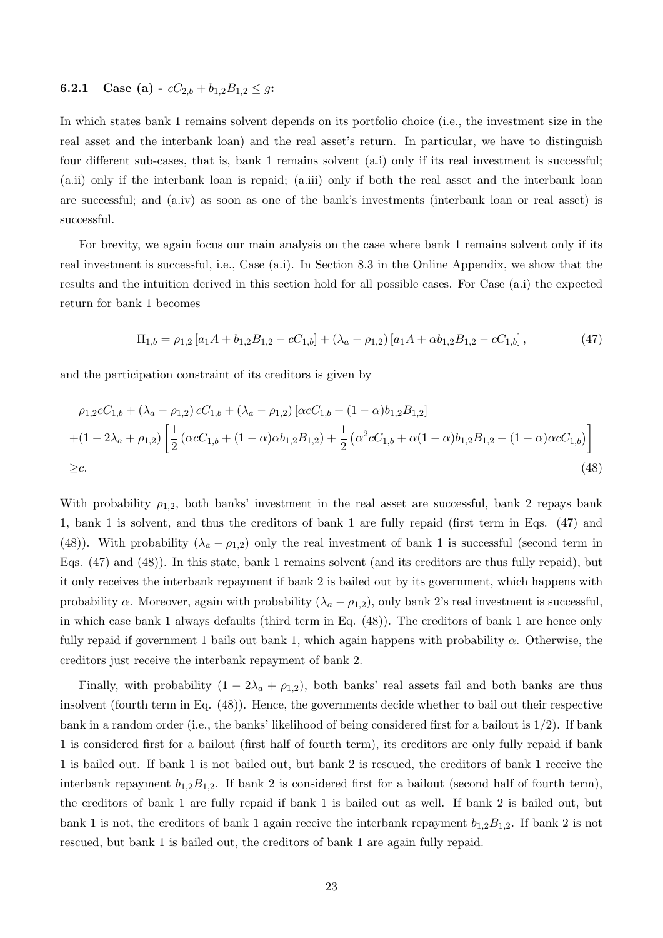## **6.2.1** Case (a) -  $cC_{2,b} + b_{1,2}B_{1,2} \leq g$ :

In which states bank 1 remains solvent depends on its portfolio choice (i.e., the investment size in the real asset and the interbank loan) and the real asset's return. In particular, we have to distinguish four different sub-cases, that is, bank 1 remains solvent (a.i) only if its real investment is successful; (a.ii) only if the interbank loan is repaid; (a.iii) only if both the real asset and the interbank loan are successful; and (a.iv) as soon as one of the bank's investments (interbank loan or real asset) is successful.

For brevity, we again focus our main analysis on the case where bank 1 remains solvent only if its real investment is successful, i.e., Case (a.i). In Section 8.3 in the Online Appendix, we show that the results and the intuition derived in this section hold for all possible cases. For Case (a.i) the expected return for bank 1 becomes

$$
\Pi_{1,b} = \rho_{1,2} \left[ a_1 A + b_{1,2} B_{1,2} - c C_{1,b} \right] + \left( \lambda_a - \rho_{1,2} \right) \left[ a_1 A + \alpha b_{1,2} B_{1,2} - c C_{1,b} \right],\tag{47}
$$

and the participation constraint of its creditors is given by

$$
\rho_{1,2}cC_{1,b} + (\lambda_a - \rho_{1,2})cC_{1,b} + (\lambda_a - \rho_{1,2})[\alpha cC_{1,b} + (1 - \alpha)b_{1,2}B_{1,2}] + (1 - 2\lambda_a + \rho_{1,2})\left[\frac{1}{2}(\alpha cC_{1,b} + (1 - \alpha)\alpha b_{1,2}B_{1,2}) + \frac{1}{2}(\alpha^2 cC_{1,b} + \alpha(1 - \alpha)b_{1,2}B_{1,2} + (1 - \alpha)\alpha cC_{1,b})\right] \geq c.
$$
\n(48)

With probability  $\rho_{1,2}$ , both banks' investment in the real asset are successful, bank 2 repays bank 1, bank 1 is solvent, and thus the creditors of bank 1 are fully repaid (first term in Eqs. (47) and (48)). With probability  $(\lambda_a - \rho_{1,2})$  only the real investment of bank 1 is successful (second term in Eqs. (47) and (48)). In this state, bank 1 remains solvent (and its creditors are thus fully repaid), but it only receives the interbank repayment if bank 2 is bailed out by its government, which happens with probability  $\alpha$ . Moreover, again with probability  $(\lambda_a - \rho_{1,2})$ , only bank 2's real investment is successful, in which case bank 1 always defaults (third term in Eq. (48)). The creditors of bank 1 are hence only fully repaid if government 1 bails out bank 1, which again happens with probability  $\alpha$ . Otherwise, the creditors just receive the interbank repayment of bank 2.

Finally, with probability  $(1 - 2\lambda_a + \rho_{1,2})$ , both banks' real assets fail and both banks are thus insolvent (fourth term in Eq. (48)). Hence, the governments decide whether to bail out their respective bank in a random order (i.e., the banks' likelihood of being considered first for a bailout is  $1/2$ ). If bank 1 is considered first for a bailout (first half of fourth term), its creditors are only fully repaid if bank 1 is bailed out. If bank 1 is not bailed out, but bank 2 is rescued, the creditors of bank 1 receive the interbank repayment  $b_{1,2}B_{1,2}$ . If bank 2 is considered first for a bailout (second half of fourth term), the creditors of bank 1 are fully repaid if bank 1 is bailed out as well. If bank 2 is bailed out, but bank 1 is not, the creditors of bank 1 again receive the interbank repayment  $b_{1,2}B_{1,2}$ . If bank 2 is not rescued, but bank 1 is bailed out, the creditors of bank 1 are again fully repaid.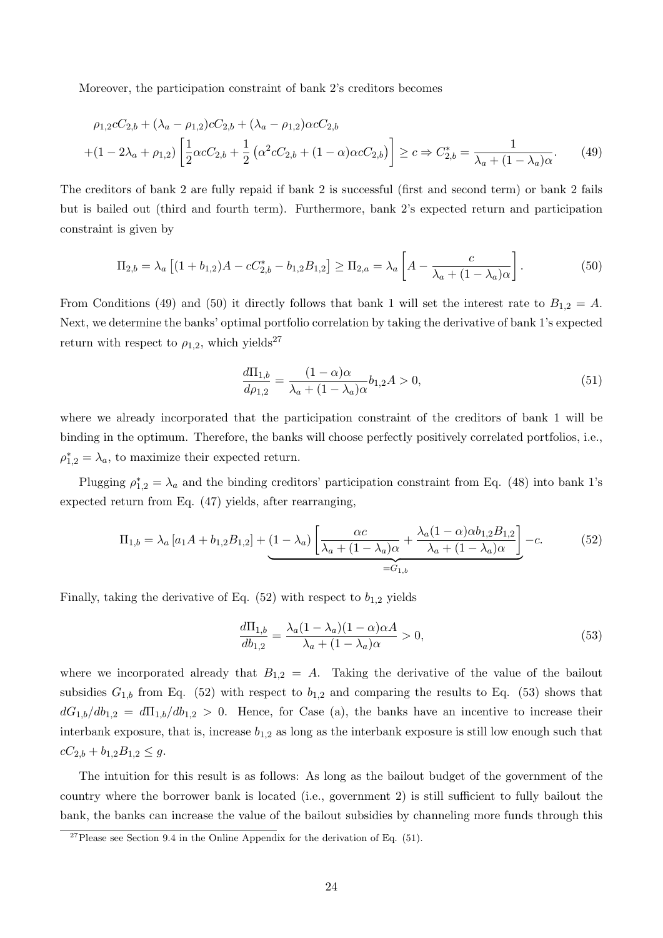Moreover, the participation constraint of bank 2's creditors becomes

$$
\rho_{1,2}cC_{2,b} + (\lambda_a - \rho_{1,2})cC_{2,b} + (\lambda_a - \rho_{1,2})\alpha cC_{2,b}
$$
  
 
$$
+ (1 - 2\lambda_a + \rho_{1,2}) \left[ \frac{1}{2} \alpha cC_{2,b} + \frac{1}{2} \left( \alpha^2 cC_{2,b} + (1 - \alpha)\alpha cC_{2,b} \right) \right] \ge c \Rightarrow C_{2,b}^* = \frac{1}{\lambda_a + (1 - \lambda_a)\alpha}.
$$
 (49)

The creditors of bank 2 are fully repaid if bank 2 is successful (first and second term) or bank 2 fails but is bailed out (third and fourth term). Furthermore, bank 2's expected return and participation constraint is given by

$$
\Pi_{2,b} = \lambda_a \left[ (1 + b_{1,2})A - cC_{2,b}^* - b_{1,2}B_{1,2} \right] \ge \Pi_{2,a} = \lambda_a \left[ A - \frac{c}{\lambda_a + (1 - \lambda_a)\alpha} \right].
$$
\n(50)

From Conditions (49) and (50) it directly follows that bank 1 will set the interest rate to  $B_{1,2} = A$ . Next, we determine the banks' optimal portfolio correlation by taking the derivative of bank 1's expected return with respect to  $\rho_{1,2}$ , which yields<sup>27</sup>

$$
\frac{d\Pi_{1,b}}{d\rho_{1,2}} = \frac{(1-\alpha)\alpha}{\lambda_a + (1-\lambda_a)\alpha} b_{1,2} A > 0,
$$
\n(51)

where we already incorporated that the participation constraint of the creditors of bank 1 will be binding in the optimum. Therefore, the banks will choose perfectly positively correlated portfolios, i.e.,  $\rho_{1,2}^* = \lambda_a$ , to maximize their expected return.

Plugging  $\rho_{1,2}^* = \lambda_a$  and the binding creditors' participation constraint from Eq. (48) into bank 1's expected return from Eq. (47) yields, after rearranging,

$$
\Pi_{1,b} = \lambda_a \left[ a_1 A + b_{1,2} B_{1,2} \right] + \underbrace{(1 - \lambda_a) \left[ \frac{\alpha c}{\lambda_a + (1 - \lambda_a)\alpha} + \frac{\lambda_a (1 - \alpha) \alpha b_{1,2} B_{1,2}}{\lambda_a + (1 - \lambda_a)\alpha} \right]}_{= G_{1,b}} - c. \tag{52}
$$

Finally, taking the derivative of Eq.  $(52)$  with respect to  $b_{1,2}$  yields

$$
\frac{d\Pi_{1,b}}{db_{1,2}} = \frac{\lambda_a (1 - \lambda_a)(1 - \alpha)\alpha A}{\lambda_a + (1 - \lambda_a)\alpha} > 0,
$$
\n(53)

where we incorporated already that  $B_{1,2} = A$ . Taking the derivative of the value of the bailout subsidies  $G_{1,b}$  from Eq. (52) with respect to  $b_{1,2}$  and comparing the results to Eq. (53) shows that  $dG_{1,b}/db_{1,2} = d\Pi_{1,b}/db_{1,2} > 0$ . Hence, for Case (a), the banks have an incentive to increase their interbank exposure, that is, increase  $b_{1,2}$  as long as the interbank exposure is still low enough such that  $cC_{2,b} + b_{1,2}B_{1,2} \leq g.$ 

The intuition for this result is as follows: As long as the bailout budget of the government of the country where the borrower bank is located (i.e., government 2) is still sufficient to fully bailout the bank, the banks can increase the value of the bailout subsidies by channeling more funds through this

 $^{27}$ Please see Section 9.4 in the Online Appendix for the derivation of Eq. (51).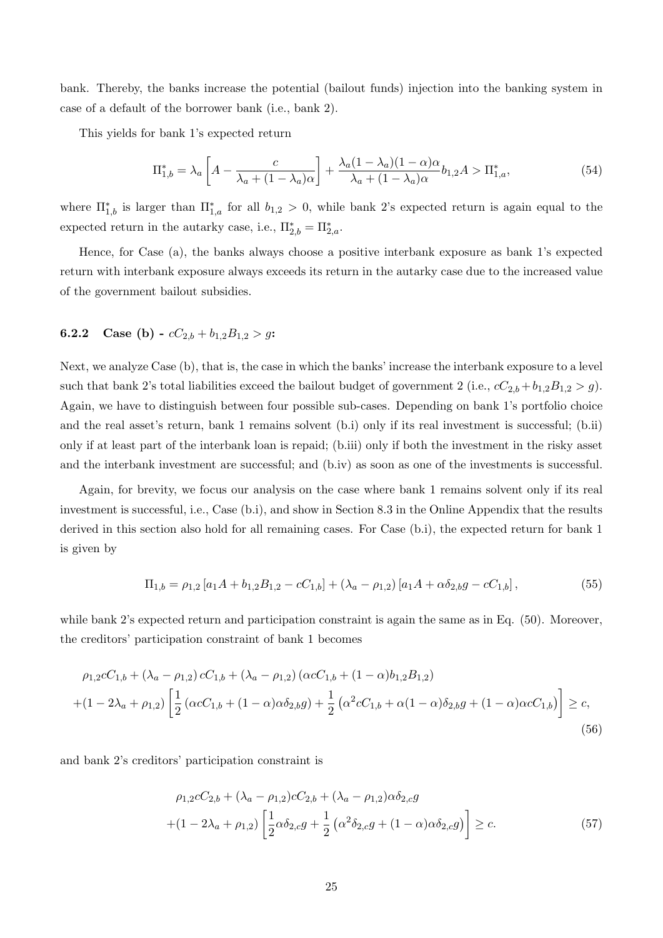bank. Thereby, the banks increase the potential (bailout funds) injection into the banking system in case of a default of the borrower bank (i.e., bank 2).

This yields for bank 1's expected return

$$
\Pi_{1,b}^* = \lambda_a \left[ A - \frac{c}{\lambda_a + (1 - \lambda_a)\alpha} \right] + \frac{\lambda_a (1 - \lambda_a)(1 - \alpha)\alpha}{\lambda_a + (1 - \lambda_a)\alpha} b_{1,2} A > \Pi_{1,a}^*,\tag{54}
$$

where  $\Pi_{1,b}^*$  is larger than  $\Pi_{1,a}^*$  for all  $b_{1,2} > 0$ , while bank 2's expected return is again equal to the expected return in the autarky case, i.e.,  $\Pi_{2,b}^* = \Pi_{2,a}^*$ .

Hence, for Case (a), the banks always choose a positive interbank exposure as bank 1's expected return with interbank exposure always exceeds its return in the autarky case due to the increased value of the government bailout subsidies.

#### **6.2.2** Case (b) -  $cC_{2,b} + b_{1,2}B_{1,2} > g$ :

Next, we analyze Case (b), that is, the case in which the banks' increase the interbank exposure to a level such that bank 2's total liabilities exceed the bailout budget of government 2 (i.e.,  $c_2b_1 + b_1,2B_1,2 > g$ ). Again, we have to distinguish between four possible sub-cases. Depending on bank 1's portfolio choice and the real asset's return, bank 1 remains solvent (b.i) only if its real investment is successful; (b.ii) only if at least part of the interbank loan is repaid; (b.iii) only if both the investment in the risky asset and the interbank investment are successful; and (b.iv) as soon as one of the investments is successful.

Again, for brevity, we focus our analysis on the case where bank 1 remains solvent only if its real investment is successful, i.e., Case (b.i), and show in Section 8.3 in the Online Appendix that the results derived in this section also hold for all remaining cases. For Case (b.i), the expected return for bank 1 is given by

$$
\Pi_{1,b} = \rho_{1,2} \left[ a_1 A + b_{1,2} B_{1,2} - c C_{1,b} \right] + (\lambda_a - \rho_{1,2}) \left[ a_1 A + \alpha \delta_{2,b} g - c C_{1,b} \right],\tag{55}
$$

while bank 2's expected return and participation constraint is again the same as in Eq. (50). Moreover, the creditors' participation constraint of bank 1 becomes

$$
\rho_{1,2}cC_{1,b} + (\lambda_a - \rho_{1,2})cC_{1,b} + (\lambda_a - \rho_{1,2}) (\alpha cC_{1,b} + (1 - \alpha)b_{1,2}B_{1,2})
$$
  
 
$$
+ (1 - 2\lambda_a + \rho_{1,2}) \left[ \frac{1}{2} (\alpha cC_{1,b} + (1 - \alpha)\alpha \delta_{2,b}g) + \frac{1}{2} (\alpha^2 cC_{1,b} + \alpha(1 - \alpha)\delta_{2,b}g + (1 - \alpha)\alpha cC_{1,b}) \right] \ge c,
$$
  
(56)

and bank 2's creditors' participation constraint is

$$
\rho_{1,2}cC_{2,b} + (\lambda_a - \rho_{1,2})cC_{2,b} + (\lambda_a - \rho_{1,2})\alpha\delta_{2,c}g
$$
  
 
$$
+ (1 - 2\lambda_a + \rho_{1,2}) \left[ \frac{1}{2} \alpha \delta_{2,c}g + \frac{1}{2} (\alpha^2 \delta_{2,c}g + (1 - \alpha)\alpha \delta_{2,c}g) \right] \ge c.
$$
 (57)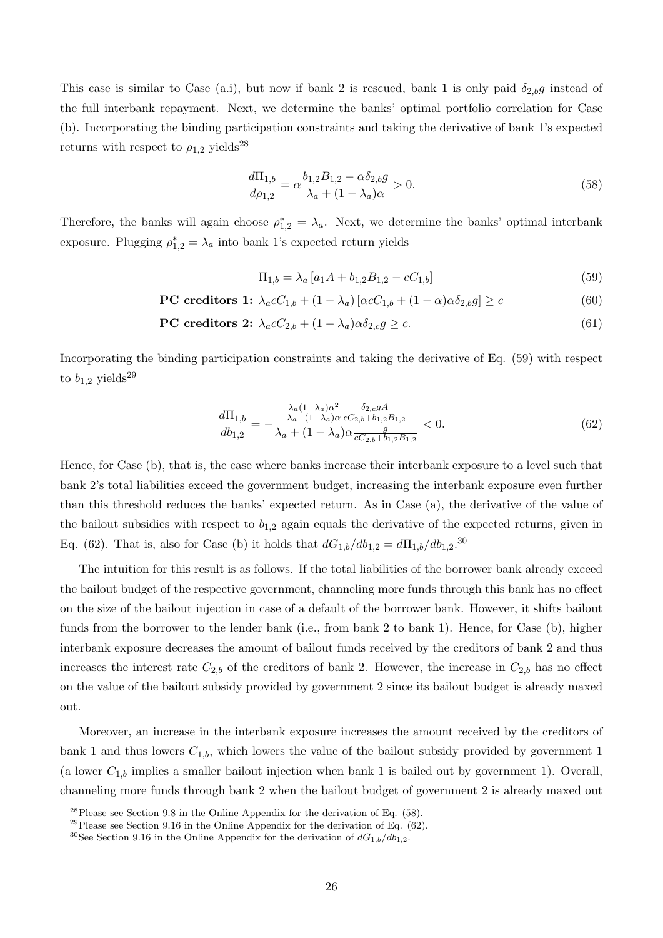This case is similar to Case (a.i), but now if bank 2 is rescued, bank 1 is only paid  $\delta_{2,b}g$  instead of the full interbank repayment. Next, we determine the banks' optimal portfolio correlation for Case (b). Incorporating the binding participation constraints and taking the derivative of bank 1's expected returns with respect to  $\rho_{1,2}$  yields<sup>28</sup>

$$
\frac{d\Pi_{1,b}}{d\rho_{1,2}} = \alpha \frac{b_{1,2}B_{1,2} - \alpha \delta_{2,b}g}{\lambda_a + (1 - \lambda_a)\alpha} > 0.
$$
\n(58)

Therefore, the banks will again choose  $\rho_{1,2}^* = \lambda_a$ . Next, we determine the banks' optimal interbank exposure. Plugging  $\rho_{1,2}^* = \lambda_a$  into bank 1's expected return yields

$$
\Pi_{1,b} = \lambda_a \left[ a_1 A + b_{1,2} B_{1,2} - c C_{1,b} \right] \tag{59}
$$

$$
\text{PC credits} \quad 1: \ \lambda_a c C_{1,b} + (1 - \lambda_a) \left[ \alpha c C_{1,b} + (1 - \alpha) \alpha \delta_{2,b} g \right] \geq c \tag{60}
$$

$$
\text{PC credits} \quad \text{2:} \quad \lambda_a c C_{2,b} + (1 - \lambda_a) \alpha \delta_{2,c} g \ge c. \tag{61}
$$

Incorporating the binding participation constraints and taking the derivative of Eq. (59) with respect to  $b_{1,2}$  yields<sup>29</sup>

$$
\frac{d\Pi_{1,b}}{db_{1,2}} = -\frac{\frac{\lambda_a (1 - \lambda_a)\alpha^2}{\lambda_a + (1 - \lambda_a)\alpha} \frac{\delta_{2,c} g A}{cC_{2,b} + b_{1,2} B_{1,2}}}{\lambda_a + (1 - \lambda_a)\alpha \frac{g}{cC_{2,b} + b_{1,2} B_{1,2}}} < 0. \tag{62}
$$

Hence, for Case (b), that is, the case where banks increase their interbank exposure to a level such that bank 2's total liabilities exceed the government budget, increasing the interbank exposure even further than this threshold reduces the banks' expected return. As in Case (a), the derivative of the value of the bailout subsidies with respect to  $b_{1,2}$  again equals the derivative of the expected returns, given in Eq. (62). That is, also for Case (b) it holds that  $dG_{1,b}/db_{1,2} = d\Pi_{1,b}/db_{1,2}.^{30}$ 

The intuition for this result is as follows. If the total liabilities of the borrower bank already exceed the bailout budget of the respective government, channeling more funds through this bank has no effect on the size of the bailout injection in case of a default of the borrower bank. However, it shifts bailout funds from the borrower to the lender bank (i.e., from bank 2 to bank 1). Hence, for Case (b), higher interbank exposure decreases the amount of bailout funds received by the creditors of bank 2 and thus increases the interest rate  $C_{2,b}$  of the creditors of bank 2. However, the increase in  $C_{2,b}$  has no effect on the value of the bailout subsidy provided by government 2 since its bailout budget is already maxed out.

Moreover, an increase in the interbank exposure increases the amount received by the creditors of bank 1 and thus lowers  $C_{1,b}$ , which lowers the value of the bailout subsidy provided by government 1 (a lower  $C_{1,b}$  implies a smaller bailout injection when bank 1 is bailed out by government 1). Overall, channeling more funds through bank 2 when the bailout budget of government 2 is already maxed out

 $28$ Please see Section 9.8 in the Online Appendix for the derivation of Eq. (58).

<sup>&</sup>lt;sup>29</sup>Please see Section 9.16 in the Online Appendix for the derivation of Eq.  $(62)$ .

<sup>&</sup>lt;sup>30</sup>See Section 9.16 in the Online Appendix for the derivation of  $dG_{1,b}/db_{1,2}$ .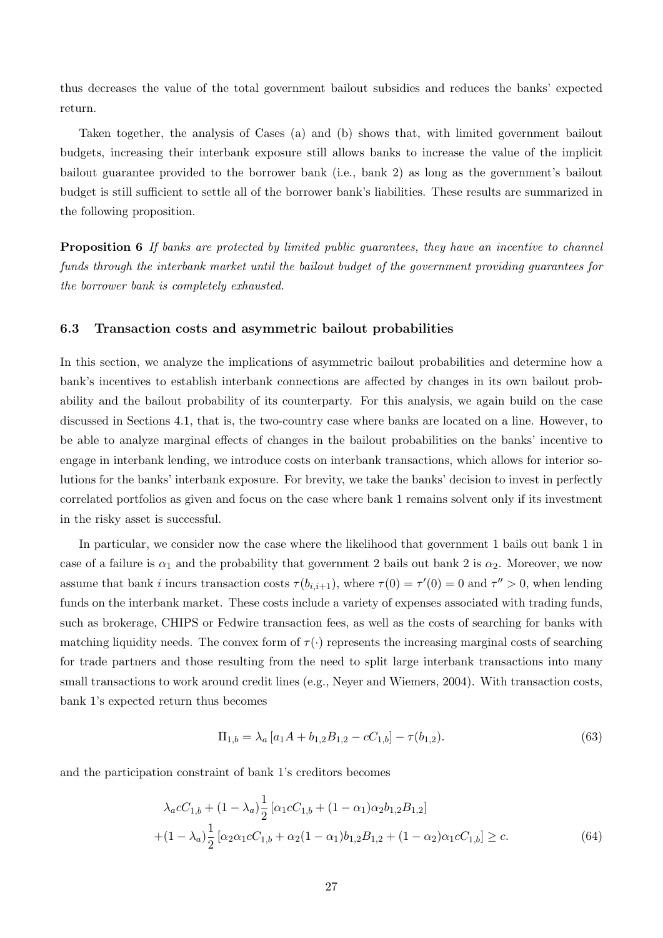thus decreases the value of the total government bailout subsidies and reduces the banks' expected return.

Taken together, the analysis of Cases (a) and (b) shows that, with limited government bailout budgets, increasing their interbank exposure still allows banks to increase the value of the implicit bailout guarantee provided to the borrower bank (i.e., bank 2) as long as the government's bailout budget is still sufficient to settle all of the borrower bank's liabilities. These results are summarized in the following proposition.

**Proposition 6** If banks are protected by limited public quarantees, they have an incentive to channel funds through the interbank market until the bailout budget of the government providing guarantees for the borrower bank is completely exhausted.

#### 6.3 Transaction costs and asymmetric bailout probabilities

In this section, we analyze the implications of asymmetric bailout probabilities and determine how a bank's incentives to establish interbank connections are affected by changes in its own bailout probability and the bailout probability of its counterparty. For this analysis, we again build on the case discussed in Sections 4.1, that is, the two-country case where banks are located on a line. However, to be able to analyze marginal effects of changes in the bailout probabilities on the banks' incentive to engage in interbank lending, we introduce costs on interbank transactions, which allows for interior solutions for the banks' interbank exposure. For brevity, we take the banks' decision to invest in perfectly correlated portfolios as given and focus on the case where bank 1 remains solvent only if its investment in the risky asset is successful.

In particular, we consider now the case where the likelihood that government 1 bails out bank 1 in case of a failure is  $\alpha_1$  and the probability that government 2 bails out bank 2 is  $\alpha_2$ . Moreover, we now assume that bank *i* incurs transaction costs  $\tau(b_{i,i+1})$ , where  $\tau(0) = \tau'(0) = 0$  and  $\tau'' > 0$ , when lending funds on the interbank market. These costs include a variety of expenses associated with trading funds, such as brokerage, CHIPS or Fedwire transaction fees, as well as the costs of searching for banks with matching liquidity needs. The convex form of  $\tau(\cdot)$  represents the increasing marginal costs of searching for trade partners and those resulting from the need to split large interbank transactions into many small transactions to work around credit lines (e.g., Neyer and Wiemers, 2004). With transaction costs, bank 1's expected return thus becomes

$$
\Pi_{1,b} = \lambda_a \left[ a_1 A + b_{1,2} B_{1,2} - c C_{1,b} \right] - \tau(b_{1,2}). \tag{63}
$$

and the participation constraint of bank 1's creditors becomes

$$
\lambda_a c C_{1,b} + (1 - \lambda_a) \frac{1}{2} \left[ \alpha_1 c C_{1,b} + (1 - \alpha_1) \alpha_2 b_{1,2} B_{1,2} \right]
$$

$$
+ (1 - \lambda_a) \frac{1}{2} \left[ \alpha_2 \alpha_1 c C_{1,b} + \alpha_2 (1 - \alpha_1) b_{1,2} B_{1,2} + (1 - \alpha_2) \alpha_1 c C_{1,b} \right] \ge c.
$$
(64)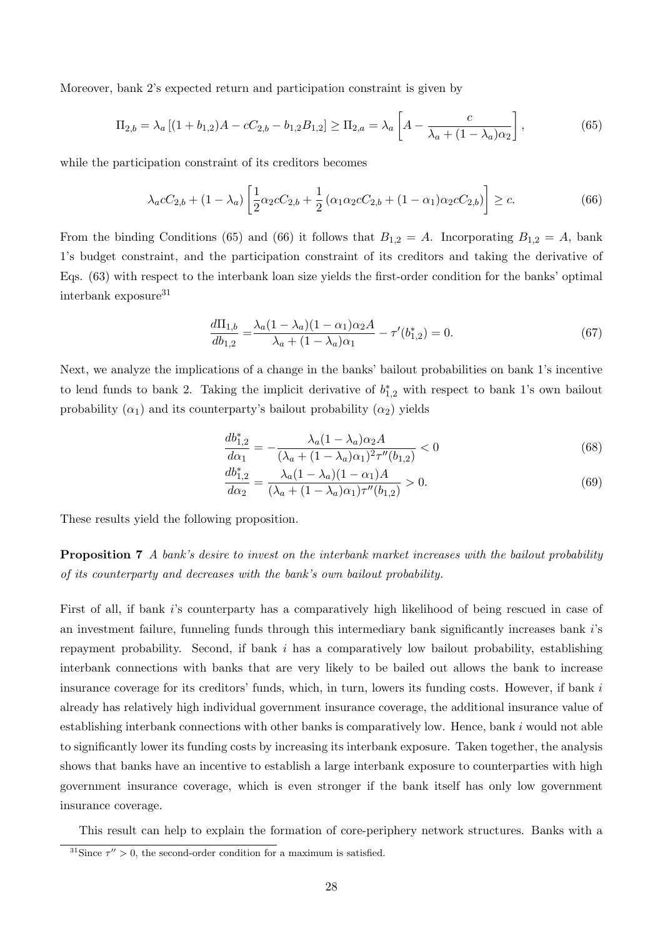Moreover, bank 2's expected return and participation constraint is given by

$$
\Pi_{2,b} = \lambda_a \left[ (1 + b_{1,2})A - cC_{2,b} - b_{1,2}B_{1,2} \right] \ge \Pi_{2,a} = \lambda_a \left[ A - \frac{c}{\lambda_a + (1 - \lambda_a)\alpha_2} \right],\tag{65}
$$

while the participation constraint of its creditors becomes

$$
\lambda_a c C_{2,b} + (1 - \lambda_a) \left[ \frac{1}{2} \alpha_2 c C_{2,b} + \frac{1}{2} (\alpha_1 \alpha_2 c C_{2,b} + (1 - \alpha_1) \alpha_2 c C_{2,b}) \right] \ge c.
$$
 (66)

From the binding Conditions (65) and (66) it follows that  $B_{1,2} = A$ . Incorporating  $B_{1,2} = A$ , bank 1's budget constraint, and the participation constraint of its creditors and taking the derivative of Eqs. (63) with respect to the interbank loan size yields the first-order condition for the banks' optimal interbank exposure<sup>31</sup>

$$
\frac{d\Pi_{1,b}}{db_{1,2}} = \frac{\lambda_a (1 - \lambda_a)(1 - \alpha_1)\alpha_2 A}{\lambda_a + (1 - \lambda_a)\alpha_1} - \tau'(b_{1,2}^*) = 0.
$$
\n(67)

Next, we analyze the implications of a change in the banks' bailout probabilities on bank 1's incentive to lend funds to bank 2. Taking the implicit derivative of  $b_{1,2}^*$  with respect to bank 1's own bailout probability  $(\alpha_1)$  and its counterparty's bailout probability  $(\alpha_2)$  yields

$$
\frac{db_{1,2}^*}{d\alpha_1} = -\frac{\lambda_a (1 - \lambda_a) \alpha_2 A}{(\lambda_a + (1 - \lambda_a)\alpha_1)^2 \tau''(b_{1,2})} < 0 \tag{68}
$$

$$
\frac{db_{1,2}^*}{d\alpha_2} = \frac{\lambda_a (1 - \lambda_a)(1 - \alpha_1)A}{(\lambda_a + (1 - \lambda_a)\alpha_1)\tau''(b_{1,2})} > 0.
$$
\n(69)

These results yield the following proposition.

**Proposition 7** A bank's desire to invest on the interbank market increases with the bailout probability of its counterparty and decreases with the bank's own bailout probability.

First of all, if bank is counterparty has a comparatively high likelihood of being rescued in case of an investment failure, funneling funds through this intermediary bank significantly increases bank is repayment probability. Second, if bank  $i$  has a comparatively low bailout probability, establishing interbank connections with banks that are very likely to be bailed out allows the bank to increase insurance coverage for its creditors' funds, which, in turn, lowers its funding costs. However, if bank  $i$ already has relatively high individual government insurance coverage, the additional insurance value of establishing interbank connections with other banks is comparatively low. Hence, bank  $i$  would not able to significantly lower its funding costs by increasing its interbank exposure. Taken together, the analysis shows that banks have an incentive to establish a large interbank exposure to counterparties with high government insurance coverage, which is even stronger if the bank itself has only low government insurance coverage.

This result can help to explain the formation of core-periphery network structures. Banks with a

<sup>&</sup>lt;sup>31</sup>Since  $\tau'' > 0$ , the second-order condition for a maximum is satisfied.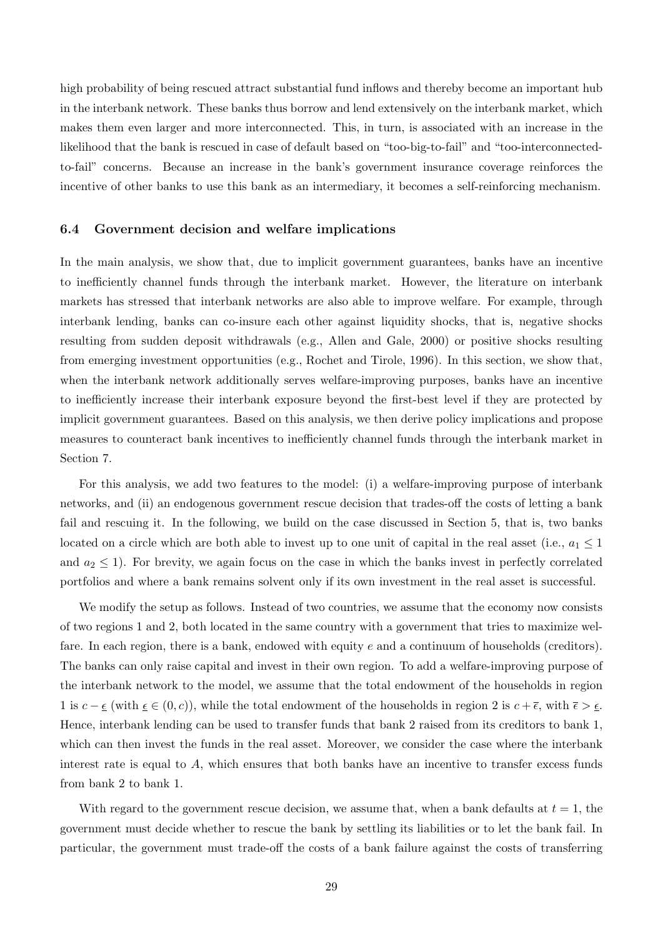high probability of being rescued attract substantial fund inflows and thereby become an important hub in the interbank network. These banks thus borrow and lend extensively on the interbank market, which makes them even larger and more interconnected. This, in turn, is associated with an increase in the likelihood that the bank is rescued in case of default based on "too-big-to-fail" and "too-interconnectedto-fail" concerns. Because an increase in the bank's government insurance coverage reinforces the incentive of other banks to use this bank as an intermediary, it becomes a self-reinforcing mechanism.

#### 6.4 Government decision and welfare implications

In the main analysis, we show that, due to implicit government guarantees, banks have an incentive to inefficiently channel funds through the interbank market. However, the literature on interbank markets has stressed that interbank networks are also able to improve welfare. For example, through interbank lending, banks can co-insure each other against liquidity shocks, that is, negative shocks resulting from sudden deposit withdrawals (e.g., Allen and Gale, 2000) or positive shocks resulting from emerging investment opportunities (e.g., Rochet and Tirole, 1996). In this section, we show that, when the interbank network additionally serves welfare-improving purposes, banks have an incentive to inefficiently increase their interbank exposure beyond the first-best level if they are protected by implicit government guarantees. Based on this analysis, we then derive policy implications and propose measures to counteract bank incentives to inefficiently channel funds through the interbank market in Section 7.

For this analysis, we add two features to the model: (i) a welfare-improving purpose of interbank networks, and (ii) an endogenous government rescue decision that trades-off the costs of letting a bank fail and rescuing it. In the following, we build on the case discussed in Section 5, that is, two banks located on a circle which are both able to invest up to one unit of capital in the real asset (i.e.,  $a_1 \leq 1$ and  $a_2 \leq 1$ ). For brevity, we again focus on the case in which the banks invest in perfectly correlated portfolios and where a bank remains solvent only if its own investment in the real asset is successful.

We modify the setup as follows. Instead of two countries, we assume that the economy now consists of two regions 1 and 2, both located in the same country with a government that tries to maximize welfare. In each region, there is a bank, endowed with equity  $e$  and a continuum of households (creditors). The banks can only raise capital and invest in their own region. To add a welfare-improving purpose of the interbank network to the model, we assume that the total endowment of the households in region 1 is  $c - \epsilon$  (with  $\epsilon \in (0, c)$ ), while the total endowment of the households in region 2 is  $c + \overline{\epsilon}$ , with  $\overline{\epsilon} > \epsilon$ . Hence, interbank lending can be used to transfer funds that bank 2 raised from its creditors to bank 1, which can then invest the funds in the real asset. Moreover, we consider the case where the interbank interest rate is equal to  $A$ , which ensures that both banks have an incentive to transfer excess funds from bank 2 to bank 1.

With regard to the government rescue decision, we assume that, when a bank defaults at  $t = 1$ , the government must decide whether to rescue the bank by settling its liabilities or to let the bank fail. In particular, the government must trade-off the costs of a bank failure against the costs of transferring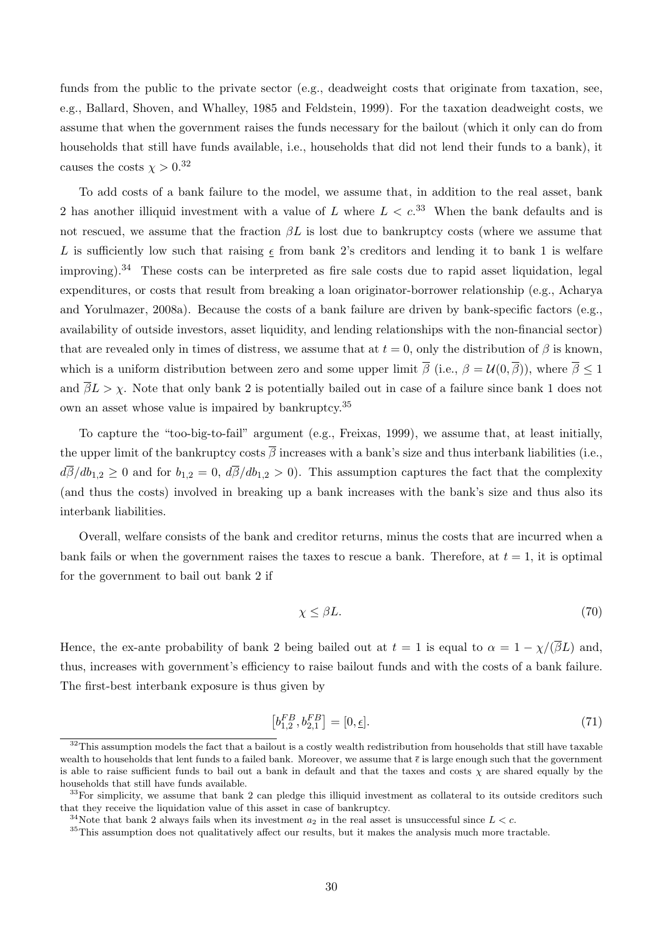funds from the public to the private sector (e.g., deadweight costs that originate from taxation, see, e.g., Ballard, Shoven, and Whalley, 1985 and Feldstein, 1999). For the taxation deadweight costs, we assume that when the government raises the funds necessary for the bailout (which it only can do from households that still have funds available, i.e., households that did not lend their funds to a bank), it causes the costs  $\chi > 0.^{32}$ 

To add costs of a bank failure to the model, we assume that, in addition to the real asset, bank 2 has another illiquid investment with a value of L where  $L < c^{33}$  When the bank defaults and is not rescued, we assume that the fraction  $\beta L$  is lost due to bankruptcy costs (where we assume that L is sufficiently low such that raising  $\epsilon$  from bank 2's creditors and lending it to bank 1 is welfare improving).<sup>34</sup> These costs can be interpreted as fire sale costs due to rapid asset liquidation, legal expenditures, or costs that result from breaking a loan originator-borrower relationship (e.g., Acharya and Yorulmazer, 2008a). Because the costs of a bank failure are driven by bank-specific factors (e.g., availability of outside investors, asset liquidity, and lending relationships with the non-financial sector) that are revealed only in times of distress, we assume that at  $t = 0$ , only the distribution of  $\beta$  is known, which is a uniform distribution between zero and some upper limit  $\overline{\beta}$  (i.e.,  $\beta = \mathcal{U}(0, \overline{\beta})$ ), where  $\overline{\beta} \leq 1$ and  $\overline{\beta}L > \chi$ . Note that only bank 2 is potentially bailed out in case of a failure since bank 1 does not own an asset whose value is impaired by bankruptcy.<sup>35</sup>

To capture the "too-big-to-fail" argument (e.g., Freixas, 1999), we assume that, at least initially, the upper limit of the bankruptcy costs  $\overline{\beta}$  increases with a bank's size and thus interbank liabilities (i.e.,  $d\overline{\beta}/db_{1,2} \ge 0$  and for  $b_{1,2} = 0$ ,  $d\overline{\beta}/db_{1,2} > 0$ . This assumption captures the fact that the complexity (and thus the costs) involved in breaking up a bank increases with the bank's size and thus also its interbank liabilities.

Overall, welfare consists of the bank and creditor returns, minus the costs that are incurred when a bank fails or when the government raises the taxes to rescue a bank. Therefore, at  $t = 1$ , it is optimal for the government to bail out bank 2 if

$$
\chi \le \beta L. \tag{70}
$$

Hence, the ex-ante probability of bank 2 being bailed out at  $t = 1$  is equal to  $\alpha = 1 - \chi/(\overline{\beta}L)$  and, thus, increases with government's efficiency to raise bailout funds and with the costs of a bank failure. The first-best interbank exposure is thus given by

$$
\left[b_{1,2}^{FB}, b_{2,1}^{FB}\right] = [0, \underline{\epsilon}].\tag{71}
$$

 $32$ This assumption models the fact that a bailout is a costly wealth redistribution from households that still have taxable wealth to households that lent funds to a failed bank. Moreover, we assume that  $\bar{\epsilon}$  is large enough such that the government is able to raise sufficient funds to bail out a bank in default and that the taxes and costs  $\chi$  are shared equally by the households that still have funds available.

 $33$ For simplicity, we assume that bank 2 can pledge this illiquid investment as collateral to its outside creditors such that they receive the liquidation value of this asset in case of bankruptcy.

<sup>&</sup>lt;sup>34</sup>Note that bank 2 always fails when its investment  $a_2$  in the real asset is unsuccessful since  $L < c$ .

<sup>&</sup>lt;sup>35</sup>This assumption does not qualitatively affect our results, but it makes the analysis much more tractable.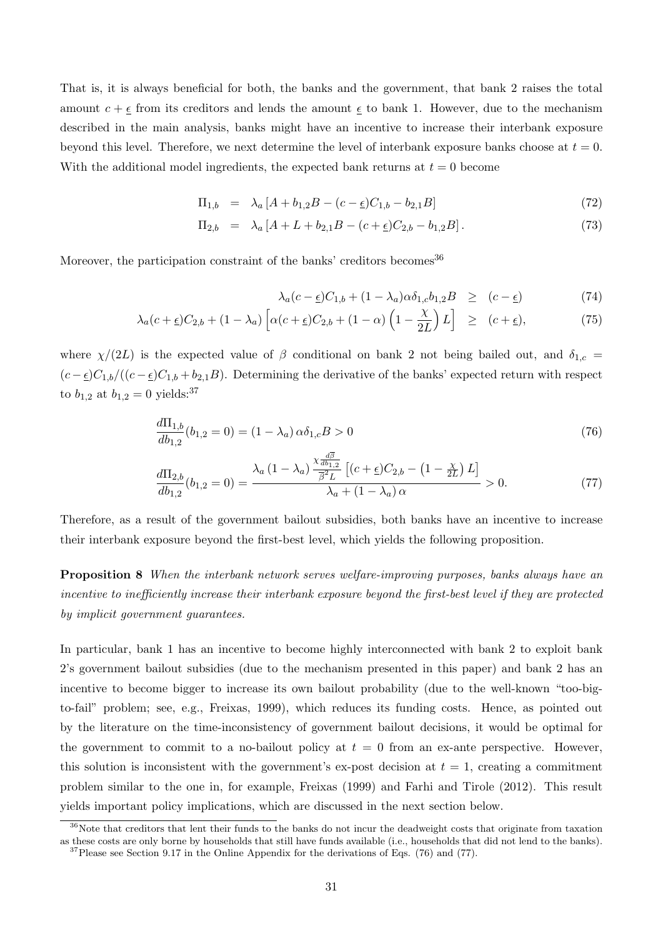That is, it is always beneficial for both, the banks and the government, that bank 2 raises the total amount  $c + \epsilon$  from its creditors and lends the amount  $\epsilon$  to bank 1. However, due to the mechanism described in the main analysis, banks might have an incentive to increase their interbank exposure beyond this level. Therefore, we next determine the level of interbank exposure banks choose at  $t = 0$ . With the additional model ingredients, the expected bank returns at  $t = 0$  become

$$
\Pi_{1,b} = \lambda_a [A + b_{1,2}B - (c - \underline{\epsilon})C_{1,b} - b_{2,1}B] \tag{72}
$$

$$
\Pi_{2,b} = \lambda_a [A + L + b_{2,1}B - (c + \underline{\epsilon})C_{2,b} - b_{1,2}B]. \tag{73}
$$

Moreover, the participation constraint of the banks' creditors becomes  $36$ 

$$
\lambda_a(c - \underline{\epsilon})C_{1,b} + (1 - \lambda_a)\alpha \delta_{1,c} b_{1,2}B \ge (c - \underline{\epsilon}) \tag{74}
$$

$$
\lambda_a(c+\underline{\epsilon})C_{2,b} + (1-\lambda_a)\left[\alpha(c+\underline{\epsilon})C_{2,b} + (1-\alpha)\left(1-\frac{\chi}{2L}\right)L\right] \ge (c+\underline{\epsilon}),\tag{75}
$$

where  $\chi/(2L)$  is the expected value of  $\beta$  conditional on bank 2 not being bailed out, and  $\delta_{1,c}$  $(c - \epsilon)C_{1,b}/((c - \epsilon)C_{1,b} + b_{2,1}B)$ . Determining the derivative of the banks' expected return with respect to  $b_{1,2}$  at  $b_{1,2} = 0$  yields:<sup>37</sup>

$$
\frac{d\Pi_{1,b}}{db_{1,2}}(b_{1,2}=0) = (1 - \lambda_a)\,\alpha\delta_{1,c}B > 0\tag{76}
$$

$$
\frac{d\Pi_{2,b}}{db_{1,2}}(b_{1,2}=0) = \frac{\lambda_a (1 - \lambda_a) \frac{\chi_{\frac{d\overline{\beta}}{db_{1,2}}}}{\overline{\beta^2} L} \left[ (c + \underline{\epsilon}) C_{2,b} - (1 - \frac{\chi}{2L}) L \right]}{\lambda_a + (1 - \lambda_a) \alpha} > 0.
$$
\n(77)

Therefore, as a result of the government bailout subsidies, both banks have an incentive to increase their interbank exposure beyond the first-best level, which yields the following proposition.

Proposition 8 When the interbank network serves welfare-improving purposes, banks always have an incentive to inefficiently increase their interbank exposure beyond the first-best level if they are protected by implicit government guarantees.

In particular, bank 1 has an incentive to become highly interconnected with bank 2 to exploit bank 2's government bailout subsidies (due to the mechanism presented in this paper) and bank 2 has an incentive to become bigger to increase its own bailout probability (due to the well-known "too-bigto-fail" problem; see, e.g., Freixas, 1999), which reduces its funding costs. Hence, as pointed out by the literature on the time-inconsistency of government bailout decisions, it would be optimal for the government to commit to a no-bailout policy at  $t = 0$  from an ex-ante perspective. However, this solution is inconsistent with the government's ex-post decision at  $t = 1$ , creating a commitment problem similar to the one in, for example, Freixas (1999) and Farhi and Tirole (2012). This result yields important policy implications, which are discussed in the next section below.

<sup>&</sup>lt;sup>36</sup>Note that creditors that lent their funds to the banks do not incur the deadweight costs that originate from taxation as these costs are only borne by households that still have funds available (i.e., households that did not lend to the banks).  $37$ Please see Section 9.17 in the Online Appendix for the derivations of Eqs. (76) and (77).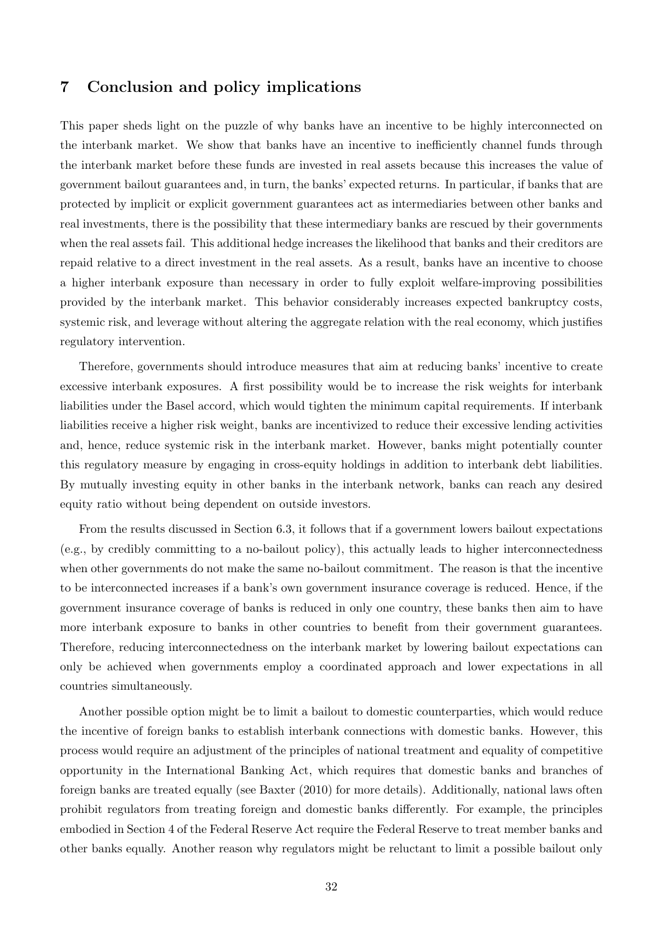# 7 Conclusion and policy implications

This paper sheds light on the puzzle of why banks have an incentive to be highly interconnected on the interbank market. We show that banks have an incentive to inefficiently channel funds through the interbank market before these funds are invested in real assets because this increases the value of government bailout guarantees and, in turn, the banks' expected returns. In particular, if banks that are protected by implicit or explicit government guarantees act as intermediaries between other banks and real investments, there is the possibility that these intermediary banks are rescued by their governments when the real assets fail. This additional hedge increases the likelihood that banks and their creditors are repaid relative to a direct investment in the real assets. As a result, banks have an incentive to choose a higher interbank exposure than necessary in order to fully exploit welfare-improving possibilities provided by the interbank market. This behavior considerably increases expected bankruptcy costs, systemic risk, and leverage without altering the aggregate relation with the real economy, which justifies regulatory intervention.

Therefore, governments should introduce measures that aim at reducing banks' incentive to create excessive interbank exposures. A first possibility would be to increase the risk weights for interbank liabilities under the Basel accord, which would tighten the minimum capital requirements. If interbank liabilities receive a higher risk weight, banks are incentivized to reduce their excessive lending activities and, hence, reduce systemic risk in the interbank market. However, banks might potentially counter this regulatory measure by engaging in cross-equity holdings in addition to interbank debt liabilities. By mutually investing equity in other banks in the interbank network, banks can reach any desired equity ratio without being dependent on outside investors.

From the results discussed in Section 6.3, it follows that if a government lowers bailout expectations (e.g., by credibly committing to a no-bailout policy), this actually leads to higher interconnectedness when other governments do not make the same no-bailout commitment. The reason is that the incentive to be interconnected increases if a bank's own government insurance coverage is reduced. Hence, if the government insurance coverage of banks is reduced in only one country, these banks then aim to have more interbank exposure to banks in other countries to benefit from their government guarantees. Therefore, reducing interconnectedness on the interbank market by lowering bailout expectations can only be achieved when governments employ a coordinated approach and lower expectations in all countries simultaneously.

Another possible option might be to limit a bailout to domestic counterparties, which would reduce the incentive of foreign banks to establish interbank connections with domestic banks. However, this process would require an adjustment of the principles of national treatment and equality of competitive opportunity in the International Banking Act, which requires that domestic banks and branches of foreign banks are treated equally (see Baxter (2010) for more details). Additionally, national laws often prohibit regulators from treating foreign and domestic banks differently. For example, the principles embodied in Section 4 of the Federal Reserve Act require the Federal Reserve to treat member banks and other banks equally. Another reason why regulators might be reluctant to limit a possible bailout only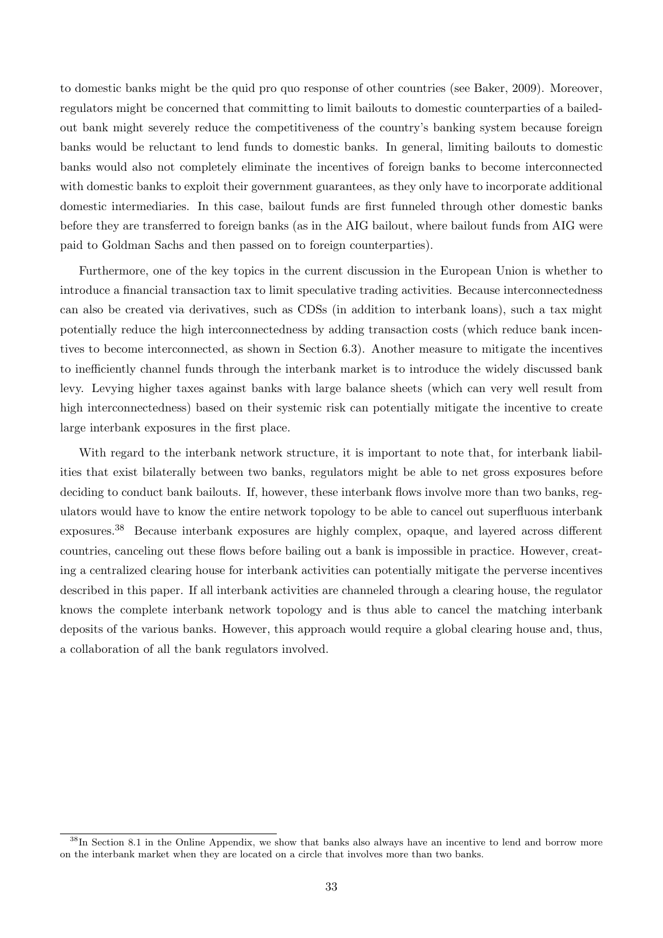to domestic banks might be the quid pro quo response of other countries (see Baker, 2009). Moreover, regulators might be concerned that committing to limit bailouts to domestic counterparties of a bailedout bank might severely reduce the competitiveness of the country's banking system because foreign banks would be reluctant to lend funds to domestic banks. In general, limiting bailouts to domestic banks would also not completely eliminate the incentives of foreign banks to become interconnected with domestic banks to exploit their government guarantees, as they only have to incorporate additional domestic intermediaries. In this case, bailout funds are first funneled through other domestic banks before they are transferred to foreign banks (as in the AIG bailout, where bailout funds from AIG were paid to Goldman Sachs and then passed on to foreign counterparties).

Furthermore, one of the key topics in the current discussion in the European Union is whether to introduce a financial transaction tax to limit speculative trading activities. Because interconnectedness can also be created via derivatives, such as CDSs (in addition to interbank loans), such a tax might potentially reduce the high interconnectedness by adding transaction costs (which reduce bank incentives to become interconnected, as shown in Section 6.3). Another measure to mitigate the incentives to inefficiently channel funds through the interbank market is to introduce the widely discussed bank levy. Levying higher taxes against banks with large balance sheets (which can very well result from high interconnectedness) based on their systemic risk can potentially mitigate the incentive to create large interbank exposures in the first place.

With regard to the interbank network structure, it is important to note that, for interbank liabilities that exist bilaterally between two banks, regulators might be able to net gross exposures before deciding to conduct bank bailouts. If, however, these interbank flows involve more than two banks, regulators would have to know the entire network topology to be able to cancel out superfluous interbank exposures.<sup>38</sup> Because interbank exposures are highly complex, opaque, and layered across different countries, canceling out these flows before bailing out a bank is impossible in practice. However, creating a centralized clearing house for interbank activities can potentially mitigate the perverse incentives described in this paper. If all interbank activities are channeled through a clearing house, the regulator knows the complete interbank network topology and is thus able to cancel the matching interbank deposits of the various banks. However, this approach would require a global clearing house and, thus, a collaboration of all the bank regulators involved.

<sup>&</sup>lt;sup>38</sup>In Section 8.1 in the Online Appendix, we show that banks also always have an incentive to lend and borrow more on the interbank market when they are located on a circle that involves more than two banks.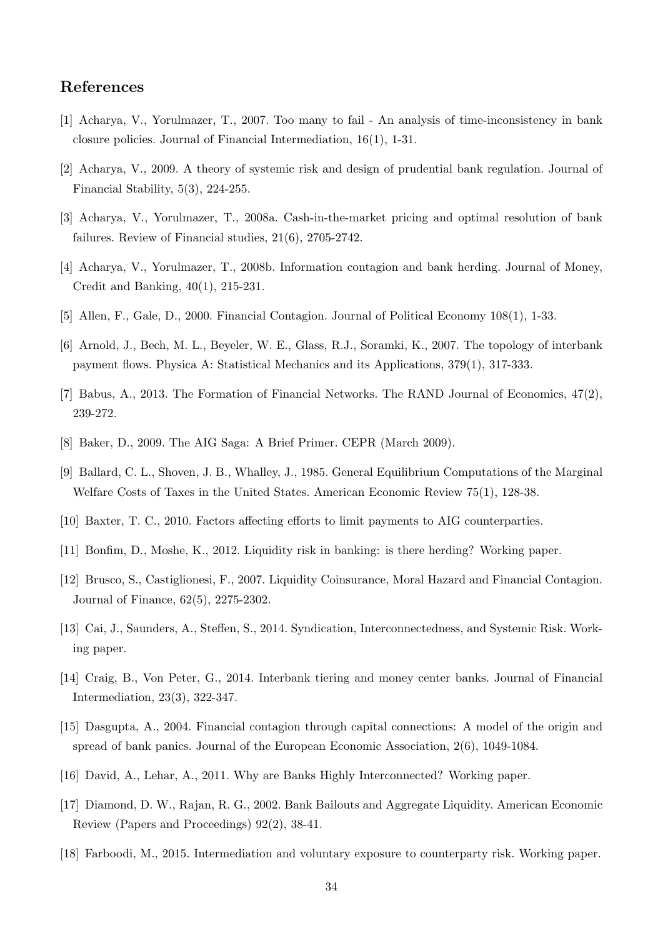# References

- [1] Acharya, V., Yorulmazer, T., 2007. Too many to fail An analysis of time-inconsistency in bank closure policies. Journal of Financial Intermediation, 16(1), 1-31.
- [2] Acharya, V., 2009. A theory of systemic risk and design of prudential bank regulation. Journal of Financial Stability, 5(3), 224-255.
- [3] Acharya, V., Yorulmazer, T., 2008a. Cash-in-the-market pricing and optimal resolution of bank failures. Review of Financial studies, 21(6), 2705-2742.
- [4] Acharya, V., Yorulmazer, T., 2008b. Information contagion and bank herding. Journal of Money, Credit and Banking, 40(1), 215-231.
- [5] Allen, F., Gale, D., 2000. Financial Contagion. Journal of Political Economy 108(1), 1-33.
- [6] Arnold, J., Bech, M. L., Beyeler, W. E., Glass, R.J., Soramki, K., 2007. The topology of interbank payment flows. Physica A: Statistical Mechanics and its Applications, 379(1), 317-333.
- [7] Babus, A., 2013. The Formation of Financial Networks. The RAND Journal of Economics, 47(2), 239-272.
- [8] Baker, D., 2009. The AIG Saga: A Brief Primer. CEPR (March 2009).
- [9] Ballard, C. L., Shoven, J. B., Whalley, J., 1985. General Equilibrium Computations of the Marginal Welfare Costs of Taxes in the United States. American Economic Review 75(1), 128-38.
- [10] Baxter, T. C., 2010. Factors affecting efforts to limit payments to AIG counterparties.
- [11] Bonfim, D., Moshe, K., 2012. Liquidity risk in banking: is there herding? Working paper.
- [12] Brusco, S., Castiglionesi, F., 2007. Liquidity Coinsurance, Moral Hazard and Financial Contagion. Journal of Finance, 62(5), 2275-2302.
- [13] Cai, J., Saunders, A., Steffen, S., 2014. Syndication, Interconnectedness, and Systemic Risk. Working paper.
- [14] Craig, B., Von Peter, G., 2014. Interbank tiering and money center banks. Journal of Financial Intermediation, 23(3), 322-347.
- [15] Dasgupta, A., 2004. Financial contagion through capital connections: A model of the origin and spread of bank panics. Journal of the European Economic Association, 2(6), 1049-1084.
- [16] David, A., Lehar, A., 2011. Why are Banks Highly Interconnected? Working paper.
- [17] Diamond, D. W., Rajan, R. G., 2002. Bank Bailouts and Aggregate Liquidity. American Economic Review (Papers and Proceedings) 92(2), 38-41.
- [18] Farboodi, M., 2015. Intermediation and voluntary exposure to counterparty risk. Working paper.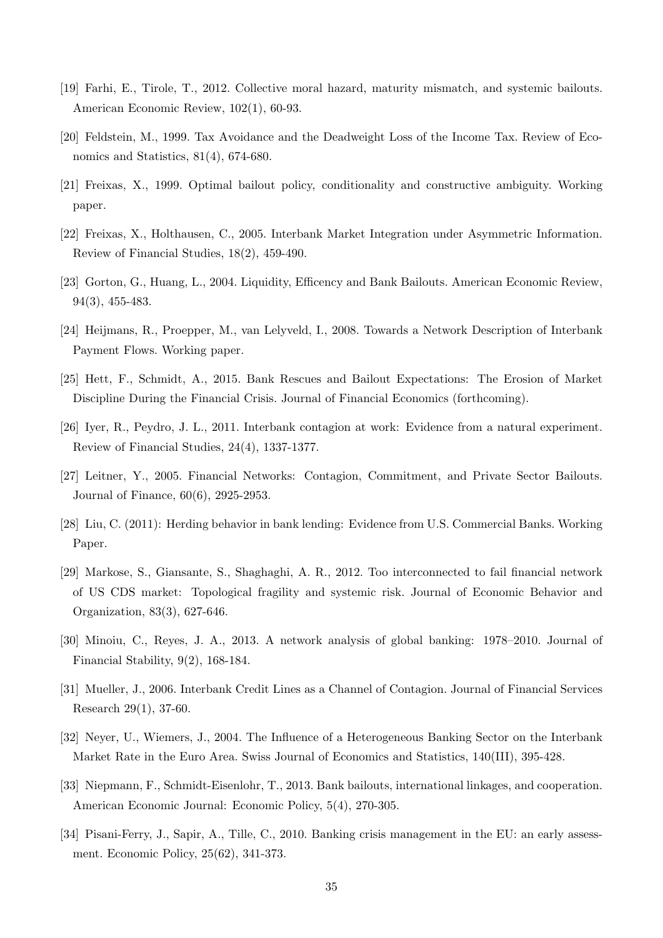- [19] Farhi, E., Tirole, T., 2012. Collective moral hazard, maturity mismatch, and systemic bailouts. American Economic Review, 102(1), 60-93.
- [20] Feldstein, M., 1999. Tax Avoidance and the Deadweight Loss of the Income Tax. Review of Economics and Statistics, 81(4), 674-680.
- [21] Freixas, X., 1999. Optimal bailout policy, conditionality and constructive ambiguity. Working paper.
- [22] Freixas, X., Holthausen, C., 2005. Interbank Market Integration under Asymmetric Information. Review of Financial Studies, 18(2), 459-490.
- [23] Gorton, G., Huang, L., 2004. Liquidity, Efficency and Bank Bailouts. American Economic Review, 94(3), 455-483.
- [24] Heijmans, R., Proepper, M., van Lelyveld, I., 2008. Towards a Network Description of Interbank Payment Flows. Working paper.
- [25] Hett, F., Schmidt, A., 2015. Bank Rescues and Bailout Expectations: The Erosion of Market Discipline During the Financial Crisis. Journal of Financial Economics (forthcoming).
- [26] Iyer, R., Peydro, J. L., 2011. Interbank contagion at work: Evidence from a natural experiment. Review of Financial Studies, 24(4), 1337-1377.
- [27] Leitner, Y., 2005. Financial Networks: Contagion, Commitment, and Private Sector Bailouts. Journal of Finance, 60(6), 2925-2953.
- [28] Liu, C. (2011): Herding behavior in bank lending: Evidence from U.S. Commercial Banks. Working Paper.
- [29] Markose, S., Giansante, S., Shaghaghi, A. R., 2012. Too interconnected to fail financial network of US CDS market: Topological fragility and systemic risk. Journal of Economic Behavior and Organization, 83(3), 627-646.
- [30] Minoiu, C., Reyes, J. A., 2013. A network analysis of global banking: 1978–2010. Journal of Financial Stability, 9(2), 168-184.
- [31] Mueller, J., 2006. Interbank Credit Lines as a Channel of Contagion. Journal of Financial Services Research 29(1), 37-60.
- [32] Neyer, U., Wiemers, J., 2004. The Influence of a Heterogeneous Banking Sector on the Interbank Market Rate in the Euro Area. Swiss Journal of Economics and Statistics, 140(III), 395-428.
- [33] Niepmann, F., Schmidt-Eisenlohr, T., 2013. Bank bailouts, international linkages, and cooperation. American Economic Journal: Economic Policy, 5(4), 270-305.
- [34] Pisani-Ferry, J., Sapir, A., Tille, C., 2010. Banking crisis management in the EU: an early assessment. Economic Policy, 25(62), 341-373.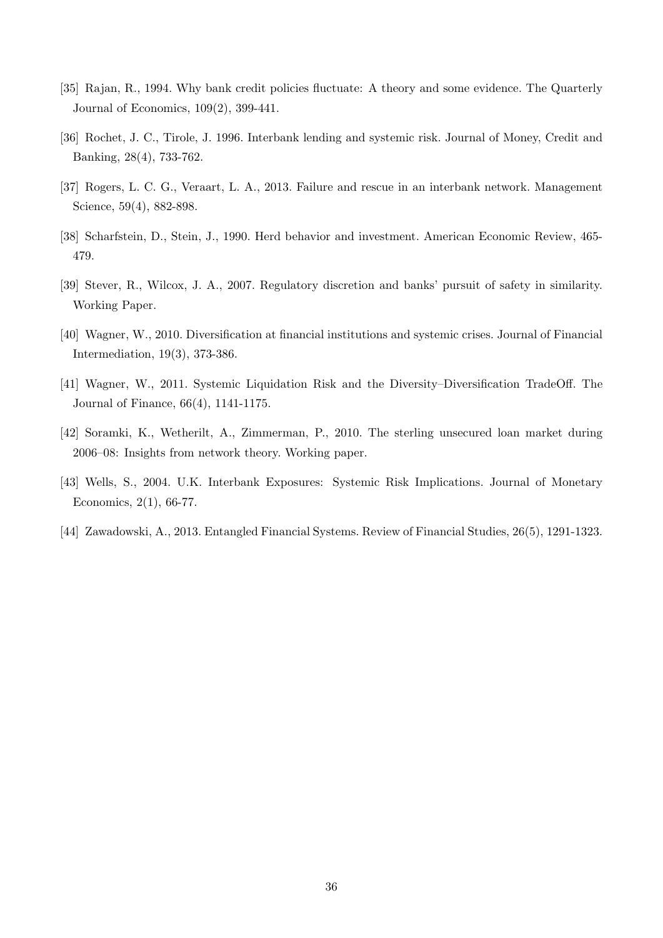- [35] Rajan, R., 1994. Why bank credit policies fluctuate: A theory and some evidence. The Quarterly Journal of Economics, 109(2), 399-441.
- [36] Rochet, J. C., Tirole, J. 1996. Interbank lending and systemic risk. Journal of Money, Credit and Banking, 28(4), 733-762.
- [37] Rogers, L. C. G., Veraart, L. A., 2013. Failure and rescue in an interbank network. Management Science, 59(4), 882-898.
- [38] Scharfstein, D., Stein, J., 1990. Herd behavior and investment. American Economic Review, 465- 479.
- [39] Stever, R., Wilcox, J. A., 2007. Regulatory discretion and banks' pursuit of safety in similarity. Working Paper.
- [40] Wagner, W., 2010. Diversification at financial institutions and systemic crises. Journal of Financial Intermediation, 19(3), 373-386.
- [41] Wagner, W., 2011. Systemic Liquidation Risk and the Diversity–Diversification TradeOff. The Journal of Finance, 66(4), 1141-1175.
- [42] Soramki, K., Wetherilt, A., Zimmerman, P., 2010. The sterling unsecured loan market during 2006–08: Insights from network theory. Working paper.
- [43] Wells, S., 2004. U.K. Interbank Exposures: Systemic Risk Implications. Journal of Monetary Economics, 2(1), 66-77.
- [44] Zawadowski, A., 2013. Entangled Financial Systems. Review of Financial Studies, 26(5), 1291-1323.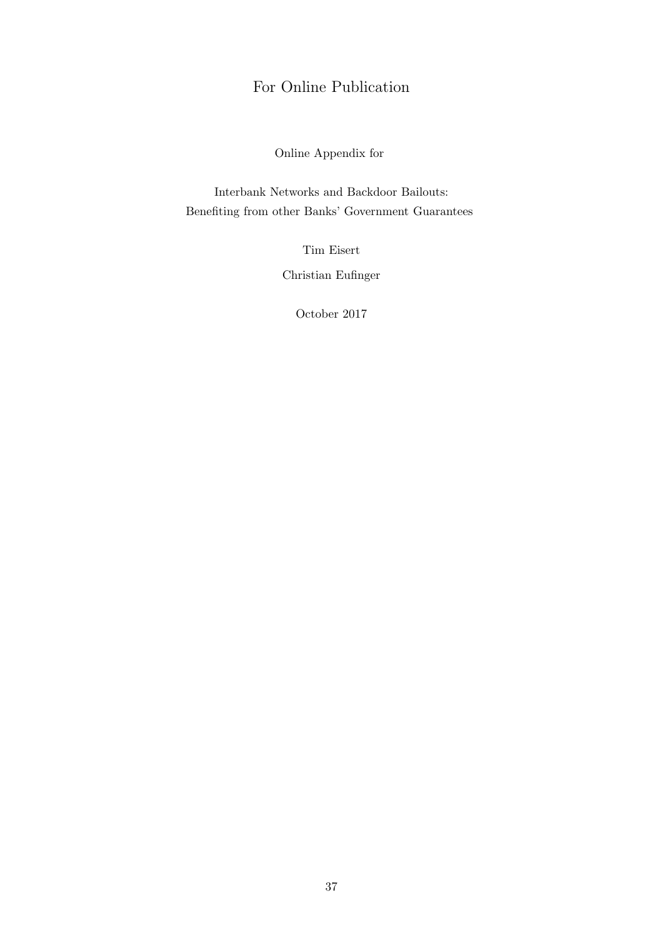# For Online Publication

Online Appendix for

Interbank Networks and Backdoor Bailouts: Benefiting from other Banks' Government Guarantees

Tim Eisert

Christian Eufinger

October 2017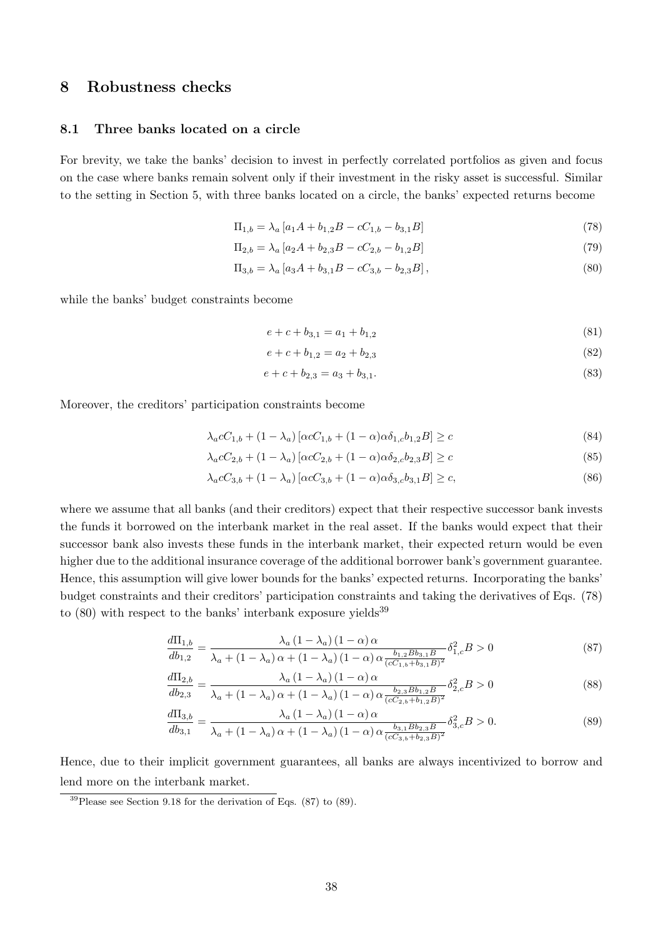# 8 Robustness checks

#### 8.1 Three banks located on a circle

For brevity, we take the banks' decision to invest in perfectly correlated portfolios as given and focus on the case where banks remain solvent only if their investment in the risky asset is successful. Similar to the setting in Section 5, with three banks located on a circle, the banks' expected returns become

$$
\Pi_{1,b} = \lambda_a \left[ a_1 A + b_{1,2} B - c C_{1,b} - b_{3,1} B \right] \tag{78}
$$

$$
\Pi_{2,b} = \lambda_a \left[ a_2 A + b_{2,3} B - c C_{2,b} - b_{1,2} B \right] \tag{79}
$$

$$
\Pi_{3,b} = \lambda_a \left[ a_3 A + b_{3,1} B - c C_{3,b} - b_{2,3} B \right],\tag{80}
$$

while the banks' budget constraints become

$$
e + c + b_{3,1} = a_1 + b_{1,2} \tag{81}
$$

$$
e + c + b_{1,2} = a_2 + b_{2,3} \tag{82}
$$

$$
e + c + b_{2,3} = a_3 + b_{3,1}.\tag{83}
$$

Moreover, the creditors' participation constraints become

$$
\lambda_a c C_{1,b} + (1 - \lambda_a) \left[ \alpha c C_{1,b} + (1 - \alpha) \alpha \delta_{1,c} b_{1,2} B \right] \ge c \tag{84}
$$

$$
\lambda_a c C_{2,b} + (1 - \lambda_a) \left[ \alpha c C_{2,b} + (1 - \alpha) \alpha \delta_{2,c} b_{2,3} B \right] \ge c \tag{85}
$$

$$
\lambda_a c C_{3,b} + (1 - \lambda_a) \left[ \alpha c C_{3,b} + (1 - \alpha) \alpha \delta_{3,c} b_{3,1} B \right] \ge c,
$$
\n(86)

where we assume that all banks (and their creditors) expect that their respective successor bank invests the funds it borrowed on the interbank market in the real asset. If the banks would expect that their successor bank also invests these funds in the interbank market, their expected return would be even higher due to the additional insurance coverage of the additional borrower bank's government guarantee. Hence, this assumption will give lower bounds for the banks' expected returns. Incorporating the banks' budget constraints and their creditors' participation constraints and taking the derivatives of Eqs. (78) to  $(80)$  with respect to the banks' interbank exposure yields<sup>39</sup>

$$
\frac{d\Pi_{1,b}}{db_{1,2}} = \frac{\lambda_a (1 - \lambda_a) (1 - \alpha) \alpha}{\lambda_a + (1 - \lambda_a) \alpha + (1 - \lambda_a) (1 - \alpha) \alpha \frac{b_{1,2} B b_{3,1} B}{(cC_{1,b} + b_{3,1} B)^2}} \delta_{1,c}^2 B > 0
$$
\n(87)

$$
\frac{d\Pi_{2,b}}{db_{2,3}} = \frac{\lambda_a (1 - \lambda_a) (1 - \alpha) \alpha}{\lambda_a + (1 - \lambda_a) \alpha + (1 - \lambda_a) (1 - \alpha) \alpha \frac{b_{2,3} B b_{1,2} B}{(c C_{2,b} + b_{1,2} B)^2}} \delta_{2,c}^2 B > 0
$$
\n(88)

$$
\frac{d\Pi_{3,b}}{db_{3,1}} = \frac{\lambda_a (1 - \lambda_a) (1 - \alpha) \alpha}{\lambda_a + (1 - \lambda_a) \alpha + (1 - \lambda_a) (1 - \alpha) \alpha \frac{b_{3,1} B b_{2,3} B}{(cC_{3,b} + b_{2,3} B)^2}} \delta_{3,c}^2 B > 0.
$$
\n(89)

Hence, due to their implicit government guarantees, all banks are always incentivized to borrow and lend more on the interbank market.

 $39$ Please see Section 9.18 for the derivation of Eqs. (87) to (89).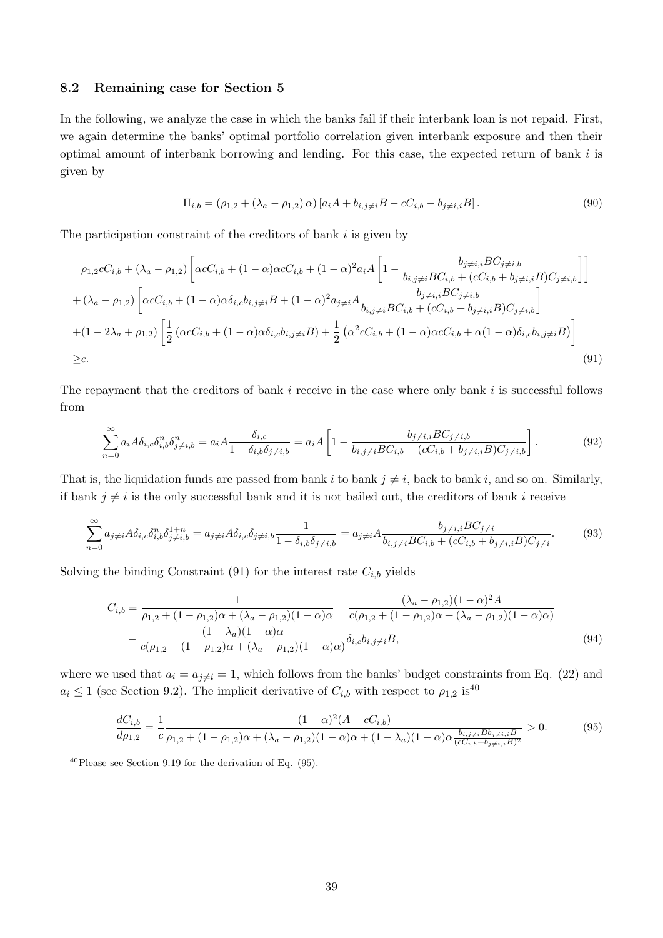#### 8.2 Remaining case for Section 5

In the following, we analyze the case in which the banks fail if their interbank loan is not repaid. First, we again determine the banks' optimal portfolio correlation given interbank exposure and then their optimal amount of interbank borrowing and lending. For this case, the expected return of bank  $i$  is given by

$$
\Pi_{i,b} = (\rho_{1,2} + (\lambda_a - \rho_{1,2}) \alpha) [a_i A + b_{i,j \neq i} B - c C_{i,b} - b_{j \neq i,i} B].
$$
\n(90)

The participation constraint of the creditors of bank  $i$  is given by

$$
\rho_{1,2}cC_{i,b} + (\lambda_a - \rho_{1,2}) \left[ \alpha cC_{i,b} + (1 - \alpha)\alpha cC_{i,b} + (1 - \alpha)^2 a_i A \left[ 1 - \frac{b_{j \neq i,i} BC_{j \neq i,b}}{b_{i,j \neq i} BC_{i,b} + (cC_{i,b} + b_{j \neq i,i} B)C_{j \neq i,b}} \right] \right]
$$
  
+ 
$$
(\lambda_a - \rho_{1,2}) \left[ \alpha cC_{i,b} + (1 - \alpha)\alpha \delta_{i,c} b_{i,j \neq i} B + (1 - \alpha)^2 a_{j \neq i} A \frac{b_{j \neq i,i} BC_{j \neq i,b}}{b_{i,j \neq i} BC_{i,b} + (cC_{i,b} + b_{j \neq i,i} B)C_{j \neq i,b}} \right]
$$
  
+ 
$$
(1 - 2\lambda_a + \rho_{1,2}) \left[ \frac{1}{2} \left( \alpha cC_{i,b} + (1 - \alpha)\alpha \delta_{i,c} b_{i,j \neq i} B \right) + \frac{1}{2} \left( \alpha^2 cC_{i,b} + (1 - \alpha)\alpha cC_{i,b} + \alpha (1 - \alpha)\delta_{i,c} b_{i,j \neq i} B \right) \right]
$$
  
\n
$$
\geq c.
$$
 (91)

The repayment that the creditors of bank  $i$  receive in the case where only bank  $i$  is successful follows from

$$
\sum_{n=0}^{\infty} a_i A \delta_{i,c} \delta_{i,b}^n \delta_{j \neq i,b}^n = a_i A \frac{\delta_{i,c}}{1 - \delta_{i,b} \delta_{j \neq i,b}} = a_i A \left[ 1 - \frac{b_{j \neq i,i} BC_{j \neq i,b}}{b_{i,j \neq i} BC_{i,b} + (cC_{i,b} + b_{j \neq i,i} B) C_{j \neq i,b}} \right].
$$
\n(92)

That is, the liquidation funds are passed from bank  $i$  to bank  $j \neq i$ , back to bank i, and so on. Similarly, if bank  $j \neq i$  is the only successful bank and it is not bailed out, the creditors of bank i receive

$$
\sum_{n=0}^{\infty} a_{j\neq i} A \delta_{i,c} \delta_{i,b}^{n} \delta_{j\neq i,b}^{1+n} = a_{j\neq i} A \delta_{i,c} \delta_{j\neq i,b} \frac{1}{1 - \delta_{i,b} \delta_{j\neq i,b}} = a_{j\neq i} A \frac{b_{j\neq i,i} BC_{j\neq i}}{b_{i,j\neq i} BC_{i,b} + (cC_{i,b} + b_{j\neq i,i} B)C_{j\neq i}}.
$$
(93)

Solving the binding Constraint (91) for the interest rate  $C_{i,b}$  yields

$$
C_{i,b} = \frac{1}{\rho_{1,2} + (1 - \rho_{1,2})\alpha + (\lambda_a - \rho_{1,2})(1 - \alpha)\alpha} - \frac{(\lambda_a - \rho_{1,2})(1 - \alpha)^2 A}{c(\rho_{1,2} + (1 - \rho_{1,2})\alpha + (\lambda_a - \rho_{1,2})(1 - \alpha)\alpha)}
$$

$$
-\frac{(1 - \lambda_a)(1 - \alpha)\alpha}{c(\rho_{1,2} + (1 - \rho_{1,2})\alpha + (\lambda_a - \rho_{1,2})(1 - \alpha)\alpha)} \delta_{i,c} b_{i,j} \neq iB,
$$
(94)

where we used that  $a_i = a_{i \neq i} = 1$ , which follows from the banks' budget constraints from Eq. (22) and  $a_i \leq 1$  (see Section 9.2). The implicit derivative of  $C_{i,b}$  with respect to  $\rho_{1,2}$  is<sup>40</sup>

$$
\frac{dC_{i,b}}{d\rho_{1,2}} = \frac{1}{c} \frac{(1-\alpha)^2 (A - cC_{i,b})}{\rho_{1,2} + (1-\rho_{1,2})\alpha + (\lambda_a - \rho_{1,2})(1-\alpha)\alpha + (1-\lambda_a)(1-\alpha)\alpha \frac{b_{i,j\neq i}B_{b_{j\neq i,i}B}}{(cC_{i,b} + b_{j\neq i,i}B)^2}} > 0.
$$
(95)

 $^{40}$ Please see Section 9.19 for the derivation of Eq. (95).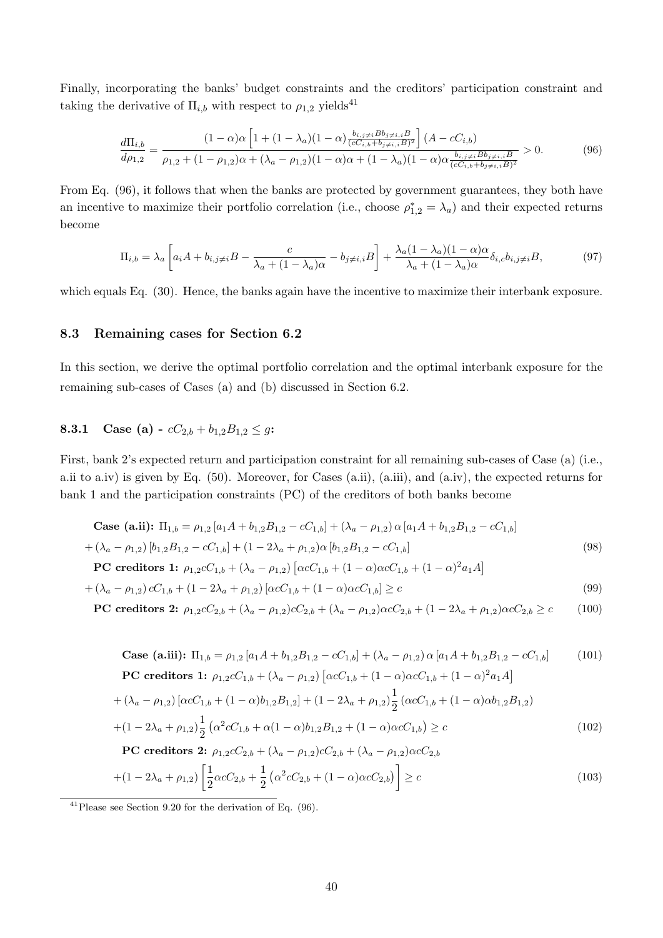Finally, incorporating the banks' budget constraints and the creditors' participation constraint and taking the derivative of  $\Pi_{i,b}$  with respect to  $\rho_{1,2}$  yields<sup>41</sup>

$$
\frac{d\Pi_{i,b}}{d\rho_{1,2}} = \frac{(1-\alpha)\alpha \left[1 + (1-\lambda_a)(1-\alpha)\frac{b_{i,j\neq i}B_{b_{j\neq i,i}B}}{(cC_{i,b} + b_{j\neq i,i}B)^2}\right](A - cC_{i,b})}{\rho_{1,2} + (1-\rho_{1,2})\alpha + (\lambda_a - \rho_{1,2})(1-\alpha)\alpha + (1-\lambda_a)(1-\alpha)\alpha\frac{b_{i,j\neq i}B_{b_{j\neq i,i}B}}{(cC_{i,b} + b_{j\neq i,i}B)^2}} > 0.
$$
\n(96)

From Eq. (96), it follows that when the banks are protected by government guarantees, they both have an incentive to maximize their portfolio correlation (i.e., choose  $\rho_{1,2}^* = \lambda_a$ ) and their expected returns become

$$
\Pi_{i,b} = \lambda_a \left[ a_i A + b_{i,j \neq i} B - \frac{c}{\lambda_a + (1 - \lambda_a)\alpha} - b_{j \neq i,i} B \right] + \frac{\lambda_a (1 - \lambda_a)(1 - \alpha)\alpha}{\lambda_a + (1 - \lambda_a)\alpha} \delta_{i,c} b_{i,j \neq i} B,\tag{97}
$$

which equals Eq. (30). Hence, the banks again have the incentive to maximize their interbank exposure.

### 8.3 Remaining cases for Section 6.2

In this section, we derive the optimal portfolio correlation and the optimal interbank exposure for the remaining sub-cases of Cases (a) and (b) discussed in Section 6.2.

# 8.3.1 Case (a) -  $cC_{2,b} + b_{1,2}B_{1,2} \leq g$ :

First, bank 2's expected return and participation constraint for all remaining sub-cases of Case (a) (i.e., a.ii to a.iv) is given by Eq. (50). Moreover, for Cases (a.ii), (a.iii), and (a.iv), the expected returns for bank 1 and the participation constraints (PC) of the creditors of both banks become

Case (a.ii): 
$$
\Pi_{1,b} = \rho_{1,2} [a_1 A + b_{1,2} B_{1,2} - c C_{1,b}] + (\lambda_a - \rho_{1,2}) \alpha [a_1 A + b_{1,2} B_{1,2} - c C_{1,b}]
$$
  
  $+ (\lambda_a - \rho_{1,2}) [b_{1,2} B_{1,2} - c C_{1,b}] + (1 - 2\lambda_a + \rho_{1,2}) \alpha [b_{1,2} B_{1,2} - c C_{1,b}]$  (98)

$$
PC creditors 1: \rho_{1,2}cC_{1,b} + (\lambda_a - \rho_{1,2}) [\alpha cC_{1,b} + (1 - \alpha)\alpha cC_{1,b} + (1 - \alpha)^2 a_1 A]
$$

$$
+(\lambda_a - \rho_{1,2}) cC_{1,b} + (1 - 2\lambda_a + \rho_{1,2}) [\alpha cC_{1,b} + (1 - \alpha)\alpha cC_{1,b}] \ge c
$$
\n(99)

$$
\text{PC credentials 2: } \rho_{1,2}cC_{2,b} + (\lambda_a - \rho_{1,2})cC_{2,b} + (\lambda_a - \rho_{1,2})\alpha cC_{2,b} + (1 - 2\lambda_a + \rho_{1,2})\alpha cC_{2,b} \ge c \tag{100}
$$

Case (a.iii): 
$$
\Pi_{1,b} = \rho_{1,2} [a_1 A + b_{1,2} B_{1,2} - cC_{1,b}] + (\lambda_a - \rho_{1,2}) \alpha [a_1 A + b_{1,2} B_{1,2} - cC_{1,b}]
$$
 (101)  
\n**PC credits 1:**  $\rho_{1,2} cC_{1,b} + (\lambda_a - \rho_{1,2}) [\alpha cC_{1,b} + (1 - \alpha) \alpha cC_{1,b} + (1 - \alpha)^2 a_1 A]$   
\n $+ (\lambda_a - \rho_{1,2}) [\alpha cC_{1,b} + (1 - \alpha) b_{1,2} B_{1,2}] + (1 - 2\lambda_a + \rho_{1,2}) \frac{1}{2} (\alpha cC_{1,b} + (1 - \alpha) \alpha b_{1,2} B_{1,2})$   
\n $+ (1 - 2\lambda_a + \rho_{1,2}) \frac{1}{2} (\alpha^2 cC_{1,b} + \alpha (1 - \alpha) b_{1,2} B_{1,2} + (1 - \alpha) \alpha cC_{1,b}) \ge c$   
\n**PC credits 2:**  $\rho_{1,2} cC_{2,b} + (\lambda_a - \rho_{1,2}) cC_{2,b} + (\lambda_a - \rho_{1,2}) \alpha cC_{2,b}$   
\n $+ (1 - 2\lambda_a + \rho_{1,2}) \left[ \frac{1}{2} \alpha cC_{2,b} + \frac{1}{2} (\alpha^2 cC_{2,b} + (1 - \alpha) \alpha cC_{2,b}) \right] \ge c$  (103)

 $41$ Please see Section 9.20 for the derivation of Eq. (96).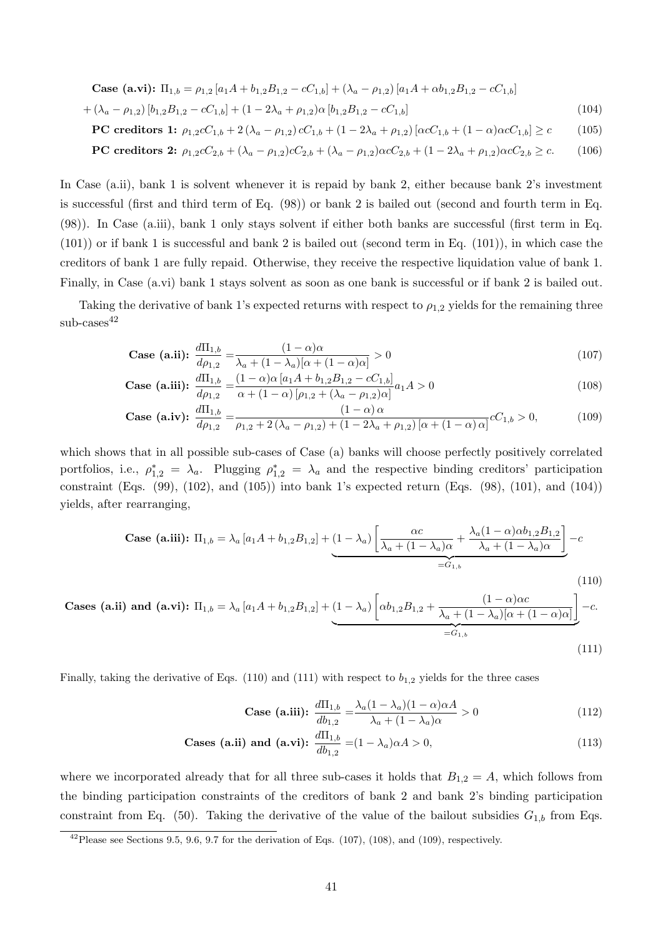Case (a.vi): 
$$
\Pi_{1,b} = \rho_{1,2} [a_1 A + b_{1,2} B_{1,2} - c C_{1,b}] + (\lambda_a - \rho_{1,2}) [a_1 A + \alpha b_{1,2} B_{1,2} - c C_{1,b}]
$$
  
  $+ (\lambda_a - \rho_{1,2}) [b_{1,2} B_{1,2} - c C_{1,b}] + (1 - 2\lambda_a + \rho_{1,2}) \alpha [b_{1,2} B_{1,2} - c C_{1,b}]$  (104)

$$
\text{PC credits} \quad 1; \quad \rho_{1,2} C_{1,b} + 2 \left( \lambda_a - \rho_{1,2} \right) c C_{1,b} + (1 - 2\lambda_a + \rho_{1,2}) \left[ \alpha c C_{1,b} + (1 - \alpha) \alpha c C_{1,b} \right] \ge c \tag{105}
$$

**PC creditors 2:** 
$$
\rho_{1,2}cC_{2,b} + (\lambda_a - \rho_{1,2})cC_{2,b} + (\lambda_a - \rho_{1,2})\alpha cC_{2,b} + (1 - 2\lambda_a + \rho_{1,2})\alpha cC_{2,b} \geq c.
$$
 (106)

In Case (a.ii), bank 1 is solvent whenever it is repaid by bank 2, either because bank 2's investment is successful (first and third term of Eq. (98)) or bank 2 is bailed out (second and fourth term in Eq. (98)). In Case (a.iii), bank 1 only stays solvent if either both banks are successful (first term in Eq.  $(101)$ ) or if bank 1 is successful and bank 2 is bailed out (second term in Eq.  $(101)$ ), in which case the creditors of bank 1 are fully repaid. Otherwise, they receive the respective liquidation value of bank 1. Finally, in Case (a.vi) bank 1 stays solvent as soon as one bank is successful or if bank 2 is bailed out.

Taking the derivative of bank 1's expected returns with respect to  $\rho_{1,2}$  yields for the remaining three  $sub-cases<sup>42</sup>$ 

Case (a.ii): 
$$
\frac{d\Pi_{1,b}}{d\rho_{1,2}} = \frac{(1-\alpha)\alpha}{\lambda_a + (1-\lambda_a)[\alpha + (1-\alpha)\alpha]} > 0
$$
 (107)

Case (a.iii): 
$$
\frac{d\Pi_{1,b}}{d\rho_{1,2}} = \frac{(1-\alpha)\alpha \left[a_1 A + b_{1,2} B_{1,2} - c C_{1,b}\right]}{\alpha + (1-\alpha) \left[\rho_{1,2} + (\lambda_a - \rho_{1,2})\alpha\right]} a_1 A > 0
$$
\n(108)

Case (a.iv): 
$$
\frac{d\Pi_{1,b}}{d\rho_{1,2}} = \frac{(1-\alpha)\alpha}{\rho_{1,2} + 2(\lambda_a - \rho_{1,2}) + (1-2\lambda_a + \rho_{1,2})[\alpha + (1-\alpha)\alpha]}cC_{1,b} > 0,
$$
 (109)

which shows that in all possible sub-cases of Case (a) banks will choose perfectly positively correlated portfolios, i.e.,  $\rho_{1,2}^* = \lambda_a$ . Plugging  $\rho_{1,2}^* = \lambda_a$  and the respective binding creditors' participation constraint (Eqs. (99), (102), and (105)) into bank 1's expected return (Eqs. (98), (101), and (104)) yields, after rearranging,

Case (a.iii): 
$$
\Pi_{1,b} = \lambda_a [a_1 A + b_{1,2} B_{1,2}] + (1 - \lambda_a) \left[ \frac{\alpha c}{\lambda_a + (1 - \lambda_a)\alpha} + \frac{\lambda_a (1 - \alpha) \alpha b_{1,2} B_{1,2}}{\lambda_a + (1 - \lambda_a)\alpha} \right] - c
$$
  
=  $G_{1,b}$  (110)

**Cases (a.ii) and (a.vi):** 
$$
\Pi_{1,b} = \lambda_a [a_1 A + b_{1,2} B_{1,2}] + (1 - \lambda_a) \left[ \alpha b_{1,2} B_{1,2} + \frac{(1 - \alpha) \alpha c}{\lambda_a + (1 - \lambda_a) [\alpha + (1 - \alpha) \alpha]} \right] - c.
$$
  

$$
= G_{1,b}
$$
 (111)

Finally, taking the derivative of Eqs. (110) and (111) with respect to  $b_{1,2}$  yields for the three cases

Case (a.iii): 
$$
\frac{d\Pi_{1,b}}{db_{1,2}} = \frac{\lambda_a (1 - \lambda_a)(1 - \alpha)\alpha A}{\lambda_a + (1 - \lambda_a)\alpha} > 0
$$
 (112)

**Cases (a.ii) and (a.vi):** 
$$
\frac{d\Pi_{1,b}}{db_{1,2}} = (1 - \lambda_a)\alpha A > 0,
$$
 (113)

where we incorporated already that for all three sub-cases it holds that  $B_{1,2} = A$ , which follows from the binding participation constraints of the creditors of bank 2 and bank 2's binding participation constraint from Eq. (50). Taking the derivative of the value of the bailout subsidies  $G_{1,b}$  from Eqs.

<sup>&</sup>lt;sup>42</sup>Please see Sections 9.5, 9.6, 9.7 for the derivation of Eqs.  $(107)$ ,  $(108)$ , and  $(109)$ , respectively.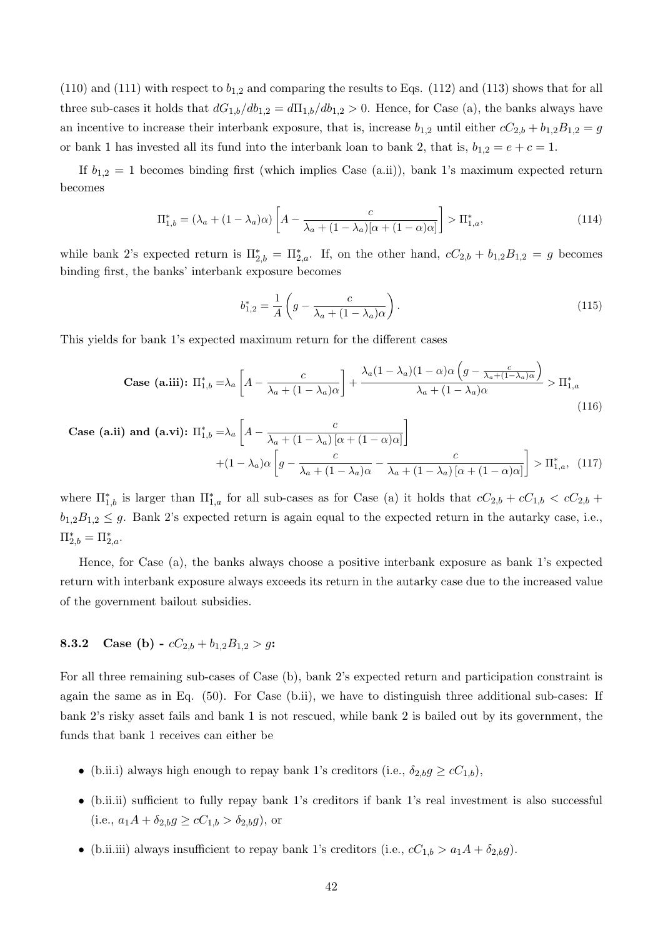$(110)$  and  $(111)$  with respect to  $b_{1,2}$  and comparing the results to Eqs.  $(112)$  and  $(113)$  shows that for all three sub-cases it holds that  $dG_{1,b}/db_{1,2} = d\Pi_{1,b}/db_{1,2} > 0$ . Hence, for Case (a), the banks always have an incentive to increase their interbank exposure, that is, increase  $b_{1,2}$  until either  $cC_{2,b} + b_{1,2}B_{1,2} = g$ or bank 1 has invested all its fund into the interbank loan to bank 2, that is,  $b_{1,2} = e + c = 1$ .

If  $b_{1,2} = 1$  becomes binding first (which implies Case (a.ii)), bank 1's maximum expected return becomes

$$
\Pi_{1,b}^* = (\lambda_a + (1 - \lambda_a)\alpha) \left[ A - \frac{c}{\lambda_a + (1 - \lambda_a)[\alpha + (1 - \alpha)\alpha]} \right] > \Pi_{1,a}^*,\tag{114}
$$

while bank 2's expected return is  $\Pi_{2,b}^* = \Pi_{2,a}^*$ . If, on the other hand,  $cC_{2,b} + b_{1,2}B_{1,2} = g$  becomes binding first, the banks' interbank exposure becomes

$$
b_{1,2}^{*} = \frac{1}{A} \left( g - \frac{c}{\lambda_a + (1 - \lambda_a)\alpha} \right).
$$
 (115)

This yields for bank 1's expected maximum return for the different cases

Case (a.iii): 
$$
\Pi_{1,b}^* = \lambda_a \left[ A - \frac{c}{\lambda_a + (1 - \lambda_a)\alpha} \right] + \frac{\lambda_a (1 - \lambda_a)(1 - \alpha)\alpha \left( g - \frac{c}{\lambda_a + (1 - \lambda_a)\alpha} \right)}{\lambda_a + (1 - \lambda_a)\alpha} > \Pi_{1,a}^*
$$
 (116)

Case (a.ii) and (a.vi): 
$$
\Pi_{1,b}^* = \lambda_a \left[ A - \frac{c}{\lambda_a + (1 - \lambda_a) [\alpha + (1 - \alpha)\alpha]} \right]
$$
  
  $+ (1 - \lambda_a) \alpha \left[ g - \frac{c}{\lambda_a + (1 - \lambda_a) \alpha} - \frac{c}{\lambda_a + (1 - \lambda_a) [\alpha + (1 - \alpha)\alpha]} \right] > \Pi_{1,a}^*,$  (117)

where  $\Pi_{1,b}^*$  is larger than  $\Pi_{1,a}^*$  for all sub-cases as for Case (a) it holds that  $cC_{2,b} + cC_{1,b} < cC_{2,b} + cC_{1,b}$  $b_{1,2}B_{1,2} \leq g$ . Bank 2's expected return is again equal to the expected return in the autarky case, i.e.,  $\Pi_{2,b}^* = \Pi_{2,a}^*$ .

Hence, for Case (a), the banks always choose a positive interbank exposure as bank 1's expected return with interbank exposure always exceeds its return in the autarky case due to the increased value of the government bailout subsidies.

# 8.3.2 Case (b) -  $cC_{2,b} + b_{1,2}B_{1,2} > q$ :

For all three remaining sub-cases of Case (b), bank 2's expected return and participation constraint is again the same as in Eq. (50). For Case (b.ii), we have to distinguish three additional sub-cases: If bank 2's risky asset fails and bank 1 is not rescued, while bank 2 is bailed out by its government, the funds that bank 1 receives can either be

- (b.ii.i) always high enough to repay bank 1's creditors (i.e.,  $\delta_{2,b} g \ge cC_{1,b}$ ),
- ∙ (b.ii.ii) sufficient to fully repay bank 1's creditors if bank 1's real investment is also successful (i.e.,  $a_1 A + \delta_{2,b} g \ge cC_{1,b} > \delta_{2,b} g$ ), or
- (b.ii.iii) always insufficient to repay bank 1's creditors (i.e.,  $cC_{1,b} > a_1A + \delta_{2,b}g$ )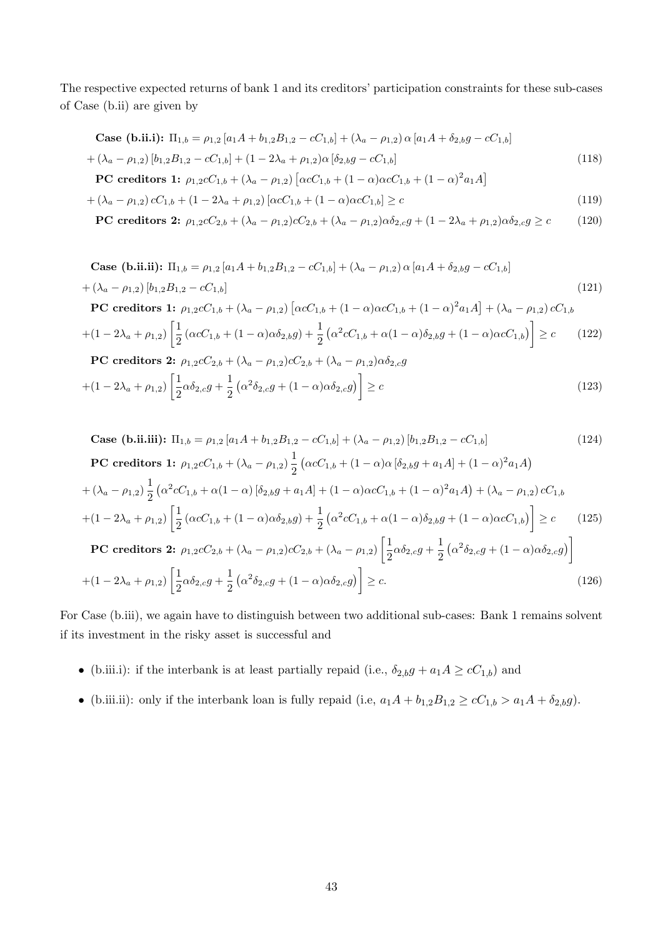The respective expected returns of bank 1 and its creditors' participation constraints for these sub-cases of Case (b.ii) are given by

Case (b.ii.i): 
$$
\Pi_{1,b} = \rho_{1,2} [a_1 A + b_{1,2} B_{1,2} - cC_{1,b}] + (\lambda_a - \rho_{1,2}) \alpha [a_1 A + \delta_{2,b} g - cC_{1,b}]
$$
  
+  $(\lambda_a - \rho_{1,2}) [b_{1,2} B_{1,2} - cC_{1,b}] + (1 - 2\lambda_a + \rho_{1,2}) \alpha [\delta_{2,b} g - cC_{1,b}]$   
PC creditsors 1:  $\rho_{1,2} cC_{1,b} + (\lambda_a - \rho_{1,2}) [\alpha cC_{1,b} + (1 - \alpha) \alpha cC_{1,b} + (1 - \alpha)^2 a_1 A]$  (118)

$$
+ (\lambda_a - \rho_{1,2}) cC_{1,b} + (1 - 2\lambda_a + \rho_{1,2}) [\alpha cC_{1,b} + (1 - \alpha)\alpha cC_{1,b}] \ge c
$$
\n(119)

$$
\text{PC credentials 2: } \rho_{1,2}cC_{2,b} + (\lambda_a - \rho_{1,2})cC_{2,b} + (\lambda_a - \rho_{1,2})\alpha\delta_{2,c}g + (1 - 2\lambda_a + \rho_{1,2})\alpha\delta_{2,c}g \ge c \tag{120}
$$

Case (b.ii.ii): 
$$
\Pi_{1,b} = \rho_{1,2} [a_1 A + b_{1,2} B_{1,2} - cC_{1,b}] + (\lambda_a - \rho_{1,2}) \alpha [a_1 A + \delta_{2,b} g - cC_{1,b}]
$$
  
\n $+ (\lambda_a - \rho_{1,2}) [b_{1,2} B_{1,2} - cC_{1,b}]$   
\nPC creditsors 1:  $\rho_{1,2} cC_{1,b} + (\lambda_a - \rho_{1,2}) [\alpha cC_{1,b} + (1 - \alpha) \alpha cC_{1,b} + (1 - \alpha)^2 a_1 A] + (\lambda_a - \rho_{1,2}) cC_{1,b}$   
\n $+ (1 - 2\lambda_a + \rho_{1,2}) \left[ \frac{1}{2} (\alpha cC_{1,b} + (1 - \alpha) \alpha \delta_{2,b} g) + \frac{1}{2} (\alpha^2 cC_{1,b} + \alpha (1 - \alpha) \delta_{2,b} g + (1 - \alpha) \alpha cC_{1,b}) \right] \ge c$  (122)  
\nPC creditsors 2:  $\rho_{1,2} cC_{2,b} + (\lambda_a - \rho_{1,2}) cC_{2,b} + (\lambda_a - \rho_{1,2}) \alpha \delta_{2,c} g$   
\n $+ (1 - 2\lambda_a + \rho_{1,2}) \left[ \frac{1}{2} \alpha \delta_{2,c} g + \frac{1}{2} (\alpha^2 \delta_{2,c} g + (1 - \alpha) \alpha \delta_{2,c} g) \right] \ge c$  (123)

Case (b.ii.iii): 
$$
\Pi_{1,b} = \rho_{1,2} [a_1 A + b_{1,2} B_{1,2} - cC_{1,b}] + (\lambda_a - \rho_{1,2}) [b_{1,2} B_{1,2} - cC_{1,b}]
$$
 (124)  
\nPC credits as 1:  $\rho_{1,2} cC_{1,b} + (\lambda_a - \rho_{1,2}) \frac{1}{2} (\alpha cC_{1,b} + (1 - \alpha) \alpha [\delta_{2,b} g + a_1 A] + (1 - \alpha)^2 a_1 A)$   
\n $+ (\lambda_a - \rho_{1,2}) \frac{1}{2} (\alpha^2 cC_{1,b} + \alpha (1 - \alpha) [\delta_{2,b} g + a_1 A] + (1 - \alpha) \alpha cC_{1,b} + (1 - \alpha)^2 a_1 A) + (\lambda_a - \rho_{1,2}) cC_{1,b}$   
\n $+ (1 - 2\lambda_a + \rho_{1,2}) \left[ \frac{1}{2} (\alpha cC_{1,b} + (1 - \alpha) \alpha \delta_{2,b} g) + \frac{1}{2} (\alpha^2 cC_{1,b} + \alpha (1 - \alpha) \delta_{2,b} g + (1 - \alpha) \alpha cC_{1,b}) \right] \ge c$  (125)  
\nPC credits as 2:  $\rho_{1,2} cC_{2,b} + (\lambda_a - \rho_{1,2}) cC_{2,b} + (\lambda_a - \rho_{1,2}) \left[ \frac{1}{2} \alpha \delta_{2,c} g + \frac{1}{2} (\alpha^2 \delta_{2,c} g + (1 - \alpha) \alpha \delta_{2,c} g) \right]$   
\n $+ (1 - 2\lambda_a + \rho_{1,2}) \left[ \frac{1}{2} \alpha \delta_{2,c} g + \frac{1}{2} (\alpha^2 \delta_{2,c} g + (1 - \alpha) \alpha \delta_{2,c} g) \right] \ge c.$  (126)

For Case (b.iii), we again have to distinguish between two additional sub-cases: Bank 1 remains solvent if its investment in the risky asset is successful and

- (b.iii.i): if the interbank is at least partially repaid (i.e.,  $\delta_{2,b}g + a_1 A \ge cC_{1,b}$ ) and
- (b.iii.ii): only if the interbank loan is fully repaid (i.e,  $a_1A + b_{1,2}B_{1,2} \ge cC_{1,b} > a_1A + \delta_{2,b}g$ ).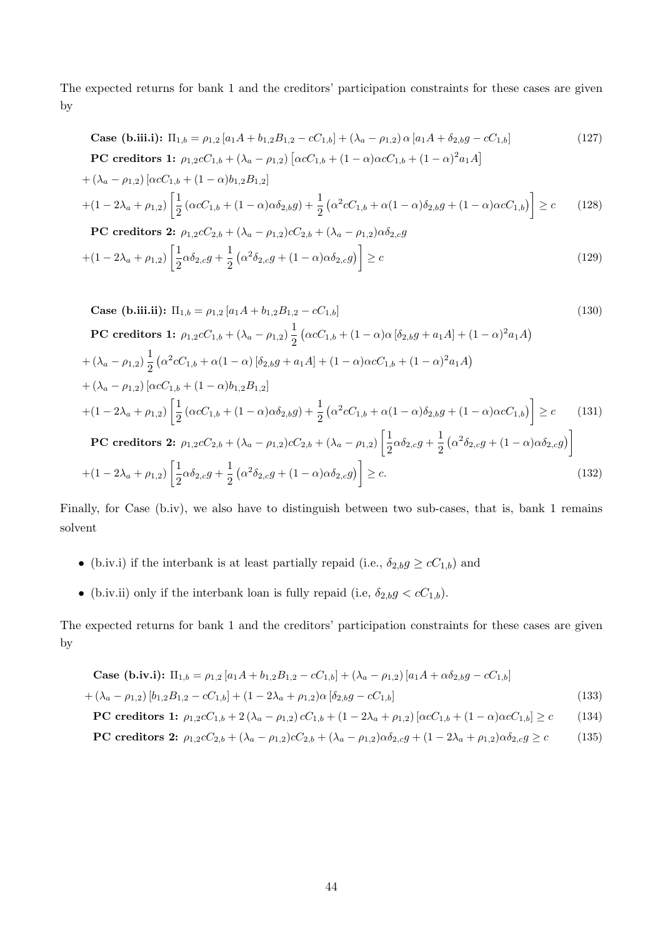The expected returns for bank 1 and the creditors' participation constraints for these cases are given by

Case (b.iii.1): 
$$
\Pi_{1,b} = \rho_{1,2} [a_1 A + b_{1,2} B_{1,2} - c C_{1,b}] + (\lambda_a - \rho_{1,2}) \alpha [a_1 A + \delta_{2,b} g - c C_{1,b}]
$$
  
\nPC creditsors 1:  $\rho_{1,2} c C_{1,b} + (\lambda_a - \rho_{1,2}) [\alpha c C_{1,b} + (1 - \alpha) \alpha c C_{1,b} + (1 - \alpha)^2 a_1 A]$  (127)

$$
+(\lambda_a - \rho_{1,2}) [\alpha c C_{1,b} + (1 - \alpha) b_{1,2} B_{1,2}]
$$
  
+ 
$$
(1 - 2\lambda_a + \rho_{1,2}) \left[ \frac{1}{2} (\alpha c C_{1,b} + (1 - \alpha) \alpha \delta_{2,b} g) + \frac{1}{2} (\alpha^2 c C_{1,b} + \alpha (1 - \alpha) \delta_{2,b} g + (1 - \alpha) \alpha c C_{1,b}) \right] \ge c
$$
(128)

PC creditsors 2: 
$$
\rho_{1,2}cC_{2,b} + (\lambda_a - \rho_{1,2})cC_{2,b} + (\lambda_a - \rho_{1,2})\alpha\delta_{2,c}g
$$
  
  $+ (1 - 2\lambda_a + \rho_{1,2}) \left[ \frac{1}{2} \alpha \delta_{2,c}g + \frac{1}{2} (\alpha^2 \delta_{2,c}g + (1 - \alpha)\alpha \delta_{2,c}g) \right] \ge c$  (129)

Case (b.iii.ii): 
$$
\Pi_{1,b} = \rho_{1,2} [a_1 A + b_{1,2} B_{1,2} - cC_{1,b}]
$$
 (130)  
\nPC creditsors 1:  $\rho_{1,2} cC_{1,b} + (\lambda_a - \rho_{1,2}) \frac{1}{2} (\alpha cC_{1,b} + (1 - \alpha) \alpha [\delta_{2,b} g + a_1 A] + (1 - \alpha)^2 a_1 A)$   
\n $+ (\lambda_a - \rho_{1,2}) \frac{1}{2} (\alpha^2 cC_{1,b} + \alpha (1 - \alpha) [\delta_{2,b} g + a_1 A] + (1 - \alpha) \alpha cC_{1,b} + (1 - \alpha)^2 a_1 A)$   
\n $+ (\lambda_a - \rho_{1,2}) [\alpha cC_{1,b} + (1 - \alpha) b_{1,2} B_{1,2}]$   
\n $+ (1 - 2\lambda_a + \rho_{1,2}) \left[ \frac{1}{2} (\alpha cC_{1,b} + (1 - \alpha) \alpha \delta_{2,b} g) + \frac{1}{2} (\alpha^2 cC_{1,b} + \alpha (1 - \alpha) \delta_{2,b} g + (1 - \alpha) \alpha cC_{1,b}) \right] \ge c$  (131)  
\nPC creditsors 2:  $\rho_{1,2} cC_{2,b} + (\lambda_a - \rho_{1,2}) cC_{2,b} + (\lambda_a - \rho_{1,2}) \left[ \frac{1}{2} \alpha \delta_{2,c} g + \frac{1}{2} (\alpha^2 \delta_{2,c} g + (1 - \alpha) \alpha \delta_{2,c} g) \right]$   
\n $+ (1 - 2\lambda_a + \rho_{1,2}) \left[ \frac{1}{2} \alpha \delta_{2,c} g + \frac{1}{2} (\alpha^2 \delta_{2,c} g + (1 - \alpha) \alpha \delta_{2,c} g) \right] \ge c.$  (132)

Finally, for Case (b.iv), we also have to distinguish between two sub-cases, that is, bank 1 remains solvent

- (b.iv.i) if the interbank is at least partially repaid (i.e.,  $\delta_{2,b} g \ge cC_{1,b}$ ) and
- (b.iv.ii) only if the interbank loan is fully repaid (i.e,  $\delta_{2,b} g < cC_{1,b}$ ).

The expected returns for bank 1 and the creditors' participation constraints for these cases are given by

Case (b.iv.i): 
$$
\Pi_{1,b} = \rho_{1,2} [a_1 A + b_{1,2} B_{1,2} - c C_{1,b}] + (\lambda_a - \rho_{1,2}) [a_1 A + \alpha \delta_{2,b} g - c C_{1,b}]
$$
  
  $+ (\lambda_a - \rho_{1,2}) [b_{1,2} B_{1,2} - c C_{1,b}] + (1 - 2\lambda_a + \rho_{1,2}) \alpha [\delta_{2,b} g - c C_{1,b}]$  (133)

$$
\text{PC credentials 1: } \rho_{1,2}c_{1,b} + 2(\lambda_a - \rho_{1,2})c_{1,b} + (1 - 2\lambda_a + \rho_{1,2})\left[\alpha c_{1,b} + (1 - \alpha)\alpha c_{1,b}\right] \ge c \tag{134}
$$

$$
\text{PC credentials 2: } \rho_{1,2}cC_{2,b} + (\lambda_a - \rho_{1,2})cC_{2,b} + (\lambda_a - \rho_{1,2})\alpha\delta_{2,c}g + (1 - 2\lambda_a + \rho_{1,2})\alpha\delta_{2,c}g \ge c \tag{135}
$$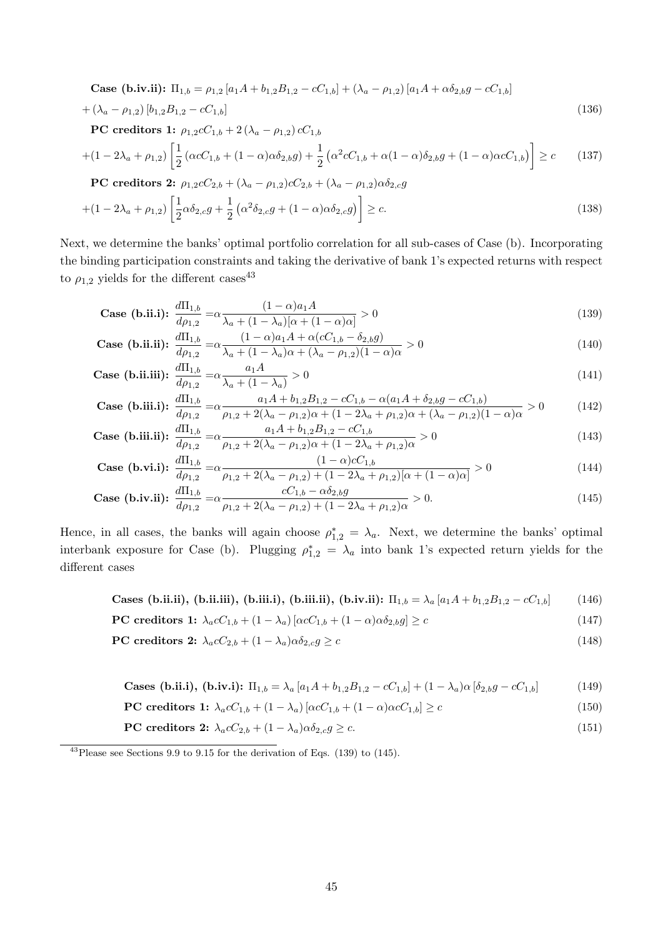Case (b.iv.ii): 
$$
\Pi_{1,b} = \rho_{1,2} [a_1 A + b_{1,2} B_{1,2} - cC_{1,b}] + (\lambda_a - \rho_{1,2}) [a_1 A + \alpha \delta_{2,b} g - cC_{1,b}]
$$
  
\n $+ (\lambda_a - \rho_{1,2}) [b_{1,2} B_{1,2} - cC_{1,b}]$   
\n**PC ereditors** 1:  $\rho_{1,2} cC_{1,b} + 2 (\lambda_a - \rho_{1,2}) cC_{1,b}$   
\n $+ (1 - 2\lambda_a + \rho_{1,2}) \left[ \frac{1}{2} (\alpha cC_{1,b} + (1 - \alpha) \alpha \delta_{2,b} g) + \frac{1}{2} (\alpha^2 cC_{1,b} + \alpha (1 - \alpha) \delta_{2,b} g + (1 - \alpha) \alpha cC_{1,b}) \right] \ge c$  (137)  
\n**PC creditors** 2:  $\rho_{1,2} cC_{2,b} + (\lambda_a - \rho_{1,2}) cC_{2,b} + (\lambda_a - \rho_{1,2}) \alpha \delta_{2,c} g$   
\n $+ (1 - 2\lambda_a + \rho_{1,2}) \left[ \frac{1}{2} \alpha \delta_{2,c} g + \frac{1}{2} (\alpha^2 \delta_{2,c} g + (1 - \alpha) \alpha \delta_{2,c} g) \right] \ge c.$  (138)

Next, we determine the banks' optimal portfolio correlation for all sub-cases of Case (b). Incorporating the binding participation constraints and taking the derivative of bank 1's expected returns with respect to  $\rho_{1,2}$  yields for the different  $\text{cases}^{43}$ 

Case (b.ii.i): 
$$
\frac{d\Pi_{1,b}}{d\rho_{1,2}} = \alpha \frac{(1-\alpha)a_1 A}{\lambda_a + (1-\lambda_a)[\alpha + (1-\alpha)\alpha]} > 0
$$
\n(139)

Case (b.ii.ii): 
$$
\frac{d\Pi_{1,b}}{d\rho_{1,2}} = \alpha \frac{(1-\alpha)a_1A + \alpha(cC_{1,b} - \delta_{2,b}g)}{\lambda_a + (1-\lambda_a)\alpha + (\lambda_a - \rho_{1,2})(1-\alpha)\alpha} > 0
$$
(140)

Case (b.ii.iii): 
$$
\frac{d\Pi_{1,b}}{d\rho_{1,2}} = \alpha \frac{a_1 A}{\lambda_a + (1 - \lambda_a)} > 0
$$
 (141)

Case (b.iii.1): 
$$
\frac{d\Pi_{1,b}}{d\rho_{1,2}} = \alpha \frac{a_1 A + b_{1,2} B_{1,2} - c C_{1,b} - \alpha (a_1 A + \delta_{2,b} g - c C_{1,b})}{\rho_{1,2} + 2(\lambda_a - \rho_{1,2})\alpha + (1 - 2\lambda_a + \rho_{1,2})\alpha + (\lambda_a - \rho_{1,2})(1 - \alpha)\alpha} > 0
$$
(142)

Case (b.iii.ii): 
$$
\frac{d\Pi_{1,b}}{d\rho_{1,2}} = \alpha \frac{a_1 A + b_{1,2} B_{1,2} - cC_{1,b}}{\rho_{1,2} + 2(\lambda_a - \rho_{1,2})\alpha + (1 - 2\lambda_a + \rho_{1,2})\alpha} > 0
$$
\n(143)

Case (b.vi.i): 
$$
\frac{d\Pi_{1,b}}{dp_{1,2}} = \alpha \frac{(1-\alpha)cC_{1,b}}{\rho_{1,2} + 2(\lambda_a - \rho_{1,2}) + (1-2\lambda_a + \rho_{1,2})[\alpha + (1-\alpha)\alpha]} > 0
$$
(144)

Case (b.iv.ii): 
$$
\frac{d\Pi_{1,b}}{d\rho_{1,2}} = \alpha \frac{cC_{1,b} - \alpha \delta_{2,b}g}{\rho_{1,2} + 2(\lambda_a - \rho_{1,2}) + (1 - 2\lambda_a + \rho_{1,2})\alpha} > 0.
$$
 (145)

Hence, in all cases, the banks will again choose  $\rho_{1,2}^* = \lambda_a$ . Next, we determine the banks' optimal interbank exposure for Case (b). Plugging  $\rho_{1,2}^* = \lambda_a$  into bank 1's expected return yields for the different cases

**Cases (b.ii.ii), (b.ii.iii), (b.iii.ii), (b.iii.ii), (b.iv.ii):** 
$$
\Pi_{1,b} = \lambda_a [a_1 A + b_{1,2} B_{1,2} - c C_{1,b}]
$$
 (146)

$$
\text{PC credentials 1: } \lambda_a c C_{1,b} + (1 - \lambda_a) \left[ \alpha c C_{1,b} + (1 - \alpha) \alpha \delta_{2,b} g \right] \ge c \tag{147}
$$

$$
\textbf{PC creditsors 2: } \lambda_a c C_{2,b} + (1 - \lambda_a) \alpha \delta_{2,c} g \ge c \tag{148}
$$

**Cases (b.ii.i), (b.iv.i):** 
$$
\Pi_{1,b} = \lambda_a [a_1 A + b_{1,2} B_{1,2} - c C_{1,b}] + (1 - \lambda_a) \alpha [\delta_{2,b} g - c C_{1,b}]
$$
 (149)

$$
\text{PC credentials 1: } \lambda_a c C_{1,b} + (1 - \lambda_a) \left[ \alpha c C_{1,b} + (1 - \alpha) \alpha c C_{1,b} \right] \ge c \tag{150}
$$

$$
\text{PC credentials 2: } \lambda_a c C_{2,b} + (1 - \lambda_a) \alpha \delta_{2,c} g \ge c. \tag{151}
$$

<sup>43</sup>Please see Sections 9.9 to 9.15 for the derivation of Eqs. (139) to (145).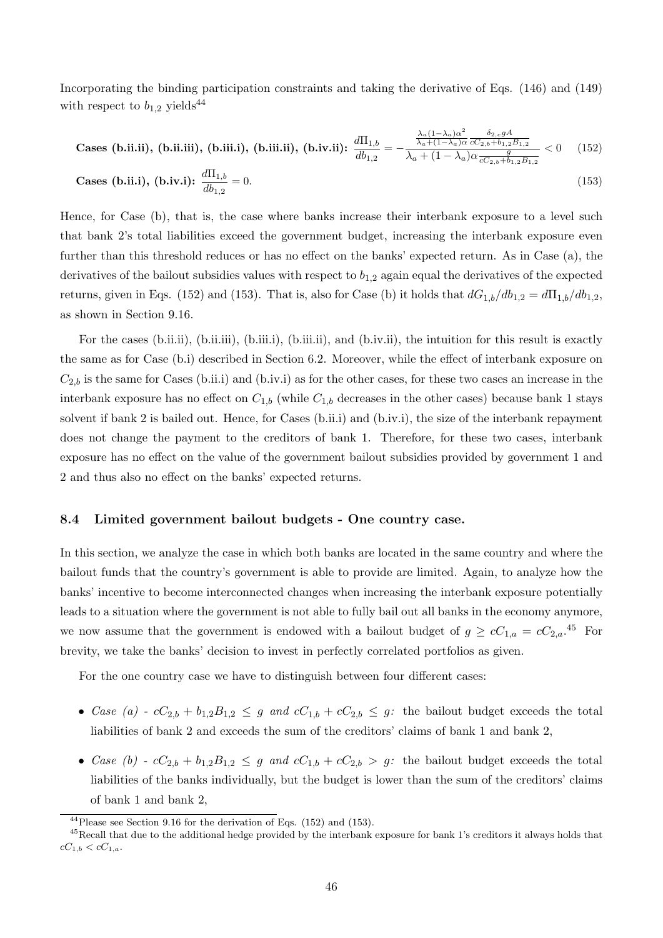Incorporating the binding participation constraints and taking the derivative of Eqs. (146) and (149) with respect to  $b_{1,2}$  yields<sup>44</sup>

**Cases (b.ii.ii), (b.ii.iii), (b.iii.ii), (b.iii.ii), (b.iv.ii):** 
$$
\frac{d\Pi_{1,b}}{db_{1,2}} = -\frac{\frac{\lambda_a (1-\lambda_a)\alpha^2}{\lambda_a + (1-\lambda_a)\alpha} \frac{\delta_{2,c} g A}{cC_{2,b} + b_{1,2}B_{1,2}}}{\lambda_a + (1-\lambda_a)\alpha \frac{g}{cC_{2,b} + b_{1,2}B_{1,2}}} < 0 \quad (152)
$$

**Cases (b.ii.i), (b.iv.i):** 
$$
\frac{d\Pi_{1,b}}{db_{1,2}} = 0.
$$
 (153)

Hence, for Case (b), that is, the case where banks increase their interbank exposure to a level such that bank 2's total liabilities exceed the government budget, increasing the interbank exposure even further than this threshold reduces or has no effect on the banks' expected return. As in Case (a), the derivatives of the bailout subsidies values with respect to  $b_{1,2}$  again equal the derivatives of the expected returns, given in Eqs. (152) and (153). That is, also for Case (b) it holds that  $dG_{1,b}/db_{1,2} = d\Pi_{1,b}/db_{1,2}$ , as shown in Section 9.16.

For the cases (b.ii.ii), (b.ii.iii), (b.iii.i), (b.iii.ii), and (b.iv.ii), the intuition for this result is exactly the same as for Case (b.i) described in Section 6.2. Moreover, while the effect of interbank exposure on  $C_{2,b}$  is the same for Cases (b.ii.i) and (b.iv.i) as for the other cases, for these two cases an increase in the interbank exposure has no effect on  $C_{1,b}$  (while  $C_{1,b}$  decreases in the other cases) because bank 1 stays solvent if bank 2 is bailed out. Hence, for Cases (b.ii.i) and (b.iv.i), the size of the interbank repayment does not change the payment to the creditors of bank 1. Therefore, for these two cases, interbank exposure has no effect on the value of the government bailout subsidies provided by government 1 and 2 and thus also no effect on the banks' expected returns.

## 8.4 Limited government bailout budgets - One country case.

In this section, we analyze the case in which both banks are located in the same country and where the bailout funds that the country's government is able to provide are limited. Again, to analyze how the banks' incentive to become interconnected changes when increasing the interbank exposure potentially leads to a situation where the government is not able to fully bail out all banks in the economy anymore, we now assume that the government is endowed with a bailout budget of  $g \ge cC_{1,a} = cC_{2,a}$ .<sup>45</sup> For brevity, we take the banks' decision to invest in perfectly correlated portfolios as given.

For the one country case we have to distinguish between four different cases:

- Case (a)  $cC_{2,b} + b_{1,2}B_{1,2} \leq g$  and  $cC_{1,b} + cC_{2,b} \leq g$ : the bailout budget exceeds the total liabilities of bank 2 and exceeds the sum of the creditors' claims of bank 1 and bank 2,
- Case (b)  $cC_{2,b} + b_{1,2}B_{1,2} \leq g$  and  $cC_{1,b} + cC_{2,b} > g$ : the bailout budget exceeds the total liabilities of the banks individually, but the budget is lower than the sum of the creditors' claims of bank 1 and bank 2,

 $^{44}$ Please see Section 9.16 for the derivation of Eqs. (152) and (153).

 $^{45}$ Recall that due to the additional hedge provided by the interbank exposure for bank 1's creditors it always holds that  $cC_{1,b} < cC_{1,a}.$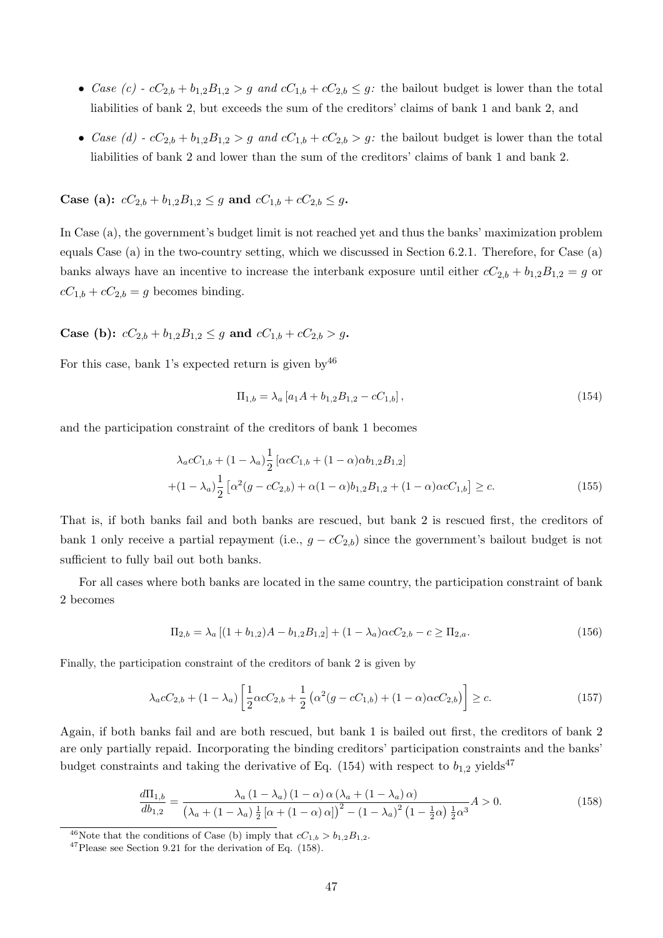- Case (c)  $c_2 b_1 + b_1 a_2 B_1 a_2 > g$  and  $c_1 b_1 + c_2 b_2 \leq g$ : the bailout budget is lower than the total liabilities of bank 2, but exceeds the sum of the creditors' claims of bank 1 and bank 2, and
- Case (d)  $cC_{2,b} + b_{1,2}B_{1,2} > g$  and  $cC_{1,b} + cC_{2,b} > g$ : the bailout budget is lower than the total liabilities of bank 2 and lower than the sum of the creditors' claims of bank 1 and bank 2.

Case (a):  $cC_{2,b} + b_{1,2}B_{1,2} \leq g$  and  $cC_{1,b} + cC_{2,b} \leq g$ .

In Case (a), the government's budget limit is not reached yet and thus the banks' maximization problem equals Case (a) in the two-country setting, which we discussed in Section 6.2.1. Therefore, for Case (a) banks always have an incentive to increase the interbank exposure until either  $cC_{2,b} + b_{1,2}B_{1,2} = g$  or  $cC_{1,b} + cC_{2,b} = g$  becomes binding.

Case (b):  $cC_{2,b} + b_{1,2}B_{1,2} \leq g$  and  $cC_{1,b} + cC_{2,b} > g$ .

For this case, bank 1's expected return is given by  $46$ 

$$
\Pi_{1,b} = \lambda_a \left[ a_1 A + b_{1,2} B_{1,2} - c C_{1,b} \right],\tag{154}
$$

and the participation constraint of the creditors of bank 1 becomes

$$
\lambda_a c C_{1,b} + (1 - \lambda_a) \frac{1}{2} \left[ \alpha c C_{1,b} + (1 - \alpha) \alpha b_{1,2} B_{1,2} \right]
$$
  
 
$$
+ (1 - \lambda_a) \frac{1}{2} \left[ \alpha^2 (g - c C_{2,b}) + \alpha (1 - \alpha) b_{1,2} B_{1,2} + (1 - \alpha) \alpha c C_{1,b} \right] \ge c.
$$
 (155)

That is, if both banks fail and both banks are rescued, but bank 2 is rescued first, the creditors of bank 1 only receive a partial repayment (i.e.,  $g - cC_{2,b}$ ) since the government's bailout budget is not sufficient to fully bail out both banks.

For all cases where both banks are located in the same country, the participation constraint of bank 2 becomes

$$
\Pi_{2,b} = \lambda_a \left[ (1 + b_{1,2})A - b_{1,2}B_{1,2} \right] + (1 - \lambda_a)\alpha c C_{2,b} - c \ge \Pi_{2,a}.
$$
\n(156)

Finally, the participation constraint of the creditors of bank 2 is given by

$$
\lambda_a c C_{2,b} + (1 - \lambda_a) \left[ \frac{1}{2} \alpha c C_{2,b} + \frac{1}{2} \left( \alpha^2 (g - c C_{1,b}) + (1 - \alpha) \alpha c C_{2,b} \right) \right] \ge c. \tag{157}
$$

Again, if both banks fail and are both rescued, but bank 1 is bailed out first, the creditors of bank 2 are only partially repaid. Incorporating the binding creditors' participation constraints and the banks' budget constraints and taking the derivative of Eq. (154) with respect to  $b_{1,2}$  yields<sup>47</sup>

$$
\frac{d\Pi_{1,b}}{db_{1,2}} = \frac{\lambda_a \left(1 - \lambda_a\right) \left(1 - \alpha\right) \alpha \left(\lambda_a + \left(1 - \lambda_a\right) \alpha\right)}{\left(\lambda_a + \left(1 - \lambda_a\right) \frac{1}{2} \left[\alpha + \left(1 - \alpha\right) \alpha\right]\right)^2 - \left(1 - \lambda_a\right)^2 \left(1 - \frac{1}{2}\alpha\right) \frac{1}{2} \alpha^3} A > 0. \tag{158}
$$

<sup>&</sup>lt;sup>46</sup>Note that the conditions of Case (b) imply that  $c_1, b > b_{1,2}B_{1,2}$ .

<sup>47</sup>Please see Section 9.21 for the derivation of Eq. (158).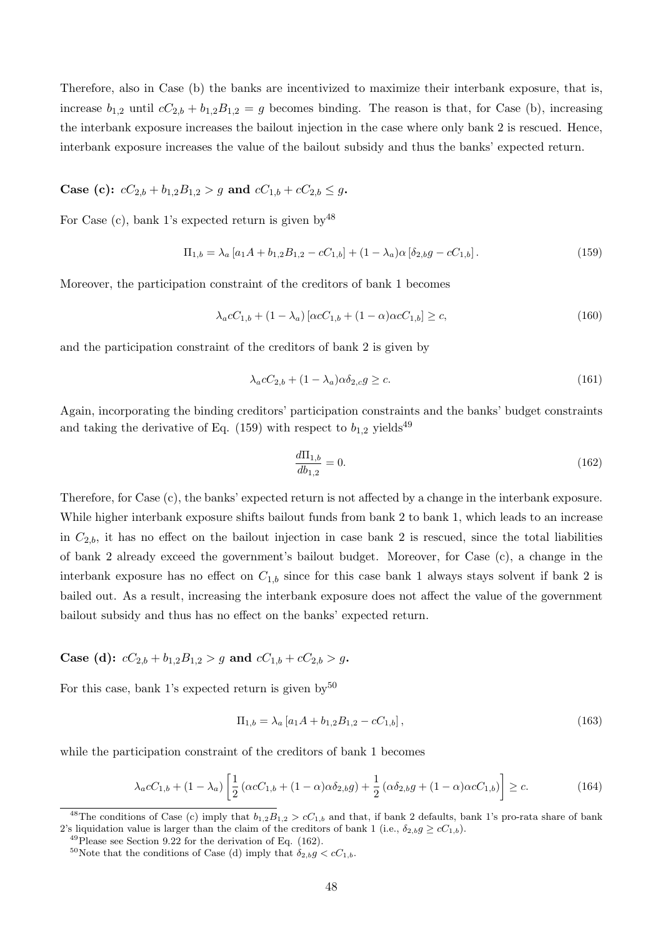Therefore, also in Case (b) the banks are incentivized to maximize their interbank exposure, that is, increase  $b_{1,2}$  until  $cC_{2,b} + b_{1,2}B_{1,2} = g$  becomes binding. The reason is that, for Case (b), increasing the interbank exposure increases the bailout injection in the case where only bank 2 is rescued. Hence, interbank exposure increases the value of the bailout subsidy and thus the banks' expected return.

# Case (c):  $cC_{2,b} + b_{1,2}B_{1,2} > g$  and  $cC_{1,b} + cC_{2,b} \leq g$ .

For Case (c), bank 1's expected return is given by  $48$ 

$$
\Pi_{1,b} = \lambda_a \left[ a_1 A + b_{1,2} B_{1,2} - c C_{1,b} \right] + (1 - \lambda_a) \alpha \left[ \delta_{2,b} g - c C_{1,b} \right]. \tag{159}
$$

Moreover, the participation constraint of the creditors of bank 1 becomes

$$
\lambda_a c C_{1,b} + (1 - \lambda_a) [\alpha c C_{1,b} + (1 - \alpha) \alpha c C_{1,b}] \ge c,
$$
\n(160)

and the participation constraint of the creditors of bank 2 is given by

$$
\lambda_a c C_{2,b} + (1 - \lambda_a) \alpha \delta_{2,c} g \ge c. \tag{161}
$$

Again, incorporating the binding creditors' participation constraints and the banks' budget constraints and taking the derivative of Eq. (159) with respect to  $b_{1,2}$  yields<sup>49</sup>

$$
\frac{d\Pi_{1,b}}{db_{1,2}} = 0.\t(162)
$$

Therefore, for Case (c), the banks' expected return is not affected by a change in the interbank exposure. While higher interbank exposure shifts bailout funds from bank 2 to bank 1, which leads to an increase in  $C_{2,b}$ , it has no effect on the bailout injection in case bank 2 is rescued, since the total liabilities of bank 2 already exceed the government's bailout budget. Moreover, for Case (c), a change in the interbank exposure has no effect on  $C_{1,b}$  since for this case bank 1 always stays solvent if bank 2 is bailed out. As a result, increasing the interbank exposure does not affect the value of the government bailout subsidy and thus has no effect on the banks' expected return.

# Case (d):  $cC_{2,b} + b_{1,2}B_{1,2} > g$  and  $cC_{1,b} + cC_{2,b} > g$ .

For this case, bank 1's expected return is given by  $50$ 

$$
\Pi_{1,b} = \lambda_a \left[ a_1 A + b_{1,2} B_{1,2} - c C_{1,b} \right],\tag{163}
$$

while the participation constraint of the creditors of bank 1 becomes

$$
\lambda_a c C_{1,b} + (1 - \lambda_a) \left[ \frac{1}{2} \left( \alpha c C_{1,b} + (1 - \alpha) \alpha \delta_{2,b} g \right) + \frac{1}{2} \left( \alpha \delta_{2,b} g + (1 - \alpha) \alpha c C_{1,b} \right) \right] \ge c. \tag{164}
$$

<sup>&</sup>lt;sup>48</sup>The conditions of Case (c) imply that  $b_{1,2}B_{1,2} > cC_{1,b}$  and that, if bank 2 defaults, bank 1's pro-rata share of bank 2's liquidation value is larger than the claim of the creditors of bank 1 (i.e.,  $\delta_{2,b} g \ge cC_{1,b}$ ).

 $^{49}$ Please see Section 9.22 for the derivation of Eq. (162).

<sup>&</sup>lt;sup>50</sup>Note that the conditions of Case (d) imply that  $\delta_{2,b} g < cC_{1,b}$ .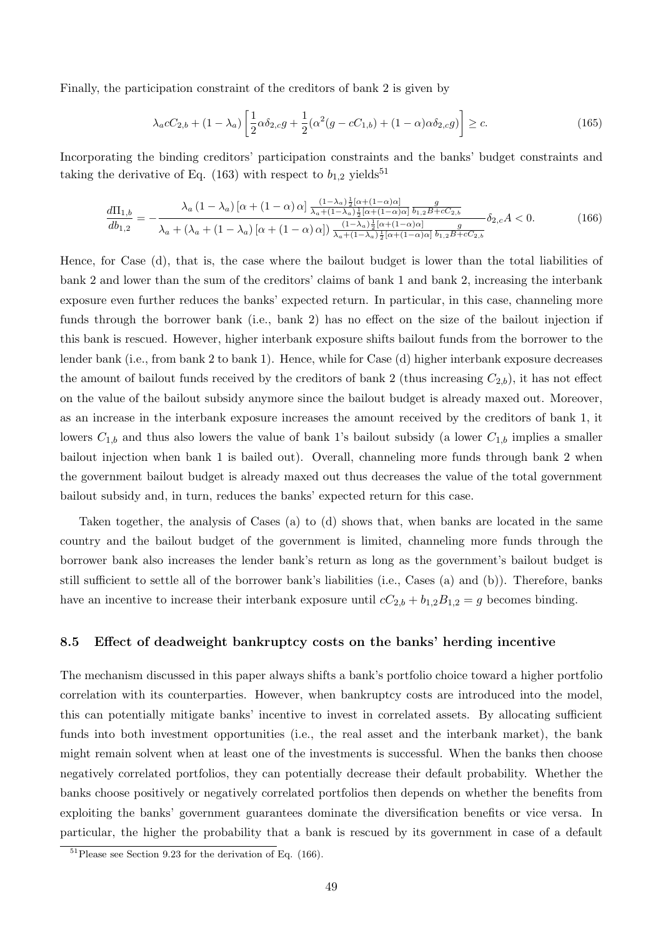Finally, the participation constraint of the creditors of bank 2 is given by

$$
\lambda_a c C_{2,b} + (1 - \lambda_a) \left[ \frac{1}{2} \alpha \delta_{2,c} g + \frac{1}{2} (\alpha^2 (g - c C_{1,b}) + (1 - \alpha) \alpha \delta_{2,c} g) \right] \ge c.
$$
 (165)

Incorporating the binding creditors' participation constraints and the banks' budget constraints and taking the derivative of Eq. (163) with respect to  $b_{1,2}$  yields<sup>51</sup>

$$
\frac{d\Pi_{1,b}}{db_{1,2}} = -\frac{\lambda_a (1 - \lambda_a) [\alpha + (1 - \alpha) \alpha]}{\lambda_a + (\lambda_a + (1 - \lambda_a) [\alpha + (1 - \alpha) \alpha])} \frac{(1 - \lambda_a) \frac{1}{2} [\alpha + (1 - \alpha) \alpha]}{\lambda_a + (1 - \lambda_a) [\alpha + (1 - \alpha) \alpha]} \frac{1}{b_{1,2} B + c C_{2,b}}}{\frac{(1 - \lambda_a) \frac{1}{2} [\alpha + (1 - \alpha) \alpha]}{\lambda_a + (1 - \lambda_a) \frac{1}{2} [\alpha + (1 - \alpha) \alpha]} \frac{g}{b_{1,2} B + c C_{2,b}}} \delta_{2,c} A < 0. \tag{166}
$$

Hence, for Case (d), that is, the case where the bailout budget is lower than the total liabilities of bank 2 and lower than the sum of the creditors' claims of bank 1 and bank 2, increasing the interbank exposure even further reduces the banks' expected return. In particular, in this case, channeling more funds through the borrower bank (i.e., bank 2) has no effect on the size of the bailout injection if this bank is rescued. However, higher interbank exposure shifts bailout funds from the borrower to the lender bank (i.e., from bank 2 to bank 1). Hence, while for Case (d) higher interbank exposure decreases the amount of bailout funds received by the creditors of bank 2 (thus increasing  $C_{2,b}$ ), it has not effect on the value of the bailout subsidy anymore since the bailout budget is already maxed out. Moreover, as an increase in the interbank exposure increases the amount received by the creditors of bank 1, it lowers  $C_{1,b}$  and thus also lowers the value of bank 1's bailout subsidy (a lower  $C_{1,b}$  implies a smaller bailout injection when bank 1 is bailed out). Overall, channeling more funds through bank 2 when the government bailout budget is already maxed out thus decreases the value of the total government bailout subsidy and, in turn, reduces the banks' expected return for this case.

Taken together, the analysis of Cases (a) to (d) shows that, when banks are located in the same country and the bailout budget of the government is limited, channeling more funds through the borrower bank also increases the lender bank's return as long as the government's bailout budget is still sufficient to settle all of the borrower bank's liabilities (i.e., Cases (a) and (b)). Therefore, banks have an incentive to increase their interbank exposure until  $cC_{2,b} + b_{1,2}B_{1,2} = g$  becomes binding.

#### 8.5 Effect of deadweight bankruptcy costs on the banks' herding incentive

The mechanism discussed in this paper always shifts a bank's portfolio choice toward a higher portfolio correlation with its counterparties. However, when bankruptcy costs are introduced into the model, this can potentially mitigate banks' incentive to invest in correlated assets. By allocating sufficient funds into both investment opportunities (i.e., the real asset and the interbank market), the bank might remain solvent when at least one of the investments is successful. When the banks then choose negatively correlated portfolios, they can potentially decrease their default probability. Whether the banks choose positively or negatively correlated portfolios then depends on whether the benefits from exploiting the banks' government guarantees dominate the diversification benefits or vice versa. In particular, the higher the probability that a bank is rescued by its government in case of a default

 $51$ Please see Section 9.23 for the derivation of Eq. (166).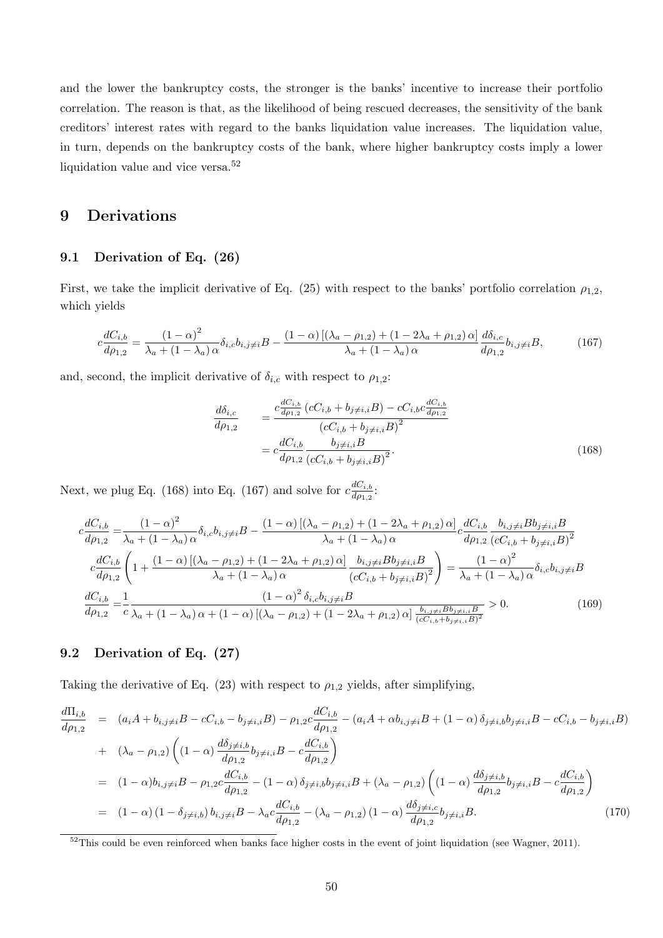and the lower the bankruptcy costs, the stronger is the banks' incentive to increase their portfolio correlation. The reason is that, as the likelihood of being rescued decreases, the sensitivity of the bank creditors' interest rates with regard to the banks liquidation value increases. The liquidation value, in turn, depends on the bankruptcy costs of the bank, where higher bankruptcy costs imply a lower liquidation value and vice versa. $\rm ^{52}$ 

# 9 Derivations

#### 9.1 Derivation of Eq. (26)

First, we take the implicit derivative of Eq. (25) with respect to the banks' portfolio correlation  $\rho_{1,2}$ , which yields

$$
c\frac{dC_{i,b}}{d\rho_{1,2}} = \frac{(1-\alpha)^2}{\lambda_a + (1-\lambda_a)\,\alpha} \delta_{i,c} b_{i,j\neq i} B - \frac{(1-\alpha)\left[ (\lambda_a - \rho_{1,2}) + (1-2\lambda_a + \rho_{1,2})\,\alpha \right]}{\lambda_a + (1-\lambda_a)\,\alpha} \frac{d\delta_{i,c}}{d\rho_{1,2}} b_{i,j\neq i} B,\tag{167}
$$

and, second, the implicit derivative of  $\delta_{i,c}$  with respect to  $\rho_{1,2}$ :

$$
\frac{d\delta_{i,c}}{d\rho_{1,2}} = \frac{c \frac{dC_{i,b}}{d\rho_{1,2}} \left(cC_{i,b} + b_{j \neq i,i}B\right) - cC_{i,b} c \frac{dC_{i,b}}{d\rho_{1,2}}}{\left(cC_{i,b} + b_{j \neq i,i}B\right)^2} \n= c \frac{dC_{i,b}}{d\rho_{1,2}} \frac{b_{j \neq i,i}B}{\left(cC_{i,b} + b_{j \neq i,i}B\right)^2}.
$$
\n(168)

Next, we plug Eq. (168) into Eq. (167) and solve for  $c \frac{dC_{i,b}}{da_{i,b}}$  $\frac{aC_{i,b}}{d\rho_{1,2}}$ :

$$
c\frac{dC_{i,b}}{dp_{1,2}} = \frac{(1-\alpha)^2}{\lambda_a + (1-\lambda_a)\alpha} \delta_{i,c} b_{i,j\neq i} B - \frac{(1-\alpha)\left[ (\lambda_a - \rho_{1,2}) + (1-2\lambda_a + \rho_{1,2})\alpha \right]}{\lambda_a + (1-\lambda_a)\alpha} c \frac{dC_{i,b}}{dp_{1,2}} \frac{b_{i,j\neq i} B b_{j\neq i,i} B}{(cC_{i,b} + b_{j\neq i,i}B)^2}
$$

$$
c\frac{dC_{i,b}}{dp_{1,2}} \left( 1 + \frac{(1-\alpha)\left[ (\lambda_a - \rho_{1,2}) + (1-2\lambda_a + \rho_{1,2})\alpha \right]}{\lambda_a + (1-\lambda_a)\alpha} \frac{b_{i,j\neq i} B b_{j\neq i,i} B}{(cC_{i,b} + b_{j\neq i,i}B)^2} \right) = \frac{(1-\alpha)^2}{\lambda_a + (1-\lambda_a)\alpha} \delta_{i,c} b_{i,j\neq i} B
$$

$$
\frac{dC_{i,b}}{dp_{1,2}} = \frac{1}{c} \frac{(1-\alpha)^2 \delta_{i,c} b_{i,j\neq i} B}{\lambda_a + (1-\lambda_a)\alpha + (1-\alpha)\left[ (\lambda_a - \rho_{1,2}) + (1-2\lambda_a + \rho_{1,2})\alpha \right] \frac{b_{i,j\neq i} B b_{j\neq i,i} B}{(cC_{i,b} + b_{j\neq i,i}B)^2}} > 0. \tag{169}
$$

# 9.2 Derivation of Eq. (27)

Taking the derivative of Eq. (23) with respect to  $\rho_{1,2}$  yields, after simplifying,

$$
\frac{d\Pi_{i,b}}{d\rho_{1,2}} = (a_i A + b_{i,j\neq i} B - cC_{i,b} - b_{j\neq i,i} B) - \rho_{1,2} c \frac{dC_{i,b}}{d\rho_{1,2}} - (a_i A + \alpha b_{i,j\neq i} B + (1 - \alpha) \delta_{j\neq i,b} b_{j\neq i,i} B - cC_{i,b} - b_{j\neq i,i} B)
$$
\n
$$
+ (\lambda_a - \rho_{1,2}) \left( (1 - \alpha) \frac{d\delta_{j\neq i,b}}{d\rho_{1,2}} b_{j\neq i,i} B - c \frac{dC_{i,b}}{d\rho_{1,2}} \right)
$$
\n
$$
= (1 - \alpha) b_{i,j\neq i} B - \rho_{1,2} c \frac{dC_{i,b}}{d\rho_{1,2}} - (1 - \alpha) \delta_{j\neq i,b} b_{j\neq i,i} B + (\lambda_a - \rho_{1,2}) \left( (1 - \alpha) \frac{d\delta_{j\neq i,b}}{d\rho_{1,2}} b_{j\neq i,i} B - c \frac{dC_{i,b}}{d\rho_{1,2}} \right)
$$
\n
$$
= (1 - \alpha) (1 - \delta_{j\neq i,b}) b_{i,j\neq i} B - \lambda_a c \frac{dC_{i,b}}{d\rho_{1,2}} - (\lambda_a - \rho_{1,2}) (1 - \alpha) \frac{d\delta_{j\neq i,c}}{d\rho_{1,2}} b_{j\neq i,i} B.
$$
\n(170)

 $52$ This could be even reinforced when banks face higher costs in the event of joint liquidation (see Wagner, 2011).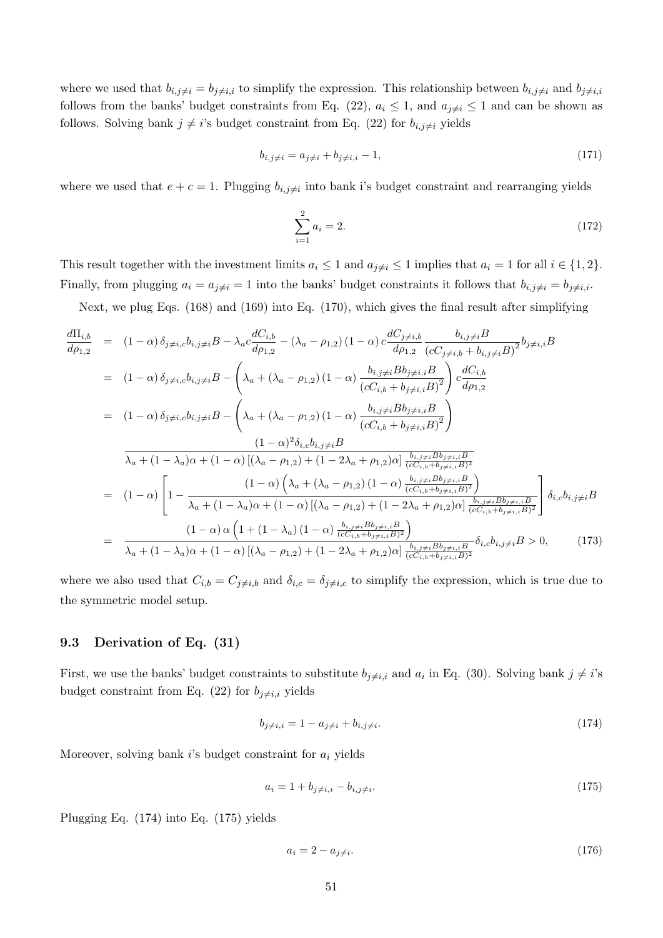where we used that  $b_{i,j\neq i}=b_{j\neq i,i}$  to simplify the expression. This relationship between  $b_{i,j\neq i}$  and  $b_{j\neq i,i}$ follows from the banks' budget constraints from Eq. (22),  $a_i \leq 1$ , and  $a_{j\neq i} \leq 1$  and can be shown as follows. Solving bank  $j \neq i$ 's budget constraint from Eq. (22) for  $b_{i,j\neq i}$  yields

$$
b_{i,j\neq i} = a_{j\neq i} + b_{j\neq i,i} - 1,\tag{171}
$$

where we used that  $e + c = 1$ . Plugging  $b_{i,j\neq i}$  into bank i's budget constraint and rearranging yields

$$
\sum_{i=1}^{2} a_i = 2.
$$
\n(172)

This result together with the investment limits  $a_i \leq 1$  and  $a_{j\neq i} \leq 1$  implies that  $a_i = 1$  for all  $i \in \{1, 2\}$ . Finally, from plugging  $a_i = a_{i \neq i} = 1$  into the banks' budget constraints it follows that  $b_{i,j \neq i} = b_{i \neq i,i}$ .

Next, we plug Eqs. (168) and (169) into Eq. (170), which gives the final result after simplifying

$$
\frac{d\Pi_{i,b}}{d\rho_{1,2}} = (1 - \alpha) \delta_{j \neq i,c} b_{i,j \neq i} B - \lambda_a c \frac{dC_{i,b}}{d\rho_{1,2}} - (\lambda_a - \rho_{1,2}) (1 - \alpha) c \frac{dC_{j \neq i,b}}{d\rho_{1,2}} \frac{b_{i,j \neq i} B}{(cC_{j \neq i,b} + b_{i,j \neq i} B)^2} b_{j \neq i,i} B
$$
\n
$$
= (1 - \alpha) \delta_{j \neq i,c} b_{i,j \neq i} B - \left(\lambda_a + (\lambda_a - \rho_{1,2}) (1 - \alpha) \frac{b_{i,j \neq i} B b_{j \neq i,i} B}{(cC_{i,b} + b_{j \neq i,i} B)^2}\right) c \frac{dC_{i,b}}{d\rho_{1,2}}
$$
\n
$$
= (1 - \alpha) \delta_{j \neq i,c} b_{i,j \neq i} B - \left(\lambda_a + (\lambda_a - \rho_{1,2}) (1 - \alpha) \frac{b_{i,j \neq i} B b_{j \neq i,i} B}{(cC_{i,b} + b_{j \neq i,i} B)^2}\right)
$$
\n
$$
\frac{(1 - \alpha)^2 \delta_{i,c} b_{i,j \neq i} B}{\lambda_a + (1 - \lambda_a) \alpha + (1 - \alpha) \left[ (\lambda_a - \rho_{1,2}) + (1 - 2\lambda_a + \rho_{1,2}) \alpha \right] \frac{b_{i,j \neq i} B b_{j \neq i,i} B}{(cC_{i,b} + b_{j \neq i,i} B)^2}}
$$
\n
$$
= (1 - \alpha) \left[1 - \frac{(1 - \alpha) \left(\lambda_a + (\lambda_a - \rho_{1,2}) (1 - \alpha) \frac{b_{i,j \neq i} B b_{j \neq i,i} B}{(cC_{i,b} + b_{j \neq i,i} B)^2}\right)} \right] \delta_{i,c} b_{i,j \neq i} B
$$
\n
$$
= \frac{(1 - \alpha) \alpha \left(1 + (1 - \lambda_a) \alpha + (1 - \alpha) \left[ (\lambda_a - \rho_{1,2}) + (1 - 2\lambda_a + \rho_{1,2}) \alpha \right] \frac{b_{i,j \neq i} B b_{j \neq i,i} B}{(cC_{i,b} + b_{j \
$$

where we also used that  $C_{i,b} = C_{j \neq i,b}$  and  $\delta_{i,c} = \delta_{j \neq i,c}$  to simplify the expression, which is true due to the symmetric model setup.

#### 9.3 Derivation of Eq. (31)

First, we use the banks' budget constraints to substitute  $b_{j\neq i,i}$  and  $a_i$  in Eq. (30). Solving bank  $j\neq i$ 's budget constraint from Eq. (22) for  $b_{i\neq i,i}$  yields

$$
b_{j \neq i,i} = 1 - a_{j \neq i} + b_{i,j \neq i}.\tag{174}
$$

Moreover, solving bank  $i$ 's budget constraint for  $a_i$  yields

$$
a_i = 1 + b_{j \neq i, i} - b_{i, j \neq i}.\tag{175}
$$

Plugging Eq. (174) into Eq. (175) yields

$$
a_i = 2 - a_{j \neq i}.\tag{176}
$$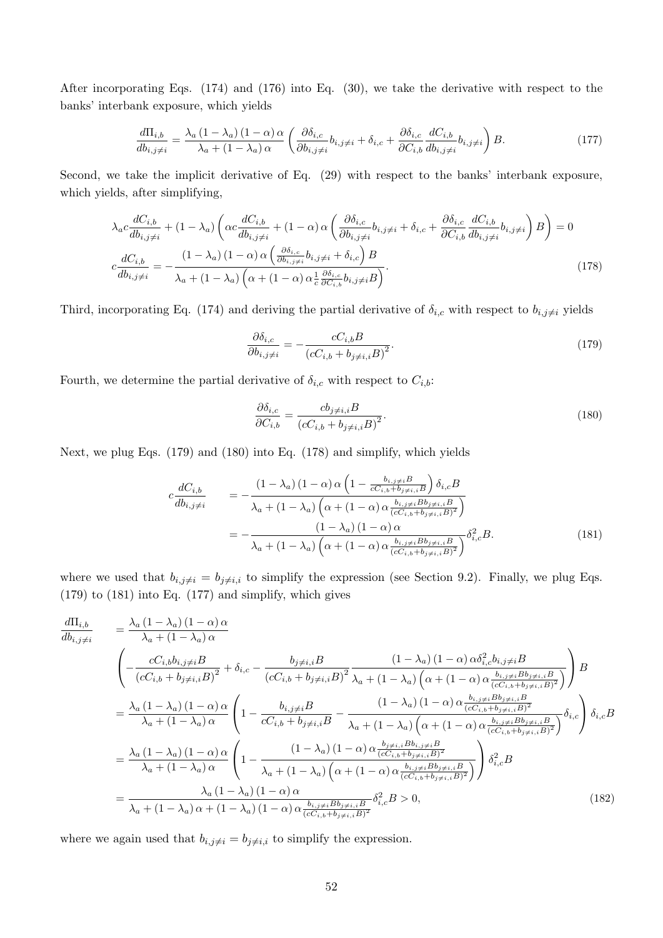After incorporating Eqs. (174) and (176) into Eq. (30), we take the derivative with respect to the banks' interbank exposure, which yields

$$
\frac{d\Pi_{i,b}}{db_{i,j\neq i}} = \frac{\lambda_a (1 - \lambda_a) (1 - \alpha) \alpha}{\lambda_a + (1 - \lambda_a) \alpha} \left( \frac{\partial \delta_{i,c}}{\partial b_{i,j\neq i}} b_{i,j\neq i} + \delta_{i,c} + \frac{\partial \delta_{i,c}}{\partial C_{i,b}} \frac{dC_{i,b}}{db_{i,j\neq i}} b_{i,j\neq i} \right) B. \tag{177}
$$

Second, we take the implicit derivative of Eq. (29) with respect to the banks' interbank exposure, which yields, after simplifying,

$$
\lambda_{a}c \frac{dC_{i,b}}{db_{i,j\neq i}} + (1 - \lambda_{a}) \left( \alpha c \frac{dC_{i,b}}{db_{i,j\neq i}} + (1 - \alpha) \alpha \left( \frac{\partial \delta_{i,c}}{\partial b_{i,j\neq i}} b_{i,j\neq i} + \delta_{i,c} + \frac{\partial \delta_{i,c}}{\partial C_{i,b}} \frac{dC_{i,b}}{db_{i,j\neq i}} b_{i,j\neq i} \right) B \right) = 0
$$
\n
$$
c \frac{dC_{i,b}}{db_{i,j\neq i}} = -\frac{(1 - \lambda_{a}) (1 - \alpha) \alpha \left( \frac{\partial \delta_{i,c}}{\partial b_{i,j\neq i}} b_{i,j\neq i} + \delta_{i,c} \right) B}{\lambda_{a} + (1 - \lambda_{a}) \left( \alpha + (1 - \alpha) \alpha \frac{1}{c} \frac{\partial \delta_{i,c}}{\partial C_{i,b}} b_{i,j\neq i} B \right)}.
$$
\n(178)

Third, incorporating Eq. (174) and deriving the partial derivative of  $\delta_{i,c}$  with respect to  $b_{i,j\neq i}$  yields

$$
\frac{\partial \delta_{i,c}}{\partial b_{i,j\neq i}} = -\frac{cC_{i,b}B}{\left(cC_{i,b} + b_{j\neq i,i}B\right)^2}.\tag{179}
$$

Fourth, we determine the partial derivative of  $\delta_{i,c}$  with respect to  $C_{i,b}$ :

$$
\frac{\partial \delta_{i,c}}{\partial C_{i,b}} = \frac{cb_{j\neq i,i}B}{\left(cC_{i,b} + b_{j\neq i,i}B\right)^2}.
$$
\n(180)

Next, we plug Eqs. (179) and (180) into Eq. (178) and simplify, which yields

$$
c \frac{dC_{i,b}}{db_{i,j\neq i}} = -\frac{(1 - \lambda_a) (1 - \alpha) \alpha \left(1 - \frac{b_{i,j\neq i}B}{cC_{i,b} + b_{j\neq i,i}B}\right) \delta_{i,c}B}{\lambda_a + (1 - \lambda_a) \left(\alpha + (1 - \alpha) \alpha \frac{b_{i,j\neq i}Bb_{j\neq i,i}B}{(cC_{i,b} + b_{j\neq i,i}B)^2}\right)}
$$
  
= 
$$
-\frac{(1 - \lambda_a) (1 - \alpha) \alpha}{\lambda_a + (1 - \lambda_a) \left(\alpha + (1 - \alpha) \alpha \frac{b_{i,j\neq i}Bb_{j\neq i,i}B}{(cC_{i,b} + b_{j\neq i,i}B)^2}\right)} \delta_{i,c}^2 B.
$$
(181)

where we used that  $b_{i,j\neq i} = b_{j\neq i,i}$  to simplify the expression (see Section 9.2). Finally, we plug Eqs. (179) to (181) into Eq. (177) and simplify, which gives

$$
\frac{d\Pi_{i,b}}{db_{i,j\neq i}} = \frac{\lambda_a (1 - \lambda_a)(1 - \alpha) \alpha}{\lambda_a + (1 - \lambda_a) \alpha} \n\left( -\frac{cC_{i,b}b_{i,j\neq i}B}{(cC_{i,b} + b_{j\neq i,i}B)^2} + \delta_{i,c} - \frac{b_{j\neq i,i}B}{(cC_{i,b} + b_{j\neq i,i}B)^2} \frac{(1 - \lambda_a)(1 - \alpha) \alpha \delta_{i,c}^2 b_{i,j\neq i}B}{\lambda_a + (1 - \lambda_a) \left(\alpha + (1 - \alpha) \alpha \frac{b_{i,j\neq i}B b_{j\neq i,i}B}{(cC_{i,b} + b_{j\neq i,i}B)^2}\right)} \right) B \n= \frac{\lambda_a (1 - \lambda_a)(1 - \alpha) \alpha}{\lambda_a + (1 - \lambda_a) \alpha} \left( 1 - \frac{b_{i,j\neq i}B}{cC_{i,b} + b_{j\neq i,i}B} - \frac{(1 - \lambda_a)(1 - \alpha) \alpha \frac{b_{i,j\neq i}B b_{j\neq i,i}B}{(cC_{i,b} + b_{j\neq i,i}B)^2}}{\lambda_a + (1 - \lambda_a) \left(\alpha + (1 - \alpha) \alpha \frac{b_{i,j\neq i}B b_{j\neq i,i}B}{(cC_{i,b} + b_{j\neq i,i}B)^2}\right)} \delta_{i,c} \right) \delta_{i,c} B \n= \frac{\lambda_a (1 - \lambda_a)(1 - \alpha) \alpha}{\lambda_a + (1 - \lambda_a) \alpha} \left( 1 - \frac{(1 - \lambda_a)(1 - \alpha) \alpha \frac{b_{j\neq i,i}B b_{i,j\neq i}B}{(cC_{i,b} + b_{j\neq i,i}B)^2}}{\lambda_a + (1 - \lambda_a) (1 - \alpha) \alpha \frac{b_{i,j\neq i}B b_{j\neq i,i}B}{(cC_{i,b} + b_{j\neq i,i}B)^2}} \right) \delta_{i,c}^2 B \n= \frac{\lambda_a (1 - \lambda_a)(1 - \alpha) \alpha}{\lambda_a + (1 - \lambda_a) \alpha + (1 - \lambda_a) (1 - \alpha) \alpha \frac{b_{i,j\neq i}B b_{j\neq i,i}B}{(cC_{i,b} + b_{j\neq i,i}
$$

where we again used that  $b_{i,j\neq i} = b_{j\neq i,i}$  to simplify the expression.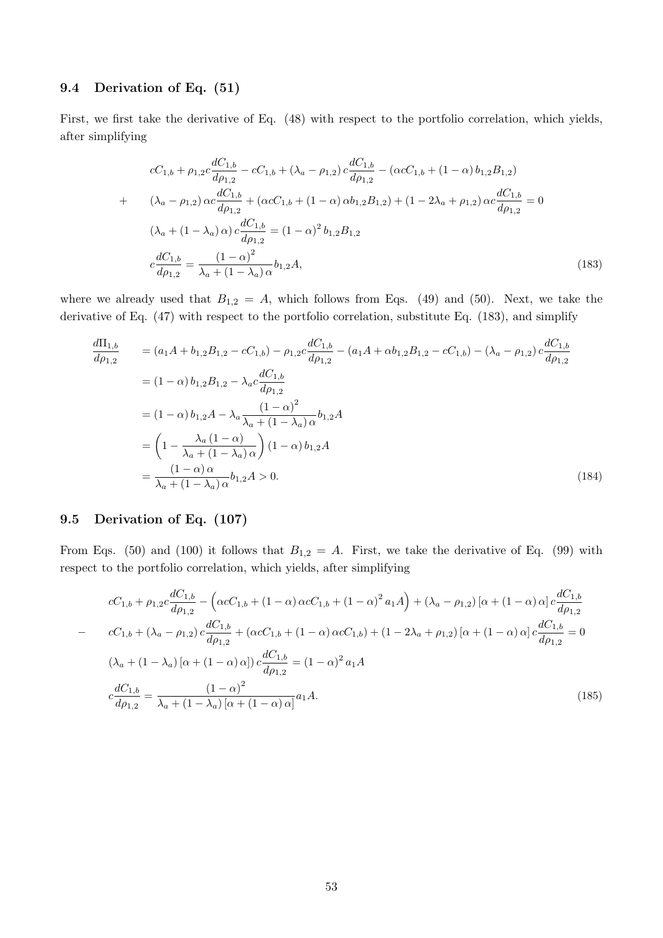# 9.4 Derivation of Eq. (51)

First, we first take the derivative of Eq. (48) with respect to the portfolio correlation, which yields, after simplifying

$$
cC_{1,b} + \rho_{1,2}c \frac{dC_{1,b}}{d\rho_{1,2}} - cC_{1,b} + (\lambda_a - \rho_{1,2}) c \frac{dC_{1,b}}{d\rho_{1,2}} - (\alpha cC_{1,b} + (1 - \alpha) b_{1,2}B_{1,2})
$$
  
+ 
$$
(\lambda_a - \rho_{1,2}) \alpha c \frac{dC_{1,b}}{d\rho_{1,2}} + (\alpha cC_{1,b} + (1 - \alpha) \alpha b_{1,2}B_{1,2}) + (1 - 2\lambda_a + \rho_{1,2}) \alpha c \frac{dC_{1,b}}{d\rho_{1,2}} = 0
$$

$$
(\lambda_a + (1 - \lambda_a) \alpha) c \frac{dC_{1,b}}{d\rho_{1,2}} = (1 - \alpha)^2 b_{1,2}B_{1,2}
$$

$$
c \frac{dC_{1,b}}{d\rho_{1,2}} = \frac{(1 - \alpha)^2}{\lambda_a + (1 - \lambda_a) \alpha} b_{1,2}A,
$$
(183)

where we already used that  $B_{1,2} = A$ , which follows from Eqs. (49) and (50). Next, we take the derivative of Eq. (47) with respect to the portfolio correlation, substitute Eq. (183), and simplify

$$
\frac{d\Pi_{1,b}}{d\rho_{1,2}} = (a_1A + b_{1,2}B_{1,2} - cC_{1,b}) - \rho_{1,2}c\frac{dC_{1,b}}{d\rho_{1,2}} - (a_1A + \alpha b_{1,2}B_{1,2} - cC_{1,b}) - (\lambda_a - \rho_{1,2})c\frac{dC_{1,b}}{d\rho_{1,2}}
$$
\n
$$
= (1 - \alpha) b_{1,2}B_{1,2} - \lambda_a c\frac{dC_{1,b}}{d\rho_{1,2}}
$$
\n
$$
= (1 - \alpha) b_{1,2}A - \lambda_a \frac{(1 - \alpha)^2}{\lambda_a + (1 - \lambda_a)\alpha} b_{1,2}A
$$
\n
$$
= \left(1 - \frac{\lambda_a (1 - \alpha)}{\lambda_a + (1 - \lambda_a)\alpha}\right) (1 - \alpha) b_{1,2}A
$$
\n
$$
= \frac{(1 - \alpha)\alpha}{\lambda_a + (1 - \lambda_a)\alpha} b_{1,2}A > 0.
$$
\n(184)

## 9.5 Derivation of Eq. (107)

From Eqs. (50) and (100) it follows that  $B_{1,2} = A$ . First, we take the derivative of Eq. (99) with respect to the portfolio correlation, which yields, after simplifying

$$
cC_{1,b} + \rho_{1,2}c \frac{dC_{1,b}}{d\rho_{1,2}} - \left(\alpha c C_{1,b} + (1 - \alpha)\alpha c C_{1,b} + (1 - \alpha)^2 a_1 A\right) + (\lambda_a - \rho_{1,2})\left[\alpha + (1 - \alpha)\alpha\right]c \frac{dC_{1,b}}{d\rho_{1,2}}
$$
  
\n
$$
- C_{1,b} + (\lambda_a - \rho_{1,2})c \frac{dC_{1,b}}{d\rho_{1,2}} + \left(\alpha c C_{1,b} + (1 - \alpha)\alpha c C_{1,b}\right) + (1 - 2\lambda_a + \rho_{1,2})\left[\alpha + (1 - \alpha)\alpha\right]c \frac{dC_{1,b}}{d\rho_{1,2}} = 0
$$
  
\n
$$
(\lambda_a + (1 - \lambda_a)\left[\alpha + (1 - \alpha)\alpha\right])c \frac{dC_{1,b}}{d\rho_{1,2}} = (1 - \alpha)^2 a_1 A
$$
  
\n
$$
c \frac{dC_{1,b}}{d\rho_{1,2}} = \frac{(1 - \alpha)^2}{\lambda_a + (1 - \lambda_a)\left[\alpha + (1 - \alpha)\alpha\right]}a_1 A.
$$
  
\n(185)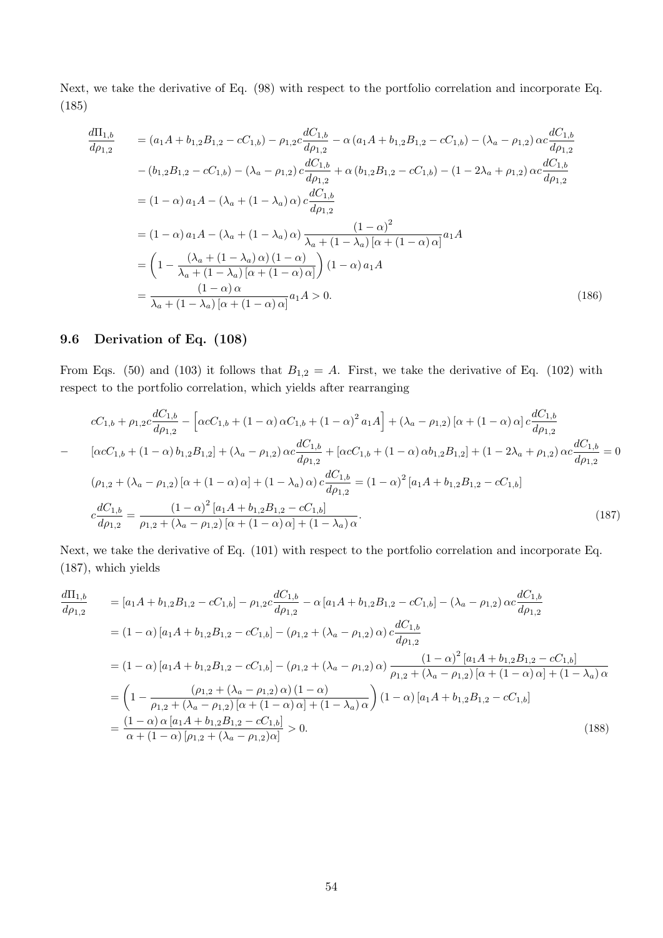Next, we take the derivative of Eq. (98) with respect to the portfolio correlation and incorporate Eq. (185)

$$
\frac{d\Pi_{1,b}}{d\rho_{1,2}} = (a_1A + b_{1,2}B_{1,2} - cC_{1,b}) - \rho_{1,2}c\frac{dC_{1,b}}{d\rho_{1,2}} - \alpha(a_1A + b_{1,2}B_{1,2} - cC_{1,b}) - (\lambda_a - \rho_{1,2})\alpha c\frac{dC_{1,b}}{d\rho_{1,2}}
$$
  
\n
$$
- (b_{1,2}B_{1,2} - cC_{1,b}) - (\lambda_a - \rho_{1,2})c\frac{dC_{1,b}}{d\rho_{1,2}} + \alpha(b_{1,2}B_{1,2} - cC_{1,b}) - (1 - 2\lambda_a + \rho_{1,2})\alpha c\frac{dC_{1,b}}{d\rho_{1,2}}
$$
  
\n
$$
= (1 - \alpha)a_1A - (\lambda_a + (1 - \lambda_a)\alpha)c\frac{dC_{1,b}}{d\rho_{1,2}}
$$
  
\n
$$
= (1 - \alpha)a_1A - (\lambda_a + (1 - \lambda_a)\alpha)\frac{(1 - \alpha)^2}{\lambda_a + (1 - \lambda_a)[\alpha + (1 - \alpha)\alpha]}a_1A
$$
  
\n
$$
= \left(1 - \frac{(\lambda_a + (1 - \lambda_a)\alpha)(1 - \alpha)}{\lambda_a + (1 - \lambda_a)[\alpha + (1 - \alpha)\alpha]} \right)(1 - \alpha)a_1A
$$
  
\n
$$
= \frac{(1 - \alpha)\alpha}{\lambda_a + (1 - \lambda_a)[\alpha + (1 - \alpha)\alpha]}a_1A > 0.
$$
  
\n(186)

# 9.6 Derivation of Eq. (108)

From Eqs. (50) and (103) it follows that  $B_{1,2} = A$ . First, we take the derivative of Eq. (102) with respect to the portfolio correlation, which yields after rearranging

$$
cC_{1,b} + \rho_{1,2}c\frac{dC_{1,b}}{dp_{1,2}} - \left[\alpha cC_{1,b} + (1-\alpha)\alpha C_{1,b} + (1-\alpha)^2 a_1 A\right] + (\lambda_a - \rho_{1,2})\left[\alpha + (1-\alpha)\alpha\right]c\frac{dC_{1,b}}{dp_{1,2}}
$$
  
\n
$$
-\left[\alpha cC_{1,b} + (1-\alpha)b_{1,2}B_{1,2}\right] + (\lambda_a - \rho_{1,2})\alpha c\frac{dC_{1,b}}{dp_{1,2}} + \left[\alpha cC_{1,b} + (1-\alpha)\alpha b_{1,2}B_{1,2}\right] + (1-2\lambda_a + \rho_{1,2})\alpha c\frac{dC_{1,b}}{dp_{1,2}} = 0
$$
  
\n
$$
(\rho_{1,2} + (\lambda_a - \rho_{1,2})\left[\alpha + (1-\alpha)\alpha\right] + (1-\lambda_a)\alpha)c\frac{dC_{1,b}}{dp_{1,2}} = (1-\alpha)^2\left[a_1A + b_{1,2}B_{1,2} - cC_{1,b}\right]
$$
  
\n
$$
c\frac{dC_{1,b}}{dp_{1,2}} = \frac{(1-\alpha)^2\left[a_1A + b_{1,2}B_{1,2} - cC_{1,b}\right]}{\rho_{1,2} + (\lambda_a - \rho_{1,2})\left[\alpha + (1-\alpha)\alpha\right] + (1-\lambda_a)\alpha}.
$$
  
\n(187)

Next, we take the derivative of Eq. (101) with respect to the portfolio correlation and incorporate Eq. (187), which yields

$$
\frac{d\Pi_{1,b}}{dp_{1,2}} = [a_1A + b_{1,2}B_{1,2} - cC_{1,b}] - \rho_{1,2}c\frac{dC_{1,b}}{dp_{1,2}} - \alpha[a_1A + b_{1,2}B_{1,2} - cC_{1,b}] - (\lambda_a - \rho_{1,2})\alpha c\frac{dC_{1,b}}{dp_{1,2}} \n= (1 - \alpha)[a_1A + b_{1,2}B_{1,2} - cC_{1,b}] - (\rho_{1,2} + (\lambda_a - \rho_{1,2})\alpha) c\frac{dC_{1,b}}{dp_{1,2}} \n= (1 - \alpha)[a_1A + b_{1,2}B_{1,2} - cC_{1,b}] - (\rho_{1,2} + (\lambda_a - \rho_{1,2})\alpha) \frac{(1 - \alpha)^2[a_1A + b_{1,2}B_{1,2} - cC_{1,b}]}{\rho_{1,2} + (\lambda_a - \rho_{1,2})[\alpha + (1 - \alpha)\alpha] + (1 - \lambda_a)\alpha} \n= \left(1 - \frac{(\rho_{1,2} + (\lambda_a - \rho_{1,2})\alpha)(1 - \alpha)}{\rho_{1,2} + (\lambda_a - \rho_{1,2})[\alpha + (1 - \alpha)\alpha] + (1 - \lambda_a)\alpha}\right)(1 - \alpha)[a_1A + b_{1,2}B_{1,2} - cC_{1,b}] \n= \frac{(1 - \alpha)\alpha[a_1A + b_{1,2}B_{1,2} - cC_{1,b}]}{\alpha + (1 - \alpha)[\rho_{1,2} + (\lambda_a - \rho_{1,2})\alpha]} > 0.
$$
\n(188)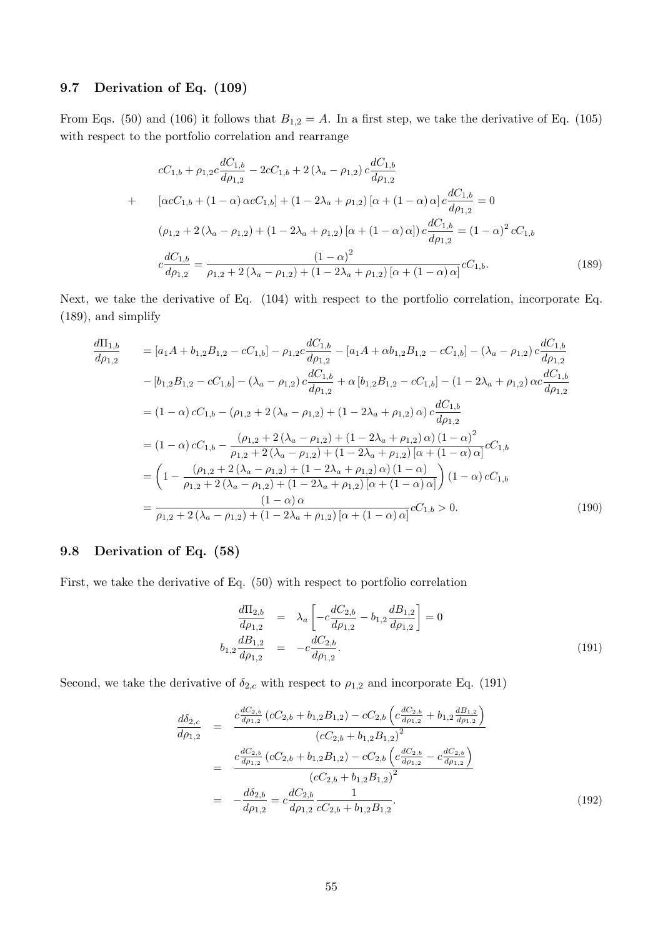# 9.7 Derivation of Eq. (109)

From Eqs. (50) and (106) it follows that  $B_{1,2} = A$ . In a first step, we take the derivative of Eq. (105) with respect to the portfolio correlation and rearrange

$$
cC_{1,b} + \rho_{1,2}c\frac{dC_{1,b}}{d\rho_{1,2}} - 2cC_{1,b} + 2(\lambda_a - \rho_{1,2})c\frac{dC_{1,b}}{d\rho_{1,2}}
$$
  
+ 
$$
[\alpha cC_{1,b} + (1 - \alpha)\alpha cC_{1,b}] + (1 - 2\lambda_a + \rho_{1,2})[\alpha + (1 - \alpha)\alpha]c\frac{dC_{1,b}}{d\rho_{1,2}} = 0
$$
  

$$
(\rho_{1,2} + 2(\lambda_a - \rho_{1,2}) + (1 - 2\lambda_a + \rho_{1,2})[\alpha + (1 - \alpha)\alpha])c\frac{dC_{1,b}}{d\rho_{1,2}} = (1 - \alpha)^2 cC_{1,b}
$$
  

$$
c\frac{dC_{1,b}}{d\rho_{1,2}} = \frac{(1 - \alpha)^2}{\rho_{1,2} + 2(\lambda_a - \rho_{1,2}) + (1 - 2\lambda_a + \rho_{1,2})[\alpha + (1 - \alpha)\alpha]}cC_{1,b}.
$$
 (189)

Next, we take the derivative of Eq. (104) with respect to the portfolio correlation, incorporate Eq. (189), and simplify

$$
\frac{d\Pi_{1,b}}{d\rho_{1,2}} = [a_1A + b_{1,2}B_{1,2} - cC_{1,b}] - \rho_{1,2}c\frac{dC_{1,b}}{d\rho_{1,2}} - [a_1A + \alpha b_{1,2}B_{1,2} - cC_{1,b}] - (\lambda_a - \rho_{1,2})c\frac{dC_{1,b}}{d\rho_{1,2}}
$$
  
\n
$$
- [b_{1,2}B_{1,2} - cC_{1,b}] - (\lambda_a - \rho_{1,2})c\frac{dC_{1,b}}{d\rho_{1,2}} + \alpha [b_{1,2}B_{1,2} - cC_{1,b}] - (1 - 2\lambda_a + \rho_{1,2})\alpha c\frac{dC_{1,b}}{d\rho_{1,2}}
$$
  
\n
$$
= (1 - \alpha) cC_{1,b} - (\rho_{1,2} + 2(\lambda_a - \rho_{1,2}) + (1 - 2\lambda_a + \rho_{1,2})\alpha) c\frac{dC_{1,b}}{d\rho_{1,2}}
$$
  
\n
$$
= (1 - \alpha) cC_{1,b} - \frac{(\rho_{1,2} + 2(\lambda_a - \rho_{1,2}) + (1 - 2\lambda_a + \rho_{1,2})\alpha)(1 - \alpha)^2}{\rho_{1,2} + 2(\lambda_a - \rho_{1,2}) + (1 - 2\lambda_a + \rho_{1,2})\alpha(1 - \alpha)\alpha}cC_{1,b}
$$
  
\n
$$
= \left(1 - \frac{(\rho_{1,2} + 2(\lambda_a - \rho_{1,2}) + (1 - 2\lambda_a + \rho_{1,2})\alpha)(1 - \alpha)}{\rho_{1,2} + 2(\lambda_a - \rho_{1,2}) + (1 - 2\lambda_a + \rho_{1,2})\alpha(1 - \alpha)\alpha}\right)(1 - \alpha) cC_{1,b}
$$
  
\n
$$
= \frac{(1 - \alpha)\alpha}{\rho_{1,2} + 2(\lambda_a - \rho_{1,2}) + (1 - 2\lambda_a + \rho_{1,2})\alpha + (1 - \alpha)\alpha}cC_{1,b} > 0.
$$
  
\n(190)

# 9.8 Derivation of Eq. (58)

First, we take the derivative of Eq. (50) with respect to portfolio correlation

$$
\frac{d\Pi_{2,b}}{d\rho_{1,2}} = \lambda_a \left[ -c \frac{dC_{2,b}}{d\rho_{1,2}} - b_{1,2} \frac{dB_{1,2}}{d\rho_{1,2}} \right] = 0
$$
\n
$$
b_{1,2} \frac{dB_{1,2}}{d\rho_{1,2}} = -c \frac{dC_{2,b}}{d\rho_{1,2}}.
$$
\n(191)

Second, we take the derivative of  $\delta_{2,c}$  with respect to  $\rho_{1,2}$  and incorporate Eq. (191)

$$
\frac{d\delta_{2,c}}{d\rho_{1,2}} = \frac{c \frac{dC_{2,b}}{d\rho_{1,2}} \left(cC_{2,b} + b_{1,2}B_{1,2}\right) - cC_{2,b} \left(c\frac{dC_{2,b}}{d\rho_{1,2}} + b_{1,2}\frac{dB_{1,2}}{d\rho_{1,2}}\right)}{\left(cC_{2,b} + b_{1,2}B_{1,2}\right)^2}
$$
\n
$$
= \frac{c \frac{dC_{2,b}}{d\rho_{1,2}} \left(cC_{2,b} + b_{1,2}B_{1,2}\right) - cC_{2,b} \left(c\frac{dC_{2,b}}{d\rho_{1,2}} - c\frac{dC_{2,b}}{d\rho_{1,2}}\right)}{\left(cC_{2,b} + b_{1,2}B_{1,2}\right)^2}
$$
\n
$$
= -\frac{d\delta_{2,b}}{d\rho_{1,2}} = c\frac{dC_{2,b}}{d\rho_{1,2}} \frac{1}{cC_{2,b} + b_{1,2}B_{1,2}}.
$$
\n(192)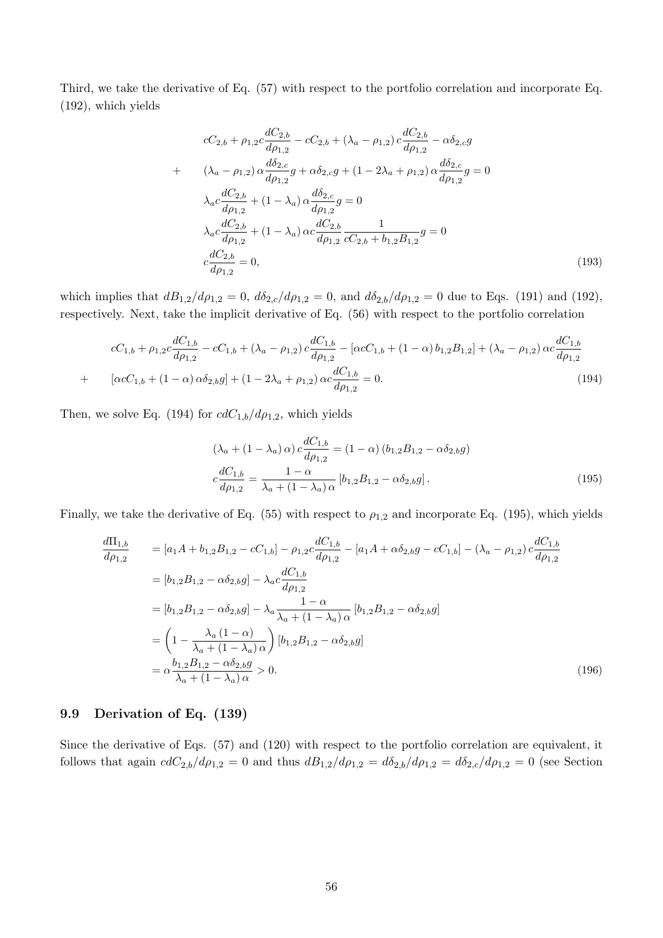Third, we take the derivative of Eq. (57) with respect to the portfolio correlation and incorporate Eq. (192), which yields

$$
cC_{2,b} + \rho_{1,2}c \frac{dC_{2,b}}{d\rho_{1,2}} - cC_{2,b} + (\lambda_a - \rho_{1,2}) c \frac{dC_{2,b}}{d\rho_{1,2}} - \alpha \delta_{2,c}g
$$
  
+ 
$$
(\lambda_a - \rho_{1,2}) \alpha \frac{d\delta_{2,c}}{d\rho_{1,2}}g + \alpha \delta_{2,c}g + (1 - 2\lambda_a + \rho_{1,2}) \alpha \frac{d\delta_{2,c}}{d\rho_{1,2}}g = 0
$$

$$
\lambda_a c \frac{dC_{2,b}}{d\rho_{1,2}} + (1 - \lambda_a) \alpha \frac{d\delta_{2,c}}{d\rho_{1,2}}g = 0
$$

$$
\lambda_a c \frac{dC_{2,b}}{d\rho_{1,2}} + (1 - \lambda_a) \alpha c \frac{dC_{2,b}}{d\rho_{1,2}} \frac{1}{cC_{2,b} + b_{1,2}B_{1,2}}g = 0
$$

$$
c \frac{dC_{2,b}}{d\rho_{1,2}} = 0,
$$
(193)

which implies that  $dB_{1,2}/d\rho_{1,2} = 0$ ,  $d\delta_{2,c}/d\rho_{1,2} = 0$ , and  $d\delta_{2,b}/d\rho_{1,2} = 0$  due to Eqs. (191) and (192), respectively. Next, take the implicit derivative of Eq. (56) with respect to the portfolio correlation

$$
cC_{1,b} + \rho_{1,2}c\frac{dC_{1,b}}{d\rho_{1,2}} - cC_{1,b} + (\lambda_a - \rho_{1,2})c\frac{dC_{1,b}}{d\rho_{1,2}} - [\alpha cC_{1,b} + (1 - \alpha) b_{1,2}B_{1,2}] + (\lambda_a - \rho_{1,2})\alpha c\frac{dC_{1,b}}{d\rho_{1,2}} + [\alpha cC_{1,b} + (1 - \alpha)\alpha\delta_{2,b}g] + (1 - 2\lambda_a + \rho_{1,2})\alpha c\frac{dC_{1,b}}{d\rho_{1,2}} = 0.
$$
\n(194)

Then, we solve Eq. (194) for  $cdC_{1,b}/d\rho_{1,2}$ , which yields

$$
(\lambda_a + (1 - \lambda_a) \alpha) c \frac{dC_{1,b}}{d\rho_{1,2}} = (1 - \alpha) (b_{1,2}B_{1,2} - \alpha \delta_{2,b}g)
$$

$$
c \frac{dC_{1,b}}{d\rho_{1,2}} = \frac{1 - \alpha}{\lambda_a + (1 - \lambda_a) \alpha} [b_{1,2}B_{1,2} - \alpha \delta_{2,b}g].
$$
(195)

Finally, we take the derivative of Eq. (55) with respect to  $\rho_{1,2}$  and incorporate Eq. (195), which yields

$$
\frac{d\Pi_{1,b}}{d\rho_{1,2}} = [a_1A + b_{1,2}B_{1,2} - cC_{1,b}] - \rho_{1,2}c\frac{dC_{1,b}}{d\rho_{1,2}} - [a_1A + \alpha\delta_{2,b}g - cC_{1,b}] - (\lambda_a - \rho_{1,2})c\frac{dC_{1,b}}{d\rho_{1,2}}
$$
\n
$$
= [b_{1,2}B_{1,2} - \alpha\delta_{2,b}g] - \lambda_a c\frac{dC_{1,b}}{d\rho_{1,2}}
$$
\n
$$
= [b_{1,2}B_{1,2} - \alpha\delta_{2,b}g] - \lambda_a \frac{1 - \alpha}{\lambda_a + (1 - \lambda_a)\alpha} [b_{1,2}B_{1,2} - \alpha\delta_{2,b}g]
$$
\n
$$
= \left(1 - \frac{\lambda_a(1 - \alpha)}{\lambda_a + (1 - \lambda_a)\alpha}\right)[b_{1,2}B_{1,2} - \alpha\delta_{2,b}g]
$$
\n
$$
= \alpha \frac{b_{1,2}B_{1,2} - \alpha\delta_{2,b}g}{\lambda_a + (1 - \lambda_a)\alpha} > 0.
$$
\n(196)

#### 9.9 Derivation of Eq. (139)

Since the derivative of Eqs. (57) and (120) with respect to the portfolio correlation are equivalent, it follows that again  $cdC_{2,b}/d\rho_{1,2} = 0$  and thus  $dB_{1,2}/d\rho_{1,2} = d\delta_{2,b}/d\rho_{1,2} = d\delta_{2,c}/d\rho_{1,2} = 0$  (see Section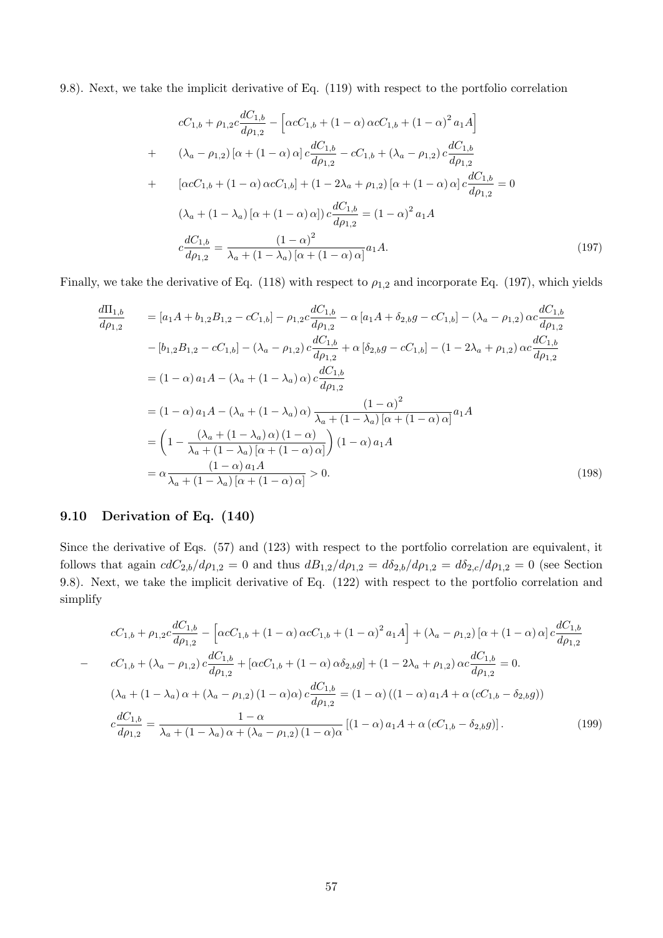9.8). Next, we take the implicit derivative of Eq. (119) with respect to the portfolio correlation

$$
cC_{1,b} + \rho_{1,2}c\frac{dC_{1,b}}{d\rho_{1,2}} - \left[\alpha cC_{1,b} + (1-\alpha)\alpha cC_{1,b} + (1-\alpha)^2 a_1A\right]
$$
  
+ 
$$
(\lambda_a - \rho_{1,2})\left[\alpha + (1-\alpha)\alpha\right]c\frac{dC_{1,b}}{d\rho_{1,2}} - cC_{1,b} + (\lambda_a - \rho_{1,2})c\frac{dC_{1,b}}{d\rho_{1,2}}
$$
  
+ 
$$
\left[\alpha cC_{1,b} + (1-\alpha)\alpha cC_{1,b}\right] + (1-2\lambda_a + \rho_{1,2})\left[\alpha + (1-\alpha)\alpha\right]c\frac{dC_{1,b}}{d\rho_{1,2}} = 0
$$
  

$$
(\lambda_a + (1-\lambda_a)\left[\alpha + (1-\alpha)\alpha\right]c\frac{dC_{1,b}}{d\rho_{1,2}} = (1-\alpha)^2 a_1A
$$
  

$$
c\frac{dC_{1,b}}{d\rho_{1,2}} = \frac{(1-\alpha)^2}{\lambda_a + (1-\lambda_a)\left[\alpha + (1-\alpha)\alpha\right]}a_1A.
$$
 (197)

Finally, we take the derivative of Eq. (118) with respect to  $\rho_{1,2}$  and incorporate Eq. (197), which yields

$$
\frac{d\Pi_{1,b}}{d\rho_{1,2}} = [a_1A + b_{1,2}B_{1,2} - cC_{1,b}] - \rho_{1,2}c\frac{dC_{1,b}}{d\rho_{1,2}} - \alpha[a_1A + \delta_{2,b}g - cC_{1,b}] - (\lambda_a - \rho_{1,2})\alpha c\frac{dC_{1,b}}{d\rho_{1,2}} \n-[b_{1,2}B_{1,2} - cC_{1,b}] - (\lambda_a - \rho_{1,2})c\frac{dC_{1,b}}{d\rho_{1,2}} + \alpha[\delta_{2,b}g - cC_{1,b}] - (1 - 2\lambda_a + \rho_{1,2})\alpha c\frac{dC_{1,b}}{d\rho_{1,2}} \n= (1 - \alpha)a_1A - (\lambda_a + (1 - \lambda_a)\alpha)c\frac{dC_{1,b}}{d\rho_{1,2}} \n= (1 - \alpha)a_1A - (\lambda_a + (1 - \lambda_a)\alpha)\frac{(1 - \alpha)^2}{\lambda_a + (1 - \lambda_a)[\alpha + (1 - \alpha)\alpha]}a_1A \n= \left(1 - \frac{(\lambda_a + (1 - \lambda_a)\alpha)(1 - \alpha)}{\lambda_a + (1 - \lambda_a)[\alpha + (1 - \alpha)\alpha]}\right)(1 - \alpha)a_1A \n= \alpha\frac{(1 - \alpha)a_1A}{\lambda_a + (1 - \lambda_a)[\alpha + (1 - \alpha)\alpha]} > 0.
$$
\n(198)

# 9.10 Derivation of Eq. (140)

Since the derivative of Eqs. (57) and (123) with respect to the portfolio correlation are equivalent, it follows that again  $cdC_{2,b}/d\rho_{1,2} = 0$  and thus  $dB_{1,2}/d\rho_{1,2} = d\delta_{2,b}/d\rho_{1,2} = d\delta_{2,c}/d\rho_{1,2} = 0$  (see Section 9.8). Next, we take the implicit derivative of Eq. (122) with respect to the portfolio correlation and simplify

$$
cC_{1,b} + \rho_{1,2}c\frac{dC_{1,b}}{d\rho_{1,2}} - \left[\alpha cC_{1,b} + (1-\alpha)\alpha cC_{1,b} + (1-\alpha)^2 a_1A\right] + (\lambda_a - \rho_{1,2})\left[\alpha + (1-\alpha)\alpha\right]c\frac{dC_{1,b}}{d\rho_{1,2}}
$$
  
\n
$$
- cC_{1,b} + (\lambda_a - \rho_{1,2})c\frac{dC_{1,b}}{d\rho_{1,2}} + \left[\alpha cC_{1,b} + (1-\alpha)\alpha\delta_{2,b}g\right] + (1-2\lambda_a + \rho_{1,2})\alpha c\frac{dC_{1,b}}{d\rho_{1,2}} = 0.
$$
  
\n
$$
(\lambda_a + (1-\lambda_a)\alpha + (\lambda_a - \rho_{1,2})(1-\alpha)\alpha)c\frac{dC_{1,b}}{d\rho_{1,2}} = (1-\alpha)((1-\alpha)a_1A + \alpha(cC_{1,b} - \delta_{2,b}g))
$$
  
\n
$$
c\frac{dC_{1,b}}{d\rho_{1,2}} = \frac{1-\alpha}{\lambda_a + (1-\lambda_a)\alpha + (\lambda_a - \rho_{1,2})(1-\alpha)\alpha}\left[(1-\alpha)a_1A + \alpha(cC_{1,b} - \delta_{2,b}g)\right].
$$
 (199)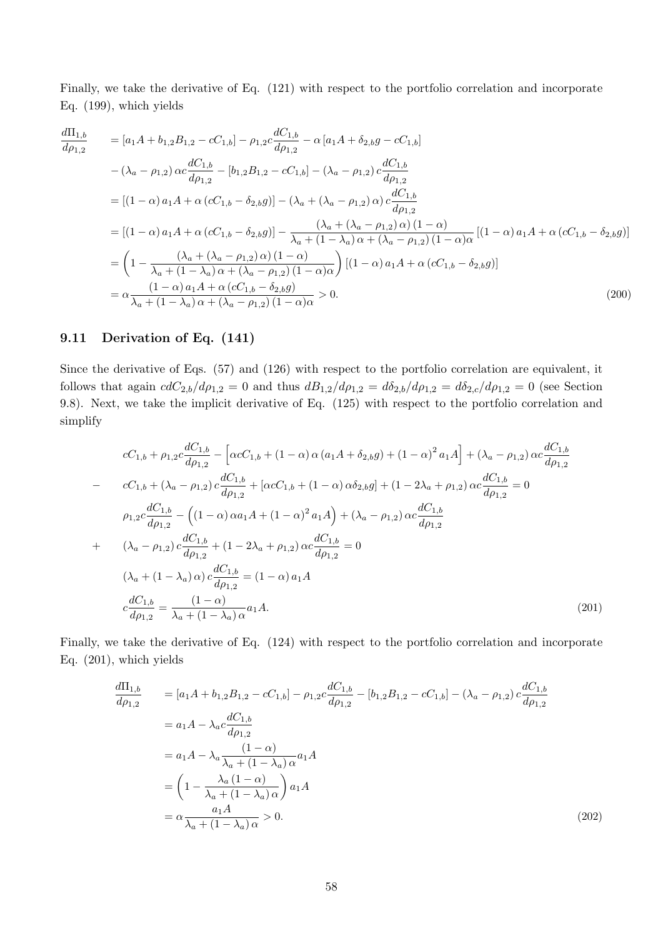Finally, we take the derivative of Eq. (121) with respect to the portfolio correlation and incorporate Eq. (199), which yields

$$
\frac{d\Pi_{1,b}}{d\rho_{1,2}} = [a_1A + b_{1,2}B_{1,2} - cC_{1,b}] - \rho_{1,2}c\frac{dC_{1,b}}{d\rho_{1,2}} - \alpha[a_1A + \delta_{2,b}g - cC_{1,b}] \n- (\lambda_a - \rho_{1,2}) \alpha c\frac{dC_{1,b}}{d\rho_{1,2}} - [b_{1,2}B_{1,2} - cC_{1,b}] - (\lambda_a - \rho_{1,2}) c\frac{dC_{1,b}}{d\rho_{1,2}} \n= [(1 - \alpha) a_1A + \alpha (cC_{1,b} - \delta_{2,b}g)] - (\lambda_a + (\lambda_a - \rho_{1,2}) \alpha) c\frac{dC_{1,b}}{d\rho_{1,2}} \n= [(1 - \alpha) a_1A + \alpha (cC_{1,b} - \delta_{2,b}g)] - \frac{(\lambda_a + (\lambda_a - \rho_{1,2}) \alpha) (1 - \alpha)}{\lambda_a + (1 - \lambda_a) \alpha + (\lambda_a - \rho_{1,2}) (1 - \alpha) \alpha} [(1 - \alpha) a_1A + \alpha (cC_{1,b} - \delta_{2,b}g)] \n= \left(1 - \frac{(\lambda_a + (\lambda_a - \rho_{1,2}) \alpha) (1 - \alpha)}{\lambda_a + (1 - \lambda_a) \alpha + (\lambda_a - \rho_{1,2}) (1 - \alpha) \alpha}\right) [(1 - \alpha) a_1A + \alpha (cC_{1,b} - \delta_{2,b}g)] \n= \alpha \frac{(1 - \alpha) a_1A + \alpha (cC_{1,b} - \delta_{2,b}g)}{\lambda_a + (1 - \lambda_a) \alpha + (\lambda_a - \rho_{1,2}) (1 - \alpha) \alpha} > 0.
$$
\n(200)

## 9.11 Derivation of Eq. (141)

Since the derivative of Eqs. (57) and (126) with respect to the portfolio correlation are equivalent, it follows that again  $cdC_{2,b}/d\rho_{1,2} = 0$  and thus  $dB_{1,2}/d\rho_{1,2} = d\delta_{2,b}/d\rho_{1,2} = d\delta_{2,c}/d\rho_{1,2} = 0$  (see Section 9.8). Next, we take the implicit derivative of Eq. (125) with respect to the portfolio correlation and simplify

$$
cC_{1,b} + \rho_{1,2}c\frac{dC_{1,b}}{d\rho_{1,2}} - \left[\alpha cC_{1,b} + (1-\alpha)\alpha\left(a_{1}A + \delta_{2,b}g\right) + (1-\alpha)^{2}a_{1}A\right] + (\lambda_{a} - \rho_{1,2})\alpha c\frac{dC_{1,b}}{d\rho_{1,2}}
$$
  
\n
$$
- C_{1,b} + (\lambda_{a} - \rho_{1,2})c\frac{dC_{1,b}}{d\rho_{1,2}} + \left[\alpha cC_{1,b} + (1-\alpha)\alpha\delta_{2,b}g\right] + (1-2\lambda_{a} + \rho_{1,2})\alpha c\frac{dC_{1,b}}{d\rho_{1,2}} = 0
$$
  
\n
$$
\rho_{1,2}c\frac{dC_{1,b}}{d\rho_{1,2}} - \left((1-\alpha)\alpha a_{1}A + (1-\alpha)^{2}a_{1}A\right) + (\lambda_{a} - \rho_{1,2})\alpha c\frac{dC_{1,b}}{d\rho_{1,2}}
$$
  
\n
$$
+ (\lambda_{a} - \rho_{1,2})c\frac{dC_{1,b}}{d\rho_{1,2}} + (1-2\lambda_{a} + \rho_{1,2})\alpha c\frac{dC_{1,b}}{d\rho_{1,2}} = 0
$$
  
\n
$$
(\lambda_{a} + (1-\lambda_{a})\alpha)c\frac{dC_{1,b}}{d\rho_{1,2}} = (1-\alpha)a_{1}A
$$
  
\n
$$
c\frac{dC_{1,b}}{d\rho_{1,2}} = \frac{(1-\alpha)}{\lambda_{a} + (1-\lambda_{a})\alpha}a_{1}A.
$$
  
\n(201)

Finally, we take the derivative of Eq. (124) with respect to the portfolio correlation and incorporate Eq. (201), which yields

$$
\frac{d\Pi_{1,b}}{d\rho_{1,2}} = [a_1A + b_{1,2}B_{1,2} - cC_{1,b}] - \rho_{1,2}c\frac{dC_{1,b}}{d\rho_{1,2}} - [b_{1,2}B_{1,2} - cC_{1,b}] - (\lambda_a - \rho_{1,2})c\frac{dC_{1,b}}{d\rho_{1,2}}
$$
\n
$$
= a_1A - \lambda_a c\frac{dC_{1,b}}{d\rho_{1,2}}
$$
\n
$$
= a_1A - \lambda_a \frac{(1-\alpha)}{\lambda_a + (1-\lambda_a)\alpha} a_1A
$$
\n
$$
= \left(1 - \frac{\lambda_a(1-\alpha)}{\lambda_a + (1-\lambda_a)\alpha}\right) a_1A
$$
\n
$$
= \alpha \frac{a_1A}{\lambda_a + (1-\lambda_a)\alpha} > 0.
$$
\n(202)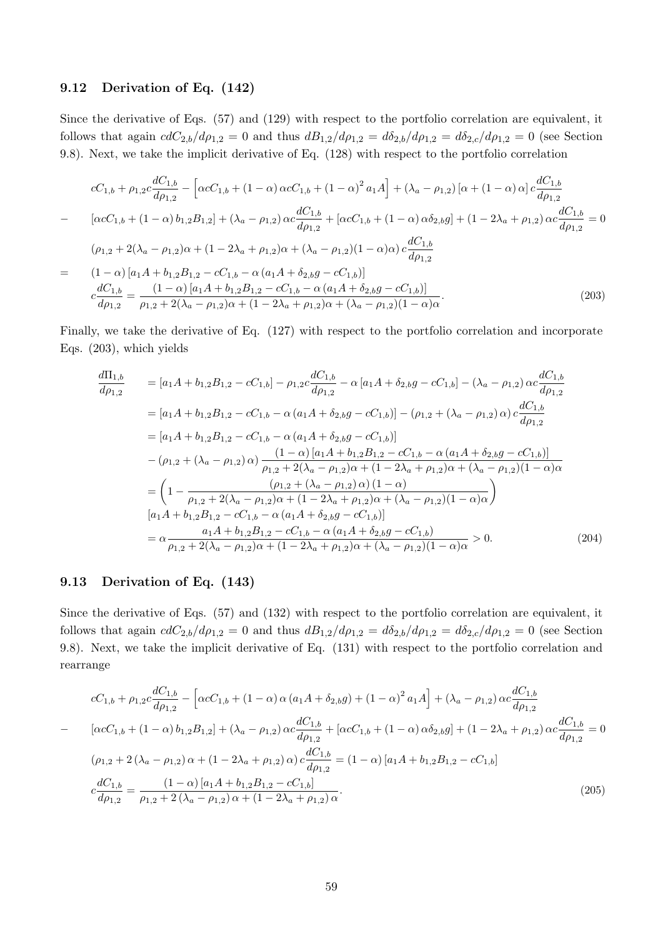### 9.12 Derivation of Eq. (142)

Since the derivative of Eqs. (57) and (129) with respect to the portfolio correlation are equivalent, it follows that again  $cdC_{2,b}/d\rho_{1,2} = 0$  and thus  $dB_{1,2}/d\rho_{1,2} = d\delta_{2,b}/d\rho_{1,2} = d\delta_{2,c}/d\rho_{1,2} = 0$  (see Section 9.8). Next, we take the implicit derivative of Eq. (128) with respect to the portfolio correlation

$$
cC_{1,b} + \rho_{1,2}c\frac{dC_{1,b}}{d\rho_{1,2}} - \left[\alpha cC_{1,b} + (1-\alpha)\alpha cC_{1,b} + (1-\alpha)^2 a_1A\right] + (\lambda_a - \rho_{1,2})\left[\alpha + (1-\alpha)\alpha\right]c\frac{dC_{1,b}}{d\rho_{1,2}}
$$
  
\n
$$
- \left[\alpha cC_{1,b} + (1-\alpha)b_{1,2}B_{1,2}\right] + (\lambda_a - \rho_{1,2})\alpha c\frac{dC_{1,b}}{d\rho_{1,2}} + \left[\alpha cC_{1,b} + (1-\alpha)\alpha\delta_{2,b}g\right] + (1-2\lambda_a + \rho_{1,2})\alpha c\frac{dC_{1,b}}{d\rho_{1,2}} = 0
$$
  
\n
$$
(\rho_{1,2} + 2(\lambda_a - \rho_{1,2})\alpha + (1-2\lambda_a + \rho_{1,2})\alpha + (\lambda_a - \rho_{1,2})(1-\alpha)\alpha)c\frac{dC_{1,b}}{d\rho_{1,2}}
$$
  
\n
$$
= \frac{(1-\alpha)\left[a_1A + b_{1,2}B_{1,2} - cC_{1,b} - \alpha\left(a_1A + \delta_{2,b}g - cC_{1,b}\right)\right]}{c\frac{dC_{1,b}}{d\rho_{1,2}}} - \frac{(1-\alpha)\left[a_1A + b_{1,2}B_{1,2} - cC_{1,b} - \alpha\left(a_1A + \delta_{2,b}g - cC_{1,b}\right)\right]}{b\rho_{1,2} + 2(\lambda_a - \rho_{1,2})\alpha + (1-2\lambda_a + \rho_{1,2})\alpha + (\lambda_a - \rho_{1,2})(1-\alpha)\alpha}.
$$
\n(203)

Finally, we take the derivative of Eq. (127) with respect to the portfolio correlation and incorporate Eqs. (203), which yields

$$
\frac{d\Pi_{1,b}}{d\rho_{1,2}} = [a_1A + b_{1,2}B_{1,2} - cC_{1,b}] - \rho_{1,2}c\frac{dC_{1,b}}{d\rho_{1,2}} - \alpha[a_1A + \delta_{2,b}g - cC_{1,b}] - (\lambda_a - \rho_{1,2})\alpha c\frac{dC_{1,b}}{d\rho_{1,2}} \n= [a_1A + b_{1,2}B_{1,2} - cC_{1,b} - \alpha(a_1A + \delta_{2,b}g - cC_{1,b})] - (\rho_{1,2} + (\lambda_a - \rho_{1,2})\alpha)c\frac{dC_{1,b}}{d\rho_{1,2}} \n= [a_1A + b_{1,2}B_{1,2} - cC_{1,b} - \alpha(a_1A + \delta_{2,b}g - cC_{1,b})] \n- (\rho_{1,2} + (\lambda_a - \rho_{1,2})\alpha)\frac{(1-\alpha)[a_1A + b_{1,2}B_{1,2} - cC_{1,b} - \alpha(a_1A + \delta_{2,b}g - cC_{1,b})]}{\rho_{1,2} + 2(\lambda_a - \rho_{1,2})\alpha + (1 - 2\lambda_a + \rho_{1,2})\alpha + (\lambda_a - \rho_{1,2})(1 - \alpha)\alpha} \n= \left(1 - \frac{(\rho_{1,2} + (\lambda_a - \rho_{1,2})\alpha)(1-\alpha)}{\rho_{1,2} + 2(\lambda_a - \rho_{1,2})\alpha + (1 - 2\lambda_a + \rho_{1,2})\alpha + (\lambda_a - \rho_{1,2})(1 - \alpha)\alpha}\right) \n[a_1A + b_{1,2}B_{1,2} - cC_{1,b} - \alpha(a_1A + \delta_{2,b}g - cC_{1,b})] \n= \alpha \frac{a_1A + b_{1,2}B_{1,2} - cC_{1,b} - \alpha(a_1A + \delta_{2,b}g - cC_{1,b})}{\rho_{1,2} + 2(\lambda_a - \rho_{1,2})\alpha + (1 - 2\lambda_a + \rho_{1,2})\alpha + (\lambda_a - \rho_{1,2})(1 - \alpha)\alpha} > 0.
$$
\n(204)

#### 9.13 Derivation of Eq. (143)

Since the derivative of Eqs. (57) and (132) with respect to the portfolio correlation are equivalent, it follows that again  $cdC_{2,b}/d\rho_{1,2} = 0$  and thus  $dB_{1,2}/d\rho_{1,2} = d\delta_{2,b}/d\rho_{1,2} = d\delta_{2,c}/d\rho_{1,2} = 0$  (see Section 9.8). Next, we take the implicit derivative of Eq. (131) with respect to the portfolio correlation and rearrange

$$
cC_{1,b} + \rho_{1,2}c\frac{dC_{1,b}}{d\rho_{1,2}} - \left[\alpha cC_{1,b} + (1-\alpha)\alpha\left(a_{1}A + \delta_{2,b}g\right) + (1-\alpha)^{2}a_{1}A\right] + (\lambda_{a} - \rho_{1,2})\alpha c\frac{dC_{1,b}}{d\rho_{1,2}}
$$
  
\n
$$
-\left[\alpha cC_{1,b} + (1-\alpha)b_{1,2}B_{1,2}\right] + (\lambda_{a} - \rho_{1,2})\alpha c\frac{dC_{1,b}}{d\rho_{1,2}} + \left[\alpha cC_{1,b} + (1-\alpha)\alpha\delta_{2,b}g\right] + (1-2\lambda_{a} + \rho_{1,2})\alpha c\frac{dC_{1,b}}{d\rho_{1,2}} = 0
$$
  
\n
$$
(\rho_{1,2} + 2(\lambda_{a} - \rho_{1,2})\alpha + (1-2\lambda_{a} + \rho_{1,2})\alpha\right)c\frac{dC_{1,b}}{d\rho_{1,2}} = (1-\alpha)\left[a_{1}A + b_{1,2}B_{1,2} - cC_{1,b}\right]
$$
  
\n
$$
c\frac{dC_{1,b}}{d\rho_{1,2}} = \frac{(1-\alpha)\left[a_{1}A + b_{1,2}B_{1,2} - cC_{1,b}\right]}{\rho_{1,2} + 2(\lambda_{a} - \rho_{1,2})\alpha + (1-2\lambda_{a} + \rho_{1,2})\alpha}.
$$
\n(205)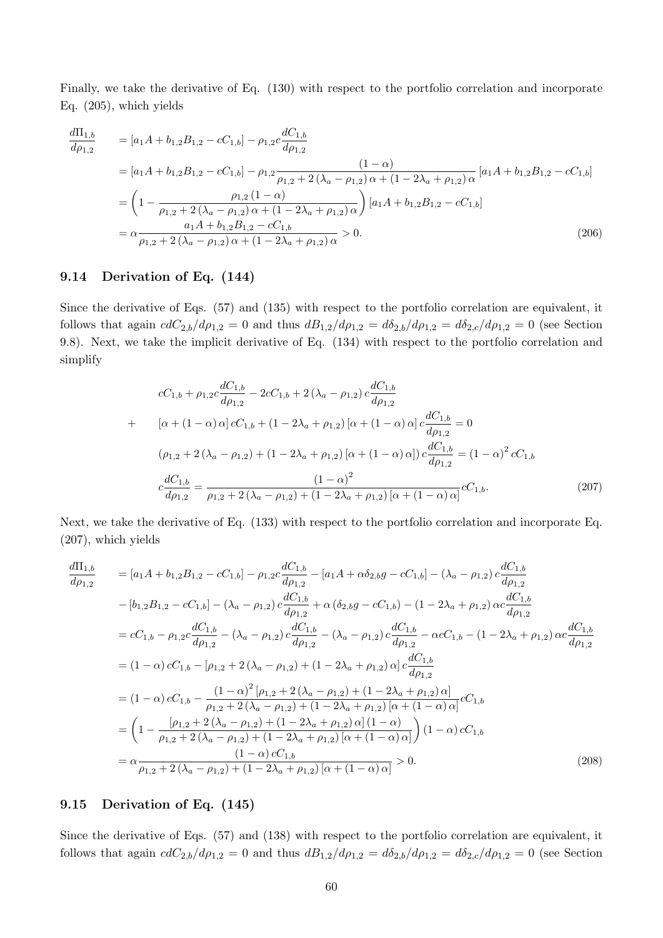Finally, we take the derivative of Eq. (130) with respect to the portfolio correlation and incorporate Eq. (205), which yields

$$
\frac{d\Pi_{1,b}}{d\rho_{1,2}} = [a_1A + b_{1,2}B_{1,2} - cC_{1,b}] - \rho_{1,2}c\frac{dC_{1,b}}{d\rho_{1,2}} \n= [a_1A + b_{1,2}B_{1,2} - cC_{1,b}] - \rho_{1,2}\frac{(1-\alpha)}{\rho_{1,2} + 2(\lambda_a - \rho_{1,2})\alpha + (1 - 2\lambda_a + \rho_{1,2})\alpha} [a_1A + b_{1,2}B_{1,2} - cC_{1,b}] \n= \left(1 - \frac{\rho_{1,2}(1-\alpha)}{\rho_{1,2} + 2(\lambda_a - \rho_{1,2})\alpha + (1 - 2\lambda_a + \rho_{1,2})\alpha}\right)[a_1A + b_{1,2}B_{1,2} - cC_{1,b}] \n= \alpha\frac{a_1A + b_{1,2}B_{1,2} - cC_{1,b}}{\rho_{1,2} + 2(\lambda_a - \rho_{1,2})\alpha + (1 - 2\lambda_a + \rho_{1,2})\alpha} > 0.
$$
\n(206)

# 9.14 Derivation of Eq. (144)

Since the derivative of Eqs. (57) and (135) with respect to the portfolio correlation are equivalent, it follows that again  $cdC_{2,b}/d\rho_{1,2} = 0$  and thus  $dB_{1,2}/d\rho_{1,2} = d\delta_{2,b}/d\rho_{1,2} = d\delta_{2,c}/d\rho_{1,2} = 0$  (see Section 9.8). Next, we take the implicit derivative of Eq. (134) with respect to the portfolio correlation and simplify

$$
cC_{1,b} + \rho_{1,2}c\frac{dC_{1,b}}{d\rho_{1,2}} - 2cC_{1,b} + 2(\lambda_a - \rho_{1,2})c\frac{dC_{1,b}}{d\rho_{1,2}}
$$
  
+ 
$$
[\alpha + (1 - \alpha)\alpha]cC_{1,b} + (1 - 2\lambda_a + \rho_{1,2})[\alpha + (1 - \alpha)\alpha]c\frac{dC_{1,b}}{d\rho_{1,2}} = 0
$$
  

$$
(\rho_{1,2} + 2(\lambda_a - \rho_{1,2}) + (1 - 2\lambda_a + \rho_{1,2})[\alpha + (1 - \alpha)\alpha])c\frac{dC_{1,b}}{d\rho_{1,2}} = (1 - \alpha)^2 cC_{1,b}
$$
  

$$
c\frac{dC_{1,b}}{d\rho_{1,2}} = \frac{(1 - \alpha)^2}{\rho_{1,2} + 2(\lambda_a - \rho_{1,2}) + (1 - 2\lambda_a + \rho_{1,2})[\alpha + (1 - \alpha)\alpha]}cC_{1,b}.
$$
 (207)

Next, we take the derivative of Eq. (133) with respect to the portfolio correlation and incorporate Eq. (207), which yields

$$
\frac{d\Pi_{1,b}}{d\rho_{1,2}} = [a_1A + b_{1,2}B_{1,2} - cC_{1,b}] - \rho_{1,2}c\frac{dC_{1,b}}{d\rho_{1,2}} - [a_1A + \alpha\delta_{2,b}g - cC_{1,b}] - (\lambda_a - \rho_{1,2})c\frac{dC_{1,b}}{d\rho_{1,2}} \n- [b_{1,2}B_{1,2} - cC_{1,b}] - (\lambda_a - \rho_{1,2})c\frac{dC_{1,b}}{d\rho_{1,2}} + \alpha(\delta_{2,b}g - cC_{1,b}) - (1 - 2\lambda_a + \rho_{1,2})\alpha c\frac{dC_{1,b}}{d\rho_{1,2}} \n= cC_{1,b} - \rho_{1,2}c\frac{dC_{1,b}}{d\rho_{1,2}} - (\lambda_a - \rho_{1,2})c\frac{dC_{1,b}}{d\rho_{1,2}} - (\lambda_a - \rho_{1,2})c\frac{dC_{1,b}}{d\rho_{1,2}} - \alpha cC_{1,b} - (1 - 2\lambda_a + \rho_{1,2})\alpha c\frac{dC_{1,b}}{d\rho_{1,2}} \n= (1 - \alpha)cC_{1,b} - [\rho_{1,2} + 2(\lambda_a - \rho_{1,2}) + (1 - 2\lambda_a + \rho_{1,2})\alpha]c\frac{dC_{1,b}}{d\rho_{1,2}} \n= (1 - \alpha)cC_{1,b} - \frac{(1 - \alpha)^2[\rho_{1,2} + 2(\lambda_a - \rho_{1,2}) + (1 - 2\lambda_a + \rho_{1,2})\alpha]cC_{1,b}}{\rho_{1,2} + 2(\lambda_a - \rho_{1,2}) + (1 - 2\lambda_a + \rho_{1,2})\alpha}cC_{1,b} \n= \left(1 - \frac{[\rho_{1,2} + 2(\lambda_a - \rho_{1,2}) + (1 - 2\lambda_a + \rho_{1,2})\alpha](1 - \alpha)}{\rho_{1,2} + 2(\lambda_a - \rho_{1,2}) + (1 - 2\lambda_a + \rho_{1,2})\alpha} + (1 - \alpha)\alpha\right) (1 - \alpha)cC_{1,b} \n= \alpha \frac{(1 - \alpha)cC_{1,b}}{\rho_{1,2} + 2(\lambda_a - \rho_{1,2}) + (1 - 2\lambda_a + \rho_{1,2
$$

## 9.15 Derivation of Eq. (145)

Since the derivative of Eqs. (57) and (138) with respect to the portfolio correlation are equivalent, it follows that again  $cdC_{2,b}/d\rho_{1,2} = 0$  and thus  $dB_{1,2}/d\rho_{1,2} = d\delta_{2,b}/d\rho_{1,2} = d\delta_{2,c}/d\rho_{1,2} = 0$  (see Section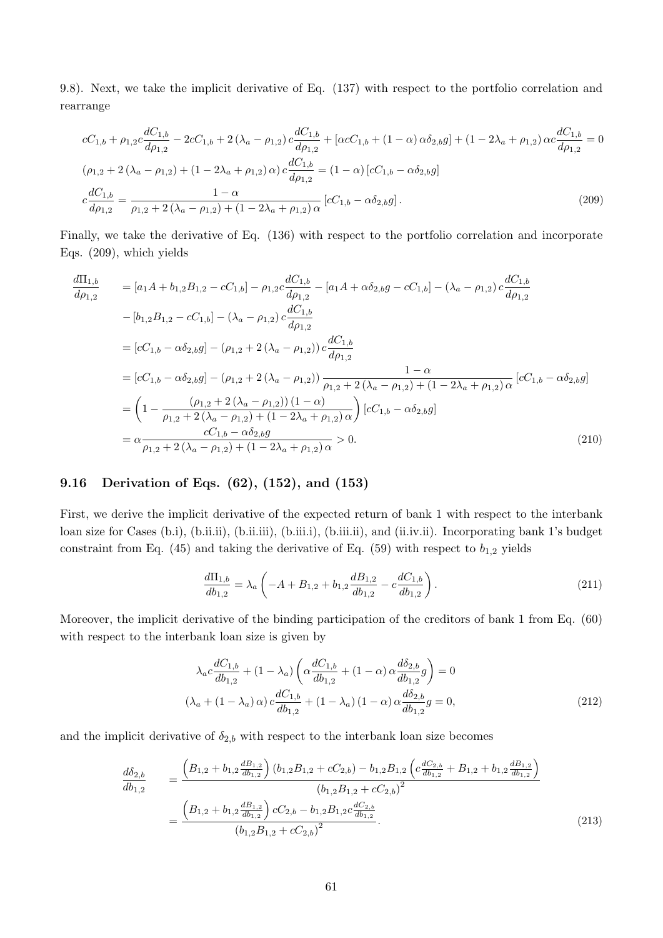9.8). Next, we take the implicit derivative of Eq. (137) with respect to the portfolio correlation and rearrange

$$
cC_{1,b} + \rho_{1,2}c\frac{dC_{1,b}}{d\rho_{1,2}} - 2cC_{1,b} + 2(\lambda_a - \rho_{1,2})c\frac{dC_{1,b}}{d\rho_{1,2}} + [\alpha cC_{1,b} + (1 - \alpha)\alpha\delta_{2,b}g] + (1 - 2\lambda_a + \rho_{1,2})\alpha c\frac{dC_{1,b}}{d\rho_{1,2}} = 0
$$
  
\n
$$
(\rho_{1,2} + 2(\lambda_a - \rho_{1,2}) + (1 - 2\lambda_a + \rho_{1,2})\alpha)c\frac{dC_{1,b}}{d\rho_{1,2}} = (1 - \alpha)[cC_{1,b} - \alpha\delta_{2,b}g]
$$
  
\n
$$
c\frac{dC_{1,b}}{d\rho_{1,2}} = \frac{1 - \alpha}{\rho_{1,2} + 2(\lambda_a - \rho_{1,2}) + (1 - 2\lambda_a + \rho_{1,2})\alpha}[cC_{1,b} - \alpha\delta_{2,b}g].
$$
\n(209)

Finally, we take the derivative of Eq. (136) with respect to the portfolio correlation and incorporate Eqs. (209), which yields

$$
\frac{d\Pi_{1,b}}{d\rho_{1,2}} = [a_1A + b_{1,2}B_{1,2} - cC_{1,b}] - \rho_{1,2}c\frac{dC_{1,b}}{d\rho_{1,2}} - [a_1A + \alpha\delta_{2,b}g - cC_{1,b}] - (\lambda_a - \rho_{1,2})c\frac{dC_{1,b}}{d\rho_{1,2}} \n- [b_{1,2}B_{1,2} - cC_{1,b}] - (\lambda_a - \rho_{1,2})c\frac{dC_{1,b}}{d\rho_{1,2}} \n= [cC_{1,b} - \alpha\delta_{2,b}g] - (\rho_{1,2} + 2(\lambda_a - \rho_{1,2}))c\frac{dC_{1,b}}{d\rho_{1,2}} \n= [cC_{1,b} - \alpha\delta_{2,b}g] - (\rho_{1,2} + 2(\lambda_a - \rho_{1,2}))\frac{1 - \alpha}{\rho_{1,2} + 2(\lambda_a - \rho_{1,2}) + (1 - 2\lambda_a + \rho_{1,2})\alpha}[cC_{1,b} - \alpha\delta_{2,b}g] \n= \left(1 - \frac{(\rho_{1,2} + 2(\lambda_a - \rho_{1,2})) (1 - \alpha)}{\rho_{1,2} + 2(\lambda_a - \rho_{1,2}) + (1 - 2\lambda_a + \rho_{1,2})\alpha}\right)[cC_{1,b} - \alpha\delta_{2,b}g] \n= \alpha \frac{cC_{1,b} - \alpha\delta_{2,b}g}{\rho_{1,2} + 2(\lambda_a - \rho_{1,2}) + (1 - 2\lambda_a + \rho_{1,2})\alpha} > 0.
$$
\n(210)

# 9.16 Derivation of Eqs. (62), (152), and (153)

First, we derive the implicit derivative of the expected return of bank 1 with respect to the interbank loan size for Cases (b.i), (b.ii.ii), (b.ii.iii), (b.iii.i), (b.iii.ii), and (ii.iv.ii). Incorporating bank 1's budget constraint from Eq. (45) and taking the derivative of Eq. (59) with respect to  $b_{1,2}$  yields

$$
\frac{d\Pi_{1,b}}{db_{1,2}} = \lambda_a \left( -A + B_{1,2} + b_{1,2} \frac{dB_{1,2}}{db_{1,2}} - c \frac{dC_{1,b}}{db_{1,2}} \right).
$$
\n(211)

Moreover, the implicit derivative of the binding participation of the creditors of bank 1 from Eq. (60) with respect to the interbank loan size is given by

$$
\lambda_a c \frac{dC_{1,b}}{db_{1,2}} + (1 - \lambda_a) \left( \alpha \frac{dC_{1,b}}{db_{1,2}} + (1 - \alpha) \alpha \frac{d\delta_{2,b}}{db_{1,2}} g \right) = 0
$$
  

$$
(\lambda_a + (1 - \lambda_a) \alpha) c \frac{dC_{1,b}}{db_{1,2}} + (1 - \lambda_a) (1 - \alpha) \alpha \frac{d\delta_{2,b}}{db_{1,2}} g = 0,
$$
 (212)

and the implicit derivative of  $\delta_{2,b}$  with respect to the interbank loan size becomes

$$
\frac{d\delta_{2,b}}{db_{1,2}} = \frac{\left(B_{1,2} + b_{1,2} \frac{dB_{1,2}}{db_{1,2}}\right) (b_{1,2}B_{1,2} + cC_{2,b}) - b_{1,2}B_{1,2} \left(c \frac{dC_{2,b}}{db_{1,2}} + B_{1,2} + b_{1,2} \frac{dB_{1,2}}{db_{1,2}}\right)}{(b_{1,2}B_{1,2} + cC_{2,b})^2}
$$
\n
$$
= \frac{\left(B_{1,2} + b_{1,2} \frac{dB_{1,2}}{db_{1,2}}\right) cC_{2,b} - b_{1,2}B_{1,2}c \frac{dC_{2,b}}{db_{1,2}}}{(b_{1,2}B_{1,2} + cC_{2,b})^2}.
$$
\n(213)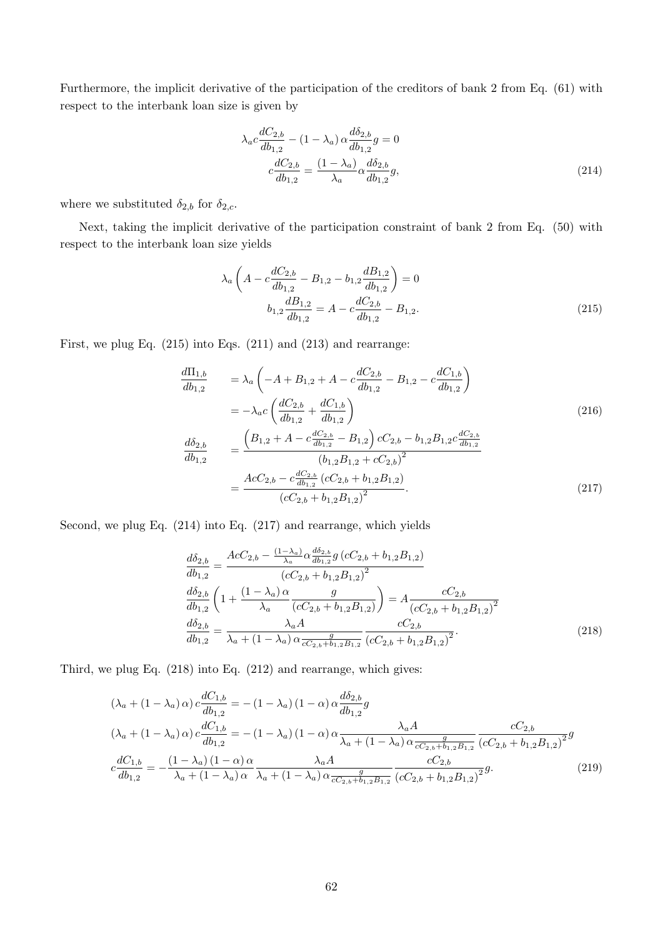Furthermore, the implicit derivative of the participation of the creditors of bank 2 from Eq. (61) with respect to the interbank loan size is given by

$$
\lambda_{a}c \frac{dC_{2,b}}{db_{1,2}} - (1 - \lambda_{a}) \alpha \frac{d\delta_{2,b}}{db_{1,2}} g = 0
$$
\n
$$
c \frac{dC_{2,b}}{db_{1,2}} = \frac{(1 - \lambda_{a})}{\lambda_{a}} \alpha \frac{d\delta_{2,b}}{db_{1,2}} g,
$$
\n(214)

where we substituted  $\delta_{2,b}$  for  $\delta_{2,c}$ .

Next, taking the implicit derivative of the participation constraint of bank 2 from Eq. (50) with respect to the interbank loan size yields

$$
\lambda_a \left( A - c \frac{dC_{2,b}}{db_{1,2}} - B_{1,2} - b_{1,2} \frac{dB_{1,2}}{db_{1,2}} \right) = 0
$$
  

$$
b_{1,2} \frac{dB_{1,2}}{db_{1,2}} = A - c \frac{dC_{2,b}}{db_{1,2}} - B_{1,2}.
$$
 (215)

First, we plug Eq. (215) into Eqs. (211) and (213) and rearrange:

$$
\frac{d\Pi_{1,b}}{db_{1,2}} = \lambda_a \left( -A + B_{1,2} + A - c \frac{dC_{2,b}}{db_{1,2}} - B_{1,2} - c \frac{dC_{1,b}}{db_{1,2}} \right)
$$
\n
$$
= -\lambda_a c \left( \frac{dC_{2,b}}{db_{1,2}} + \frac{dC_{1,b}}{db_{1,2}} \right)
$$
\n
$$
\frac{d\delta_{2,b}}{db_{1,2}} = \frac{\left( B_{1,2} + A - c \frac{dC_{2,b}}{db_{1,2}} - B_{1,2} \right) cC_{2,b} - b_{1,2}B_{1,2}c \frac{dC_{2,b}}{db_{1,2}}}{\left( b_{1,2}B_{1,2} + cC_{2,b} \right)^2}
$$
\n
$$
= \frac{AcC_{2,b} - c \frac{dC_{2,b}}{db_{1,2}} \left( cC_{2,b} + b_{1,2}B_{1,2} \right)}{\left( cC_{2,b} + b_{1,2}B_{1,2} \right)^2}.
$$
\n(217)

Second, we plug Eq. (214) into Eq. (217) and rearrange, which yields

$$
\frac{d\delta_{2,b}}{db_{1,2}} = \frac{AcC_{2,b} - \frac{(1-\lambda_a)}{\lambda_a} \alpha \frac{d\delta_{2,b}}{db_{1,2}} g\left(cC_{2,b} + b_{1,2}B_{1,2}\right)}{\left(cC_{2,b} + b_{1,2}B_{1,2}\right)^2}
$$
\n
$$
\frac{d\delta_{2,b}}{db_{1,2}} \left(1 + \frac{(1-\lambda_a)\alpha}{\lambda_a} \frac{g}{\left(cC_{2,b} + b_{1,2}B_{1,2}\right)}\right) = A \frac{cC_{2,b}}{\left(cC_{2,b} + b_{1,2}B_{1,2}\right)^2}
$$
\n
$$
\frac{d\delta_{2,b}}{db_{1,2}} = \frac{\lambda_a A}{\lambda_a + (1-\lambda_a)\alpha \frac{g}{cC_{2,b} + b_{1,2}B_{1,2}} \frac{cC_{2,b}}{\left(cC_{2,b} + b_{1,2}B_{1,2}\right)^2}.
$$
\n(218)

Third, we plug Eq. (218) into Eq. (212) and rearrange, which gives:

$$
(\lambda_a + (1 - \lambda_a) \alpha) c \frac{dC_{1,b}}{db_{1,2}} = -(1 - \lambda_a) (1 - \alpha) \alpha \frac{d\delta_{2,b}}{db_{1,2}} g
$$
  
\n
$$
(\lambda_a + (1 - \lambda_a) \alpha) c \frac{dC_{1,b}}{db_{1,2}} = -(1 - \lambda_a) (1 - \alpha) \alpha \frac{\lambda_a A}{\lambda_a + (1 - \lambda_a) \alpha \frac{g}{cC_{2,b} + b_{1,2}B_{1,2}}} \frac{cC_{2,b}}{(cC_{2,b} + b_{1,2}B_{1,2})^2} g
$$
  
\n
$$
c \frac{dC_{1,b}}{db_{1,2}} = -\frac{(1 - \lambda_a) (1 - \alpha) \alpha}{\lambda_a + (1 - \lambda_a) \alpha} \frac{\lambda_a A}{\lambda_a + (1 - \lambda_a) \alpha \frac{g}{cC_{2,b} + b_{1,2}B_{1,2}}} \frac{cC_{2,b}}{(cC_{2,b} + b_{1,2}B_{1,2})^2} g.
$$
\n(219)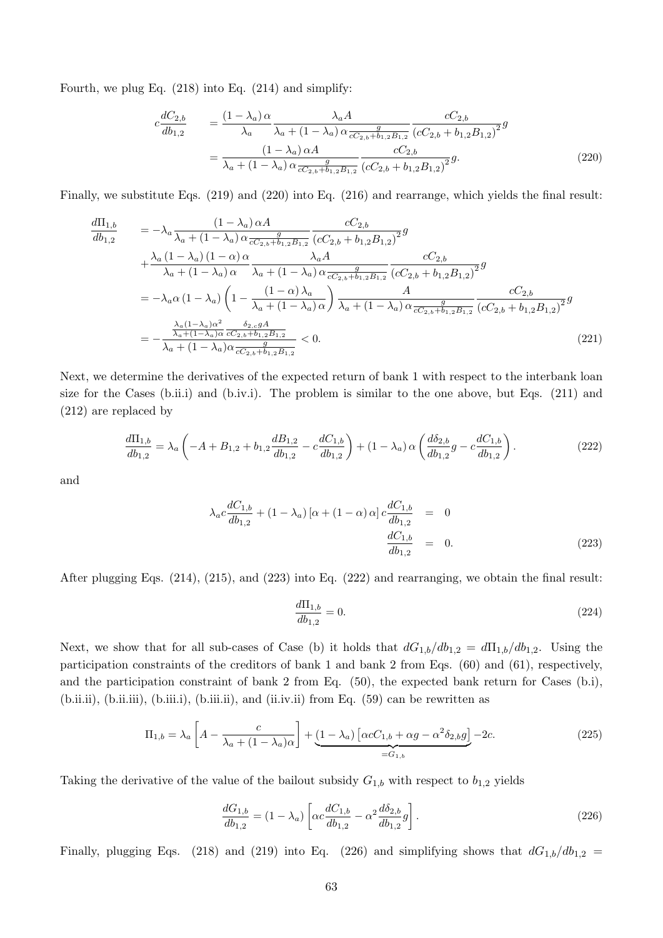Fourth, we plug Eq. (218) into Eq. (214) and simplify:

$$
c\frac{dC_{2,b}}{db_{1,2}} = \frac{(1-\lambda_a)\alpha}{\lambda_a} \frac{\lambda_a A}{\lambda_a + (1-\lambda_a)\alpha \frac{g}{cC_{2,b}+b_{1,2}B_{1,2}}} \frac{cC_{2,b}}{(cC_{2,b}+b_{1,2}B_{1,2})^2} g
$$
  
= 
$$
\frac{(1-\lambda_a)\alpha A}{\lambda_a + (1-\lambda_a)\alpha \frac{g}{cC_{2,b}+b_{1,2}B_{1,2}}} \frac{cC_{2,b}}{(cC_{2,b}+b_{1,2}B_{1,2})^2} g.
$$
 (220)

Finally, we substitute Eqs. (219) and (220) into Eq. (216) and rearrange, which yields the final result:

$$
\frac{d\Pi_{1,b}}{db_{1,2}} = -\lambda_a \frac{(1 - \lambda_a) \alpha A}{\lambda_a + (1 - \lambda_a) \alpha \frac{g}{cC_{2,b} + b_{1,2}B_{1,2}}} \frac{cC_{2,b}}{(cC_{2,b} + b_{1,2}B_{1,2})^2} g \n+ \frac{\lambda_a (1 - \lambda_a) (1 - \alpha) \alpha}{\lambda_a + (1 - \lambda_a) \alpha} \frac{\lambda_a A}{\lambda_a + (1 - \lambda_a) \alpha \frac{g}{cC_{2,b} + b_{1,2}B_{1,2}}} \frac{cC_{2,b}}{(cC_{2,b} + b_{1,2}B_{1,2})^2} g \n= -\lambda_a \alpha (1 - \lambda_a) \left(1 - \frac{(1 - \alpha) \lambda_a}{\lambda_a + (1 - \lambda_a) \alpha} \right) \frac{A}{\lambda_a + (1 - \lambda_a) \alpha \frac{g}{cC_{2,b} + b_{1,2}B_{1,2}}} \frac{cC_{2,b}}{(cC_{2,b} + b_{1,2}B_{1,2})^2} g \n= -\frac{\frac{\lambda_a (1 - \lambda_a) \alpha^2}{\lambda_a + (1 - \lambda_a) \alpha \frac{g}{cC_{2,b} + b_{1,2}B_{1,2}}} {\lambda_a + (1 - \lambda_a) \alpha \frac{g}{cC_{2,b} + b_{1,2}B_{1,2}}} < 0.
$$
\n(221)

Next, we determine the derivatives of the expected return of bank 1 with respect to the interbank loan size for the Cases (b.ii.i) and (b.iv.i). The problem is similar to the one above, but Eqs. (211) and (212) are replaced by

$$
\frac{d\Pi_{1,b}}{db_{1,2}} = \lambda_a \left( -A + B_{1,2} + b_{1,2} \frac{dB_{1,2}}{db_{1,2}} - c \frac{dC_{1,b}}{db_{1,2}} \right) + (1 - \lambda_a) \alpha \left( \frac{d\delta_{2,b}}{db_{1,2}} g - c \frac{dC_{1,b}}{db_{1,2}} \right). \tag{222}
$$

and

$$
\lambda_a c \frac{dC_{1,b}}{db_{1,2}} + (1 - \lambda_a) [\alpha + (1 - \alpha) \alpha] c \frac{dC_{1,b}}{db_{1,2}} = 0
$$
  

$$
\frac{dC_{1,b}}{db_{1,2}} = 0.
$$
 (223)

After plugging Eqs. (214), (215), and (223) into Eq. (222) and rearranging, we obtain the final result:

$$
\frac{d\Pi_{1,b}}{db_{1,2}} = 0.\t(224)
$$

Next, we show that for all sub-cases of Case (b) it holds that  $dG_{1,b}/db_{1,2} = d\Pi_{1,b}/db_{1,2}$ . Using the participation constraints of the creditors of bank 1 and bank 2 from Eqs. (60) and (61), respectively, and the participation constraint of bank 2 from Eq. (50), the expected bank return for Cases (b.i), (b.ii.ii), (b.ii.iii), (b.iii.i), (b.iii.ii), and (ii.iv.ii) from Eq. (59) can be rewritten as

$$
\Pi_{1,b} = \lambda_a \left[ A - \frac{c}{\lambda_a + (1 - \lambda_a)\alpha} \right] + \underbrace{(1 - \lambda_a) \left[ \alpha c C_{1,b} + \alpha g - \alpha^2 \delta_{2,b} g \right]}_{= G_{1,b}} - 2c. \tag{225}
$$

Taking the derivative of the value of the bailout subsidy  $G_{1,b}$  with respect to  $b_{1,2}$  yields

$$
\frac{dG_{1,b}}{db_{1,2}} = (1 - \lambda_a) \left[ \alpha c \frac{dC_{1,b}}{db_{1,2}} - \alpha^2 \frac{d\delta_{2,b}}{db_{1,2}} g \right].
$$
\n(226)

Finally, plugging Eqs. (218) and (219) into Eq. (226) and simplifying shows that  $dG_{1,b}/db_{1,2} =$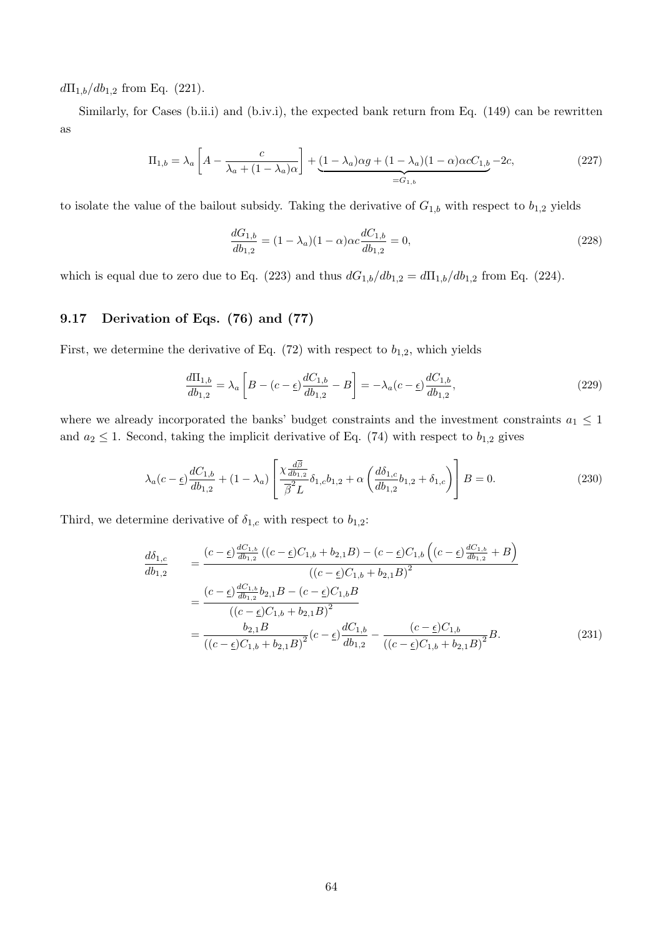$d\Pi_{1,b}/db_{1,2}$  from Eq. (221).

Similarly, for Cases (b.ii.i) and (b.iv.i), the expected bank return from Eq. (149) can be rewritten as

$$
\Pi_{1,b} = \lambda_a \left[ A - \frac{c}{\lambda_a + (1 - \lambda_a)\alpha} \right] + \underbrace{(1 - \lambda_a)\alpha g + (1 - \lambda_a)(1 - \alpha)\alpha c C_{1,b}}_{=G_{1,b}} - 2c,\tag{227}
$$

to isolate the value of the bailout subsidy. Taking the derivative of  $G_{1,b}$  with respect to  $b_{1,2}$  yields

$$
\frac{dG_{1,b}}{db_{1,2}} = (1 - \lambda_a)(1 - \alpha)\alpha c \frac{dC_{1,b}}{db_{1,2}} = 0,
$$
\n(228)

which is equal due to zero due to Eq. (223) and thus  $dG_{1,b}/db_{1,2} = d\Pi_{1,b}/db_{1,2}$  from Eq. (224).

# 9.17 Derivation of Eqs. (76) and (77)

First, we determine the derivative of Eq.  $(72)$  with respect to  $b_{1,2}$ , which yields

$$
\frac{d\Pi_{1,b}}{db_{1,2}} = \lambda_a \left[ B - (c - \underline{\epsilon}) \frac{dC_{1,b}}{db_{1,2}} - B \right] = -\lambda_a (c - \underline{\epsilon}) \frac{dC_{1,b}}{db_{1,2}},\tag{229}
$$

where we already incorporated the banks' budget constraints and the investment constraints  $a_1 \leq 1$ and  $a_2 \leq 1$ . Second, taking the implicit derivative of Eq. (74) with respect to  $b_{1,2}$  gives

$$
\lambda_a(c-\underline{\epsilon})\frac{dC_{1,b}}{db_{1,2}} + (1-\lambda_a) \left[ \frac{\chi \frac{d\overline{\beta}}{db_{1,2}}}{\overline{\beta}^2 L} \delta_{1,c} b_{1,2} + \alpha \left( \frac{d\delta_{1,c}}{db_{1,2}} b_{1,2} + \delta_{1,c} \right) \right] B = 0. \tag{230}
$$

Third, we determine derivative of  $\delta_{1,c}$  with respect to  $b_{1,2}$ :

$$
\frac{d\delta_{1,c}}{db_{1,2}} = \frac{(c-\underline{\epsilon})\frac{dC_{1,b}}{db_{1,2}}((c-\underline{\epsilon})C_{1,b} + b_{2,1}B) - (c-\underline{\epsilon})C_{1,b}\left((c-\underline{\epsilon})\frac{dC_{1,b}}{db_{1,2}} + B\right)}{((c-\underline{\epsilon})C_{1,b} + b_{2,1}B)^2}
$$
\n
$$
= \frac{(c-\underline{\epsilon})\frac{dC_{1,b}}{db_{1,2}}b_{2,1}B - (c-\underline{\epsilon})C_{1,b}B}{((c-\underline{\epsilon})C_{1,b} + b_{2,1}B)^2}
$$
\n
$$
= \frac{b_{2,1}B}{((c-\underline{\epsilon})C_{1,b} + b_{2,1}B)^2}(c-\underline{\epsilon})\frac{dC_{1,b}}{db_{1,2}} - \frac{(c-\underline{\epsilon})C_{1,b}}{((c-\underline{\epsilon})C_{1,b} + b_{2,1}B)^2}B.
$$
\n(231)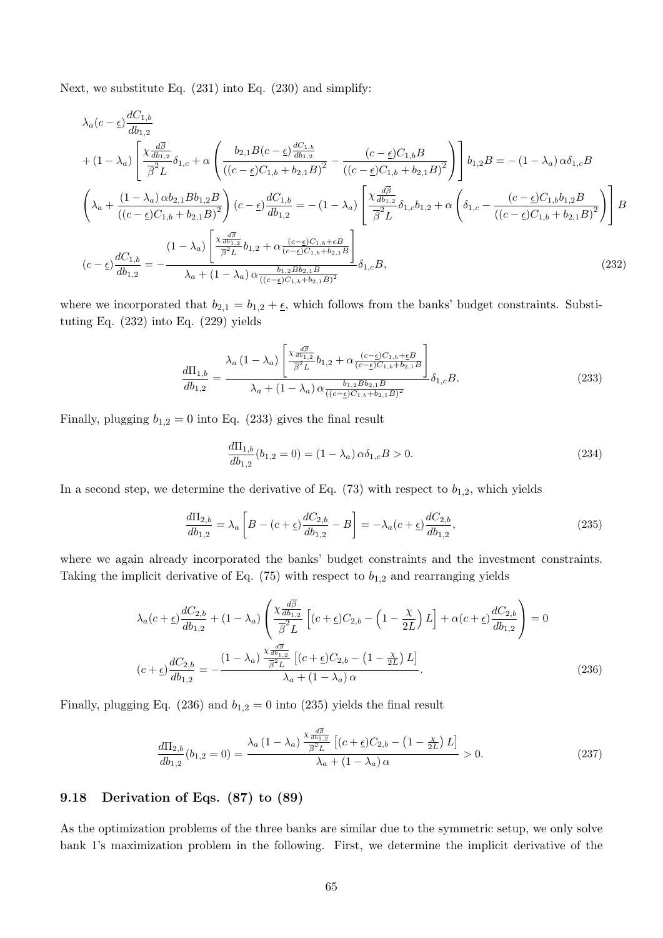Next, we substitute Eq. (231) into Eq. (230) and simplify:

$$
\lambda_{a}(c-\underline{\epsilon})\frac{dC_{1,b}}{db_{1,2}} + (1-\lambda_{a})\left[\frac{\chi\frac{d\overline{\beta}}{db_{1,2}}}{\overline{\beta}^{2}L}\delta_{1,c} + \alpha\left(\frac{b_{2,1}B(c-\underline{\epsilon})\frac{dC_{1,b}}{db_{1,2}}}{((c-\underline{\epsilon})C_{1,b} + b_{2,1}B)^{2}} - \frac{(c-\underline{\epsilon})C_{1,b}B}{((c-\underline{\epsilon})C_{1,b} + b_{2,1}B)^{2}}\right)\right]b_{1,2}B = -(1-\lambda_{a})\alpha\delta_{1,c}B
$$
\n
$$
\left(\lambda_{a} + \frac{(1-\lambda_{a})\alpha b_{2,1}Bb_{1,2}B}{((c-\underline{\epsilon})C_{1,b} + b_{2,1}B)^{2}}\right)(c-\underline{\epsilon})\frac{dC_{1,b}}{db_{1,2}} = -(1-\lambda_{a})\left[\frac{\chi\frac{d\overline{\beta}}{db_{1,2}}}{\overline{\beta}^{2}L}\delta_{1,c}b_{1,2} + \alpha\left(\delta_{1,c} - \frac{(c-\underline{\epsilon})C_{1,b}b_{1,2}B}{((c-\underline{\epsilon})C_{1,b} + b_{2,1}B)^{2}}\right)\right]B
$$
\n
$$
(c-\underline{\epsilon})\frac{dC_{1,b}}{db_{1,2}} = -\frac{(1-\lambda_{a})\left[\frac{\chi\frac{d\overline{\beta}}{db_{1,2}}}{\overline{\beta}^{2}L}b_{1,2} + \alpha\frac{(c-\underline{\epsilon})C_{1,b} + \epsilon B}{(c-\underline{\epsilon})C_{1,b} + b_{2,1}B}\right]}{\lambda_{a} + (1-\lambda_{a})\alpha\frac{b_{1,2}Bb_{2,1}B}{((c-\underline{\epsilon})C_{1,b} + b_{2,1}B)^{2}}}\delta_{1,c}B,
$$
\n(232)

where we incorporated that  $b_{2,1} = b_{1,2} + \underline{\epsilon}$ , which follows from the banks' budget constraints. Substituting Eq. (232) into Eq. (229) yields

$$
\frac{d\Pi_{1,b}}{db_{1,2}} = \frac{\lambda_a (1 - \lambda_a) \left[ \frac{\chi_{ab_{1,2}}^{d\overline{\beta}}}{\overline{\beta}^2 L} b_{1,2} + \alpha \frac{(c - \underline{\epsilon}) C_{1,b} + \underline{\epsilon} B}{(c - \underline{\epsilon}) C_{1,b} + b_{2,1} B} \right]}{\lambda_a + (1 - \lambda_a) \alpha \frac{b_{1,2} B b_{2,1} B}{((c - \underline{\epsilon}) C_{1,b} + b_{2,1} B)^2}} \delta_{1,c} B.
$$
\n(233)

Finally, plugging  $b_{1,2} = 0$  into Eq. (233) gives the final result

$$
\frac{d\Pi_{1,b}}{db_{1,2}}(b_{1,2}=0) = (1 - \lambda_a)\,\alpha\delta_{1,c}B > 0. \tag{234}
$$

In a second step, we determine the derivative of Eq.  $(73)$  with respect to  $b_{1,2}$ , which yields

$$
\frac{d\Pi_{2,b}}{db_{1,2}} = \lambda_a \left[ B - (c + \underline{\epsilon}) \frac{dC_{2,b}}{db_{1,2}} - B \right] = -\lambda_a (c + \underline{\epsilon}) \frac{dC_{2,b}}{db_{1,2}},\tag{235}
$$

where we again already incorporated the banks' budget constraints and the investment constraints. Taking the implicit derivative of Eq.  $(75)$  with respect to  $b_{1,2}$  and rearranging yields

$$
\lambda_a(c+\underline{\epsilon})\frac{dC_{2,b}}{db_{1,2}} + (1-\lambda_a) \left(\frac{\chi \frac{d\overline{\beta}}{db_{1,2}}}{\overline{\beta}^2 L} \left[ (c+\underline{\epsilon})C_{2,b} - \left(1-\frac{\chi}{2L}\right)L \right] + \alpha(c+\underline{\epsilon})\frac{dC_{2,b}}{db_{1,2}} \right) = 0
$$
  

$$
(c+\underline{\epsilon})\frac{dC_{2,b}}{db_{1,2}} = -\frac{(1-\lambda_a)\frac{\chi \frac{d\overline{\beta}}{db_{1,2}}}{\overline{\beta}^2 L} \left[ (c+\underline{\epsilon})C_{2,b} - \left(1-\frac{\chi}{2L}\right)L \right]}{\lambda_a + (1-\lambda_a)\alpha}.
$$
 (236)

Finally, plugging Eq. (236) and  $b_{1,2} = 0$  into (235) yields the final result

$$
\frac{d\Pi_{2,b}}{db_{1,2}}(b_{1,2}=0) = \frac{\lambda_a (1 - \lambda_a) \frac{\chi_{\frac{d\overline{\beta}}{db_{1,2}}}}{\beta^2 L} \left[ (c + \underline{\epsilon}) C_{2,b} - \left( 1 - \frac{\chi}{2L} \right) L \right]}{\lambda_a + (1 - \lambda_a) \alpha} > 0.
$$
\n(237)

## 9.18 Derivation of Eqs. (87) to (89)

As the optimization problems of the three banks are similar due to the symmetric setup, we only solve bank 1's maximization problem in the following. First, we determine the implicit derivative of the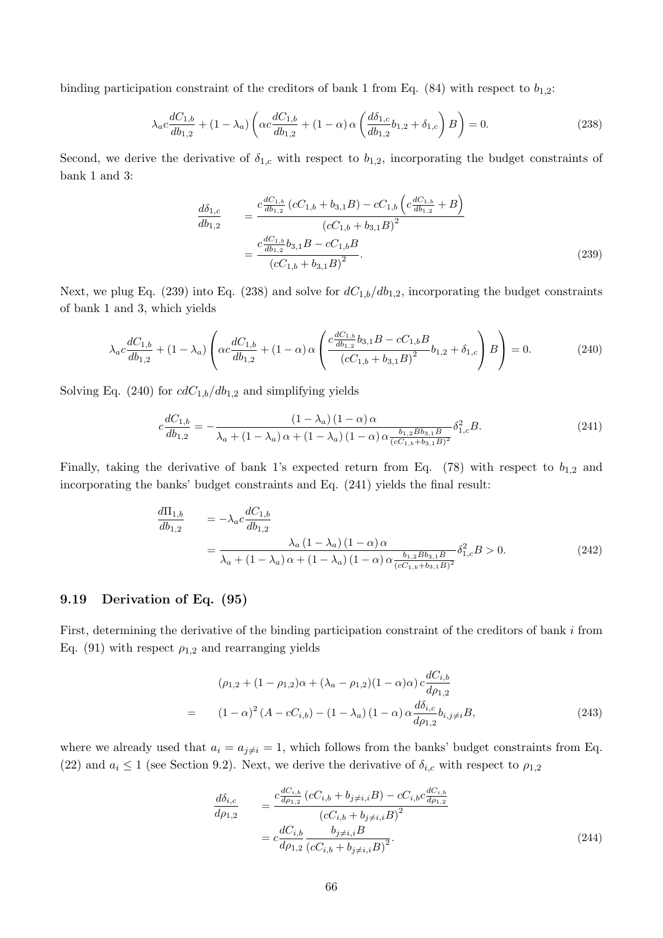binding participation constraint of the creditors of bank 1 from Eq. (84) with respect to  $b_{1,2}$ :

$$
\lambda_a c \frac{dC_{1,b}}{db_{1,2}} + (1 - \lambda_a) \left( \alpha c \frac{dC_{1,b}}{db_{1,2}} + (1 - \alpha) \alpha \left( \frac{d\delta_{1,c}}{db_{1,2}} b_{1,2} + \delta_{1,c} \right) B \right) = 0. \tag{238}
$$

Second, we derive the derivative of  $\delta_{1,c}$  with respect to  $b_{1,2}$ , incorporating the budget constraints of bank 1 and 3:

$$
\frac{d\delta_{1,c}}{db_{1,2}} = \frac{c \frac{dC_{1,b}}{db_{1,2}} \left(cC_{1,b} + b_{3,1}B\right) - cC_{1,b} \left(c \frac{dC_{1,b}}{db_{1,2}} + B\right)}{\left(cC_{1,b} + b_{3,1}B\right)^2} \n= \frac{c \frac{dC_{1,b}}{db_{1,2}} b_{3,1}B - cC_{1,b}B}{\left(cC_{1,b} + b_{3,1}B\right)^2}.
$$
\n(239)

Next, we plug Eq. (239) into Eq. (238) and solve for  $dC_{1,b}/db_{1,2}$ , incorporating the budget constraints of bank 1 and 3, which yields

$$
\lambda_a c \frac{dC_{1,b}}{db_{1,2}} + (1 - \lambda_a) \left( \alpha c \frac{dC_{1,b}}{db_{1,2}} + (1 - \alpha) \alpha \left( \frac{c \frac{dC_{1,b}}{db_{1,2}} b_{3,1} B - cC_{1,b} B}{(cC_{1,b} + b_{3,1} B)^2} b_{1,2} + \delta_{1,c} \right) B \right) = 0. \tag{240}
$$

Solving Eq. (240) for  $cdC_{1,b}/db_{1,2}$  and simplifying yields

$$
c\frac{dC_{1,b}}{db_{1,2}} = -\frac{(1 - \lambda_a)(1 - \alpha)\alpha}{\lambda_a + (1 - \lambda_a)\alpha + (1 - \lambda_a)(1 - \alpha)\alpha \frac{b_{1,2}B_{2,1}B}{(cC_{1,b} + b_{3,1}B)^2}} \delta_{1,c}^2 B.
$$
\n(241)

Finally, taking the derivative of bank 1's expected return from Eq. (78) with respect to  $b_{1,2}$  and incorporating the banks' budget constraints and Eq. (241) yields the final result:

$$
\frac{d\Pi_{1,b}}{db_{1,2}} = -\lambda_a c \frac{dC_{1,b}}{db_{1,2}} \n= \frac{\lambda_a (1 - \lambda_a) (1 - \alpha) \alpha}{\lambda_a + (1 - \lambda_a) \alpha + (1 - \lambda_a) (1 - \alpha) \alpha \frac{b_{1,2} B b_{3,1} B}{(cC_{1,b} + b_{3,1} B)^2}} \delta_{1,c}^2 B > 0.
$$
\n(242)

#### 9.19 Derivation of Eq. (95)

First, determining the derivative of the binding participation constraint of the creditors of bank i from Eq. (91) with respect  $\rho_{1,2}$  and rearranging yields

$$
(\rho_{1,2} + (1 - \rho_{1,2})\alpha + (\lambda_a - \rho_{1,2})(1 - \alpha)\alpha) c \frac{dC_{i,b}}{d\rho_{1,2}}
$$
  
= 
$$
(1 - \alpha)^2 (A - cC_{i,b}) - (1 - \lambda_a) (1 - \alpha) \alpha \frac{d\delta_{i,c}}{d\rho_{1,2}} b_{i,j \neq i} B,
$$
 (243)

where we already used that  $a_i = a_{i \neq i} = 1$ , which follows from the banks' budget constraints from Eq. (22) and  $a_i \le 1$  (see Section 9.2). Next, we derive the derivative of  $\delta_{i,c}$  with respect to  $\rho_{1,2}$ 

$$
\frac{d\delta_{i,c}}{d\rho_{1,2}} = \frac{c \frac{dC_{i,b}}{d\rho_{1,2}} \left(cC_{i,b} + b_{j \neq i,i}B\right) - cC_{i,b}c \frac{dC_{i,b}}{d\rho_{1,2}}}{\left(cC_{i,b} + b_{j \neq i,i}B\right)^2} \n= c \frac{dC_{i,b}}{d\rho_{1,2}} \frac{b_{j \neq i,i}B}{\left(cC_{i,b} + b_{j \neq i,i}B\right)^2}.
$$
\n(244)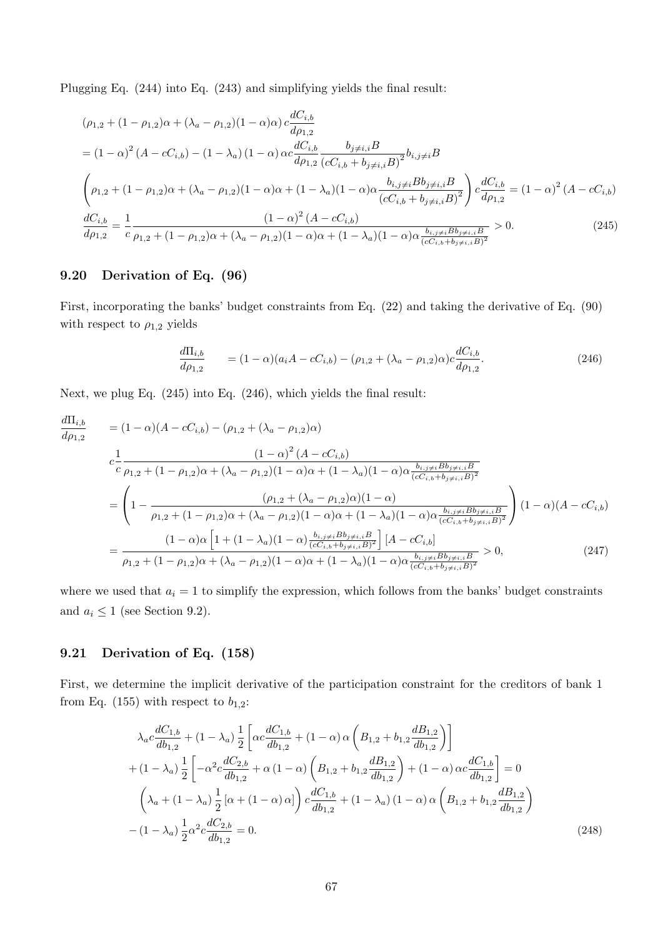Plugging Eq. (244) into Eq. (243) and simplifying yields the final result:

$$
(\rho_{1,2} + (1 - \rho_{1,2})\alpha + (\lambda_a - \rho_{1,2})(1 - \alpha)\alpha) c \frac{dC_{i,b}}{d\rho_{1,2}}
$$
  
=  $(1 - \alpha)^2 (A - cC_{i,b}) - (1 - \lambda_a) (1 - \alpha) \alpha c \frac{dC_{i,b}}{d\rho_{1,2}} \frac{b_{j \neq i,i}B}{(cC_{i,b} + b_{j \neq i,i}B)^2} b_{i,j \neq i}B$   

$$
\left(\rho_{1,2} + (1 - \rho_{1,2})\alpha + (\lambda_a - \rho_{1,2})(1 - \alpha)\alpha + (1 - \lambda_a)(1 - \alpha)\alpha \frac{b_{i,j \neq i}Bb_{j \neq i,i}B}{(cC_{i,b} + b_{j \neq i,i}B)^2}\right) c \frac{dC_{i,b}}{d\rho_{1,2}} = (1 - \alpha)^2 (A - cC_{i,b})
$$
  

$$
\frac{dC_{i,b}}{d\rho_{1,2}} = \frac{1}{c} \frac{(1 - \alpha)^2 (A - cC_{i,b})}{\rho_{1,2} + (1 - \rho_{1,2})\alpha + (\lambda_a - \rho_{1,2})(1 - \alpha)\alpha + (1 - \lambda_a)(1 - \alpha)\alpha \frac{b_{i,j \neq i}Bb_{j \neq i,i}B}{(cC_{i,b} + b_{j \neq i,i}B)^2} > 0.
$$
 (245)

## 9.20 Derivation of Eq. (96)

First, incorporating the banks' budget constraints from Eq. (22) and taking the derivative of Eq. (90) with respect to  $\rho_{1,2}$  yields

$$
\frac{d\Pi_{i,b}}{d\rho_{1,2}} = (1 - \alpha)(a_i A - cC_{i,b}) - (\rho_{1,2} + (\lambda_a - \rho_{1,2})\alpha)c \frac{dC_{i,b}}{d\rho_{1,2}}.
$$
\n(246)

Next, we plug Eq. (245) into Eq. (246), which yields the final result:

$$
\frac{d\Pi_{i,b}}{d\rho_{1,2}} = (1 - \alpha)(A - cC_{i,b}) - (\rho_{1,2} + (\lambda_a - \rho_{1,2})\alpha)
$$
\n
$$
c \frac{1}{c} \frac{(1 - \alpha)^2 (A - cC_{i,b})}{\rho_{1,2} + (1 - \rho_{1,2})\alpha + (\lambda_a - \rho_{1,2})(1 - \alpha)\alpha + (1 - \lambda_a)(1 - \alpha)\alpha \frac{b_{i,j} \neq iB_{j} \neq i,iB}{(cC_{i,b} + b_{j} \neq i,iB)^2}}
$$
\n
$$
= \left(1 - \frac{(\rho_{1,2} + (\lambda_a - \rho_{1,2})\alpha)(1 - \alpha)}{\rho_{1,2} + (1 - \rho_{1,2})\alpha + (\lambda_a - \rho_{1,2})(1 - \alpha)\alpha + (1 - \lambda_a)(1 - \alpha)\alpha \frac{b_{i,j} \neq iB_{j} \neq i,iB}{(cC_{i,b} + b_{j} \neq i,iB)^2}}\right) (1 - \alpha)(A - cC_{i,b})
$$
\n
$$
= \frac{(1 - \alpha)\alpha \left[1 + (1 - \lambda_a)(1 - \alpha)\frac{b_{i,j} \neq iB_{j} \neq i,iB}{(cC_{i,b} + b_{j} \neq i,iB)^2}\right] [A - cC_{i,b}]}{\rho_{1,2} + (1 - \rho_{1,2})\alpha + (\lambda_a - \rho_{1,2})(1 - \alpha)\alpha + (1 - \lambda_a)(1 - \alpha)\alpha \frac{b_{i,j} \neq iB_{j} \neq i,iB}{(cC_{i,b} + b_{j} \neq i,iB)^2}} > 0, \tag{247}
$$

where we used that  $a_i = 1$  to simplify the expression, which follows from the banks' budget constraints and  $a_i \leq 1$  (see Section 9.2).

# 9.21 Derivation of Eq. (158)

First, we determine the implicit derivative of the participation constraint for the creditors of bank 1 from Eq. (155) with respect to  $b_{1,2}$ :

$$
\lambda_{a}c\frac{dC_{1,b}}{db_{1,2}} + (1 - \lambda_{a})\frac{1}{2}\left[\alpha c\frac{dC_{1,b}}{db_{1,2}} + (1 - \alpha)\alpha \left(B_{1,2} + b_{1,2}\frac{dB_{1,2}}{db_{1,2}}\right)\right] + (1 - \lambda_{a})\frac{1}{2}\left[-\alpha^{2}c\frac{dC_{2,b}}{db_{1,2}} + \alpha(1 - \alpha)\left(B_{1,2} + b_{1,2}\frac{dB_{1,2}}{db_{1,2}}\right) + (1 - \alpha)\alpha c\frac{dC_{1,b}}{db_{1,2}}\right] = 0 \left(\lambda_{a} + (1 - \lambda_{a})\frac{1}{2}\left[\alpha + (1 - \alpha)\alpha\right]\right)c\frac{dC_{1,b}}{db_{1,2}} + (1 - \lambda_{a})(1 - \alpha)\alpha \left(B_{1,2} + b_{1,2}\frac{dB_{1,2}}{db_{1,2}}\right) - (1 - \lambda_{a})\frac{1}{2}\alpha^{2}c\frac{dC_{2,b}}{db_{1,2}} = 0.
$$
\n(248)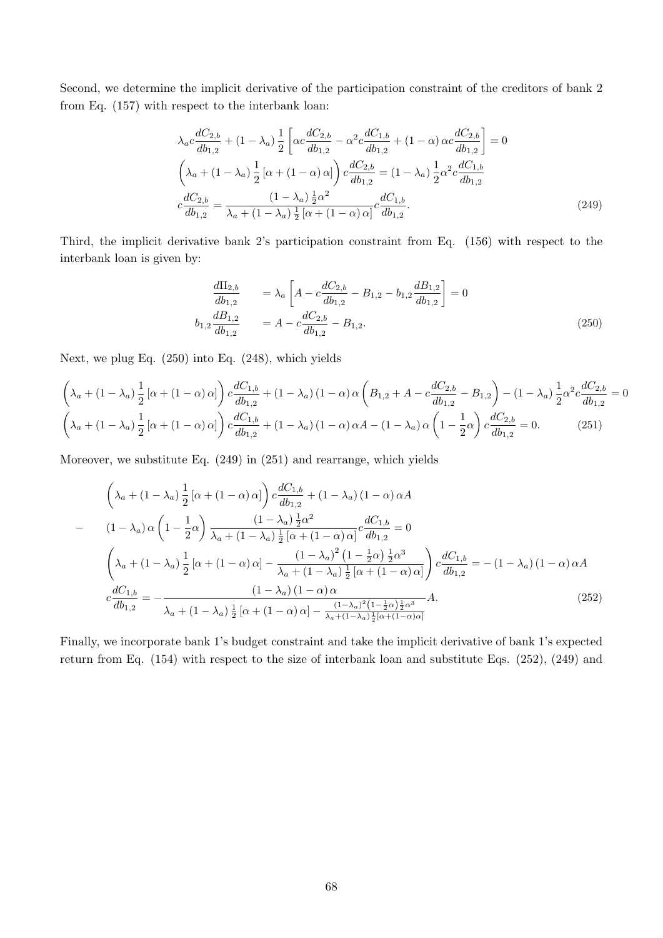Second, we determine the implicit derivative of the participation constraint of the creditors of bank 2 from Eq. (157) with respect to the interbank loan:

$$
\lambda_{a}c \frac{dC_{2,b}}{db_{1,2}} + (1 - \lambda_{a}) \frac{1}{2} \left[ \alpha c \frac{dC_{2,b}}{db_{1,2}} - \alpha^{2} c \frac{dC_{1,b}}{db_{1,2}} + (1 - \alpha) \alpha c \frac{dC_{2,b}}{db_{1,2}} \right] = 0
$$
\n
$$
\left( \lambda_{a} + (1 - \lambda_{a}) \frac{1}{2} \left[ \alpha + (1 - \alpha) \alpha \right] \right) c \frac{dC_{2,b}}{db_{1,2}} = (1 - \lambda_{a}) \frac{1}{2} \alpha^{2} c \frac{dC_{1,b}}{db_{1,2}}
$$
\n
$$
c \frac{dC_{2,b}}{db_{1,2}} = \frac{(1 - \lambda_{a}) \frac{1}{2} \alpha^{2}}{\lambda_{a} + (1 - \lambda_{a}) \frac{1}{2} \left[ \alpha + (1 - \alpha) \alpha \right]} c \frac{dC_{1,b}}{db_{1,2}}.
$$
\n(249)

Third, the implicit derivative bank 2's participation constraint from Eq. (156) with respect to the interbank loan is given by:

$$
\frac{d\Pi_{2,b}}{db_{1,2}} = \lambda_a \left[ A - c \frac{dC_{2,b}}{db_{1,2}} - B_{1,2} - b_{1,2} \frac{dB_{1,2}}{db_{1,2}} \right] = 0
$$
\n
$$
b_{1,2} \frac{dB_{1,2}}{db_{1,2}} = A - c \frac{dC_{2,b}}{db_{1,2}} - B_{1,2}.
$$
\n(250)

Next, we plug Eq. (250) into Eq. (248), which yields

$$
\left(\lambda_a + (1 - \lambda_a) \frac{1}{2} \left[ \alpha + (1 - \alpha) \alpha \right] \right) c \frac{dC_{1,b}}{db_{1,2}} + (1 - \lambda_a) (1 - \alpha) \alpha \left(B_{1,2} + A - c \frac{dC_{2,b}}{db_{1,2}} - B_{1,2}\right) - (1 - \lambda_a) \frac{1}{2} \alpha^2 c \frac{dC_{2,b}}{db_{1,2}} = 0
$$
\n
$$
\left(\lambda_a + (1 - \lambda_a) \frac{1}{2} \left[ \alpha + (1 - \alpha) \alpha \right] \right) c \frac{dC_{1,b}}{db_{1,2}} + (1 - \lambda_a) (1 - \alpha) \alpha A - (1 - \lambda_a) \alpha \left(1 - \frac{1}{2} \alpha \right) c \frac{dC_{2,b}}{db_{1,2}} = 0. \tag{251}
$$

Moreover, we substitute Eq. (249) in (251) and rearrange, which yields

$$
\left(\lambda_{a} + (1 - \lambda_{a}) \frac{1}{2} \left[\alpha + (1 - \alpha) \alpha\right]\right) c \frac{dC_{1,b}}{db_{1,2}} + (1 - \lambda_{a}) (1 - \alpha) \alpha A
$$
\n
$$
- \left(1 - \lambda_{a}\right) \alpha \left(1 - \frac{1}{2}\alpha\right) \frac{(1 - \lambda_{a}) \frac{1}{2}\alpha^{2}}{\lambda_{a} + (1 - \lambda_{a}) \frac{1}{2} \left[\alpha + (1 - \alpha) \alpha\right]} c \frac{dC_{1,b}}{db_{1,2}} = 0
$$
\n
$$
\left(\lambda_{a} + (1 - \lambda_{a}) \frac{1}{2} \left[\alpha + (1 - \alpha) \alpha\right] - \frac{(1 - \lambda_{a})^{2} (1 - \frac{1}{2}\alpha) \frac{1}{2}\alpha^{3}}{\lambda_{a} + (1 - \lambda_{a}) \frac{1}{2} \left[\alpha + (1 - \alpha) \alpha\right]} \right) c \frac{dC_{1,b}}{db_{1,2}} = -(1 - \lambda_{a}) (1 - \alpha) \alpha A
$$
\n
$$
c \frac{dC_{1,b}}{db_{1,2}} = -\frac{(1 - \lambda_{a}) (1 - \alpha) \alpha}{\lambda_{a} + (1 - \lambda_{a}) \frac{1}{2} \left[\alpha + (1 - \alpha) \alpha\right] - \frac{(1 - \lambda_{a})^{2} (1 - \frac{1}{2}\alpha) \frac{1}{2}\alpha^{3}}{\lambda_{a} + (1 - \lambda_{a}) \frac{1}{2} \left[\alpha + (1 - \alpha) \alpha\right]} A. \tag{252}
$$

Finally, we incorporate bank 1's budget constraint and take the implicit derivative of bank 1's expected return from Eq. (154) with respect to the size of interbank loan and substitute Eqs. (252), (249) and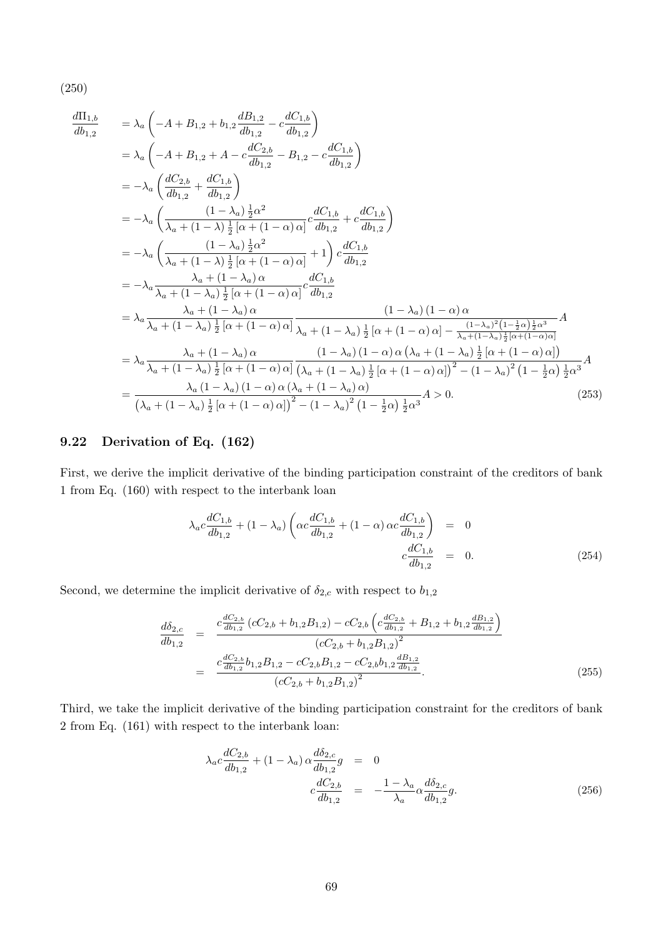(250)

$$
\frac{d\Pi_{1,b}}{db_{1,2}} = \lambda_a \left( -A + B_{1,2} + b_{1,2} \frac{dB_{1,2}}{db_{1,2}} - c \frac{dC_{1,b}}{db_{1,2}} \right)
$$
\n
$$
= \lambda_a \left( -A + B_{1,2} + A - c \frac{dC_{2,b}}{db_{1,2}} - B_{1,2} - c \frac{dC_{1,b}}{db_{1,2}} \right)
$$
\n
$$
= -\lambda_a \left( \frac{dC_{2,b}}{db_{1,2}} + \frac{dC_{1,b}}{db_{1,2}} \right)
$$
\n
$$
= -\lambda_a \left( \frac{(1 - \lambda_a) \frac{1}{2} \alpha^2}{\lambda_a + (1 - \lambda) \frac{1}{2} [\alpha + (1 - \alpha) \alpha]} c \frac{dC_{1,b}}{db_{1,2}} + c \frac{dC_{1,b}}{db_{1,2}} \right)
$$
\n
$$
= -\lambda_a \left( \frac{(1 - \lambda_a) \frac{1}{2} \alpha^2}{\lambda_a + (1 - \lambda) \frac{1}{2} [\alpha + (1 - \alpha) \alpha]} + 1 \right) c \frac{dC_{1,b}}{db_{1,2}}
$$
\n
$$
= -\lambda_a \frac{\lambda_a + (1 - \lambda_a) \alpha}{\lambda_a + (1 - \lambda_a) \frac{1}{2} [\alpha + (1 - \alpha) \alpha]} c \frac{dC_{1,b}}{db_{1,2}}
$$
\n
$$
= \lambda_a \frac{\lambda_a + (1 - \lambda_a) \alpha}{\lambda_a + (1 - \lambda_a) \frac{1}{2} [\alpha + (1 - \alpha) \alpha]} \frac{(1 - \lambda_a) (1 - \alpha) \alpha}{\lambda_a + (1 - \lambda_a) \frac{1}{2} [\alpha + (1 - \alpha) \alpha] - \frac{(1 - \lambda_a)^2 (1 - \frac{1}{2} \alpha) \frac{1}{2} \alpha^3}{\lambda_a + (1 - \lambda_a) \frac{1}{2} [\alpha + (1 - \alpha) \alpha]} \frac{(1 - \lambda_a) (1 - \alpha) \alpha (\lambda_a + (1 - \lambda_a) \frac{1}{2} [\alpha + (1 - \alpha) \alpha])}{\lambda_a + (1 - \lambda_a) \frac{1}{2} [\alpha + (1 - \alpha) \alpha] \frac{1}{2} [\alpha + (1 - \alpha) \alpha]^2 - (1 - \lambda_a)^2 (1 - \frac
$$

# 9.22 Derivation of Eq. (162)

First, we derive the implicit derivative of the binding participation constraint of the creditors of bank 1 from Eq. (160) with respect to the interbank loan

$$
\lambda_a c \frac{dC_{1,b}}{db_{1,2}} + (1 - \lambda_a) \left( \alpha c \frac{dC_{1,b}}{db_{1,2}} + (1 - \alpha) \alpha c \frac{dC_{1,b}}{db_{1,2}} \right) = 0
$$
  

$$
c \frac{dC_{1,b}}{db_{1,2}} = 0.
$$
 (254)

Second, we determine the implicit derivative of  $\delta_{2,c}$  with respect to  $b_{1,2}$ 

$$
\frac{d\delta_{2,c}}{db_{1,2}} = \frac{c \frac{dC_{2,b}}{db_{1,2}} \left(cC_{2,b} + b_{1,2}B_{1,2}\right) - cC_{2,b} \left(c \frac{dC_{2,b}}{db_{1,2}} + B_{1,2} + b_{1,2} \frac{dB_{1,2}}{db_{1,2}}\right)}{\left(cC_{2,b} + b_{1,2}B_{1,2}\right)^2}
$$
\n
$$
= \frac{c \frac{dC_{2,b}}{db_{1,2}} b_{1,2}B_{1,2} - cC_{2,b}B_{1,2} - cC_{2,b}b_{1,2} \frac{dB_{1,2}}{db_{1,2}}}{\left(cC_{2,b} + b_{1,2}B_{1,2}\right)^2}.
$$
\n(255)

Third, we take the implicit derivative of the binding participation constraint for the creditors of bank 2 from Eq. (161) with respect to the interbank loan:

$$
\lambda_{a}c \frac{dC_{2,b}}{db_{1,2}} + (1 - \lambda_{a}) \alpha \frac{d\delta_{2,c}}{db_{1,2}}g = 0
$$
\n
$$
c \frac{dC_{2,b}}{db_{1,2}} = -\frac{1 - \lambda_{a}}{\lambda_{a}} \alpha \frac{d\delta_{2,c}}{db_{1,2}}g.
$$
\n(256)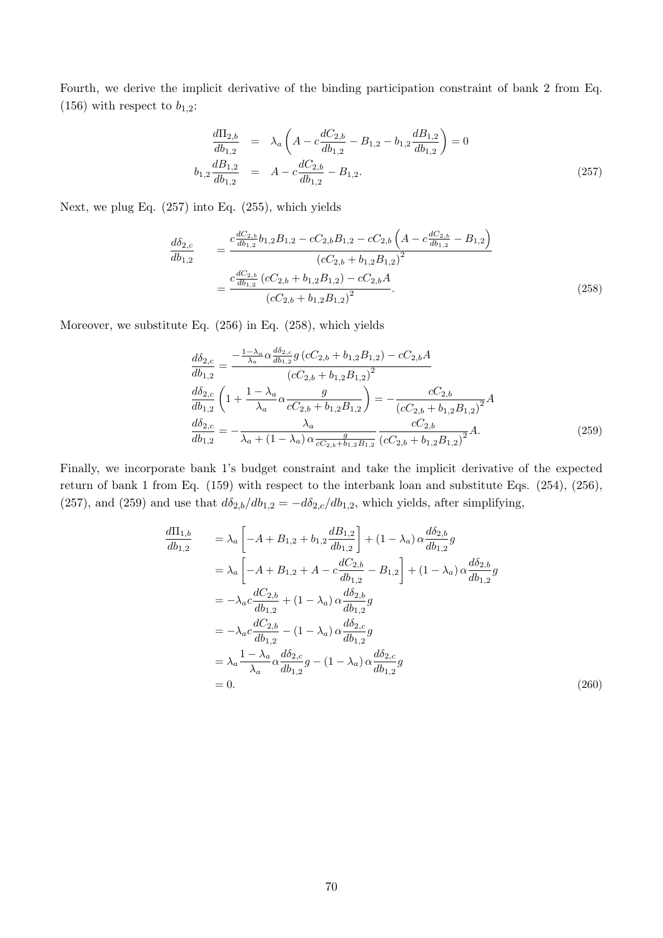Fourth, we derive the implicit derivative of the binding participation constraint of bank 2 from Eq. (156) with respect to  $b_{1,2}$ :

$$
\frac{d\Pi_{2,b}}{db_{1,2}} = \lambda_a \left( A - c \frac{dC_{2,b}}{db_{1,2}} - B_{1,2} - b_{1,2} \frac{dB_{1,2}}{db_{1,2}} \right) = 0
$$
\n
$$
b_{1,2} \frac{dB_{1,2}}{db_{1,2}} = A - c \frac{dC_{2,b}}{db_{1,2}} - B_{1,2}.
$$
\n(257)

Next, we plug Eq. (257) into Eq. (255), which yields

$$
\frac{d\delta_{2,c}}{db_{1,2}} = \frac{c \frac{dC_{2,b}}{db_{1,2}} b_{1,2} B_{1,2} - cC_{2,b} B_{1,2} - cC_{2,b} \left(A - c \frac{dC_{2,b}}{db_{1,2}} - B_{1,2}\right)}{\left(cC_{2,b} + b_{1,2} B_{1,2}\right)^2} = \frac{c \frac{dC_{2,b}}{db_{1,2}} \left(cC_{2,b} + b_{1,2} B_{1,2}\right) - cC_{2,b} A}{\left(cC_{2,b} + b_{1,2} B_{1,2}\right)^2}.
$$
\n(258)

Moreover, we substitute Eq. (256) in Eq. (258), which yields

$$
\frac{d\delta_{2,c}}{db_{1,2}} = \frac{-\frac{1-\lambda_a}{\lambda_a} \alpha \frac{d\delta_{2,c}}{db_{1,2}} g\left(cC_{2,b} + b_{1,2}B_{1,2}\right) - cC_{2,b}A}{\left(cC_{2,b} + b_{1,2}B_{1,2}\right)^2}
$$
\n
$$
\frac{d\delta_{2,c}}{db_{1,2}} \left(1 + \frac{1-\lambda_a}{\lambda_a} \alpha \frac{g}{cC_{2,b} + b_{1,2}B_{1,2}}\right) = -\frac{cC_{2,b}}{\left(cC_{2,b} + b_{1,2}B_{1,2}\right)^2} A
$$
\n
$$
\frac{d\delta_{2,c}}{db_{1,2}} = -\frac{\lambda_a}{\lambda_a + (1-\lambda_a) \alpha \frac{g}{cC_{2,b} + b_{1,2}B_{1,2}}} \frac{cC_{2,b}}{\left(cC_{2,b} + b_{1,2}B_{1,2}\right)^2} A. \tag{259}
$$

Finally, we incorporate bank 1's budget constraint and take the implicit derivative of the expected return of bank 1 from Eq. (159) with respect to the interbank loan and substitute Eqs. (254), (256), (257), and (259) and use that  $d\delta_{2,b}/db_{1,2} = -d\delta_{2,c}/db_{1,2}$ , which yields, after simplifying,

$$
\frac{d\Pi_{1,b}}{db_{1,2}} = \lambda_a \left[ -A + B_{1,2} + b_{1,2} \frac{dB_{1,2}}{db_{1,2}} \right] + (1 - \lambda_a) \alpha \frac{d\delta_{2,b}}{db_{1,2}} g
$$
\n
$$
= \lambda_a \left[ -A + B_{1,2} + A - c \frac{dC_{2,b}}{db_{1,2}} - B_{1,2} \right] + (1 - \lambda_a) \alpha \frac{d\delta_{2,b}}{db_{1,2}} g
$$
\n
$$
= -\lambda_a c \frac{dC_{2,b}}{db_{1,2}} + (1 - \lambda_a) \alpha \frac{d\delta_{2,b}}{db_{1,2}} g
$$
\n
$$
= -\lambda_a c \frac{dC_{2,b}}{db_{1,2}} - (1 - \lambda_a) \alpha \frac{d\delta_{2,c}}{db_{1,2}} g
$$
\n
$$
= \lambda_a \frac{1 - \lambda_a}{\lambda_a} \alpha \frac{d\delta_{2,c}}{db_{1,2}} g - (1 - \lambda_a) \alpha \frac{d\delta_{2,c}}{db_{1,2}} g
$$
\n
$$
= 0.
$$
\n(260)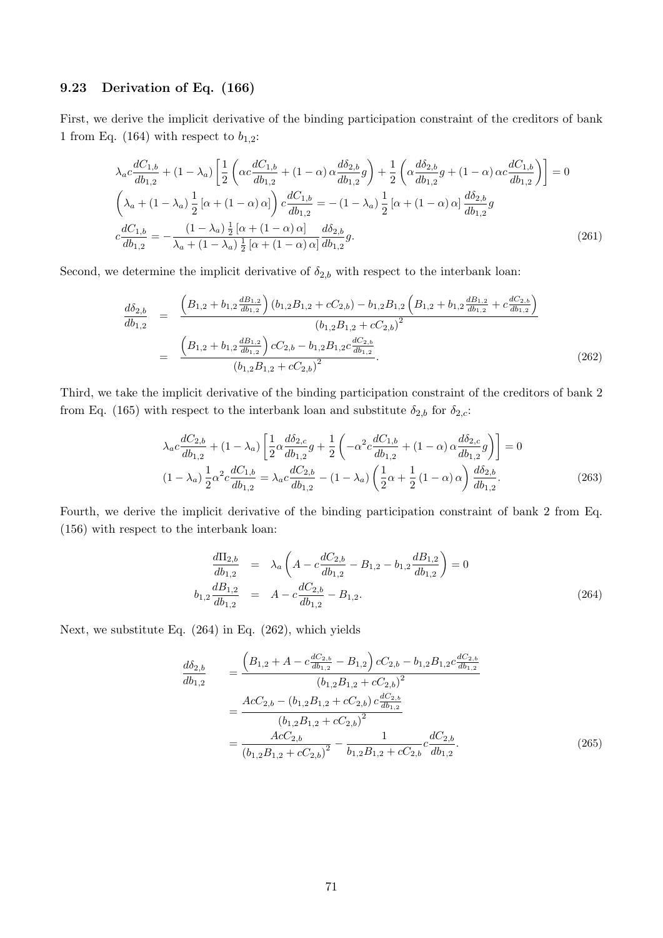### 9.23 Derivation of Eq. (166)

First, we derive the implicit derivative of the binding participation constraint of the creditors of bank 1 from Eq. (164) with respect to  $b_{1,2}$ :

$$
\lambda_{a}c\frac{dC_{1,b}}{db_{1,2}} + (1 - \lambda_{a})\left[\frac{1}{2}\left(\alpha c\frac{dC_{1,b}}{db_{1,2}} + (1 - \alpha)\alpha \frac{d\delta_{2,b}}{db_{1,2}}g\right) + \frac{1}{2}\left(\alpha \frac{d\delta_{2,b}}{db_{1,2}}g + (1 - \alpha)\alpha c\frac{dC_{1,b}}{db_{1,2}}\right)\right] = 0
$$
\n
$$
\left(\lambda_{a} + (1 - \lambda_{a})\frac{1}{2}\left[\alpha + (1 - \alpha)\alpha\right]\right)c\frac{dC_{1,b}}{db_{1,2}} = -(1 - \lambda_{a})\frac{1}{2}\left[\alpha + (1 - \alpha)\alpha\right]\frac{d\delta_{2,b}}{db_{1,2}}g
$$
\n
$$
c\frac{dC_{1,b}}{db_{1,2}} = -\frac{(1 - \lambda_{a})\frac{1}{2}\left[\alpha + (1 - \alpha)\alpha\right]}{\lambda_{a} + (1 - \lambda_{a})\frac{1}{2}\left[\alpha + (1 - \alpha)\alpha\right]} \frac{d\delta_{2,b}}{db_{1,2}}g.
$$
\n(261)

Second, we determine the implicit derivative of  $\delta_{2,b}$  with respect to the interbank loan:

$$
\frac{d\delta_{2,b}}{db_{1,2}} = \frac{\left(B_{1,2} + b_{1,2} \frac{dB_{1,2}}{db_{1,2}}\right) (b_{1,2}B_{1,2} + cC_{2,b}) - b_{1,2}B_{1,2} \left(B_{1,2} + b_{1,2} \frac{dB_{1,2}}{db_{1,2}} + c \frac{dC_{2,b}}{db_{1,2}}\right)}{(b_{1,2}B_{1,2} + cC_{2,b})^2}
$$
\n
$$
= \frac{\left(B_{1,2} + b_{1,2} \frac{dB_{1,2}}{db_{1,2}}\right) cC_{2,b} - b_{1,2}B_{1,2}c \frac{dC_{2,b}}{db_{1,2}}}{(b_{1,2}B_{1,2} + cC_{2,b})^2}.
$$
\n(262)

Third, we take the implicit derivative of the binding participation constraint of the creditors of bank 2 from Eq. (165) with respect to the interbank loan and substitute  $\delta_{2,b}$  for  $\delta_{2,c}$ :

$$
\lambda_a c \frac{dC_{2,b}}{db_{1,2}} + (1 - \lambda_a) \left[ \frac{1}{2} \alpha \frac{d\delta_{2,c}}{db_{1,2}} g + \frac{1}{2} \left( -\alpha^2 c \frac{dC_{1,b}}{db_{1,2}} + (1 - \alpha) \alpha \frac{d\delta_{2,c}}{db_{1,2}} g \right) \right] = 0
$$
\n
$$
(1 - \lambda_a) \frac{1}{2} \alpha^2 c \frac{dC_{1,b}}{db_{1,2}} = \lambda_a c \frac{dC_{2,b}}{db_{1,2}} - (1 - \lambda_a) \left( \frac{1}{2} \alpha + \frac{1}{2} (1 - \alpha) \alpha \right) \frac{d\delta_{2,b}}{db_{1,2}}.
$$
\n(263)

Fourth, we derive the implicit derivative of the binding participation constraint of bank 2 from Eq. (156) with respect to the interbank loan:

$$
\frac{d\Pi_{2,b}}{db_{1,2}} = \lambda_a \left( A - c \frac{dC_{2,b}}{db_{1,2}} - B_{1,2} - b_{1,2} \frac{dB_{1,2}}{db_{1,2}} \right) = 0
$$
\n
$$
b_{1,2} \frac{dB_{1,2}}{db_{1,2}} = A - c \frac{dC_{2,b}}{db_{1,2}} - B_{1,2}.
$$
\n(264)

Next, we substitute Eq. (264) in Eq. (262), which yields

$$
\frac{d\delta_{2,b}}{db_{1,2}} = \frac{\left(B_{1,2} + A - c\frac{dC_{2,b}}{db_{1,2}} - B_{1,2}\right)cC_{2,b} - b_{1,2}B_{1,2}c\frac{dC_{2,b}}{db_{1,2}}}{\left(b_{1,2}B_{1,2} + cC_{2,b}\right)^{2}}
$$
\n
$$
= \frac{AccC_{2,b} - \left(b_{1,2}B_{1,2} + cC_{2,b}\right)c\frac{dC_{2,b}}{db_{1,2}}}{\left(b_{1,2}B_{1,2} + cC_{2,b}\right)^{2}}
$$
\n
$$
= \frac{AccC_{2,b}}{\left(b_{1,2}B_{1,2} + cC_{2,b}\right)^{2}} - \frac{1}{b_{1,2}B_{1,2} + cC_{2,b}}c\frac{dC_{2,b}}{db_{1,2}}.
$$
\n(265)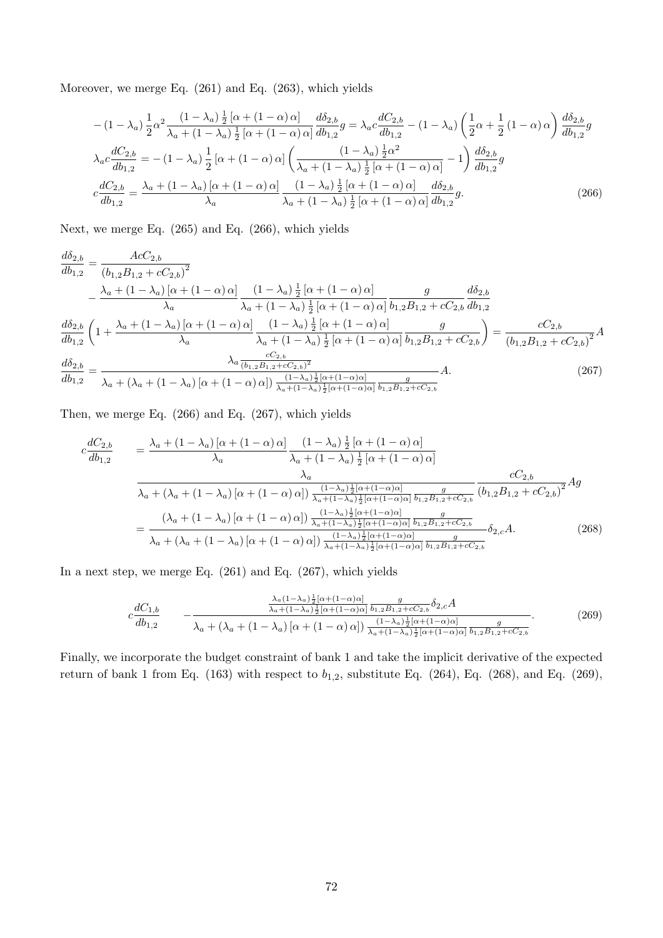Moreover, we merge Eq. (261) and Eq. (263), which yields

$$
-(1 - \lambda_a) \frac{1}{2} \alpha^2 \frac{(1 - \lambda_a) \frac{1}{2} [\alpha + (1 - \alpha) \alpha]}{\lambda_a + (1 - \lambda_a) \frac{1}{2} [\alpha + (1 - \alpha) \alpha]} \frac{d\delta_{2,b}}{db_{1,2}} g = \lambda_a c \frac{dC_{2,b}}{db_{1,2}} - (1 - \lambda_a) \left(\frac{1}{2} \alpha + \frac{1}{2} (1 - \alpha) \alpha\right) \frac{d\delta_{2,b}}{db_{1,2}} g
$$

$$
\lambda_a c \frac{dC_{2,b}}{db_{1,2}} = -(1 - \lambda_a) \frac{1}{2} [\alpha + (1 - \alpha) \alpha] \left(\frac{(1 - \lambda_a) \frac{1}{2} \alpha^2}{\lambda_a + (1 - \lambda_a) \frac{1}{2} [\alpha + (1 - \alpha) \alpha]} - 1\right) \frac{d\delta_{2,b}}{db_{1,2}} g
$$

$$
c \frac{dC_{2,b}}{db_{1,2}} = \frac{\lambda_a + (1 - \lambda_a) [\alpha + (1 - \alpha) \alpha]}{\lambda_a} \frac{(1 - \lambda_a) \frac{1}{2} [\alpha + (1 - \alpha) \alpha]}{\lambda_a + (1 - \lambda_a) \frac{1}{2} [\alpha + (1 - \alpha) \alpha]} \frac{d\delta_{2,b}}{db_{1,2}} g.
$$
(266)

Next, we merge Eq. (265) and Eq. (266), which yields

$$
\frac{d\delta_{2,b}}{db_{1,2}} = \frac{Acc_{2,b}}{(b_{1,2}B_{1,2} + cC_{2,b})^2} - \frac{\lambda_a + (1 - \lambda_a)\left[\alpha + (1 - \alpha)\alpha\right]}{\lambda_a} \frac{(1 - \lambda_a)\frac{1}{2}\left[\alpha + (1 - \alpha)\alpha\right]}{\lambda_a + (1 - \lambda_a)\frac{1}{2}\left[\alpha + (1 - \alpha)\alpha\right]} \frac{g}{b_{1,2}B_{1,2} + cC_{2,b}} \frac{d\delta_{2,b}}{db_{1,2}}
$$
\n
$$
\frac{d\delta_{2,b}}{db_{1,2}} \left(1 + \frac{\lambda_a + (1 - \lambda_a)\left[\alpha + (1 - \alpha)\alpha\right]}{\lambda_a} \frac{(1 - \lambda_a)\frac{1}{2}\left[\alpha + (1 - \alpha)\alpha\right]}{\lambda_a + (1 - \lambda_a)\frac{1}{2}\left[\alpha + (1 - \alpha)\alpha\right]} \frac{g}{b_{1,2}B_{1,2} + cC_{2,b}}\right) = \frac{cC_{2,b}}{(b_{1,2}B_{1,2} + cC_{2,b})^2} A
$$
\n
$$
\frac{d\delta_{2,b}}{db_{1,2}} = \frac{\lambda_a \frac{cC_{2,b}}{(b_{1,2}B_{1,2} + cC_{2,b})^2}}{\lambda_a + (\lambda_a + (1 - \lambda_a)\left[\alpha + (1 - \alpha)\alpha\right]) \frac{(1 - \lambda_a)\frac{1}{2}[\alpha + (1 - \alpha)\alpha]}{\lambda_a + (1 - \lambda_a)\frac{1}{2}[\alpha + (1 - \alpha)\alpha]} \frac{g}{b_{1,2}B_{1,2} + cC_{2,b}}} A.
$$
\n(267)

Then, we merge Eq. (266) and Eq. (267), which yields

$$
c\frac{dC_{2,b}}{db_{1,2}} = \frac{\lambda_a + (1 - \lambda_a) [\alpha + (1 - \alpha) \alpha]}{\lambda_a} \frac{(1 - \lambda_a) \frac{1}{2} [\alpha + (1 - \alpha) \alpha]}{\lambda_a + (1 - \lambda_a) \frac{1}{2} [\alpha + (1 - \alpha) \alpha]}
$$
  

$$
\frac{\lambda_a}{\lambda_a + (\lambda_a + (1 - \lambda_a) [\alpha + (1 - \alpha) \alpha]) \frac{(1 - \lambda_a) \frac{1}{2} [\alpha + (1 - \alpha) \alpha]}{\lambda_a + (1 - \lambda_a) \frac{1}{2} [\alpha + (1 - \alpha) \alpha]} \frac{g}{b_{1,2} B_{1,2} + c C_{2,b}}}{(b_{1,2} B_{1,2} + c C_{2,b})^2} Ag
$$
  

$$
= \frac{(\lambda_a + (1 - \lambda_a) [\alpha + (1 - \alpha) \alpha]) \frac{(1 - \lambda_a) \frac{1}{2} [\alpha + (1 - \alpha) \alpha]}{\lambda_a + (1 - \lambda_a) \frac{1}{2} [\alpha + (1 - \alpha) \alpha]} \frac{g}{b_{1,2} B_{1,2} + c C_{2,b}}}{b_{2,c} A.}
$$
(268)

In a next step, we merge Eq. (261) and Eq. (267), which yields

$$
c \frac{dC_{1,b}}{db_{1,2}} \qquad - \frac{\frac{\lambda_a (1 - \lambda_a) \frac{1}{2} [\alpha + (1 - \alpha)\alpha]}{\lambda_a + (1 - \lambda_a) \frac{1}{2} [\alpha + (1 - \alpha)\alpha]} \frac{g}{b_{1,2}B_{1,2} + cC_{2,b}} \delta_{2,c} A}{\lambda_a + (\lambda_a + (1 - \lambda_a) [\alpha + (1 - \alpha)\alpha]) \frac{(1 - \lambda_a) \frac{1}{2} [\alpha + (1 - \alpha)\alpha]}{\lambda_a + (1 - \lambda_a) \frac{1}{2} [\alpha + (1 - \alpha)\alpha]} \frac{g}{b_{1,2}B_{1,2} + cC_{2,b}}}.
$$
(269)

Finally, we incorporate the budget constraint of bank 1 and take the implicit derivative of the expected return of bank 1 from Eq. (163) with respect to  $b_{1,2}$ , substitute Eq. (264), Eq. (268), and Eq. (269),